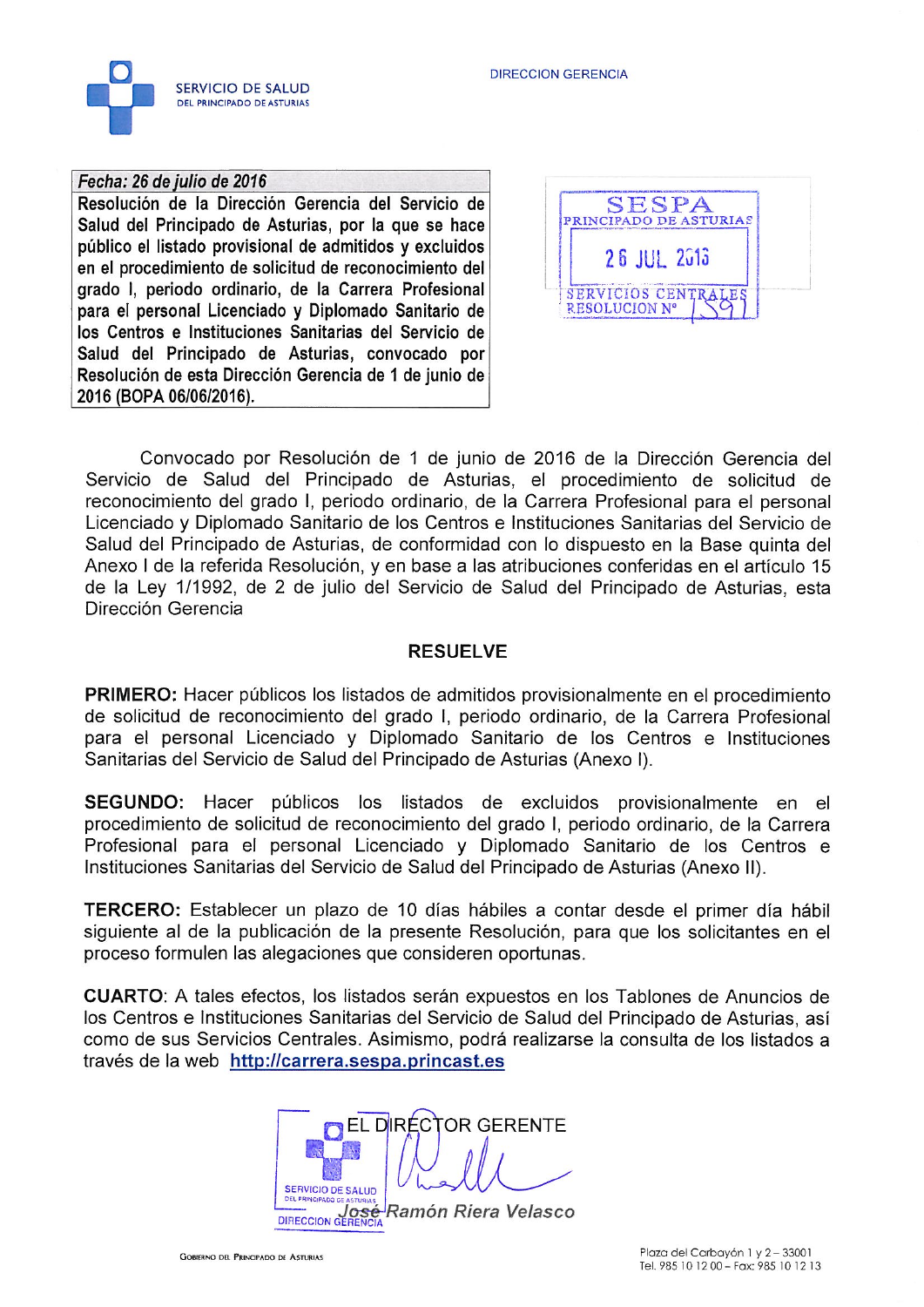



# Fecha: 26 de julio de 2016

Resolución de la Dirección Gerencia del Servicio de Salud del Principado de Asturias, por la que se hace público el listado provisional de admitidos y excluidos en el procedimiento de solicitud de reconocimiento del grado I, periodo ordinario, de la Carrera Profesional para el personal Licenciado y Diplomado Sanitario de los Centros e Instituciones Sanitarias del Servicio de Salud del Principado de Asturias, convocado por Resolución de esta Dirección Gerencia de 1 de junio de 2016 (BOPA 06/06/2016).



Convocado por Resolución de 1 de junio de 2016 de la Dirección Gerencia del Servicio de Salud del Principado de Asturias, el procedimiento de solicitud de reconocimiento del grado I, periodo ordinario, de la Carrera Profesional para el personal Licenciado y Diplomado Sanitario de los Centros e Instituciones Sanitarias del Servicio de Salud del Principado de Asturias, de conformidad con lo dispuesto en la Base quinta del Anexo I de la referida Resolución, y en base a las atribuciones conferidas en el artículo 15 de la Ley 1/1992, de 2 de julio del Servicio de Salud del Principado de Asturias, esta Dirección Gerencia

## **RESUELVE**

**PRIMERO:** Hacer públicos los listados de admitidos provisionalmente en el procedimiento de solicitud de reconocimiento del grado I, periodo ordinario, de la Carrera Profesional para el personal Licenciado y Diplomado Sanitario de los Centros e Instituciones Sanitarias del Servicio de Salud del Principado de Asturias (Anexo I).

SEGUNDO: Hacer públicos los listados de excluidos provisionalmente en el procedimiento de solicitud de reconocimiento del grado I, periodo ordinario, de la Carrera Profesional para el personal Licenciado y Diplomado Sanitario de los Centros e Instituciones Sanitarias del Servicio de Salud del Principado de Asturias (Anexo II).

TERCERO: Establecer un plazo de 10 días hábiles a contar desde el primer día hábil siguiente al de la publicación de la presente Resolución, para que los solicitantes en el proceso formulen las alegaciones que consideren oportunas.

**CUARTO:** A tales efectos, los listados serán expuestos en los Tablones de Anuncios de los Centros e Instituciones Sanitarias del Servicio de Salud del Principado de Asturias, así como de sus Servicios Centrales. Asimismo, podrá realizarse la consulta de los listados a través de la web http://carrera.sespa.princast.es

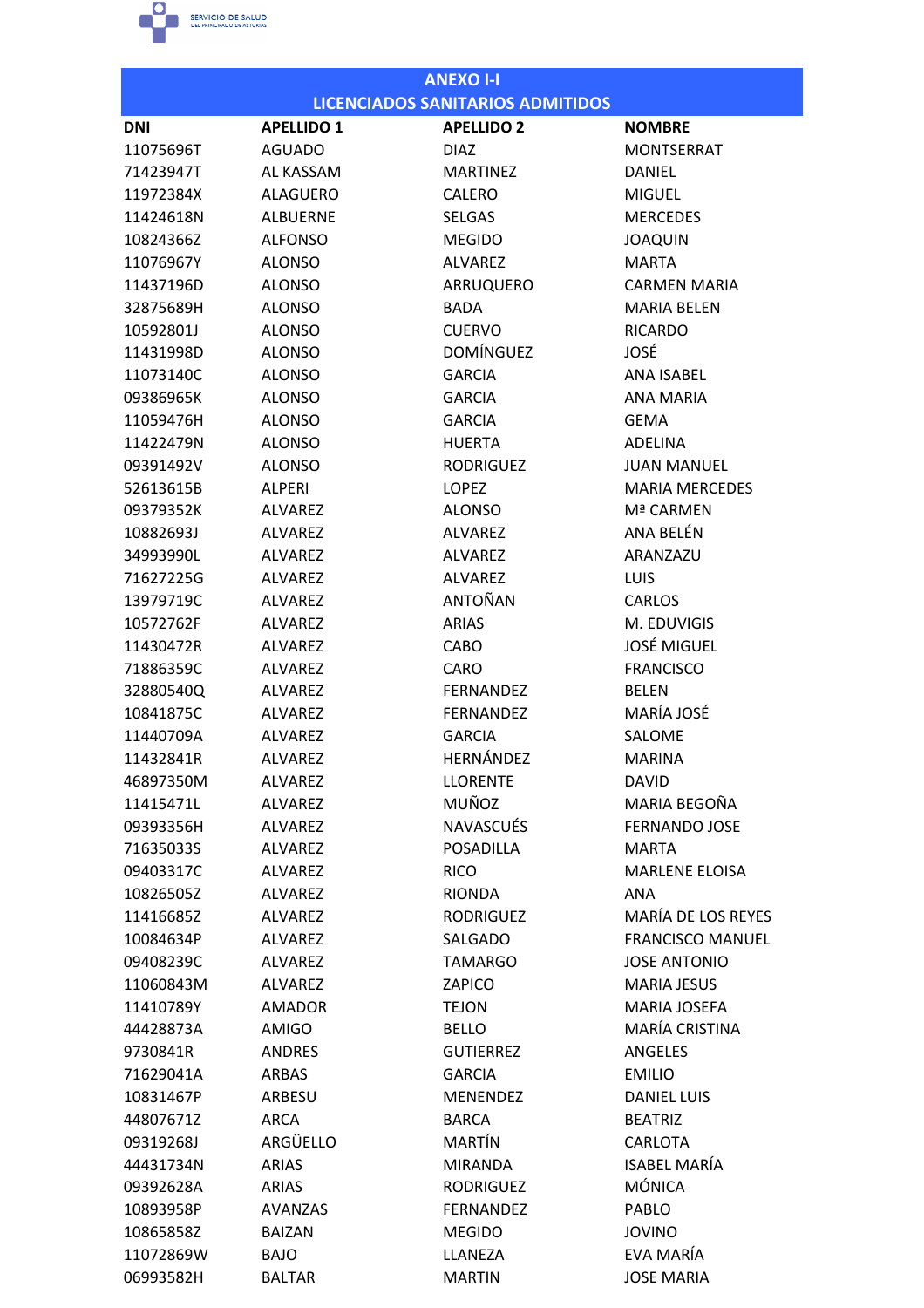

| <b>LICENCIADOS SANITARIOS ADMITIDOS</b><br><b>APELLIDO 2</b><br><b>APELLIDO 1</b><br><b>DNI</b><br><b>NOMBRE</b><br><b>MONTSERRAT</b><br>11075696T<br><b>AGUADO</b><br>DIAZ<br>71423947T<br>AL KASSAM<br><b>MARTINEZ</b><br><b>DANIEL</b><br>11972384X<br><b>ALAGUERO</b><br><b>CALERO</b><br><b>MIGUEL</b><br><b>MERCEDES</b><br>11424618N<br><b>ALBUERNE</b><br><b>SELGAS</b><br><b>ALFONSO</b><br><b>MEGIDO</b><br><b>JOAQUIN</b><br>10824366Z<br>11076967Y<br><b>ALONSO</b><br><b>ALVAREZ</b><br><b>MARTA</b><br><b>ALONSO</b><br>ARRUQUERO<br><b>CARMEN MARIA</b><br>11437196D<br>32875689H<br><b>ALONSO</b><br><b>BADA</b><br><b>MARIA BELEN</b><br>10592801J<br><b>ALONSO</b><br><b>CUERVO</b><br><b>RICARDO</b><br><b>DOMÍNGUEZ</b><br>JOSÉ<br>11431998D<br><b>ALONSO</b><br>11073140C<br><b>ALONSO</b><br><b>GARCIA</b><br><b>ANA ISABEL</b><br><b>ANA MARIA</b><br>09386965K<br><b>ALONSO</b><br><b>GARCIA</b><br>11059476H<br><b>ALONSO</b><br><b>GARCIA</b><br><b>GEMA</b><br><b>ALONSO</b><br><b>HUERTA</b><br>ADELINA<br>11422479N<br>09391492V<br><b>ALONSO</b><br><b>RODRIGUEZ</b><br><b>JUAN MANUEL</b><br>52613615B<br><b>ALPERI</b><br><b>LOPEZ</b><br><b>MARIA MERCEDES</b><br>Mª CARMEN<br>09379352K<br><b>ALVAREZ</b><br><b>ALONSO</b><br>ANA BELÉN<br>10882693J<br><b>ALVAREZ</b><br><b>ALVAREZ</b><br>34993990L<br><b>ALVAREZ</b><br><b>ALVAREZ</b><br>ARANZAZU<br>71627225G<br><b>ALVAREZ</b><br><b>ALVAREZ</b><br><b>LUIS</b><br>ANTOÑAN<br>13979719C<br>ALVAREZ<br><b>CARLOS</b><br>10572762F<br><b>ALVAREZ</b><br><b>ARIAS</b><br>M. EDUVIGIS<br><b>JOSÉ MIGUEL</b><br>11430472R<br><b>ALVAREZ</b><br>CABO<br><b>FRANCISCO</b><br>71886359C<br><b>ALVAREZ</b><br>CARO<br><b>FERNANDEZ</b><br><b>BELEN</b><br>32880540Q<br><b>ALVAREZ</b><br>MARÍA JOSÉ<br>10841875C<br>ALVAREZ<br><b>FERNANDEZ</b><br><b>ALVAREZ</b><br>SALOME<br>11440709A<br><b>GARCIA</b><br>HERNÁNDEZ<br>11432841R<br><b>ALVAREZ</b><br><b>MARINA</b><br><b>LLORENTE</b><br><b>DAVID</b><br>46897350M<br>ALVAREZ<br>MUÑOZ<br>MARIA BEGOÑA<br>11415471L<br><b>ALVAREZ</b><br><b>NAVASCUÉS</b><br><b>FERNANDO JOSE</b><br>09393356H<br>ALVAREZ |
|----------------------------------------------------------------------------------------------------------------------------------------------------------------------------------------------------------------------------------------------------------------------------------------------------------------------------------------------------------------------------------------------------------------------------------------------------------------------------------------------------------------------------------------------------------------------------------------------------------------------------------------------------------------------------------------------------------------------------------------------------------------------------------------------------------------------------------------------------------------------------------------------------------------------------------------------------------------------------------------------------------------------------------------------------------------------------------------------------------------------------------------------------------------------------------------------------------------------------------------------------------------------------------------------------------------------------------------------------------------------------------------------------------------------------------------------------------------------------------------------------------------------------------------------------------------------------------------------------------------------------------------------------------------------------------------------------------------------------------------------------------------------------------------------------------------------------------------------------------------------------------------------------------------------------------------------------------------------------------------------------------------------------------------------------------------------------------------------------------------------------------------------|
|                                                                                                                                                                                                                                                                                                                                                                                                                                                                                                                                                                                                                                                                                                                                                                                                                                                                                                                                                                                                                                                                                                                                                                                                                                                                                                                                                                                                                                                                                                                                                                                                                                                                                                                                                                                                                                                                                                                                                                                                                                                                                                                                              |
|                                                                                                                                                                                                                                                                                                                                                                                                                                                                                                                                                                                                                                                                                                                                                                                                                                                                                                                                                                                                                                                                                                                                                                                                                                                                                                                                                                                                                                                                                                                                                                                                                                                                                                                                                                                                                                                                                                                                                                                                                                                                                                                                              |
|                                                                                                                                                                                                                                                                                                                                                                                                                                                                                                                                                                                                                                                                                                                                                                                                                                                                                                                                                                                                                                                                                                                                                                                                                                                                                                                                                                                                                                                                                                                                                                                                                                                                                                                                                                                                                                                                                                                                                                                                                                                                                                                                              |
|                                                                                                                                                                                                                                                                                                                                                                                                                                                                                                                                                                                                                                                                                                                                                                                                                                                                                                                                                                                                                                                                                                                                                                                                                                                                                                                                                                                                                                                                                                                                                                                                                                                                                                                                                                                                                                                                                                                                                                                                                                                                                                                                              |
|                                                                                                                                                                                                                                                                                                                                                                                                                                                                                                                                                                                                                                                                                                                                                                                                                                                                                                                                                                                                                                                                                                                                                                                                                                                                                                                                                                                                                                                                                                                                                                                                                                                                                                                                                                                                                                                                                                                                                                                                                                                                                                                                              |
|                                                                                                                                                                                                                                                                                                                                                                                                                                                                                                                                                                                                                                                                                                                                                                                                                                                                                                                                                                                                                                                                                                                                                                                                                                                                                                                                                                                                                                                                                                                                                                                                                                                                                                                                                                                                                                                                                                                                                                                                                                                                                                                                              |
|                                                                                                                                                                                                                                                                                                                                                                                                                                                                                                                                                                                                                                                                                                                                                                                                                                                                                                                                                                                                                                                                                                                                                                                                                                                                                                                                                                                                                                                                                                                                                                                                                                                                                                                                                                                                                                                                                                                                                                                                                                                                                                                                              |
|                                                                                                                                                                                                                                                                                                                                                                                                                                                                                                                                                                                                                                                                                                                                                                                                                                                                                                                                                                                                                                                                                                                                                                                                                                                                                                                                                                                                                                                                                                                                                                                                                                                                                                                                                                                                                                                                                                                                                                                                                                                                                                                                              |
|                                                                                                                                                                                                                                                                                                                                                                                                                                                                                                                                                                                                                                                                                                                                                                                                                                                                                                                                                                                                                                                                                                                                                                                                                                                                                                                                                                                                                                                                                                                                                                                                                                                                                                                                                                                                                                                                                                                                                                                                                                                                                                                                              |
|                                                                                                                                                                                                                                                                                                                                                                                                                                                                                                                                                                                                                                                                                                                                                                                                                                                                                                                                                                                                                                                                                                                                                                                                                                                                                                                                                                                                                                                                                                                                                                                                                                                                                                                                                                                                                                                                                                                                                                                                                                                                                                                                              |
|                                                                                                                                                                                                                                                                                                                                                                                                                                                                                                                                                                                                                                                                                                                                                                                                                                                                                                                                                                                                                                                                                                                                                                                                                                                                                                                                                                                                                                                                                                                                                                                                                                                                                                                                                                                                                                                                                                                                                                                                                                                                                                                                              |
|                                                                                                                                                                                                                                                                                                                                                                                                                                                                                                                                                                                                                                                                                                                                                                                                                                                                                                                                                                                                                                                                                                                                                                                                                                                                                                                                                                                                                                                                                                                                                                                                                                                                                                                                                                                                                                                                                                                                                                                                                                                                                                                                              |
|                                                                                                                                                                                                                                                                                                                                                                                                                                                                                                                                                                                                                                                                                                                                                                                                                                                                                                                                                                                                                                                                                                                                                                                                                                                                                                                                                                                                                                                                                                                                                                                                                                                                                                                                                                                                                                                                                                                                                                                                                                                                                                                                              |
|                                                                                                                                                                                                                                                                                                                                                                                                                                                                                                                                                                                                                                                                                                                                                                                                                                                                                                                                                                                                                                                                                                                                                                                                                                                                                                                                                                                                                                                                                                                                                                                                                                                                                                                                                                                                                                                                                                                                                                                                                                                                                                                                              |
|                                                                                                                                                                                                                                                                                                                                                                                                                                                                                                                                                                                                                                                                                                                                                                                                                                                                                                                                                                                                                                                                                                                                                                                                                                                                                                                                                                                                                                                                                                                                                                                                                                                                                                                                                                                                                                                                                                                                                                                                                                                                                                                                              |
|                                                                                                                                                                                                                                                                                                                                                                                                                                                                                                                                                                                                                                                                                                                                                                                                                                                                                                                                                                                                                                                                                                                                                                                                                                                                                                                                                                                                                                                                                                                                                                                                                                                                                                                                                                                                                                                                                                                                                                                                                                                                                                                                              |
|                                                                                                                                                                                                                                                                                                                                                                                                                                                                                                                                                                                                                                                                                                                                                                                                                                                                                                                                                                                                                                                                                                                                                                                                                                                                                                                                                                                                                                                                                                                                                                                                                                                                                                                                                                                                                                                                                                                                                                                                                                                                                                                                              |
|                                                                                                                                                                                                                                                                                                                                                                                                                                                                                                                                                                                                                                                                                                                                                                                                                                                                                                                                                                                                                                                                                                                                                                                                                                                                                                                                                                                                                                                                                                                                                                                                                                                                                                                                                                                                                                                                                                                                                                                                                                                                                                                                              |
|                                                                                                                                                                                                                                                                                                                                                                                                                                                                                                                                                                                                                                                                                                                                                                                                                                                                                                                                                                                                                                                                                                                                                                                                                                                                                                                                                                                                                                                                                                                                                                                                                                                                                                                                                                                                                                                                                                                                                                                                                                                                                                                                              |
|                                                                                                                                                                                                                                                                                                                                                                                                                                                                                                                                                                                                                                                                                                                                                                                                                                                                                                                                                                                                                                                                                                                                                                                                                                                                                                                                                                                                                                                                                                                                                                                                                                                                                                                                                                                                                                                                                                                                                                                                                                                                                                                                              |
|                                                                                                                                                                                                                                                                                                                                                                                                                                                                                                                                                                                                                                                                                                                                                                                                                                                                                                                                                                                                                                                                                                                                                                                                                                                                                                                                                                                                                                                                                                                                                                                                                                                                                                                                                                                                                                                                                                                                                                                                                                                                                                                                              |
|                                                                                                                                                                                                                                                                                                                                                                                                                                                                                                                                                                                                                                                                                                                                                                                                                                                                                                                                                                                                                                                                                                                                                                                                                                                                                                                                                                                                                                                                                                                                                                                                                                                                                                                                                                                                                                                                                                                                                                                                                                                                                                                                              |
|                                                                                                                                                                                                                                                                                                                                                                                                                                                                                                                                                                                                                                                                                                                                                                                                                                                                                                                                                                                                                                                                                                                                                                                                                                                                                                                                                                                                                                                                                                                                                                                                                                                                                                                                                                                                                                                                                                                                                                                                                                                                                                                                              |
|                                                                                                                                                                                                                                                                                                                                                                                                                                                                                                                                                                                                                                                                                                                                                                                                                                                                                                                                                                                                                                                                                                                                                                                                                                                                                                                                                                                                                                                                                                                                                                                                                                                                                                                                                                                                                                                                                                                                                                                                                                                                                                                                              |
|                                                                                                                                                                                                                                                                                                                                                                                                                                                                                                                                                                                                                                                                                                                                                                                                                                                                                                                                                                                                                                                                                                                                                                                                                                                                                                                                                                                                                                                                                                                                                                                                                                                                                                                                                                                                                                                                                                                                                                                                                                                                                                                                              |
|                                                                                                                                                                                                                                                                                                                                                                                                                                                                                                                                                                                                                                                                                                                                                                                                                                                                                                                                                                                                                                                                                                                                                                                                                                                                                                                                                                                                                                                                                                                                                                                                                                                                                                                                                                                                                                                                                                                                                                                                                                                                                                                                              |
|                                                                                                                                                                                                                                                                                                                                                                                                                                                                                                                                                                                                                                                                                                                                                                                                                                                                                                                                                                                                                                                                                                                                                                                                                                                                                                                                                                                                                                                                                                                                                                                                                                                                                                                                                                                                                                                                                                                                                                                                                                                                                                                                              |
|                                                                                                                                                                                                                                                                                                                                                                                                                                                                                                                                                                                                                                                                                                                                                                                                                                                                                                                                                                                                                                                                                                                                                                                                                                                                                                                                                                                                                                                                                                                                                                                                                                                                                                                                                                                                                                                                                                                                                                                                                                                                                                                                              |
|                                                                                                                                                                                                                                                                                                                                                                                                                                                                                                                                                                                                                                                                                                                                                                                                                                                                                                                                                                                                                                                                                                                                                                                                                                                                                                                                                                                                                                                                                                                                                                                                                                                                                                                                                                                                                                                                                                                                                                                                                                                                                                                                              |
|                                                                                                                                                                                                                                                                                                                                                                                                                                                                                                                                                                                                                                                                                                                                                                                                                                                                                                                                                                                                                                                                                                                                                                                                                                                                                                                                                                                                                                                                                                                                                                                                                                                                                                                                                                                                                                                                                                                                                                                                                                                                                                                                              |
|                                                                                                                                                                                                                                                                                                                                                                                                                                                                                                                                                                                                                                                                                                                                                                                                                                                                                                                                                                                                                                                                                                                                                                                                                                                                                                                                                                                                                                                                                                                                                                                                                                                                                                                                                                                                                                                                                                                                                                                                                                                                                                                                              |
|                                                                                                                                                                                                                                                                                                                                                                                                                                                                                                                                                                                                                                                                                                                                                                                                                                                                                                                                                                                                                                                                                                                                                                                                                                                                                                                                                                                                                                                                                                                                                                                                                                                                                                                                                                                                                                                                                                                                                                                                                                                                                                                                              |
|                                                                                                                                                                                                                                                                                                                                                                                                                                                                                                                                                                                                                                                                                                                                                                                                                                                                                                                                                                                                                                                                                                                                                                                                                                                                                                                                                                                                                                                                                                                                                                                                                                                                                                                                                                                                                                                                                                                                                                                                                                                                                                                                              |
| <b>POSADILLA</b><br>71635033S<br><b>ALVAREZ</b><br><b>MARTA</b>                                                                                                                                                                                                                                                                                                                                                                                                                                                                                                                                                                                                                                                                                                                                                                                                                                                                                                                                                                                                                                                                                                                                                                                                                                                                                                                                                                                                                                                                                                                                                                                                                                                                                                                                                                                                                                                                                                                                                                                                                                                                              |
| ALVAREZ<br><b>RICO</b><br><b>MARLENE ELOISA</b><br>09403317C                                                                                                                                                                                                                                                                                                                                                                                                                                                                                                                                                                                                                                                                                                                                                                                                                                                                                                                                                                                                                                                                                                                                                                                                                                                                                                                                                                                                                                                                                                                                                                                                                                                                                                                                                                                                                                                                                                                                                                                                                                                                                 |
| 10826505Z<br>ALVAREZ<br><b>RIONDA</b><br>ANA                                                                                                                                                                                                                                                                                                                                                                                                                                                                                                                                                                                                                                                                                                                                                                                                                                                                                                                                                                                                                                                                                                                                                                                                                                                                                                                                                                                                                                                                                                                                                                                                                                                                                                                                                                                                                                                                                                                                                                                                                                                                                                 |
| MARÍA DE LOS REYES<br><b>RODRIGUEZ</b><br>11416685Z<br>ALVAREZ                                                                                                                                                                                                                                                                                                                                                                                                                                                                                                                                                                                                                                                                                                                                                                                                                                                                                                                                                                                                                                                                                                                                                                                                                                                                                                                                                                                                                                                                                                                                                                                                                                                                                                                                                                                                                                                                                                                                                                                                                                                                               |
| <b>FRANCISCO MANUEL</b><br>10084634P<br><b>ALVAREZ</b><br>SALGADO                                                                                                                                                                                                                                                                                                                                                                                                                                                                                                                                                                                                                                                                                                                                                                                                                                                                                                                                                                                                                                                                                                                                                                                                                                                                                                                                                                                                                                                                                                                                                                                                                                                                                                                                                                                                                                                                                                                                                                                                                                                                            |
| 09408239C<br>ALVAREZ<br><b>TAMARGO</b><br><b>JOSE ANTONIO</b>                                                                                                                                                                                                                                                                                                                                                                                                                                                                                                                                                                                                                                                                                                                                                                                                                                                                                                                                                                                                                                                                                                                                                                                                                                                                                                                                                                                                                                                                                                                                                                                                                                                                                                                                                                                                                                                                                                                                                                                                                                                                                |
| 11060843M<br><b>ALVAREZ</b><br>ZAPICO<br><b>MARIA JESUS</b>                                                                                                                                                                                                                                                                                                                                                                                                                                                                                                                                                                                                                                                                                                                                                                                                                                                                                                                                                                                                                                                                                                                                                                                                                                                                                                                                                                                                                                                                                                                                                                                                                                                                                                                                                                                                                                                                                                                                                                                                                                                                                  |
| 11410789Y<br><b>AMADOR</b><br><b>TEJON</b><br><b>MARIA JOSEFA</b>                                                                                                                                                                                                                                                                                                                                                                                                                                                                                                                                                                                                                                                                                                                                                                                                                                                                                                                                                                                                                                                                                                                                                                                                                                                                                                                                                                                                                                                                                                                                                                                                                                                                                                                                                                                                                                                                                                                                                                                                                                                                            |
| MARÍA CRISTINA<br>44428873A<br><b>AMIGO</b><br><b>BELLO</b>                                                                                                                                                                                                                                                                                                                                                                                                                                                                                                                                                                                                                                                                                                                                                                                                                                                                                                                                                                                                                                                                                                                                                                                                                                                                                                                                                                                                                                                                                                                                                                                                                                                                                                                                                                                                                                                                                                                                                                                                                                                                                  |
| <b>ANDRES</b><br><b>GUTIERREZ</b><br>ANGELES<br>9730841R                                                                                                                                                                                                                                                                                                                                                                                                                                                                                                                                                                                                                                                                                                                                                                                                                                                                                                                                                                                                                                                                                                                                                                                                                                                                                                                                                                                                                                                                                                                                                                                                                                                                                                                                                                                                                                                                                                                                                                                                                                                                                     |
| 71629041A<br>ARBAS<br><b>GARCIA</b><br><b>EMILIO</b>                                                                                                                                                                                                                                                                                                                                                                                                                                                                                                                                                                                                                                                                                                                                                                                                                                                                                                                                                                                                                                                                                                                                                                                                                                                                                                                                                                                                                                                                                                                                                                                                                                                                                                                                                                                                                                                                                                                                                                                                                                                                                         |
| <b>MENENDEZ</b><br><b>DANIEL LUIS</b><br>10831467P<br>ARBESU                                                                                                                                                                                                                                                                                                                                                                                                                                                                                                                                                                                                                                                                                                                                                                                                                                                                                                                                                                                                                                                                                                                                                                                                                                                                                                                                                                                                                                                                                                                                                                                                                                                                                                                                                                                                                                                                                                                                                                                                                                                                                 |
| 44807671Z<br><b>ARCA</b><br><b>BARCA</b><br><b>BEATRIZ</b>                                                                                                                                                                                                                                                                                                                                                                                                                                                                                                                                                                                                                                                                                                                                                                                                                                                                                                                                                                                                                                                                                                                                                                                                                                                                                                                                                                                                                                                                                                                                                                                                                                                                                                                                                                                                                                                                                                                                                                                                                                                                                   |
| ARGÜELLO<br>MARTÍN<br>09319268J<br><b>CARLOTA</b>                                                                                                                                                                                                                                                                                                                                                                                                                                                                                                                                                                                                                                                                                                                                                                                                                                                                                                                                                                                                                                                                                                                                                                                                                                                                                                                                                                                                                                                                                                                                                                                                                                                                                                                                                                                                                                                                                                                                                                                                                                                                                            |
| <b>ISABEL MARÍA</b><br>44431734N<br><b>ARIAS</b><br><b>MIRANDA</b>                                                                                                                                                                                                                                                                                                                                                                                                                                                                                                                                                                                                                                                                                                                                                                                                                                                                                                                                                                                                                                                                                                                                                                                                                                                                                                                                                                                                                                                                                                                                                                                                                                                                                                                                                                                                                                                                                                                                                                                                                                                                           |
| <b>MÓNICA</b><br>09392628A<br>ARIAS<br><b>RODRIGUEZ</b>                                                                                                                                                                                                                                                                                                                                                                                                                                                                                                                                                                                                                                                                                                                                                                                                                                                                                                                                                                                                                                                                                                                                                                                                                                                                                                                                                                                                                                                                                                                                                                                                                                                                                                                                                                                                                                                                                                                                                                                                                                                                                      |
| 10893958P<br><b>AVANZAS</b><br><b>FERNANDEZ</b><br>PABLO                                                                                                                                                                                                                                                                                                                                                                                                                                                                                                                                                                                                                                                                                                                                                                                                                                                                                                                                                                                                                                                                                                                                                                                                                                                                                                                                                                                                                                                                                                                                                                                                                                                                                                                                                                                                                                                                                                                                                                                                                                                                                     |
| 10865858Z<br><b>BAIZAN</b><br><b>MEGIDO</b><br><b>JOVINO</b>                                                                                                                                                                                                                                                                                                                                                                                                                                                                                                                                                                                                                                                                                                                                                                                                                                                                                                                                                                                                                                                                                                                                                                                                                                                                                                                                                                                                                                                                                                                                                                                                                                                                                                                                                                                                                                                                                                                                                                                                                                                                                 |
| EVA MARÍA<br>LLANEZA<br>11072869W<br><b>BAJO</b>                                                                                                                                                                                                                                                                                                                                                                                                                                                                                                                                                                                                                                                                                                                                                                                                                                                                                                                                                                                                                                                                                                                                                                                                                                                                                                                                                                                                                                                                                                                                                                                                                                                                                                                                                                                                                                                                                                                                                                                                                                                                                             |
| 06993582H<br><b>MARTIN</b><br><b>JOSE MARIA</b><br><b>BALTAR</b>                                                                                                                                                                                                                                                                                                                                                                                                                                                                                                                                                                                                                                                                                                                                                                                                                                                                                                                                                                                                                                                                                                                                                                                                                                                                                                                                                                                                                                                                                                                                                                                                                                                                                                                                                                                                                                                                                                                                                                                                                                                                             |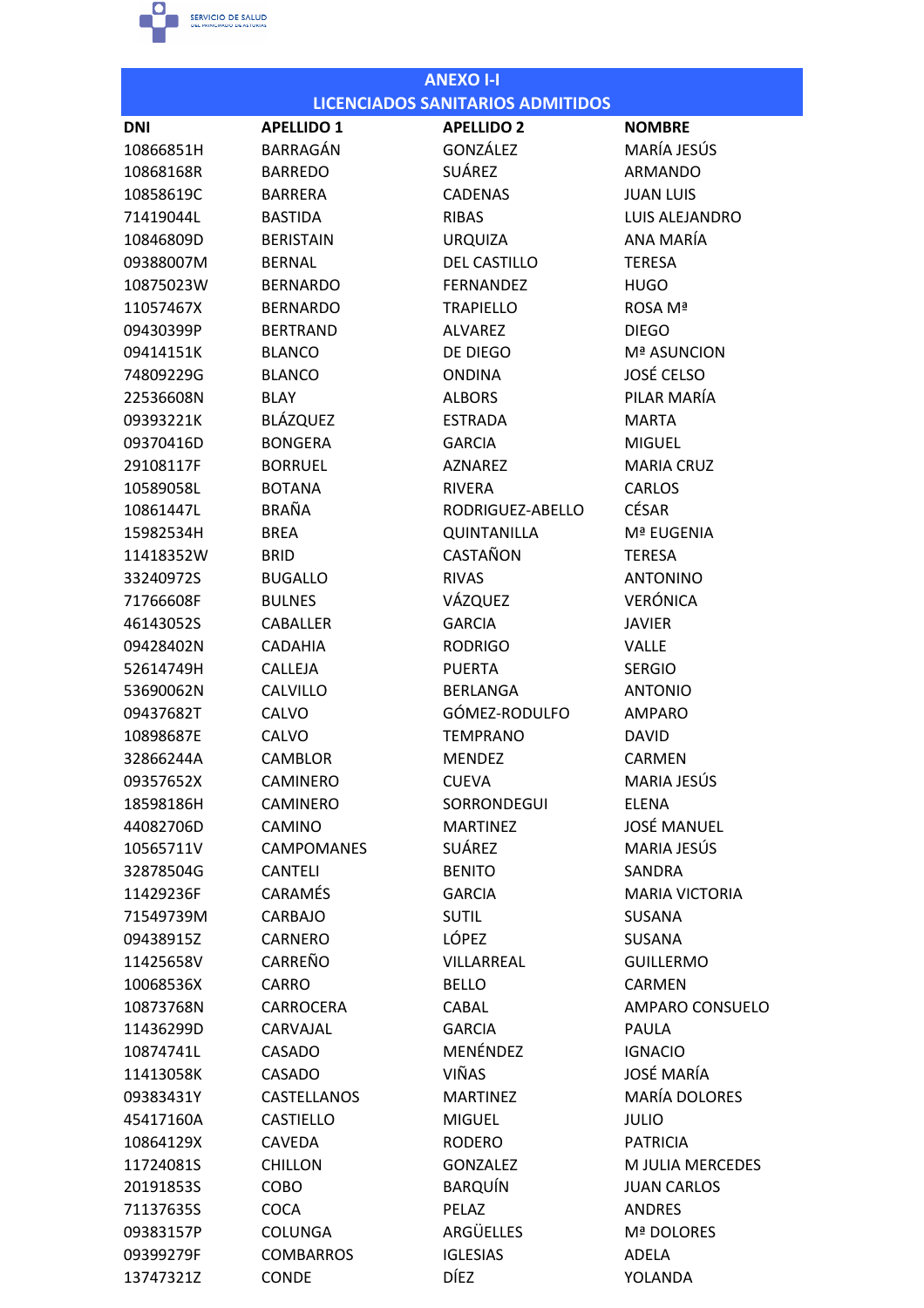

| <b>ANEXO I-I</b> |                    |                                         |                       |
|------------------|--------------------|-----------------------------------------|-----------------------|
|                  |                    | <b>LICENCIADOS SANITARIOS ADMITIDOS</b> |                       |
| <b>DNI</b>       | <b>APELLIDO 1</b>  | <b>APELLIDO 2</b>                       | NOMBRE                |
| 10866851H        | <b>BARRAGÁN</b>    | GONZÁLEZ                                | MARÍA JESÚS           |
| 10868168R        | <b>BARREDO</b>     | <b>SUÁREZ</b>                           | <b>ARMANDO</b>        |
| 10858619C        | <b>BARRERA</b>     | <b>CADENAS</b>                          | <b>JUAN LUIS</b>      |
| 71419044L        | <b>BASTIDA</b>     | <b>RIBAS</b>                            | LUIS ALEJANDRO        |
| 10846809D        | <b>BERISTAIN</b>   | <b>URQUIZA</b>                          | ANA MARÍA             |
| 09388007M        | <b>BERNAL</b>      | <b>DEL CASTILLO</b>                     | <b>TERESA</b>         |
| 10875023W        | <b>BERNARDO</b>    | <b>FFRNANDFZ</b>                        | <b>HUGO</b>           |
| 11057467X        | <b>BERNARDO</b>    | <b>TRAPIELLO</b>                        | ROSA Mª               |
| 09430399P        | <b>BERTRAND</b>    | <b>ALVAREZ</b>                          | <b>DIEGO</b>          |
| 09414151K        | <b>BLANCO</b>      | DE DIEGO                                | Mª ASUNCION           |
| 74809229G        | <b>BLANCO</b>      | <b>ONDINA</b>                           | <b>JOSÉ CELSO</b>     |
| 22536608N        | <b>BLAY</b>        | <b>ALBORS</b>                           | PILAR MARÍA           |
| 09393221K        | <b>BLÁZQUEZ</b>    | <b>ESTRADA</b>                          | <b>MARTA</b>          |
| 09370416D        | <b>BONGERA</b>     | <b>GARCIA</b>                           | <b>MIGUEL</b>         |
| 29108117F        | <b>BORRUEL</b>     | <b>AZNAREZ</b>                          | <b>MARIA CRUZ</b>     |
| 10589058L        | <b>BOTANA</b>      | <b>RIVERA</b>                           | <b>CARLOS</b>         |
| 10861447L        | <b>BRAÑA</b>       | RODRIGUEZ-ABELLO                        | <b>CÉSAR</b>          |
| 15982534H        | <b>BREA</b>        | <b>QUINTANILLA</b>                      | Mª EUGENIA            |
| 11418352W        | <b>BRID</b>        | CASTAÑON                                | <b>TERESA</b>         |
| 33240972S        | <b>BUGALLO</b>     | <b>RIVAS</b>                            | <b>ANTONINO</b>       |
| 71766608F        | <b>BULNES</b>      | VÁZQUEZ                                 | <b>VERÓNICA</b>       |
| 46143052S        | <b>CABALLER</b>    | <b>GARCIA</b>                           | <b>JAVIER</b>         |
| 09428402N        | <b>CADAHIA</b>     | <b>RODRIGO</b>                          | <b>VALLE</b>          |
| 52614749H        | <b>CALLEJA</b>     | <b>PUERTA</b>                           | <b>SERGIO</b>         |
| 53690062N        | <b>CALVILLO</b>    | <b>BERLANGA</b>                         | <b>ANTONIO</b>        |
| 09437682T        | CALVO              | GÓMEZ-RODULFO                           | <b>AMPARO</b>         |
| 10898687E        | CALVO              | <b>TEMPRANO</b>                         | <b>DAVID</b>          |
| 32866244A        | <b>CAMBLOR</b>     | <b>MENDEZ</b>                           | CARMEN                |
| 09357652X        | <b>CAMINERO</b>    | <b>CUEVA</b>                            | MARIA JESÚS           |
| 18598186H        | <b>CAMINERO</b>    | SORRONDEGUI                             | <b>ELENA</b>          |
| 44082706D        | <b>CAMINO</b>      | <b>MARTINEZ</b>                         | <b>JOSÉ MANUEL</b>    |
| 10565711V        | <b>CAMPOMANES</b>  | <b>SUÁREZ</b>                           | MARIA JESÚS           |
| 32878504G        | <b>CANTELI</b>     | <b>BENITO</b>                           | <b>SANDRA</b>         |
| 11429236F        | <b>CARAMÉS</b>     | <b>GARCIA</b>                           | <b>MARIA VICTORIA</b> |
| 71549739M        | CARBAJO            | <b>SUTIL</b>                            | <b>SUSANA</b>         |
| 09438915Z        | <b>CARNERO</b>     | LÓPEZ                                   | <b>SUSANA</b>         |
| 11425658V        | <b>CARREÑO</b>     | VILLARREAL                              | <b>GUILLERMO</b>      |
| 10068536X        | <b>CARRO</b>       | <b>BELLO</b>                            | CARMEN                |
| 10873768N        | <b>CARROCERA</b>   | CABAL                                   | AMPARO CONSUELO       |
| 11436299D        | CARVAJAL           | <b>GARCIA</b>                           | PAULA                 |
| 10874741L        | <b>CASADO</b>      | MENÉNDEZ                                | <b>IGNACIO</b>        |
| 11413058K        | <b>CASADO</b>      | <b>VIÑAS</b>                            | <b>JOSÉ MARÍA</b>     |
| 09383431Y        | <b>CASTELLANOS</b> | <b>MARTINEZ</b>                         | <b>MARÍA DOLORES</b>  |
| 45417160A        | <b>CASTIELLO</b>   | <b>MIGUEL</b>                           | <b>JULIO</b>          |
| 10864129X        | <b>CAVEDA</b>      | <b>RODERO</b>                           | <b>PATRICIA</b>       |
| 11724081S        | <b>CHILLON</b>     | <b>GONZALEZ</b>                         | M JULIA MERCEDES      |
| 20191853S        | COBO               | <b>BARQUÍN</b>                          | <b>JUAN CARLOS</b>    |
| 71137635S        | <b>COCA</b>        | PELAZ                                   | <b>ANDRES</b>         |
| 09383157P        | <b>COLUNGA</b>     | <b>ARGÜELLES</b>                        | <b>Mª DOLORES</b>     |
| 09399279F        | <b>COMBARROS</b>   | <b>IGLESIAS</b>                         | ADELA                 |
| 13747321Z        | CONDE              | <b>DÍEZ</b>                             | <b>YOLANDA</b>        |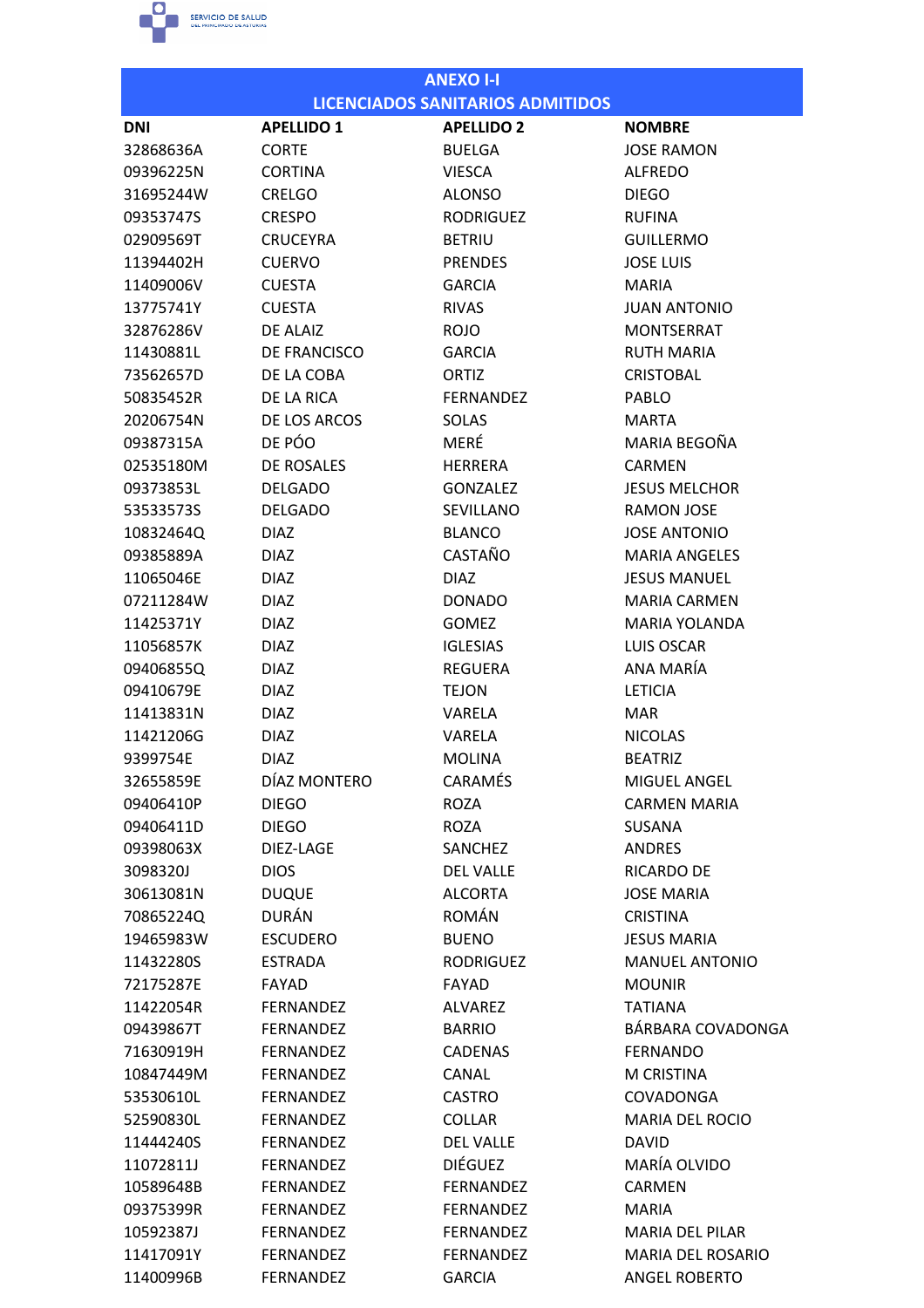

|            |                   | <b>ANEXO I-I</b>                        |                        |
|------------|-------------------|-----------------------------------------|------------------------|
|            |                   | <b>LICENCIADOS SANITARIOS ADMITIDOS</b> |                        |
| <b>DNI</b> | <b>APELLIDO 1</b> | <b>APELLIDO 2</b>                       | <b>NOMBRE</b>          |
| 32868636A  | <b>CORTE</b>      | <b>BUELGA</b>                           | <b>JOSE RAMON</b>      |
| 09396225N  | <b>CORTINA</b>    | <b>VIESCA</b>                           | <b>ALFREDO</b>         |
| 31695244W  | <b>CRELGO</b>     | <b>ALONSO</b>                           | <b>DIEGO</b>           |
| 09353747S  | <b>CRESPO</b>     | <b>RODRIGUEZ</b>                        | <b>RUFINA</b>          |
| 02909569T  | <b>CRUCEYRA</b>   | <b>BETRIU</b>                           | <b>GUILLERMO</b>       |
| 11394402H  | <b>CUERVO</b>     | <b>PRENDES</b>                          | <b>JOSE LUIS</b>       |
| 11409006V  | <b>CUESTA</b>     | <b>GARCIA</b>                           | <b>MARIA</b>           |
| 13775741Y  | <b>CUESTA</b>     | <b>RIVAS</b>                            | <b>JUAN ANTONIO</b>    |
| 32876286V  | DE ALAIZ          | <b>ROJO</b>                             | <b>MONTSERRAT</b>      |
| 11430881L  | DE FRANCISCO      | <b>GARCIA</b>                           | <b>RUTH MARIA</b>      |
| 73562657D  | DE LA COBA        | ORTIZ                                   | <b>CRISTOBAL</b>       |
| 50835452R  | DE LA RICA        | <b>FERNANDEZ</b>                        | PABLO                  |
| 20206754N  | DE LOS ARCOS      | SOLAS                                   | <b>MARTA</b>           |
| 09387315A  | DE PÓO            | MERÉ                                    | MARIA BEGOÑA           |
| 02535180M  | DE ROSALES        | <b>HERRERA</b>                          | <b>CARMEN</b>          |
| 09373853L  | <b>DELGADO</b>    | <b>GONZALEZ</b>                         | <b>JESUS MELCHOR</b>   |
| 53533573S  | <b>DELGADO</b>    | <b>SEVILLANO</b>                        | <b>RAMON JOSE</b>      |
| 10832464Q  | <b>DIAZ</b>       | <b>BLANCO</b>                           | <b>JOSE ANTONIO</b>    |
| 09385889A  | <b>DIAZ</b>       | CASTAÑO                                 | <b>MARIA ANGELES</b>   |
| 11065046E  | <b>DIAZ</b>       | <b>DIAZ</b>                             | <b>JESUS MANUEL</b>    |
| 07211284W  | <b>DIAZ</b>       | <b>DONADO</b>                           | <b>MARIA CARMEN</b>    |
| 11425371Y  | <b>DIAZ</b>       | <b>GOMEZ</b>                            | <b>MARIA YOLANDA</b>   |
| 11056857K  | <b>DIAZ</b>       | <b>IGLESIAS</b>                         | <b>LUIS OSCAR</b>      |
| 09406855Q  | <b>DIAZ</b>       | <b>REGUERA</b>                          | ANA MARÍA              |
| 09410679E  | <b>DIAZ</b>       | <b>TEJON</b>                            | <b>LETICIA</b>         |
| 11413831N  | <b>DIAZ</b>       | <b>VARELA</b>                           | <b>MAR</b>             |
| 11421206G  | <b>DIAZ</b>       | VARELA                                  | <b>NICOLAS</b>         |
| 9399754E   | <b>DIAZ</b>       | <b>MOLINA</b>                           | <b>BEATRIZ</b>         |
| 32655859E  | DÍAZ MONTERO      | <b>CARAMÉS</b>                          | MIGUEL ANGEL           |
| 09406410P  | <b>DIEGO</b>      | <b>ROZA</b>                             | <b>CARMEN MARIA</b>    |
| 09406411D  | <b>DIEGO</b>      | ROZA                                    | <b>SUSANA</b>          |
| 09398063X  | DIEZ-LAGE         | SANCHEZ                                 | ANDRES                 |
| 3098320J   | <b>DIOS</b>       | <b>DEL VALLE</b>                        | RICARDO DE             |
| 30613081N  | <b>DUQUE</b>      | <b>ALCORTA</b>                          | <b>JOSE MARIA</b>      |
| 70865224Q  | DURÁN             | ROMÁN                                   | <b>CRISTINA</b>        |
| 19465983W  | <b>ESCUDERO</b>   | <b>BUENO</b>                            | <b>JESUS MARIA</b>     |
| 11432280S  | <b>ESTRADA</b>    | <b>RODRIGUEZ</b>                        | <b>MANUEL ANTONIO</b>  |
| 72175287E  | <b>FAYAD</b>      | <b>FAYAD</b>                            | <b>MOUNIR</b>          |
| 11422054R  | <b>FERNANDEZ</b>  | <b>ALVAREZ</b>                          | <b>TATIANA</b>         |
| 09439867T  | <b>FERNANDEZ</b>  | <b>BARRIO</b>                           | BÁRBARA COVADONGA      |
| 71630919H  | <b>FERNANDEZ</b>  | <b>CADENAS</b>                          | <b>FERNANDO</b>        |
| 10847449M  | FERNANDEZ         | CANAL                                   | M CRISTINA             |
| 53530610L  | <b>FERNANDEZ</b>  | <b>CASTRO</b>                           | COVADONGA              |
| 52590830L  | <b>FERNANDEZ</b>  | <b>COLLAR</b>                           | <b>MARIA DEL ROCIO</b> |
| 11444240S  | <b>FERNANDEZ</b>  | <b>DEL VALLE</b>                        | <b>DAVID</b>           |
| 11072811J  | <b>FERNANDEZ</b>  | <b>DIÉGUEZ</b>                          | MARÍA OLVIDO           |
| 10589648B  | <b>FERNANDEZ</b>  | <b>FERNANDEZ</b>                        | <b>CARMEN</b>          |
| 09375399R  | <b>FERNANDEZ</b>  | <b>FERNANDEZ</b>                        | <b>MARIA</b>           |
| 10592387J  | <b>FERNANDEZ</b>  | <b>FERNANDEZ</b>                        | <b>MARIA DEL PILAR</b> |
| 11417091Y  | FERNANDEZ         | <b>FERNANDEZ</b>                        | MARIA DEL ROSARIO      |
| 11400996B  | <b>FERNANDEZ</b>  | <b>GARCIA</b>                           | <b>ANGEL ROBERTO</b>   |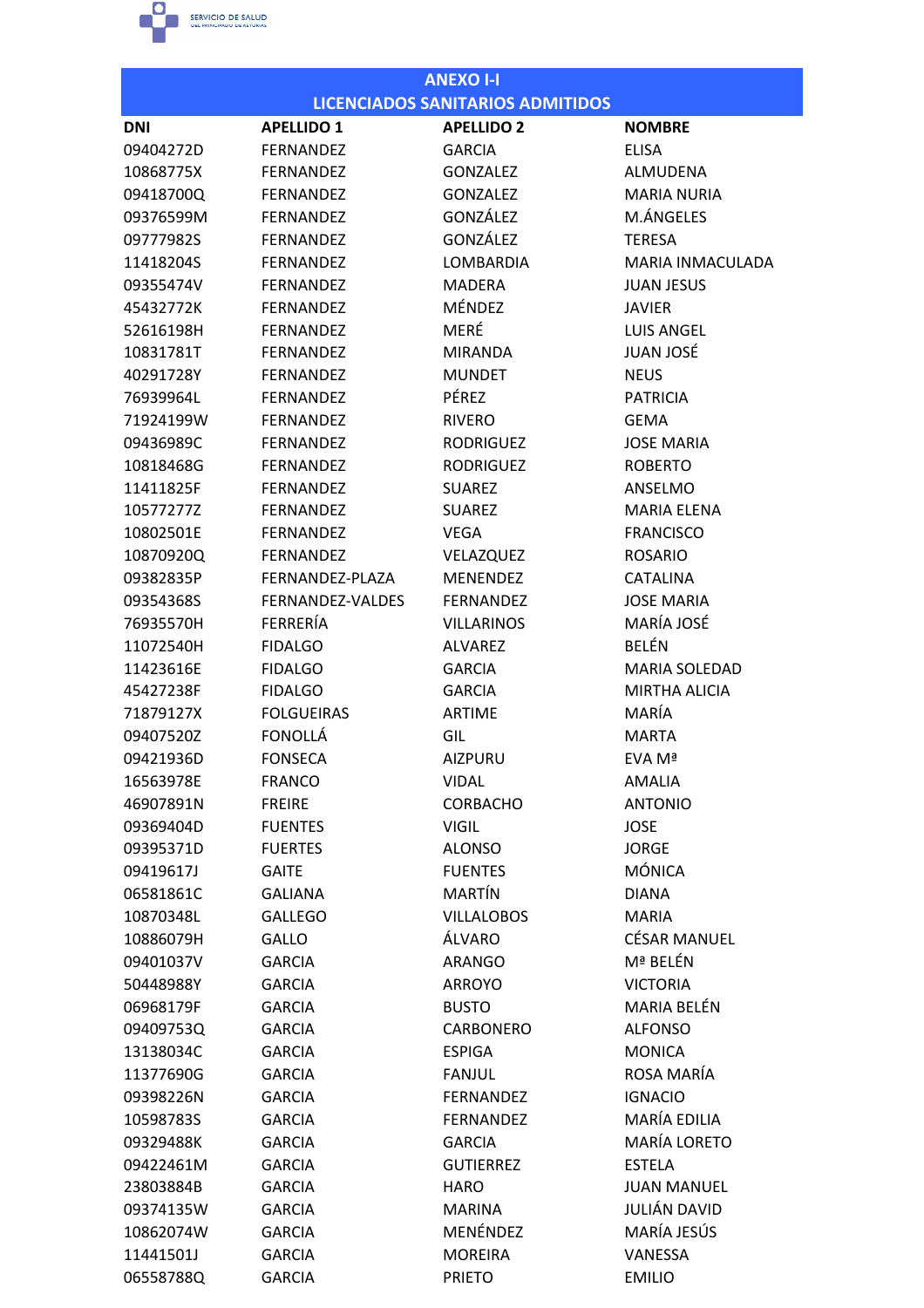

| <b>ANEXO I-I</b> |                   |                                         |                      |  |
|------------------|-------------------|-----------------------------------------|----------------------|--|
|                  |                   | <b>LICENCIADOS SANITARIOS ADMITIDOS</b> |                      |  |
| DNI              | <b>APELLIDO 1</b> | <b>APELLIDO 2</b>                       | <b>NOMBRE</b>        |  |
| 09404272D        | <b>FERNANDEZ</b>  | <b>GARCIA</b>                           | <b>ELISA</b>         |  |
| 10868775X        | <b>FERNANDEZ</b>  | <b>GONZALEZ</b>                         | ALMUDENA             |  |
| 09418700Q        | <b>FERNANDEZ</b>  | <b>GONZALEZ</b>                         | <b>MARIA NURIA</b>   |  |
| 09376599M        | FERNANDEZ         | GONZÁLEZ                                | M.ÁNGELES            |  |
| 09777982S        | <b>FERNANDEZ</b>  | GONZÁLEZ                                | <b>TERESA</b>        |  |
| 11418204S        | <b>FERNANDEZ</b>  | <b>LOMBARDIA</b>                        | MARIA INMACULADA     |  |
| 09355474V        | <b>FFRNANDFZ</b>  | <b>MADERA</b>                           | <b>JUAN JESUS</b>    |  |
| 45432772K        | <b>FERNANDEZ</b>  | MÉNDEZ                                  | <b>JAVIER</b>        |  |
| 52616198H        | FERNANDEZ         | MERÉ                                    | <b>LUIS ANGEL</b>    |  |
| 10831781T        | <b>FERNANDEZ</b>  | <b>MIRANDA</b>                          | <b>JUAN JOSÉ</b>     |  |
| 40291728Y        | FERNANDEZ         | <b>MUNDET</b>                           | <b>NEUS</b>          |  |
| 76939964L        | <b>FERNANDEZ</b>  | PÉREZ                                   | <b>PATRICIA</b>      |  |
| 71924199W        | <b>FERNANDEZ</b>  | <b>RIVERO</b>                           | <b>GEMA</b>          |  |
| 09436989C        | <b>FERNANDEZ</b>  | <b>RODRIGUEZ</b>                        | <b>JOSE MARIA</b>    |  |
| 10818468G        | <b>FERNANDEZ</b>  | <b>RODRIGUEZ</b>                        | <b>ROBERTO</b>       |  |
| 11411825F        | <b>FERNANDEZ</b>  | <b>SUAREZ</b>                           | <b>ANSELMO</b>       |  |
| 10577277Z        | FERNANDEZ         | <b>SUAREZ</b>                           | <b>MARIA ELENA</b>   |  |
| 10802501E        | <b>FERNANDEZ</b>  | <b>VEGA</b>                             | <b>FRANCISCO</b>     |  |
| 10870920Q        | <b>FERNANDEZ</b>  | VELAZQUEZ                               | <b>ROSARIO</b>       |  |
| 09382835P        | FERNANDEZ-PLAZA   | <b>MENENDEZ</b>                         | <b>CATALINA</b>      |  |
| 09354368S        | FERNANDEZ-VALDES  | <b>FERNANDEZ</b>                        | <b>JOSE MARIA</b>    |  |
| 76935570H        | FERRERÍA          | <b>VILLARINOS</b>                       | MARÍA JOSÉ           |  |
| 11072540H        | <b>FIDALGO</b>    | <b>ALVAREZ</b>                          | <b>BELÉN</b>         |  |
| 11423616E        | <b>FIDALGO</b>    | <b>GARCIA</b>                           | <b>MARIA SOLEDAD</b> |  |
| 45427238F        | <b>FIDALGO</b>    | <b>GARCIA</b>                           | <b>MIRTHA ALICIA</b> |  |
| 71879127X        | <b>FOLGUEIRAS</b> | <b>ARTIME</b>                           | MARÍA                |  |
| 09407520Z        | <b>FONOLLÁ</b>    | GIL                                     | <b>MARTA</b>         |  |
| 09421936D        | <b>FONSECA</b>    | <b>AIZPURU</b>                          | EVA Mª               |  |
| 16563978E        | <b>FRANCO</b>     | <b>VIDAL</b>                            | AMALIA               |  |
| 46907891N        | <b>FREIRE</b>     | <b>CORBACHO</b>                         | <b>ANTONIO</b>       |  |
| 09369404D        | <b>FUENTES</b>    | <b>VIGIL</b>                            | <b>JOSE</b>          |  |
| 09395371D        | <b>FUERTES</b>    | <b>ALONSO</b>                           | <b>JORGE</b>         |  |
| 09419617J        | <b>GAITE</b>      | <b>FUENTES</b>                          | <b>MÓNICA</b>        |  |
| 06581861C        | <b>GALIANA</b>    | MARTÍN                                  | <b>DIANA</b>         |  |
| 10870348L        | <b>GALLEGO</b>    | <b>VILLALOBOS</b>                       | <b>MARIA</b>         |  |
| 10886079H        | <b>GALLO</b>      | ÁLVARO                                  | <b>CÉSAR MANUEL</b>  |  |
| 09401037V        | <b>GARCIA</b>     | <b>ARANGO</b>                           | Mª BELÉN             |  |
| 50448988Y        | <b>GARCIA</b>     | <b>ARROYO</b>                           | <b>VICTORIA</b>      |  |
| 06968179F        | <b>GARCIA</b>     | <b>BUSTO</b>                            | MARIA BELÉN          |  |
| 09409753Q        | <b>GARCIA</b>     | <b>CARBONERO</b>                        | <b>ALFONSO</b>       |  |
| 13138034C        | <b>GARCIA</b>     | <b>ESPIGA</b>                           | <b>MONICA</b>        |  |
| 11377690G        | <b>GARCIA</b>     | <b>FANJUL</b>                           | ROSA MARÍA           |  |
| 09398226N        | <b>GARCIA</b>     | <b>FERNANDEZ</b>                        | <b>IGNACIO</b>       |  |
| 10598783S        | <b>GARCIA</b>     | <b>FERNANDEZ</b>                        | MARÍA EDILIA         |  |
| 09329488K        | <b>GARCIA</b>     | <b>GARCIA</b>                           | <b>MARÍA LORETO</b>  |  |
| 09422461M        | <b>GARCIA</b>     | <b>GUTIERREZ</b>                        | <b>ESTELA</b>        |  |
| 23803884B        | <b>GARCIA</b>     | <b>HARO</b>                             | <b>JUAN MANUEL</b>   |  |
| 09374135W        | <b>GARCIA</b>     | <b>MARINA</b>                           | JULIÁN DAVID         |  |
| 10862074W        | <b>GARCIA</b>     | MENÉNDEZ                                | MARÍA JESÚS          |  |
| 11441501J        | <b>GARCIA</b>     | <b>MOREIRA</b>                          | VANESSA              |  |
| 06558788Q        | <b>GARCIA</b>     | <b>PRIETO</b>                           | <b>EMILIO</b>        |  |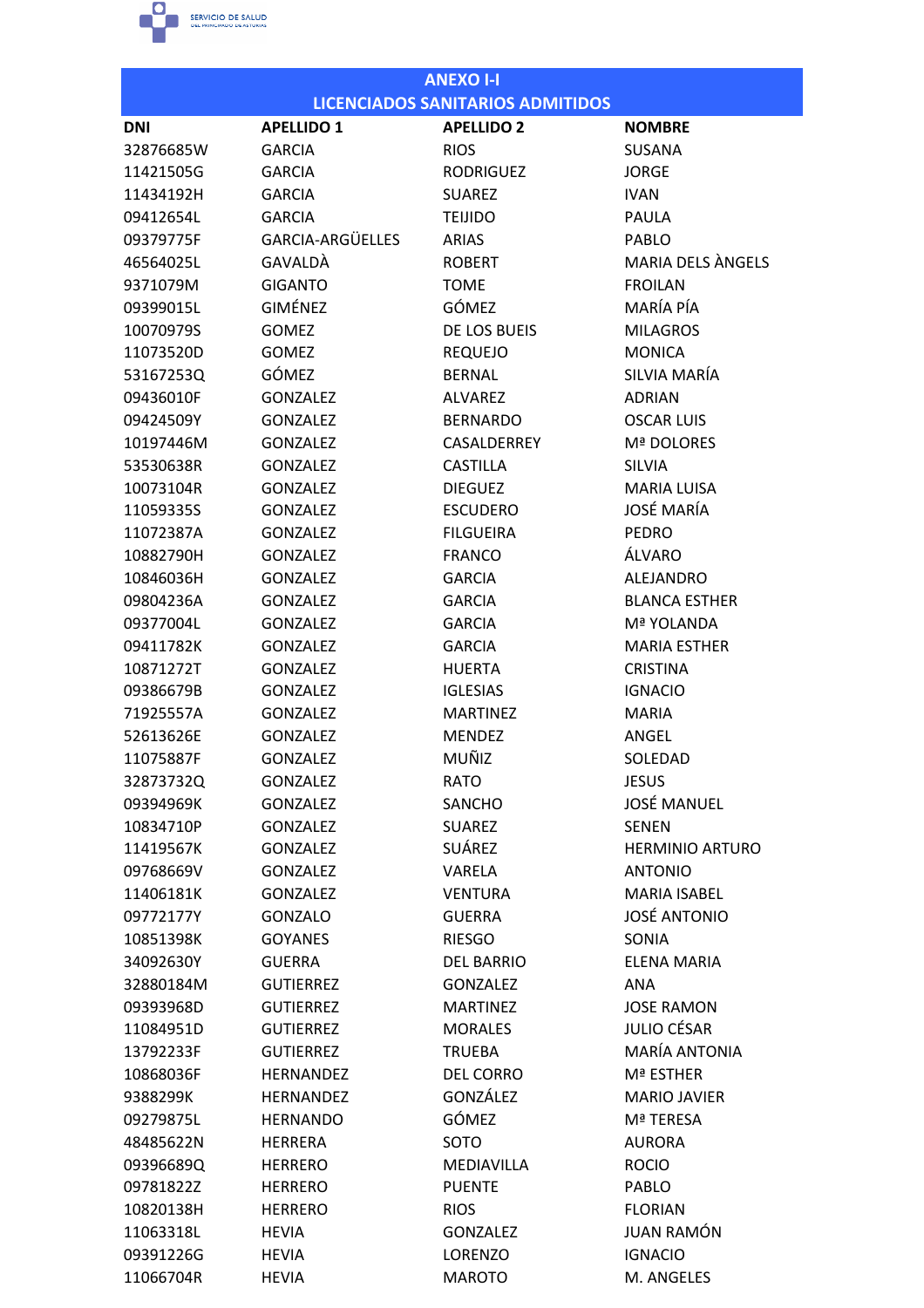

| <b>LICENCIADOS SANITARIOS ADMITIDOS</b><br><b>APELLIDO 2</b><br><b>APELLIDO 1</b><br><b>DNI</b><br><b>NOMBRE</b><br>32876685W<br><b>RIOS</b><br><b>SUSANA</b><br><b>GARCIA</b><br>11421505G<br><b>GARCIA</b><br><b>RODRIGUEZ</b><br><b>JORGE</b><br>11434192H<br><b>GARCIA</b><br><b>SUAREZ</b><br><b>IVAN</b><br>09412654L<br><b>GARCIA</b><br><b>TEIJIDO</b><br>PAULA<br>GARCIA-ARGÜELLES<br>09379775F<br><b>ARIAS</b><br>PABLO<br><b>MARIA DELS ANGELS</b><br>GAVALDÀ<br><b>ROBERT</b><br>46564025L<br><b>GIGANTO</b><br><b>TOME</b><br><b>FROILAN</b><br>9371079M<br><b>GIMÉNEZ</b><br>MARÍA PÍA<br>GÓMEZ<br>09399015L<br>DE LOS BUEIS<br>10070979S<br><b>GOMEZ</b><br><b>MILAGROS</b><br>11073520D<br><b>GOMEZ</b><br><b>REQUEJO</b><br><b>MONICA</b><br><b>GÓMEZ</b><br>SILVIA MARÍA<br>53167253Q<br><b>BERNAL</b><br>09436010F<br><b>GONZALEZ</b><br><b>ALVAREZ</b><br><b>ADRIAN</b><br>09424509Y<br><b>GONZALEZ</b><br><b>BERNARDO</b><br><b>OSCAR LUIS</b><br>CASALDERREY<br>Mª DOLORES<br>10197446M<br><b>GONZALEZ</b><br>53530638R<br><b>GONZALEZ</b><br><b>CASTILLA</b><br><b>SILVIA</b><br>10073104R<br><b>GONZALEZ</b><br><b>DIEGUEZ</b><br><b>MARIA LUISA</b><br><b>JOSÉ MARÍA</b><br>11059335S<br><b>ESCUDERO</b><br><b>GONZALEZ</b><br><b>FILGUEIRA</b><br>11072387A<br><b>GONZALEZ</b><br><b>PEDRO</b><br>ÁLVARO<br><b>GONZALEZ</b><br><b>FRANCO</b><br>10882790H<br>10846036H<br><b>GONZALEZ</b><br><b>GARCIA</b><br><b>ALEJANDRO</b><br>09804236A<br><b>GONZALEZ</b><br><b>GARCIA</b><br><b>BLANCA ESTHER</b><br>09377004L<br><b>GONZALEZ</b><br><b>GARCIA</b><br>Mª YOLANDA<br><b>MARIA ESTHER</b><br>09411782K<br><b>GONZALEZ</b><br><b>GARCIA</b><br><b>GONZALEZ</b><br><b>HUERTA</b><br><b>CRISTINA</b><br>10871272T<br><b>IGLESIAS</b><br><b>IGNACIO</b><br>09386679B<br><b>GONZALEZ</b><br>71925557A<br><b>GONZALEZ</b><br><b>MARTINEZ</b><br><b>MARIA</b><br><b>GONZALEZ</b><br>52613626E<br><b>MENDEZ</b><br>ANGEL<br>MUÑIZ<br>11075887F<br><b>GONZALEZ</b><br>SOLEDAD<br><b>RATO</b><br><b>JESUS</b><br>32873732Q<br><b>GONZALEZ</b><br><b>JOSÉ MANUEL</b><br>09394969K<br><b>GONZALEZ</b><br><b>SANCHO</b><br>10834710P<br><b>GONZALEZ</b><br><b>SUAREZ</b><br><b>SENEN</b><br>SUÁREZ<br><b>HERMINIO ARTURO</b><br>11419567K<br><b>GONZALEZ</b><br>09768669V<br><b>GONZALEZ</b><br>VARELA<br><b>ANTONIO</b><br>11406181K<br><b>GONZALEZ</b><br><b>VENTURA</b><br><b>MARIA ISABEL</b><br><b>JOSÉ ANTONIO</b><br><b>GONZALO</b><br>09772177Y<br><b>GUERRA</b><br><b>RIESGO</b><br>SONIA<br>10851398K<br><b>GOYANES</b><br>34092630Y<br><b>GUERRA</b><br><b>DEL BARRIO</b><br><b>ELENA MARIA</b><br>32880184M<br><b>GUTIERREZ</b><br><b>GONZALEZ</b><br>ANA<br>09393968D<br><b>GUTIERREZ</b><br><b>MARTINEZ</b><br><b>JOSE RAMON</b><br><b>JULIO CÉSAR</b><br><b>GUTIERREZ</b><br>11084951D<br><b>MORALES</b><br><b>MARÍA ANTONIA</b><br><b>GUTIERREZ</b><br><b>TRUEBA</b><br>13792233F<br>DEL CORRO<br>10868036F<br><b>HERNANDEZ</b><br>Mª ESTHER<br>GONZÁLEZ<br><b>HERNANDEZ</b><br><b>MARIO JAVIER</b><br>9388299K<br>GÓMEZ<br>Mª TERESA<br>09279875L<br><b>HERNANDO</b><br><b>SOTO</b><br>48485622N<br><b>HERRERA</b><br><b>AURORA</b><br>09396689Q<br><b>HERRERO</b><br>MEDIAVILLA<br><b>ROCIO</b><br>09781822Z<br><b>HERRERO</b><br><b>PUENTE</b><br>PABLO<br>10820138H<br><b>HERRERO</b><br><b>RIOS</b><br><b>FLORIAN</b><br><b>JUAN RAMÓN</b><br>11063318L<br><b>HEVIA</b><br><b>GONZALEZ</b> |  | <b>ANEXO I-I</b> |  |
|----------------------------------------------------------------------------------------------------------------------------------------------------------------------------------------------------------------------------------------------------------------------------------------------------------------------------------------------------------------------------------------------------------------------------------------------------------------------------------------------------------------------------------------------------------------------------------------------------------------------------------------------------------------------------------------------------------------------------------------------------------------------------------------------------------------------------------------------------------------------------------------------------------------------------------------------------------------------------------------------------------------------------------------------------------------------------------------------------------------------------------------------------------------------------------------------------------------------------------------------------------------------------------------------------------------------------------------------------------------------------------------------------------------------------------------------------------------------------------------------------------------------------------------------------------------------------------------------------------------------------------------------------------------------------------------------------------------------------------------------------------------------------------------------------------------------------------------------------------------------------------------------------------------------------------------------------------------------------------------------------------------------------------------------------------------------------------------------------------------------------------------------------------------------------------------------------------------------------------------------------------------------------------------------------------------------------------------------------------------------------------------------------------------------------------------------------------------------------------------------------------------------------------------------------------------------------------------------------------------------------------------------------------------------------------------------------------------------------------------------------------------------------------------------------------------------------------------------------------------------------------------------------------------------------------------------------------------------------------------------------------------------------------------------------------------------------------------------------------------------------------------------------------------------------------------------------------------------------------------------------------------------------------------------------------------------------------------------------------------------------------------------------------------------------------|--|------------------|--|
|                                                                                                                                                                                                                                                                                                                                                                                                                                                                                                                                                                                                                                                                                                                                                                                                                                                                                                                                                                                                                                                                                                                                                                                                                                                                                                                                                                                                                                                                                                                                                                                                                                                                                                                                                                                                                                                                                                                                                                                                                                                                                                                                                                                                                                                                                                                                                                                                                                                                                                                                                                                                                                                                                                                                                                                                                                                                                                                                                                                                                                                                                                                                                                                                                                                                                                                                                                                                                                  |  |                  |  |
|                                                                                                                                                                                                                                                                                                                                                                                                                                                                                                                                                                                                                                                                                                                                                                                                                                                                                                                                                                                                                                                                                                                                                                                                                                                                                                                                                                                                                                                                                                                                                                                                                                                                                                                                                                                                                                                                                                                                                                                                                                                                                                                                                                                                                                                                                                                                                                                                                                                                                                                                                                                                                                                                                                                                                                                                                                                                                                                                                                                                                                                                                                                                                                                                                                                                                                                                                                                                                                  |  |                  |  |
|                                                                                                                                                                                                                                                                                                                                                                                                                                                                                                                                                                                                                                                                                                                                                                                                                                                                                                                                                                                                                                                                                                                                                                                                                                                                                                                                                                                                                                                                                                                                                                                                                                                                                                                                                                                                                                                                                                                                                                                                                                                                                                                                                                                                                                                                                                                                                                                                                                                                                                                                                                                                                                                                                                                                                                                                                                                                                                                                                                                                                                                                                                                                                                                                                                                                                                                                                                                                                                  |  |                  |  |
|                                                                                                                                                                                                                                                                                                                                                                                                                                                                                                                                                                                                                                                                                                                                                                                                                                                                                                                                                                                                                                                                                                                                                                                                                                                                                                                                                                                                                                                                                                                                                                                                                                                                                                                                                                                                                                                                                                                                                                                                                                                                                                                                                                                                                                                                                                                                                                                                                                                                                                                                                                                                                                                                                                                                                                                                                                                                                                                                                                                                                                                                                                                                                                                                                                                                                                                                                                                                                                  |  |                  |  |
|                                                                                                                                                                                                                                                                                                                                                                                                                                                                                                                                                                                                                                                                                                                                                                                                                                                                                                                                                                                                                                                                                                                                                                                                                                                                                                                                                                                                                                                                                                                                                                                                                                                                                                                                                                                                                                                                                                                                                                                                                                                                                                                                                                                                                                                                                                                                                                                                                                                                                                                                                                                                                                                                                                                                                                                                                                                                                                                                                                                                                                                                                                                                                                                                                                                                                                                                                                                                                                  |  |                  |  |
|                                                                                                                                                                                                                                                                                                                                                                                                                                                                                                                                                                                                                                                                                                                                                                                                                                                                                                                                                                                                                                                                                                                                                                                                                                                                                                                                                                                                                                                                                                                                                                                                                                                                                                                                                                                                                                                                                                                                                                                                                                                                                                                                                                                                                                                                                                                                                                                                                                                                                                                                                                                                                                                                                                                                                                                                                                                                                                                                                                                                                                                                                                                                                                                                                                                                                                                                                                                                                                  |  |                  |  |
|                                                                                                                                                                                                                                                                                                                                                                                                                                                                                                                                                                                                                                                                                                                                                                                                                                                                                                                                                                                                                                                                                                                                                                                                                                                                                                                                                                                                                                                                                                                                                                                                                                                                                                                                                                                                                                                                                                                                                                                                                                                                                                                                                                                                                                                                                                                                                                                                                                                                                                                                                                                                                                                                                                                                                                                                                                                                                                                                                                                                                                                                                                                                                                                                                                                                                                                                                                                                                                  |  |                  |  |
|                                                                                                                                                                                                                                                                                                                                                                                                                                                                                                                                                                                                                                                                                                                                                                                                                                                                                                                                                                                                                                                                                                                                                                                                                                                                                                                                                                                                                                                                                                                                                                                                                                                                                                                                                                                                                                                                                                                                                                                                                                                                                                                                                                                                                                                                                                                                                                                                                                                                                                                                                                                                                                                                                                                                                                                                                                                                                                                                                                                                                                                                                                                                                                                                                                                                                                                                                                                                                                  |  |                  |  |
|                                                                                                                                                                                                                                                                                                                                                                                                                                                                                                                                                                                                                                                                                                                                                                                                                                                                                                                                                                                                                                                                                                                                                                                                                                                                                                                                                                                                                                                                                                                                                                                                                                                                                                                                                                                                                                                                                                                                                                                                                                                                                                                                                                                                                                                                                                                                                                                                                                                                                                                                                                                                                                                                                                                                                                                                                                                                                                                                                                                                                                                                                                                                                                                                                                                                                                                                                                                                                                  |  |                  |  |
|                                                                                                                                                                                                                                                                                                                                                                                                                                                                                                                                                                                                                                                                                                                                                                                                                                                                                                                                                                                                                                                                                                                                                                                                                                                                                                                                                                                                                                                                                                                                                                                                                                                                                                                                                                                                                                                                                                                                                                                                                                                                                                                                                                                                                                                                                                                                                                                                                                                                                                                                                                                                                                                                                                                                                                                                                                                                                                                                                                                                                                                                                                                                                                                                                                                                                                                                                                                                                                  |  |                  |  |
|                                                                                                                                                                                                                                                                                                                                                                                                                                                                                                                                                                                                                                                                                                                                                                                                                                                                                                                                                                                                                                                                                                                                                                                                                                                                                                                                                                                                                                                                                                                                                                                                                                                                                                                                                                                                                                                                                                                                                                                                                                                                                                                                                                                                                                                                                                                                                                                                                                                                                                                                                                                                                                                                                                                                                                                                                                                                                                                                                                                                                                                                                                                                                                                                                                                                                                                                                                                                                                  |  |                  |  |
|                                                                                                                                                                                                                                                                                                                                                                                                                                                                                                                                                                                                                                                                                                                                                                                                                                                                                                                                                                                                                                                                                                                                                                                                                                                                                                                                                                                                                                                                                                                                                                                                                                                                                                                                                                                                                                                                                                                                                                                                                                                                                                                                                                                                                                                                                                                                                                                                                                                                                                                                                                                                                                                                                                                                                                                                                                                                                                                                                                                                                                                                                                                                                                                                                                                                                                                                                                                                                                  |  |                  |  |
|                                                                                                                                                                                                                                                                                                                                                                                                                                                                                                                                                                                                                                                                                                                                                                                                                                                                                                                                                                                                                                                                                                                                                                                                                                                                                                                                                                                                                                                                                                                                                                                                                                                                                                                                                                                                                                                                                                                                                                                                                                                                                                                                                                                                                                                                                                                                                                                                                                                                                                                                                                                                                                                                                                                                                                                                                                                                                                                                                                                                                                                                                                                                                                                                                                                                                                                                                                                                                                  |  |                  |  |
|                                                                                                                                                                                                                                                                                                                                                                                                                                                                                                                                                                                                                                                                                                                                                                                                                                                                                                                                                                                                                                                                                                                                                                                                                                                                                                                                                                                                                                                                                                                                                                                                                                                                                                                                                                                                                                                                                                                                                                                                                                                                                                                                                                                                                                                                                                                                                                                                                                                                                                                                                                                                                                                                                                                                                                                                                                                                                                                                                                                                                                                                                                                                                                                                                                                                                                                                                                                                                                  |  |                  |  |
|                                                                                                                                                                                                                                                                                                                                                                                                                                                                                                                                                                                                                                                                                                                                                                                                                                                                                                                                                                                                                                                                                                                                                                                                                                                                                                                                                                                                                                                                                                                                                                                                                                                                                                                                                                                                                                                                                                                                                                                                                                                                                                                                                                                                                                                                                                                                                                                                                                                                                                                                                                                                                                                                                                                                                                                                                                                                                                                                                                                                                                                                                                                                                                                                                                                                                                                                                                                                                                  |  |                  |  |
|                                                                                                                                                                                                                                                                                                                                                                                                                                                                                                                                                                                                                                                                                                                                                                                                                                                                                                                                                                                                                                                                                                                                                                                                                                                                                                                                                                                                                                                                                                                                                                                                                                                                                                                                                                                                                                                                                                                                                                                                                                                                                                                                                                                                                                                                                                                                                                                                                                                                                                                                                                                                                                                                                                                                                                                                                                                                                                                                                                                                                                                                                                                                                                                                                                                                                                                                                                                                                                  |  |                  |  |
|                                                                                                                                                                                                                                                                                                                                                                                                                                                                                                                                                                                                                                                                                                                                                                                                                                                                                                                                                                                                                                                                                                                                                                                                                                                                                                                                                                                                                                                                                                                                                                                                                                                                                                                                                                                                                                                                                                                                                                                                                                                                                                                                                                                                                                                                                                                                                                                                                                                                                                                                                                                                                                                                                                                                                                                                                                                                                                                                                                                                                                                                                                                                                                                                                                                                                                                                                                                                                                  |  |                  |  |
|                                                                                                                                                                                                                                                                                                                                                                                                                                                                                                                                                                                                                                                                                                                                                                                                                                                                                                                                                                                                                                                                                                                                                                                                                                                                                                                                                                                                                                                                                                                                                                                                                                                                                                                                                                                                                                                                                                                                                                                                                                                                                                                                                                                                                                                                                                                                                                                                                                                                                                                                                                                                                                                                                                                                                                                                                                                                                                                                                                                                                                                                                                                                                                                                                                                                                                                                                                                                                                  |  |                  |  |
|                                                                                                                                                                                                                                                                                                                                                                                                                                                                                                                                                                                                                                                                                                                                                                                                                                                                                                                                                                                                                                                                                                                                                                                                                                                                                                                                                                                                                                                                                                                                                                                                                                                                                                                                                                                                                                                                                                                                                                                                                                                                                                                                                                                                                                                                                                                                                                                                                                                                                                                                                                                                                                                                                                                                                                                                                                                                                                                                                                                                                                                                                                                                                                                                                                                                                                                                                                                                                                  |  |                  |  |
|                                                                                                                                                                                                                                                                                                                                                                                                                                                                                                                                                                                                                                                                                                                                                                                                                                                                                                                                                                                                                                                                                                                                                                                                                                                                                                                                                                                                                                                                                                                                                                                                                                                                                                                                                                                                                                                                                                                                                                                                                                                                                                                                                                                                                                                                                                                                                                                                                                                                                                                                                                                                                                                                                                                                                                                                                                                                                                                                                                                                                                                                                                                                                                                                                                                                                                                                                                                                                                  |  |                  |  |
|                                                                                                                                                                                                                                                                                                                                                                                                                                                                                                                                                                                                                                                                                                                                                                                                                                                                                                                                                                                                                                                                                                                                                                                                                                                                                                                                                                                                                                                                                                                                                                                                                                                                                                                                                                                                                                                                                                                                                                                                                                                                                                                                                                                                                                                                                                                                                                                                                                                                                                                                                                                                                                                                                                                                                                                                                                                                                                                                                                                                                                                                                                                                                                                                                                                                                                                                                                                                                                  |  |                  |  |
|                                                                                                                                                                                                                                                                                                                                                                                                                                                                                                                                                                                                                                                                                                                                                                                                                                                                                                                                                                                                                                                                                                                                                                                                                                                                                                                                                                                                                                                                                                                                                                                                                                                                                                                                                                                                                                                                                                                                                                                                                                                                                                                                                                                                                                                                                                                                                                                                                                                                                                                                                                                                                                                                                                                                                                                                                                                                                                                                                                                                                                                                                                                                                                                                                                                                                                                                                                                                                                  |  |                  |  |
|                                                                                                                                                                                                                                                                                                                                                                                                                                                                                                                                                                                                                                                                                                                                                                                                                                                                                                                                                                                                                                                                                                                                                                                                                                                                                                                                                                                                                                                                                                                                                                                                                                                                                                                                                                                                                                                                                                                                                                                                                                                                                                                                                                                                                                                                                                                                                                                                                                                                                                                                                                                                                                                                                                                                                                                                                                                                                                                                                                                                                                                                                                                                                                                                                                                                                                                                                                                                                                  |  |                  |  |
|                                                                                                                                                                                                                                                                                                                                                                                                                                                                                                                                                                                                                                                                                                                                                                                                                                                                                                                                                                                                                                                                                                                                                                                                                                                                                                                                                                                                                                                                                                                                                                                                                                                                                                                                                                                                                                                                                                                                                                                                                                                                                                                                                                                                                                                                                                                                                                                                                                                                                                                                                                                                                                                                                                                                                                                                                                                                                                                                                                                                                                                                                                                                                                                                                                                                                                                                                                                                                                  |  |                  |  |
|                                                                                                                                                                                                                                                                                                                                                                                                                                                                                                                                                                                                                                                                                                                                                                                                                                                                                                                                                                                                                                                                                                                                                                                                                                                                                                                                                                                                                                                                                                                                                                                                                                                                                                                                                                                                                                                                                                                                                                                                                                                                                                                                                                                                                                                                                                                                                                                                                                                                                                                                                                                                                                                                                                                                                                                                                                                                                                                                                                                                                                                                                                                                                                                                                                                                                                                                                                                                                                  |  |                  |  |
|                                                                                                                                                                                                                                                                                                                                                                                                                                                                                                                                                                                                                                                                                                                                                                                                                                                                                                                                                                                                                                                                                                                                                                                                                                                                                                                                                                                                                                                                                                                                                                                                                                                                                                                                                                                                                                                                                                                                                                                                                                                                                                                                                                                                                                                                                                                                                                                                                                                                                                                                                                                                                                                                                                                                                                                                                                                                                                                                                                                                                                                                                                                                                                                                                                                                                                                                                                                                                                  |  |                  |  |
|                                                                                                                                                                                                                                                                                                                                                                                                                                                                                                                                                                                                                                                                                                                                                                                                                                                                                                                                                                                                                                                                                                                                                                                                                                                                                                                                                                                                                                                                                                                                                                                                                                                                                                                                                                                                                                                                                                                                                                                                                                                                                                                                                                                                                                                                                                                                                                                                                                                                                                                                                                                                                                                                                                                                                                                                                                                                                                                                                                                                                                                                                                                                                                                                                                                                                                                                                                                                                                  |  |                  |  |
|                                                                                                                                                                                                                                                                                                                                                                                                                                                                                                                                                                                                                                                                                                                                                                                                                                                                                                                                                                                                                                                                                                                                                                                                                                                                                                                                                                                                                                                                                                                                                                                                                                                                                                                                                                                                                                                                                                                                                                                                                                                                                                                                                                                                                                                                                                                                                                                                                                                                                                                                                                                                                                                                                                                                                                                                                                                                                                                                                                                                                                                                                                                                                                                                                                                                                                                                                                                                                                  |  |                  |  |
|                                                                                                                                                                                                                                                                                                                                                                                                                                                                                                                                                                                                                                                                                                                                                                                                                                                                                                                                                                                                                                                                                                                                                                                                                                                                                                                                                                                                                                                                                                                                                                                                                                                                                                                                                                                                                                                                                                                                                                                                                                                                                                                                                                                                                                                                                                                                                                                                                                                                                                                                                                                                                                                                                                                                                                                                                                                                                                                                                                                                                                                                                                                                                                                                                                                                                                                                                                                                                                  |  |                  |  |
|                                                                                                                                                                                                                                                                                                                                                                                                                                                                                                                                                                                                                                                                                                                                                                                                                                                                                                                                                                                                                                                                                                                                                                                                                                                                                                                                                                                                                                                                                                                                                                                                                                                                                                                                                                                                                                                                                                                                                                                                                                                                                                                                                                                                                                                                                                                                                                                                                                                                                                                                                                                                                                                                                                                                                                                                                                                                                                                                                                                                                                                                                                                                                                                                                                                                                                                                                                                                                                  |  |                  |  |
|                                                                                                                                                                                                                                                                                                                                                                                                                                                                                                                                                                                                                                                                                                                                                                                                                                                                                                                                                                                                                                                                                                                                                                                                                                                                                                                                                                                                                                                                                                                                                                                                                                                                                                                                                                                                                                                                                                                                                                                                                                                                                                                                                                                                                                                                                                                                                                                                                                                                                                                                                                                                                                                                                                                                                                                                                                                                                                                                                                                                                                                                                                                                                                                                                                                                                                                                                                                                                                  |  |                  |  |
|                                                                                                                                                                                                                                                                                                                                                                                                                                                                                                                                                                                                                                                                                                                                                                                                                                                                                                                                                                                                                                                                                                                                                                                                                                                                                                                                                                                                                                                                                                                                                                                                                                                                                                                                                                                                                                                                                                                                                                                                                                                                                                                                                                                                                                                                                                                                                                                                                                                                                                                                                                                                                                                                                                                                                                                                                                                                                                                                                                                                                                                                                                                                                                                                                                                                                                                                                                                                                                  |  |                  |  |
|                                                                                                                                                                                                                                                                                                                                                                                                                                                                                                                                                                                                                                                                                                                                                                                                                                                                                                                                                                                                                                                                                                                                                                                                                                                                                                                                                                                                                                                                                                                                                                                                                                                                                                                                                                                                                                                                                                                                                                                                                                                                                                                                                                                                                                                                                                                                                                                                                                                                                                                                                                                                                                                                                                                                                                                                                                                                                                                                                                                                                                                                                                                                                                                                                                                                                                                                                                                                                                  |  |                  |  |
|                                                                                                                                                                                                                                                                                                                                                                                                                                                                                                                                                                                                                                                                                                                                                                                                                                                                                                                                                                                                                                                                                                                                                                                                                                                                                                                                                                                                                                                                                                                                                                                                                                                                                                                                                                                                                                                                                                                                                                                                                                                                                                                                                                                                                                                                                                                                                                                                                                                                                                                                                                                                                                                                                                                                                                                                                                                                                                                                                                                                                                                                                                                                                                                                                                                                                                                                                                                                                                  |  |                  |  |
|                                                                                                                                                                                                                                                                                                                                                                                                                                                                                                                                                                                                                                                                                                                                                                                                                                                                                                                                                                                                                                                                                                                                                                                                                                                                                                                                                                                                                                                                                                                                                                                                                                                                                                                                                                                                                                                                                                                                                                                                                                                                                                                                                                                                                                                                                                                                                                                                                                                                                                                                                                                                                                                                                                                                                                                                                                                                                                                                                                                                                                                                                                                                                                                                                                                                                                                                                                                                                                  |  |                  |  |
|                                                                                                                                                                                                                                                                                                                                                                                                                                                                                                                                                                                                                                                                                                                                                                                                                                                                                                                                                                                                                                                                                                                                                                                                                                                                                                                                                                                                                                                                                                                                                                                                                                                                                                                                                                                                                                                                                                                                                                                                                                                                                                                                                                                                                                                                                                                                                                                                                                                                                                                                                                                                                                                                                                                                                                                                                                                                                                                                                                                                                                                                                                                                                                                                                                                                                                                                                                                                                                  |  |                  |  |
|                                                                                                                                                                                                                                                                                                                                                                                                                                                                                                                                                                                                                                                                                                                                                                                                                                                                                                                                                                                                                                                                                                                                                                                                                                                                                                                                                                                                                                                                                                                                                                                                                                                                                                                                                                                                                                                                                                                                                                                                                                                                                                                                                                                                                                                                                                                                                                                                                                                                                                                                                                                                                                                                                                                                                                                                                                                                                                                                                                                                                                                                                                                                                                                                                                                                                                                                                                                                                                  |  |                  |  |
|                                                                                                                                                                                                                                                                                                                                                                                                                                                                                                                                                                                                                                                                                                                                                                                                                                                                                                                                                                                                                                                                                                                                                                                                                                                                                                                                                                                                                                                                                                                                                                                                                                                                                                                                                                                                                                                                                                                                                                                                                                                                                                                                                                                                                                                                                                                                                                                                                                                                                                                                                                                                                                                                                                                                                                                                                                                                                                                                                                                                                                                                                                                                                                                                                                                                                                                                                                                                                                  |  |                  |  |
|                                                                                                                                                                                                                                                                                                                                                                                                                                                                                                                                                                                                                                                                                                                                                                                                                                                                                                                                                                                                                                                                                                                                                                                                                                                                                                                                                                                                                                                                                                                                                                                                                                                                                                                                                                                                                                                                                                                                                                                                                                                                                                                                                                                                                                                                                                                                                                                                                                                                                                                                                                                                                                                                                                                                                                                                                                                                                                                                                                                                                                                                                                                                                                                                                                                                                                                                                                                                                                  |  |                  |  |
|                                                                                                                                                                                                                                                                                                                                                                                                                                                                                                                                                                                                                                                                                                                                                                                                                                                                                                                                                                                                                                                                                                                                                                                                                                                                                                                                                                                                                                                                                                                                                                                                                                                                                                                                                                                                                                                                                                                                                                                                                                                                                                                                                                                                                                                                                                                                                                                                                                                                                                                                                                                                                                                                                                                                                                                                                                                                                                                                                                                                                                                                                                                                                                                                                                                                                                                                                                                                                                  |  |                  |  |
|                                                                                                                                                                                                                                                                                                                                                                                                                                                                                                                                                                                                                                                                                                                                                                                                                                                                                                                                                                                                                                                                                                                                                                                                                                                                                                                                                                                                                                                                                                                                                                                                                                                                                                                                                                                                                                                                                                                                                                                                                                                                                                                                                                                                                                                                                                                                                                                                                                                                                                                                                                                                                                                                                                                                                                                                                                                                                                                                                                                                                                                                                                                                                                                                                                                                                                                                                                                                                                  |  |                  |  |
|                                                                                                                                                                                                                                                                                                                                                                                                                                                                                                                                                                                                                                                                                                                                                                                                                                                                                                                                                                                                                                                                                                                                                                                                                                                                                                                                                                                                                                                                                                                                                                                                                                                                                                                                                                                                                                                                                                                                                                                                                                                                                                                                                                                                                                                                                                                                                                                                                                                                                                                                                                                                                                                                                                                                                                                                                                                                                                                                                                                                                                                                                                                                                                                                                                                                                                                                                                                                                                  |  |                  |  |
|                                                                                                                                                                                                                                                                                                                                                                                                                                                                                                                                                                                                                                                                                                                                                                                                                                                                                                                                                                                                                                                                                                                                                                                                                                                                                                                                                                                                                                                                                                                                                                                                                                                                                                                                                                                                                                                                                                                                                                                                                                                                                                                                                                                                                                                                                                                                                                                                                                                                                                                                                                                                                                                                                                                                                                                                                                                                                                                                                                                                                                                                                                                                                                                                                                                                                                                                                                                                                                  |  |                  |  |
|                                                                                                                                                                                                                                                                                                                                                                                                                                                                                                                                                                                                                                                                                                                                                                                                                                                                                                                                                                                                                                                                                                                                                                                                                                                                                                                                                                                                                                                                                                                                                                                                                                                                                                                                                                                                                                                                                                                                                                                                                                                                                                                                                                                                                                                                                                                                                                                                                                                                                                                                                                                                                                                                                                                                                                                                                                                                                                                                                                                                                                                                                                                                                                                                                                                                                                                                                                                                                                  |  |                  |  |
|                                                                                                                                                                                                                                                                                                                                                                                                                                                                                                                                                                                                                                                                                                                                                                                                                                                                                                                                                                                                                                                                                                                                                                                                                                                                                                                                                                                                                                                                                                                                                                                                                                                                                                                                                                                                                                                                                                                                                                                                                                                                                                                                                                                                                                                                                                                                                                                                                                                                                                                                                                                                                                                                                                                                                                                                                                                                                                                                                                                                                                                                                                                                                                                                                                                                                                                                                                                                                                  |  |                  |  |
|                                                                                                                                                                                                                                                                                                                                                                                                                                                                                                                                                                                                                                                                                                                                                                                                                                                                                                                                                                                                                                                                                                                                                                                                                                                                                                                                                                                                                                                                                                                                                                                                                                                                                                                                                                                                                                                                                                                                                                                                                                                                                                                                                                                                                                                                                                                                                                                                                                                                                                                                                                                                                                                                                                                                                                                                                                                                                                                                                                                                                                                                                                                                                                                                                                                                                                                                                                                                                                  |  |                  |  |
|                                                                                                                                                                                                                                                                                                                                                                                                                                                                                                                                                                                                                                                                                                                                                                                                                                                                                                                                                                                                                                                                                                                                                                                                                                                                                                                                                                                                                                                                                                                                                                                                                                                                                                                                                                                                                                                                                                                                                                                                                                                                                                                                                                                                                                                                                                                                                                                                                                                                                                                                                                                                                                                                                                                                                                                                                                                                                                                                                                                                                                                                                                                                                                                                                                                                                                                                                                                                                                  |  |                  |  |
|                                                                                                                                                                                                                                                                                                                                                                                                                                                                                                                                                                                                                                                                                                                                                                                                                                                                                                                                                                                                                                                                                                                                                                                                                                                                                                                                                                                                                                                                                                                                                                                                                                                                                                                                                                                                                                                                                                                                                                                                                                                                                                                                                                                                                                                                                                                                                                                                                                                                                                                                                                                                                                                                                                                                                                                                                                                                                                                                                                                                                                                                                                                                                                                                                                                                                                                                                                                                                                  |  |                  |  |
|                                                                                                                                                                                                                                                                                                                                                                                                                                                                                                                                                                                                                                                                                                                                                                                                                                                                                                                                                                                                                                                                                                                                                                                                                                                                                                                                                                                                                                                                                                                                                                                                                                                                                                                                                                                                                                                                                                                                                                                                                                                                                                                                                                                                                                                                                                                                                                                                                                                                                                                                                                                                                                                                                                                                                                                                                                                                                                                                                                                                                                                                                                                                                                                                                                                                                                                                                                                                                                  |  |                  |  |
|                                                                                                                                                                                                                                                                                                                                                                                                                                                                                                                                                                                                                                                                                                                                                                                                                                                                                                                                                                                                                                                                                                                                                                                                                                                                                                                                                                                                                                                                                                                                                                                                                                                                                                                                                                                                                                                                                                                                                                                                                                                                                                                                                                                                                                                                                                                                                                                                                                                                                                                                                                                                                                                                                                                                                                                                                                                                                                                                                                                                                                                                                                                                                                                                                                                                                                                                                                                                                                  |  |                  |  |
|                                                                                                                                                                                                                                                                                                                                                                                                                                                                                                                                                                                                                                                                                                                                                                                                                                                                                                                                                                                                                                                                                                                                                                                                                                                                                                                                                                                                                                                                                                                                                                                                                                                                                                                                                                                                                                                                                                                                                                                                                                                                                                                                                                                                                                                                                                                                                                                                                                                                                                                                                                                                                                                                                                                                                                                                                                                                                                                                                                                                                                                                                                                                                                                                                                                                                                                                                                                                                                  |  |                  |  |
| LORENZO<br><b>IGNACIO</b><br>09391226G<br><b>HEVIA</b>                                                                                                                                                                                                                                                                                                                                                                                                                                                                                                                                                                                                                                                                                                                                                                                                                                                                                                                                                                                                                                                                                                                                                                                                                                                                                                                                                                                                                                                                                                                                                                                                                                                                                                                                                                                                                                                                                                                                                                                                                                                                                                                                                                                                                                                                                                                                                                                                                                                                                                                                                                                                                                                                                                                                                                                                                                                                                                                                                                                                                                                                                                                                                                                                                                                                                                                                                                           |  |                  |  |
| 11066704R<br><b>MAROTO</b><br>M. ANGELES<br><b>HEVIA</b>                                                                                                                                                                                                                                                                                                                                                                                                                                                                                                                                                                                                                                                                                                                                                                                                                                                                                                                                                                                                                                                                                                                                                                                                                                                                                                                                                                                                                                                                                                                                                                                                                                                                                                                                                                                                                                                                                                                                                                                                                                                                                                                                                                                                                                                                                                                                                                                                                                                                                                                                                                                                                                                                                                                                                                                                                                                                                                                                                                                                                                                                                                                                                                                                                                                                                                                                                                         |  |                  |  |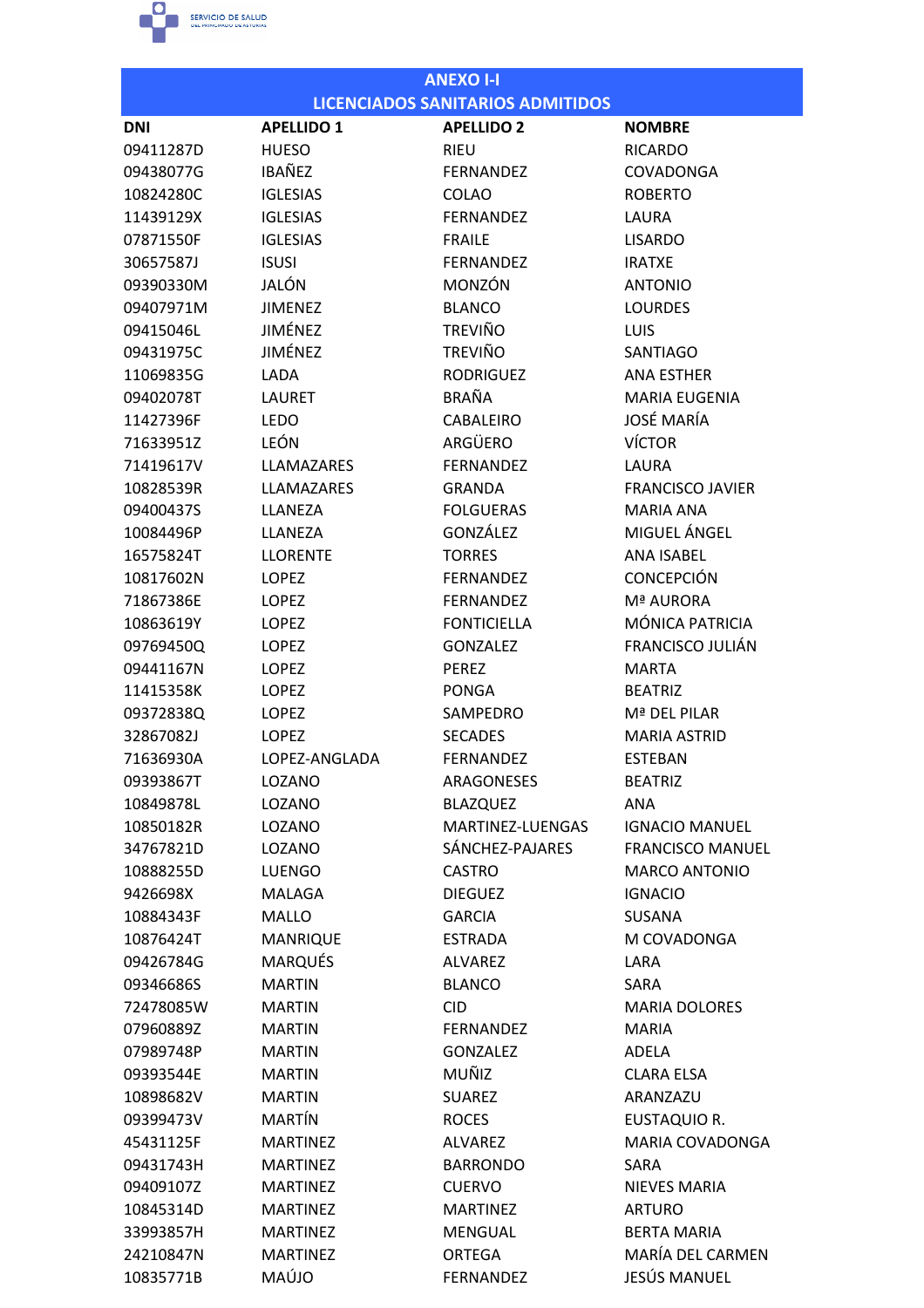

|            |                   | <b>ANEXO I-I</b>                        |                         |
|------------|-------------------|-----------------------------------------|-------------------------|
|            |                   | <b>LICENCIADOS SANITARIOS ADMITIDOS</b> |                         |
| <b>DNI</b> | <b>APELLIDO 1</b> | <b>APELLIDO 2</b>                       | <b>NOMBRE</b>           |
| 09411287D  | <b>HUESO</b>      | <b>RIEU</b>                             | <b>RICARDO</b>          |
| 09438077G  | <b>IBAÑEZ</b>     | <b>FERNANDEZ</b>                        | <b>COVADONGA</b>        |
| 10824280C  | <b>IGLESIAS</b>   | <b>COLAO</b>                            | <b>ROBERTO</b>          |
| 11439129X  | <b>IGLESIAS</b>   | <b>FERNANDEZ</b>                        | LAURA                   |
| 07871550F  | <b>IGLESIAS</b>   | <b>FRAILE</b>                           | <b>LISARDO</b>          |
| 30657587J  | <b>ISUSI</b>      | <b>FERNANDEZ</b>                        | <b>IRATXE</b>           |
| 09390330M  | JALÓN             | MONZÓN                                  | <b>ANTONIO</b>          |
| 09407971M  | <b>JIMENEZ</b>    | <b>BLANCO</b>                           | <b>LOURDES</b>          |
| 09415046L  | JIMÉNEZ           | <b>TREVIÑO</b>                          | <b>LUIS</b>             |
| 09431975C  | JIMÉNEZ           | <b>TREVIÑO</b>                          | <b>SANTIAGO</b>         |
| 11069835G  | LADA              | <b>RODRIGUEZ</b>                        | <b>ANA ESTHER</b>       |
| 09402078T  | <b>LAURET</b>     | <b>BRAÑA</b>                            | <b>MARIA EUGENIA</b>    |
| 11427396F  | <b>LEDO</b>       | <b>CABALEIRO</b>                        | <b>JOSÉ MARÍA</b>       |
| 71633951Z  | LEÓN              | ARGÜERO                                 | <b>VÍCTOR</b>           |
| 71419617V  | LLAMAZARES        | <b>FERNANDEZ</b>                        | LAURA                   |
| 10828539R  | LLAMAZARES        | <b>GRANDA</b>                           | <b>FRANCISCO JAVIER</b> |
| 09400437S  | LLANEZA           | <b>FOLGUERAS</b>                        | <b>MARIA ANA</b>        |
| 10084496P  | LLANEZA           | GONZÁLEZ                                | MIGUEL ÁNGEL            |
| 16575824T  | <b>LLORENTE</b>   | <b>TORRES</b>                           | <b>ANA ISABEL</b>       |
| 10817602N  | <b>LOPEZ</b>      | <b>FERNANDEZ</b>                        | <b>CONCEPCIÓN</b>       |
| 71867386E  | <b>LOPEZ</b>      | <b>FERNANDEZ</b>                        | Mª AURORA               |
| 10863619Y  | <b>LOPEZ</b>      | <b>FONTICIELLA</b>                      | MÓNICA PATRICIA         |
| 09769450Q  | LOPEZ             | <b>GONZALEZ</b>                         | <b>FRANCISCO JULIÁN</b> |
| 09441167N  | <b>LOPEZ</b>      | <b>PEREZ</b>                            | <b>MARTA</b>            |
| 11415358K  | LOPEZ             | <b>PONGA</b>                            | <b>BEATRIZ</b>          |
| 09372838Q  | <b>LOPEZ</b>      | SAMPEDRO                                | Mª DEL PILAR            |
| 32867082J  | <b>LOPEZ</b>      | <b>SECADES</b>                          | <b>MARIA ASTRID</b>     |
| 71636930A  | LOPEZ-ANGLADA     | <b>FERNANDEZ</b>                        | <b>ESTEBAN</b>          |
| 09393867T  | LOZANO            | ARAGONESES                              | <b>BEATRIZ</b>          |
| 10849878L  | LOZANO            | <b>BLAZQUEZ</b>                         | ANA                     |
| 10850182R  | LOZANO            | MARTINEZ-LUENGAS                        | <b>IGNACIO MANUEL</b>   |
| 34767821D  | LOZANO            | SÁNCHEZ-PAJARES                         | <b>FRANCISCO MANUEL</b> |
| 10888255D  | <b>LUENGO</b>     | <b>CASTRO</b>                           | <b>MARCO ANTONIO</b>    |
| 9426698X   | <b>MALAGA</b>     | <b>DIEGUEZ</b>                          | <b>IGNACIO</b>          |
| 10884343F  | <b>MALLO</b>      | <b>GARCIA</b>                           | <b>SUSANA</b>           |
| 10876424T  | <b>MANRIQUE</b>   | <b>ESTRADA</b>                          | M COVADONGA             |
| 09426784G  | <b>MARQUÉS</b>    | <b>ALVAREZ</b>                          | LARA                    |
| 09346686S  | <b>MARTIN</b>     | <b>BLANCO</b>                           | SARA                    |
| 72478085W  | <b>MARTIN</b>     | <b>CID</b>                              | <b>MARIA DOLORES</b>    |
| 07960889Z  | <b>MARTIN</b>     | <b>FERNANDEZ</b>                        | <b>MARIA</b>            |
| 07989748P  | <b>MARTIN</b>     | <b>GONZALEZ</b>                         | ADELA                   |
| 09393544E  | <b>MARTIN</b>     | MUÑIZ                                   | <b>CLARA ELSA</b>       |
| 10898682V  | <b>MARTIN</b>     | <b>SUAREZ</b>                           | ARANZAZU                |
| 09399473V  | <b>MARTÍN</b>     | <b>ROCES</b>                            | <b>EUSTAQUIO R.</b>     |
| 45431125F  | <b>MARTINEZ</b>   | <b>ALVAREZ</b>                          | <b>MARIA COVADONGA</b>  |
| 09431743H  | <b>MARTINEZ</b>   | <b>BARRONDO</b>                         | SARA                    |
| 09409107Z  | <b>MARTINEZ</b>   | <b>CUERVO</b>                           | <b>NIEVES MARIA</b>     |
| 10845314D  | <b>MARTINEZ</b>   | <b>MARTINEZ</b>                         | <b>ARTURO</b>           |
| 33993857H  | <b>MARTINEZ</b>   | <b>MENGUAL</b>                          | <b>BERTA MARIA</b>      |
| 24210847N  | <b>MARTINEZ</b>   | <b>ORTEGA</b>                           | MARÍA DEL CARMEN        |
| 10835771B  | MAÚJO             | <b>FERNANDEZ</b>                        | JESÚS MANUEL            |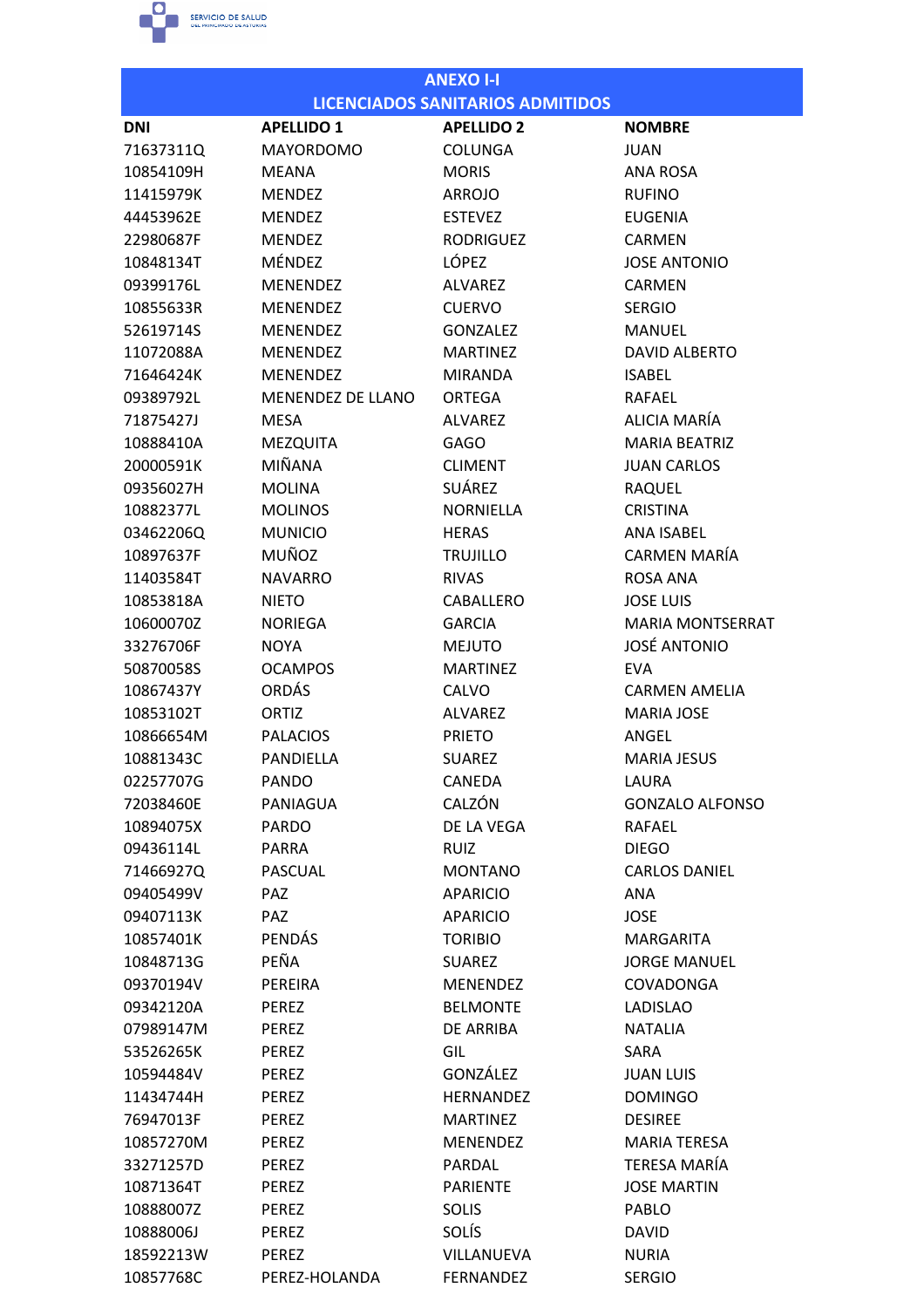

|            |                          | <b>ANEXO I-I</b>                        |                         |
|------------|--------------------------|-----------------------------------------|-------------------------|
|            |                          | <b>LICENCIADOS SANITARIOS ADMITIDOS</b> |                         |
| <b>DNI</b> | <b>APELLIDO 1</b>        | <b>APELLIDO 2</b>                       | <b>NOMBRE</b>           |
| 71637311Q  | <b>MAYORDOMO</b>         | <b>COLUNGA</b>                          | <b>JUAN</b>             |
| 10854109H  | MEANA                    | <b>MORIS</b>                            | <b>ANA ROSA</b>         |
| 11415979K  | <b>MENDEZ</b>            | <b>ARROJO</b>                           | <b>RUFINO</b>           |
| 44453962E  | <b>MENDEZ</b>            | <b>ESTEVEZ</b>                          | <b>EUGENIA</b>          |
| 22980687F  | <b>MENDEZ</b>            | <b>RODRIGUEZ</b>                        | CARMEN                  |
| 10848134T  | MÉNDEZ                   | LÓPEZ                                   | <b>JOSE ANTONIO</b>     |
| 09399176L  | <b>MENENDEZ</b>          | <b>ALVAREZ</b>                          | CARMEN                  |
| 10855633R  | <b>MENENDEZ</b>          | <b>CUERVO</b>                           | <b>SERGIO</b>           |
| 52619714S  | <b>MENENDEZ</b>          | <b>GONZALEZ</b>                         | <b>MANUEL</b>           |
| 11072088A  | <b>MENENDEZ</b>          | <b>MARTINEZ</b>                         | <b>DAVID ALBERTO</b>    |
| 71646424K  | <b>MENENDEZ</b>          | <b>MIRANDA</b>                          | <b>ISABEL</b>           |
| 09389792L  | <b>MENENDEZ DE LLANO</b> | <b>ORTEGA</b>                           | <b>RAFAEL</b>           |
| 71875427J  | <b>MESA</b>              | <b>ALVAREZ</b>                          | ALICIA MARÍA            |
| 10888410A  | <b>MEZQUITA</b>          | <b>GAGO</b>                             | <b>MARIA BEATRIZ</b>    |
| 20000591K  | MIÑANA                   | <b>CLIMENT</b>                          | <b>JUAN CARLOS</b>      |
| 09356027H  | <b>MOLINA</b>            | <b>SUÁREZ</b>                           | <b>RAQUEL</b>           |
| 10882377L  | <b>MOLINOS</b>           | <b>NORNIELLA</b>                        | <b>CRISTINA</b>         |
| 03462206Q  | <b>MUNICIO</b>           | <b>HERAS</b>                            | <b>ANA ISABEL</b>       |
| 10897637F  | MUÑOZ                    | <b>TRUJILLO</b>                         | <b>CARMEN MARÍA</b>     |
| 11403584T  | <b>NAVARRO</b>           | <b>RIVAS</b>                            | ROSA ANA                |
| 10853818A  | <b>NIETO</b>             | CABALLERO                               | <b>JOSE LUIS</b>        |
| 10600070Z  | <b>NORIEGA</b>           | <b>GARCIA</b>                           | <b>MARIA MONTSERRAT</b> |
| 33276706F  | <b>NOYA</b>              | <b>MEJUTO</b>                           | <b>JOSÉ ANTONIO</b>     |
| 50870058S  | <b>OCAMPOS</b>           | <b>MARTINEZ</b>                         | <b>EVA</b>              |
| 10867437Y  | <b>ORDÁS</b>             | <b>CALVO</b>                            | <b>CARMEN AMELIA</b>    |
| 10853102T  | ORTIZ                    | <b>ALVAREZ</b>                          | <b>MARIA JOSE</b>       |
| 10866654M  | <b>PALACIOS</b>          | <b>PRIETO</b>                           | ANGEL                   |
| 10881343C  | PANDIELLA                | <b>SUAREZ</b>                           | <b>MARIA JESUS</b>      |
| 02257707G  | <b>PANDO</b>             | CANEDA                                  | LAURA                   |
| 72038460E  | PANIAGUA                 | CALZÓN                                  | <b>GONZALO ALFONSO</b>  |
| 10894075X  | <b>PARDO</b>             | DE LA VEGA                              | <b>RAFAEL</b>           |
| 09436114L  | <b>PARRA</b>             | <b>RUIZ</b>                             | <b>DIEGO</b>            |
| 71466927Q  | PASCUAL                  | <b>MONTANO</b>                          | <b>CARLOS DANIEL</b>    |
| 09405499V  | <b>PAZ</b>               | <b>APARICIO</b>                         | ANA                     |
| 09407113K  | <b>PAZ</b>               | <b>APARICIO</b>                         | <b>JOSE</b>             |
| 10857401K  | <b>PENDÁS</b>            | <b>TORIBIO</b>                          | MARGARITA               |
| 10848713G  | PEÑA                     | <b>SUAREZ</b>                           | <b>JORGE MANUEL</b>     |
| 09370194V  | PEREIRA                  | <b>MENENDEZ</b>                         | <b>COVADONGA</b>        |
| 09342120A  | PEREZ                    | <b>BELMONTE</b>                         | <b>LADISLAO</b>         |
| 07989147M  | PEREZ                    | DE ARRIBA                               | <b>NATALIA</b>          |
| 53526265K  | PEREZ                    | GIL                                     | SARA                    |
| 10594484V  | PEREZ                    | GONZÁLEZ                                | <b>JUAN LUIS</b>        |
| 11434744H  | PEREZ                    | <b>HERNANDEZ</b>                        | <b>DOMINGO</b>          |
| 76947013F  | PEREZ                    | <b>MARTINEZ</b>                         | <b>DESIREE</b>          |
| 10857270M  | PEREZ                    | <b>MENENDEZ</b>                         | <b>MARIA TERESA</b>     |
| 33271257D  | PEREZ                    | PARDAL                                  | <b>TERESA MARÍA</b>     |
| 10871364T  | PEREZ                    | <b>PARIENTE</b>                         | <b>JOSE MARTIN</b>      |
| 10888007Z  | PEREZ                    | <b>SOLIS</b>                            | PABLO                   |
| 10888006J  | PEREZ                    | <b>SOLÍS</b>                            | <b>DAVID</b>            |
| 18592213W  | PEREZ                    | VILLANUEVA                              | <b>NURIA</b>            |
| 10857768C  | PEREZ-HOLANDA            | <b>FERNANDEZ</b>                        | <b>SERGIO</b>           |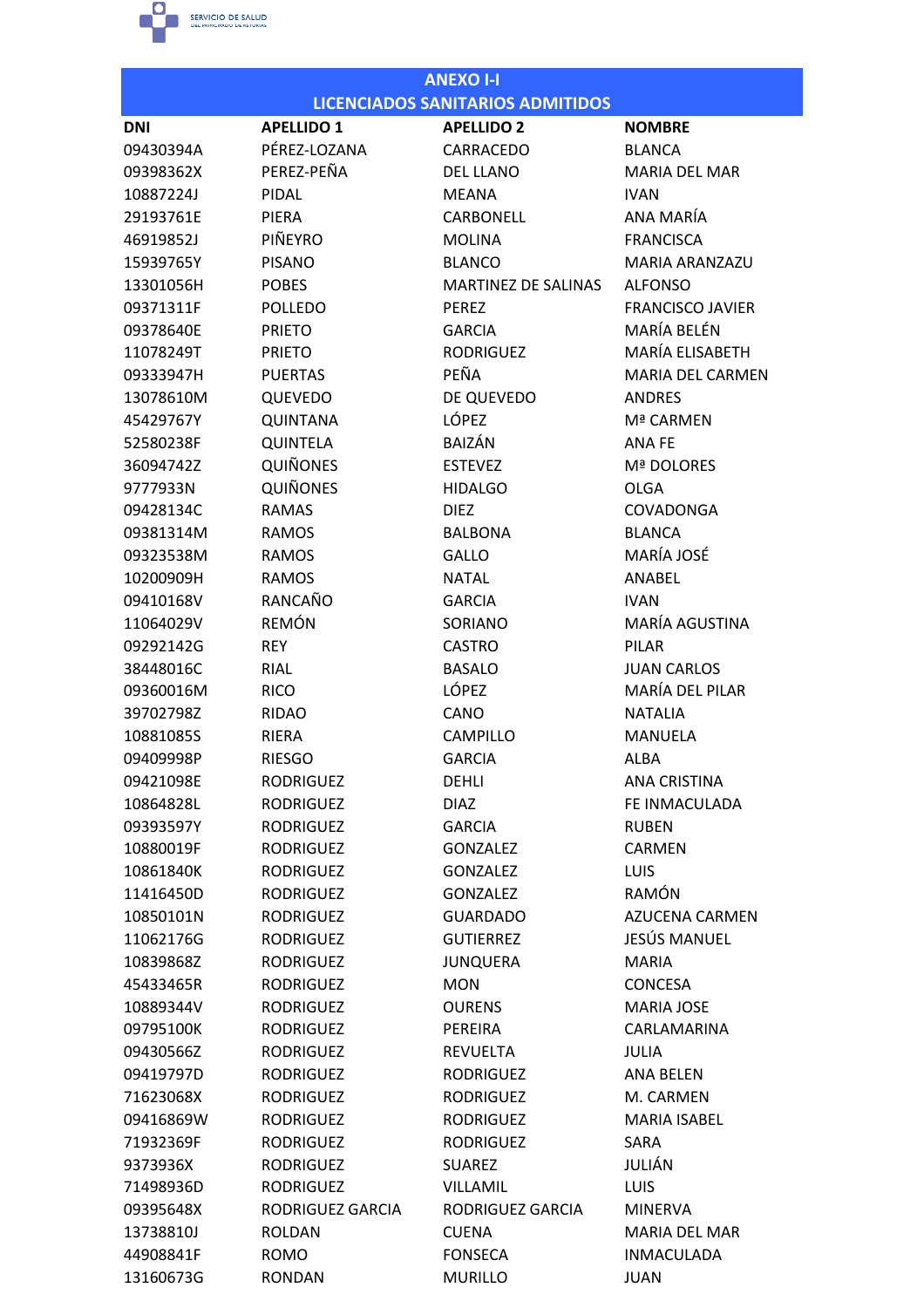

| <b>ANEXO I-I</b> |                   |                                         |                         |  |
|------------------|-------------------|-----------------------------------------|-------------------------|--|
|                  |                   | <b>LICENCIADOS SANITARIOS ADMITIDOS</b> |                         |  |
| <b>DNI</b>       | <b>APELLIDO 1</b> | <b>APELLIDO 2</b>                       | <b>NOMBRE</b>           |  |
| 09430394A        | PÉREZ-LOZANA      | CARRACEDO                               | <b>BLANCA</b>           |  |
| 09398362X        | PEREZ-PEÑA        | <b>DEL LLANO</b>                        | <b>MARIA DEL MAR</b>    |  |
| 10887224J        | PIDAL             | <b>MEANA</b>                            | <b>IVAN</b>             |  |
| 29193761E        | PIERA             | CARBONELL                               | ANA MARÍA               |  |
| 46919852J        | PIÑEYRO           | <b>MOLINA</b>                           | <b>FRANCISCA</b>        |  |
| 15939765Y        | <b>PISANO</b>     | <b>BLANCO</b>                           | <b>MARIA ARANZAZU</b>   |  |
| 13301056H        | <b>POBES</b>      | <b>MARTINEZ DE SALINAS</b>              | <b>ALFONSO</b>          |  |
| 09371311F        | <b>POLLEDO</b>    | <b>PEREZ</b>                            | <b>FRANCISCO JAVIER</b> |  |
| 09378640E        | <b>PRIETO</b>     | <b>GARCIA</b>                           | MARÍA BELÉN             |  |
| 11078249T        | <b>PRIETO</b>     | <b>RODRIGUEZ</b>                        | MARÍA ELISABETH         |  |
| 09333947H        | <b>PUERTAS</b>    | PEÑA                                    | <b>MARIA DEL CARMEN</b> |  |
| 13078610M        | <b>QUEVEDO</b>    | DE QUEVEDO                              | <b>ANDRES</b>           |  |
| 45429767Y        | <b>QUINTANA</b>   | <b>LÓPEZ</b>                            | Mª CARMFN               |  |
| 52580238F        | QUINTELA          | <b>BAIZÁN</b>                           | ANA FE                  |  |
| 36094742Z        | <b>QUIÑONES</b>   | <b>ESTEVEZ</b>                          | Mª DOLORES              |  |
| 9777933N         | <b>QUIÑONES</b>   | <b>HIDALGO</b>                          | <b>OLGA</b>             |  |
| 09428134C        | <b>RAMAS</b>      | <b>DIEZ</b>                             | <b>COVADONGA</b>        |  |
| 09381314M        | <b>RAMOS</b>      | <b>BALBONA</b>                          | <b>BLANCA</b>           |  |
| 09323538M        | <b>RAMOS</b>      | <b>GALLO</b>                            | MARÍA JOSÉ              |  |
| 10200909H        | <b>RAMOS</b>      | <b>NATAL</b>                            | ANABEL                  |  |
| 09410168V        | RANCAÑO           | <b>GARCIA</b>                           | <b>IVAN</b>             |  |
| 11064029V        | <b>REMÓN</b>      | SORIANO                                 | MARÍA AGUSTINA          |  |
| 09292142G        | <b>REY</b>        | <b>CASTRO</b>                           | <b>PILAR</b>            |  |
| 38448016C        | RIAL              | <b>BASALO</b>                           | <b>JUAN CARLOS</b>      |  |
| 09360016M        | <b>RICO</b>       | LÓPEZ                                   | MARÍA DEL PILAR         |  |
| 39702798Z        | <b>RIDAO</b>      | CANO                                    | <b>NATALIA</b>          |  |
| 10881085S        | <b>RIERA</b>      | <b>CAMPILLO</b>                         | <b>MANUELA</b>          |  |
| 09409998P        | <b>RIESGO</b>     | <b>GARCIA</b>                           | <b>ALBA</b>             |  |
| 09421098E        | <b>RODRIGUEZ</b>  | DEHLI                                   | <b>ANA CRISTINA</b>     |  |
| 10864828L        | <b>RODRIGUEZ</b>  | <b>DIAZ</b>                             | FE INMACULADA           |  |
| 09393597Y        | <b>RODRIGUEZ</b>  | <b>GARCIA</b>                           | <b>RUBEN</b>            |  |
| 10880019F        | <b>RODRIGUEZ</b>  | <b>GONZALEZ</b>                         | <b>CARMEN</b>           |  |
| 10861840K        | <b>RODRIGUEZ</b>  | <b>GONZALEZ</b>                         | <b>LUIS</b>             |  |
| 11416450D        | <b>RODRIGUEZ</b>  | <b>GONZALEZ</b>                         | <b>RAMÓN</b>            |  |
| 10850101N        | <b>RODRIGUEZ</b>  | <b>GUARDADO</b>                         | <b>AZUCENA CARMEN</b>   |  |
| 11062176G        | <b>RODRIGUEZ</b>  | <b>GUTIERREZ</b>                        | JESÚS MANUEL            |  |
| 10839868Z        | <b>RODRIGUEZ</b>  | <b>JUNQUERA</b>                         | <b>MARIA</b>            |  |
| 45433465R        | <b>RODRIGUEZ</b>  | <b>MON</b>                              | <b>CONCESA</b>          |  |
| 10889344V        | <b>RODRIGUEZ</b>  | <b>OURENS</b>                           | <b>MARIA JOSE</b>       |  |
| 09795100K        | <b>RODRIGUEZ</b>  | PEREIRA                                 | CARLAMARINA             |  |
| 09430566Z        | <b>RODRIGUEZ</b>  | <b>REVUELTA</b>                         | JULIA                   |  |
| 09419797D        | <b>RODRIGUEZ</b>  | <b>RODRIGUEZ</b>                        | ANA BELEN               |  |
| 71623068X        | <b>RODRIGUEZ</b>  | <b>RODRIGUEZ</b>                        | M. CARMEN               |  |
| 09416869W        | <b>RODRIGUEZ</b>  | <b>RODRIGUEZ</b>                        | <b>MARIA ISABEL</b>     |  |
| 71932369F        | <b>RODRIGUEZ</b>  | <b>RODRIGUEZ</b>                        | SARA                    |  |
| 9373936X         | <b>RODRIGUEZ</b>  | <b>SUAREZ</b>                           | JULIÁN                  |  |
| 71498936D        | <b>RODRIGUEZ</b>  | <b>VILLAMIL</b>                         | <b>LUIS</b>             |  |
| 09395648X        | RODRIGUEZ GARCIA  | RODRIGUEZ GARCIA                        | <b>MINERVA</b>          |  |
| 13738810J        | <b>ROLDAN</b>     | <b>CUENA</b>                            | <b>MARIA DEL MAR</b>    |  |
| 44908841F        | <b>ROMO</b>       | <b>FONSECA</b>                          | <b>INMACULADA</b>       |  |
| 13160673G        | <b>RONDAN</b>     | <b>MURILLO</b>                          | JUAN                    |  |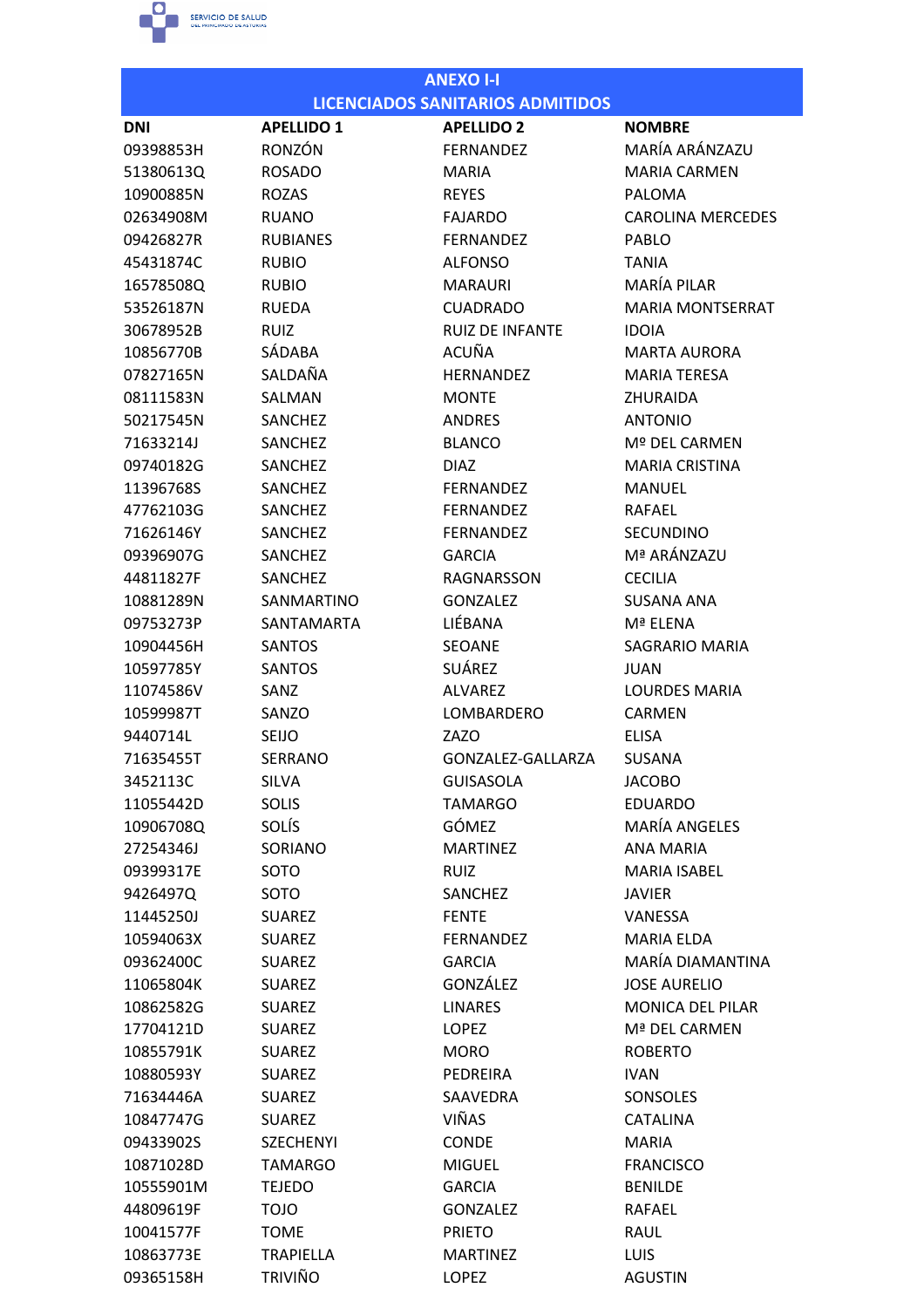

| <b>LICENCIADOS SANITARIOS ADMITIDOS</b><br><b>APELLIDO 1</b><br><b>APELLIDO 2</b><br><b>NOMBRE</b><br><b>DNI</b><br>MARÍA ARÁNZAZU<br>RONZÓN<br>09398853H<br><b>FERNANDEZ</b><br><b>ROSADO</b><br><b>MARIA CARMEN</b><br>51380613Q<br>MARIA<br>10900885N<br><b>ROZAS</b><br><b>REYES</b><br>PALOMA<br>02634908M<br><b>RUANO</b><br><b>FAJARDO</b><br><b>CAROLINA MERCEDES</b><br>09426827R<br><b>RUBIANES</b><br><b>FERNANDEZ</b><br><b>PABLO</b><br>45431874C<br><b>RUBIO</b><br><b>ALFONSO</b><br><b>TANIA</b><br>MARÍA PILAR<br><b>MARAURI</b><br>16578508Q<br><b>RUBIO</b><br>53526187N<br><b>RUEDA</b><br><b>CUADRADO</b><br><b>MARIA MONTSERRAT</b><br><b>RUIZ</b><br><b>RUIZ DE INFANTE</b><br><b>IDOIA</b><br>30678952B<br><b>ACUÑA</b><br>SÁDABA<br>10856770B<br><b>MARTA AURORA</b><br>SALDAÑA<br>07827165N<br><b>HERNANDEZ</b><br><b>MARIA TERESA</b><br>08111583N<br><b>ZHURAIDA</b><br>SALMAN<br><b>MONTE</b><br>SANCHEZ<br><b>ANDRES</b><br><b>ANTONIO</b><br>50217545N<br><b>BLANCO</b><br>Mº DEL CARMEN<br>71633214J<br><b>SANCHEZ</b><br>09740182G<br><b>SANCHEZ</b><br><b>MARIA CRISTINA</b><br><b>DIAZ</b><br>11396768S<br>SANCHEZ<br><b>FFRNANDFZ</b><br><b>MANUEL</b><br><b>RAFAEL</b><br>47762103G<br><b>SANCHEZ</b><br><b>FFRNANDFZ</b><br>SANCHEZ<br><b>FERNANDEZ</b><br><b>SECUNDINO</b><br>71626146Y<br>Mª ARÁNZAZU<br>09396907G<br><b>SANCHEZ</b><br><b>GARCIA</b><br>44811827F<br>SANCHEZ<br><b>RAGNARSSON</b><br><b>CECILIA</b><br>SANMARTINO<br><b>GONZALEZ</b><br><b>SUSANA ANA</b><br>10881289N<br>LIÉBANA<br>Mª ELENA<br>09753273P<br>SANTAMARTA<br>10904456H<br><b>SANTOS</b><br><b>SEOANE</b><br>SAGRARIO MARIA<br><b>SUÁREZ</b><br>10597785Y<br>SANTOS<br><b>JUAN</b><br>11074586V<br><b>ALVAREZ</b><br><b>LOURDES MARIA</b><br>SANZ<br>LOMBARDERO<br>10599987T<br>SANZO<br><b>CARMEN</b><br>9440714L<br><b>SEIJO</b><br>ZAZO<br><b>ELISA</b><br><b>SUSANA</b><br>71635455T<br><b>SERRANO</b><br>GONZALEZ-GALLARZA<br><b>SILVA</b><br><b>GUISASOLA</b><br>3452113C<br><b>JACOBO</b><br><b>SOLIS</b><br><b>TAMARGO</b><br><b>EDUARDO</b><br>11055442D<br><b>MARÍA ANGELES</b><br><b>SOLÍS</b><br>GÓMEZ<br>10906708Q<br>27254346J<br>SORIANO<br><b>MARTINEZ</b><br><b>ANA MARIA</b><br>SOTO<br><b>RUIZ</b><br><b>MARIA ISABEL</b><br>09399317E<br>SANCHEZ<br>9426497Q<br>SOTO<br><b>JAVIER</b><br><b>FENTE</b><br>VANESSA<br>11445250J<br><b>SUAREZ</b><br><b>FERNANDEZ</b><br><b>MARIA ELDA</b><br>10594063X<br><b>SUAREZ</b><br>MARÍA DIAMANTINA<br>09362400C<br><b>SUAREZ</b><br><b>GARCIA</b><br><b>GONZÁLEZ</b><br>11065804K<br><b>JOSE AURELIO</b><br><b>SUAREZ</b><br>10862582G<br><b>LINARES</b><br><b>MONICA DEL PILAR</b><br><b>SUAREZ</b><br><b>LOPEZ</b><br>Mª DEL CARMEN<br>17704121D<br><b>SUAREZ</b><br>10855791K<br><b>MORO</b><br><b>ROBERTO</b><br><b>SUAREZ</b><br>10880593Y<br><b>SUAREZ</b><br>PEDREIRA<br><b>IVAN</b><br>71634446A<br><b>SUAREZ</b><br>SAAVEDRA<br>SONSOLES<br><b>VIÑAS</b><br><b>CATALINA</b><br>10847747G<br><b>SUAREZ</b><br>09433902S<br>CONDE<br><b>MARIA</b><br><b>SZECHENYI</b><br>10871028D<br><b>TAMARGO</b><br><b>MIGUEL</b><br><b>FRANCISCO</b><br>10555901M<br><b>TEJEDO</b><br><b>GARCIA</b><br><b>BENILDE</b><br><b>OLOT</b><br><b>RAFAEL</b><br>44809619F<br><b>GONZALEZ</b><br>10041577F<br><b>TOME</b><br><b>PRIETO</b><br>RAUL | <b>ANEXO I-I</b> |  |  |  |  |
|--------------------------------------------------------------------------------------------------------------------------------------------------------------------------------------------------------------------------------------------------------------------------------------------------------------------------------------------------------------------------------------------------------------------------------------------------------------------------------------------------------------------------------------------------------------------------------------------------------------------------------------------------------------------------------------------------------------------------------------------------------------------------------------------------------------------------------------------------------------------------------------------------------------------------------------------------------------------------------------------------------------------------------------------------------------------------------------------------------------------------------------------------------------------------------------------------------------------------------------------------------------------------------------------------------------------------------------------------------------------------------------------------------------------------------------------------------------------------------------------------------------------------------------------------------------------------------------------------------------------------------------------------------------------------------------------------------------------------------------------------------------------------------------------------------------------------------------------------------------------------------------------------------------------------------------------------------------------------------------------------------------------------------------------------------------------------------------------------------------------------------------------------------------------------------------------------------------------------------------------------------------------------------------------------------------------------------------------------------------------------------------------------------------------------------------------------------------------------------------------------------------------------------------------------------------------------------------------------------------------------------------------------------------------------------------------------------------------------------------------------------------------------------------------------------------------------------------------------------------------------------------------------------------------------------------------------------------------------------------------------------------------------------------------------------------------------------------------------------------------------------------------------------------------------------------------------------------------------------------------------------------------------------------------------------------------------|------------------|--|--|--|--|
|                                                                                                                                                                                                                                                                                                                                                                                                                                                                                                                                                                                                                                                                                                                                                                                                                                                                                                                                                                                                                                                                                                                                                                                                                                                                                                                                                                                                                                                                                                                                                                                                                                                                                                                                                                                                                                                                                                                                                                                                                                                                                                                                                                                                                                                                                                                                                                                                                                                                                                                                                                                                                                                                                                                                                                                                                                                                                                                                                                                                                                                                                                                                                                                                                                                                                                                          |                  |  |  |  |  |
|                                                                                                                                                                                                                                                                                                                                                                                                                                                                                                                                                                                                                                                                                                                                                                                                                                                                                                                                                                                                                                                                                                                                                                                                                                                                                                                                                                                                                                                                                                                                                                                                                                                                                                                                                                                                                                                                                                                                                                                                                                                                                                                                                                                                                                                                                                                                                                                                                                                                                                                                                                                                                                                                                                                                                                                                                                                                                                                                                                                                                                                                                                                                                                                                                                                                                                                          |                  |  |  |  |  |
|                                                                                                                                                                                                                                                                                                                                                                                                                                                                                                                                                                                                                                                                                                                                                                                                                                                                                                                                                                                                                                                                                                                                                                                                                                                                                                                                                                                                                                                                                                                                                                                                                                                                                                                                                                                                                                                                                                                                                                                                                                                                                                                                                                                                                                                                                                                                                                                                                                                                                                                                                                                                                                                                                                                                                                                                                                                                                                                                                                                                                                                                                                                                                                                                                                                                                                                          |                  |  |  |  |  |
|                                                                                                                                                                                                                                                                                                                                                                                                                                                                                                                                                                                                                                                                                                                                                                                                                                                                                                                                                                                                                                                                                                                                                                                                                                                                                                                                                                                                                                                                                                                                                                                                                                                                                                                                                                                                                                                                                                                                                                                                                                                                                                                                                                                                                                                                                                                                                                                                                                                                                                                                                                                                                                                                                                                                                                                                                                                                                                                                                                                                                                                                                                                                                                                                                                                                                                                          |                  |  |  |  |  |
|                                                                                                                                                                                                                                                                                                                                                                                                                                                                                                                                                                                                                                                                                                                                                                                                                                                                                                                                                                                                                                                                                                                                                                                                                                                                                                                                                                                                                                                                                                                                                                                                                                                                                                                                                                                                                                                                                                                                                                                                                                                                                                                                                                                                                                                                                                                                                                                                                                                                                                                                                                                                                                                                                                                                                                                                                                                                                                                                                                                                                                                                                                                                                                                                                                                                                                                          |                  |  |  |  |  |
|                                                                                                                                                                                                                                                                                                                                                                                                                                                                                                                                                                                                                                                                                                                                                                                                                                                                                                                                                                                                                                                                                                                                                                                                                                                                                                                                                                                                                                                                                                                                                                                                                                                                                                                                                                                                                                                                                                                                                                                                                                                                                                                                                                                                                                                                                                                                                                                                                                                                                                                                                                                                                                                                                                                                                                                                                                                                                                                                                                                                                                                                                                                                                                                                                                                                                                                          |                  |  |  |  |  |
|                                                                                                                                                                                                                                                                                                                                                                                                                                                                                                                                                                                                                                                                                                                                                                                                                                                                                                                                                                                                                                                                                                                                                                                                                                                                                                                                                                                                                                                                                                                                                                                                                                                                                                                                                                                                                                                                                                                                                                                                                                                                                                                                                                                                                                                                                                                                                                                                                                                                                                                                                                                                                                                                                                                                                                                                                                                                                                                                                                                                                                                                                                                                                                                                                                                                                                                          |                  |  |  |  |  |
|                                                                                                                                                                                                                                                                                                                                                                                                                                                                                                                                                                                                                                                                                                                                                                                                                                                                                                                                                                                                                                                                                                                                                                                                                                                                                                                                                                                                                                                                                                                                                                                                                                                                                                                                                                                                                                                                                                                                                                                                                                                                                                                                                                                                                                                                                                                                                                                                                                                                                                                                                                                                                                                                                                                                                                                                                                                                                                                                                                                                                                                                                                                                                                                                                                                                                                                          |                  |  |  |  |  |
|                                                                                                                                                                                                                                                                                                                                                                                                                                                                                                                                                                                                                                                                                                                                                                                                                                                                                                                                                                                                                                                                                                                                                                                                                                                                                                                                                                                                                                                                                                                                                                                                                                                                                                                                                                                                                                                                                                                                                                                                                                                                                                                                                                                                                                                                                                                                                                                                                                                                                                                                                                                                                                                                                                                                                                                                                                                                                                                                                                                                                                                                                                                                                                                                                                                                                                                          |                  |  |  |  |  |
|                                                                                                                                                                                                                                                                                                                                                                                                                                                                                                                                                                                                                                                                                                                                                                                                                                                                                                                                                                                                                                                                                                                                                                                                                                                                                                                                                                                                                                                                                                                                                                                                                                                                                                                                                                                                                                                                                                                                                                                                                                                                                                                                                                                                                                                                                                                                                                                                                                                                                                                                                                                                                                                                                                                                                                                                                                                                                                                                                                                                                                                                                                                                                                                                                                                                                                                          |                  |  |  |  |  |
|                                                                                                                                                                                                                                                                                                                                                                                                                                                                                                                                                                                                                                                                                                                                                                                                                                                                                                                                                                                                                                                                                                                                                                                                                                                                                                                                                                                                                                                                                                                                                                                                                                                                                                                                                                                                                                                                                                                                                                                                                                                                                                                                                                                                                                                                                                                                                                                                                                                                                                                                                                                                                                                                                                                                                                                                                                                                                                                                                                                                                                                                                                                                                                                                                                                                                                                          |                  |  |  |  |  |
|                                                                                                                                                                                                                                                                                                                                                                                                                                                                                                                                                                                                                                                                                                                                                                                                                                                                                                                                                                                                                                                                                                                                                                                                                                                                                                                                                                                                                                                                                                                                                                                                                                                                                                                                                                                                                                                                                                                                                                                                                                                                                                                                                                                                                                                                                                                                                                                                                                                                                                                                                                                                                                                                                                                                                                                                                                                                                                                                                                                                                                                                                                                                                                                                                                                                                                                          |                  |  |  |  |  |
|                                                                                                                                                                                                                                                                                                                                                                                                                                                                                                                                                                                                                                                                                                                                                                                                                                                                                                                                                                                                                                                                                                                                                                                                                                                                                                                                                                                                                                                                                                                                                                                                                                                                                                                                                                                                                                                                                                                                                                                                                                                                                                                                                                                                                                                                                                                                                                                                                                                                                                                                                                                                                                                                                                                                                                                                                                                                                                                                                                                                                                                                                                                                                                                                                                                                                                                          |                  |  |  |  |  |
|                                                                                                                                                                                                                                                                                                                                                                                                                                                                                                                                                                                                                                                                                                                                                                                                                                                                                                                                                                                                                                                                                                                                                                                                                                                                                                                                                                                                                                                                                                                                                                                                                                                                                                                                                                                                                                                                                                                                                                                                                                                                                                                                                                                                                                                                                                                                                                                                                                                                                                                                                                                                                                                                                                                                                                                                                                                                                                                                                                                                                                                                                                                                                                                                                                                                                                                          |                  |  |  |  |  |
|                                                                                                                                                                                                                                                                                                                                                                                                                                                                                                                                                                                                                                                                                                                                                                                                                                                                                                                                                                                                                                                                                                                                                                                                                                                                                                                                                                                                                                                                                                                                                                                                                                                                                                                                                                                                                                                                                                                                                                                                                                                                                                                                                                                                                                                                                                                                                                                                                                                                                                                                                                                                                                                                                                                                                                                                                                                                                                                                                                                                                                                                                                                                                                                                                                                                                                                          |                  |  |  |  |  |
|                                                                                                                                                                                                                                                                                                                                                                                                                                                                                                                                                                                                                                                                                                                                                                                                                                                                                                                                                                                                                                                                                                                                                                                                                                                                                                                                                                                                                                                                                                                                                                                                                                                                                                                                                                                                                                                                                                                                                                                                                                                                                                                                                                                                                                                                                                                                                                                                                                                                                                                                                                                                                                                                                                                                                                                                                                                                                                                                                                                                                                                                                                                                                                                                                                                                                                                          |                  |  |  |  |  |
|                                                                                                                                                                                                                                                                                                                                                                                                                                                                                                                                                                                                                                                                                                                                                                                                                                                                                                                                                                                                                                                                                                                                                                                                                                                                                                                                                                                                                                                                                                                                                                                                                                                                                                                                                                                                                                                                                                                                                                                                                                                                                                                                                                                                                                                                                                                                                                                                                                                                                                                                                                                                                                                                                                                                                                                                                                                                                                                                                                                                                                                                                                                                                                                                                                                                                                                          |                  |  |  |  |  |
|                                                                                                                                                                                                                                                                                                                                                                                                                                                                                                                                                                                                                                                                                                                                                                                                                                                                                                                                                                                                                                                                                                                                                                                                                                                                                                                                                                                                                                                                                                                                                                                                                                                                                                                                                                                                                                                                                                                                                                                                                                                                                                                                                                                                                                                                                                                                                                                                                                                                                                                                                                                                                                                                                                                                                                                                                                                                                                                                                                                                                                                                                                                                                                                                                                                                                                                          |                  |  |  |  |  |
|                                                                                                                                                                                                                                                                                                                                                                                                                                                                                                                                                                                                                                                                                                                                                                                                                                                                                                                                                                                                                                                                                                                                                                                                                                                                                                                                                                                                                                                                                                                                                                                                                                                                                                                                                                                                                                                                                                                                                                                                                                                                                                                                                                                                                                                                                                                                                                                                                                                                                                                                                                                                                                                                                                                                                                                                                                                                                                                                                                                                                                                                                                                                                                                                                                                                                                                          |                  |  |  |  |  |
|                                                                                                                                                                                                                                                                                                                                                                                                                                                                                                                                                                                                                                                                                                                                                                                                                                                                                                                                                                                                                                                                                                                                                                                                                                                                                                                                                                                                                                                                                                                                                                                                                                                                                                                                                                                                                                                                                                                                                                                                                                                                                                                                                                                                                                                                                                                                                                                                                                                                                                                                                                                                                                                                                                                                                                                                                                                                                                                                                                                                                                                                                                                                                                                                                                                                                                                          |                  |  |  |  |  |
|                                                                                                                                                                                                                                                                                                                                                                                                                                                                                                                                                                                                                                                                                                                                                                                                                                                                                                                                                                                                                                                                                                                                                                                                                                                                                                                                                                                                                                                                                                                                                                                                                                                                                                                                                                                                                                                                                                                                                                                                                                                                                                                                                                                                                                                                                                                                                                                                                                                                                                                                                                                                                                                                                                                                                                                                                                                                                                                                                                                                                                                                                                                                                                                                                                                                                                                          |                  |  |  |  |  |
|                                                                                                                                                                                                                                                                                                                                                                                                                                                                                                                                                                                                                                                                                                                                                                                                                                                                                                                                                                                                                                                                                                                                                                                                                                                                                                                                                                                                                                                                                                                                                                                                                                                                                                                                                                                                                                                                                                                                                                                                                                                                                                                                                                                                                                                                                                                                                                                                                                                                                                                                                                                                                                                                                                                                                                                                                                                                                                                                                                                                                                                                                                                                                                                                                                                                                                                          |                  |  |  |  |  |
|                                                                                                                                                                                                                                                                                                                                                                                                                                                                                                                                                                                                                                                                                                                                                                                                                                                                                                                                                                                                                                                                                                                                                                                                                                                                                                                                                                                                                                                                                                                                                                                                                                                                                                                                                                                                                                                                                                                                                                                                                                                                                                                                                                                                                                                                                                                                                                                                                                                                                                                                                                                                                                                                                                                                                                                                                                                                                                                                                                                                                                                                                                                                                                                                                                                                                                                          |                  |  |  |  |  |
|                                                                                                                                                                                                                                                                                                                                                                                                                                                                                                                                                                                                                                                                                                                                                                                                                                                                                                                                                                                                                                                                                                                                                                                                                                                                                                                                                                                                                                                                                                                                                                                                                                                                                                                                                                                                                                                                                                                                                                                                                                                                                                                                                                                                                                                                                                                                                                                                                                                                                                                                                                                                                                                                                                                                                                                                                                                                                                                                                                                                                                                                                                                                                                                                                                                                                                                          |                  |  |  |  |  |
|                                                                                                                                                                                                                                                                                                                                                                                                                                                                                                                                                                                                                                                                                                                                                                                                                                                                                                                                                                                                                                                                                                                                                                                                                                                                                                                                                                                                                                                                                                                                                                                                                                                                                                                                                                                                                                                                                                                                                                                                                                                                                                                                                                                                                                                                                                                                                                                                                                                                                                                                                                                                                                                                                                                                                                                                                                                                                                                                                                                                                                                                                                                                                                                                                                                                                                                          |                  |  |  |  |  |
|                                                                                                                                                                                                                                                                                                                                                                                                                                                                                                                                                                                                                                                                                                                                                                                                                                                                                                                                                                                                                                                                                                                                                                                                                                                                                                                                                                                                                                                                                                                                                                                                                                                                                                                                                                                                                                                                                                                                                                                                                                                                                                                                                                                                                                                                                                                                                                                                                                                                                                                                                                                                                                                                                                                                                                                                                                                                                                                                                                                                                                                                                                                                                                                                                                                                                                                          |                  |  |  |  |  |
|                                                                                                                                                                                                                                                                                                                                                                                                                                                                                                                                                                                                                                                                                                                                                                                                                                                                                                                                                                                                                                                                                                                                                                                                                                                                                                                                                                                                                                                                                                                                                                                                                                                                                                                                                                                                                                                                                                                                                                                                                                                                                                                                                                                                                                                                                                                                                                                                                                                                                                                                                                                                                                                                                                                                                                                                                                                                                                                                                                                                                                                                                                                                                                                                                                                                                                                          |                  |  |  |  |  |
|                                                                                                                                                                                                                                                                                                                                                                                                                                                                                                                                                                                                                                                                                                                                                                                                                                                                                                                                                                                                                                                                                                                                                                                                                                                                                                                                                                                                                                                                                                                                                                                                                                                                                                                                                                                                                                                                                                                                                                                                                                                                                                                                                                                                                                                                                                                                                                                                                                                                                                                                                                                                                                                                                                                                                                                                                                                                                                                                                                                                                                                                                                                                                                                                                                                                                                                          |                  |  |  |  |  |
|                                                                                                                                                                                                                                                                                                                                                                                                                                                                                                                                                                                                                                                                                                                                                                                                                                                                                                                                                                                                                                                                                                                                                                                                                                                                                                                                                                                                                                                                                                                                                                                                                                                                                                                                                                                                                                                                                                                                                                                                                                                                                                                                                                                                                                                                                                                                                                                                                                                                                                                                                                                                                                                                                                                                                                                                                                                                                                                                                                                                                                                                                                                                                                                                                                                                                                                          |                  |  |  |  |  |
|                                                                                                                                                                                                                                                                                                                                                                                                                                                                                                                                                                                                                                                                                                                                                                                                                                                                                                                                                                                                                                                                                                                                                                                                                                                                                                                                                                                                                                                                                                                                                                                                                                                                                                                                                                                                                                                                                                                                                                                                                                                                                                                                                                                                                                                                                                                                                                                                                                                                                                                                                                                                                                                                                                                                                                                                                                                                                                                                                                                                                                                                                                                                                                                                                                                                                                                          |                  |  |  |  |  |
|                                                                                                                                                                                                                                                                                                                                                                                                                                                                                                                                                                                                                                                                                                                                                                                                                                                                                                                                                                                                                                                                                                                                                                                                                                                                                                                                                                                                                                                                                                                                                                                                                                                                                                                                                                                                                                                                                                                                                                                                                                                                                                                                                                                                                                                                                                                                                                                                                                                                                                                                                                                                                                                                                                                                                                                                                                                                                                                                                                                                                                                                                                                                                                                                                                                                                                                          |                  |  |  |  |  |
|                                                                                                                                                                                                                                                                                                                                                                                                                                                                                                                                                                                                                                                                                                                                                                                                                                                                                                                                                                                                                                                                                                                                                                                                                                                                                                                                                                                                                                                                                                                                                                                                                                                                                                                                                                                                                                                                                                                                                                                                                                                                                                                                                                                                                                                                                                                                                                                                                                                                                                                                                                                                                                                                                                                                                                                                                                                                                                                                                                                                                                                                                                                                                                                                                                                                                                                          |                  |  |  |  |  |
|                                                                                                                                                                                                                                                                                                                                                                                                                                                                                                                                                                                                                                                                                                                                                                                                                                                                                                                                                                                                                                                                                                                                                                                                                                                                                                                                                                                                                                                                                                                                                                                                                                                                                                                                                                                                                                                                                                                                                                                                                                                                                                                                                                                                                                                                                                                                                                                                                                                                                                                                                                                                                                                                                                                                                                                                                                                                                                                                                                                                                                                                                                                                                                                                                                                                                                                          |                  |  |  |  |  |
|                                                                                                                                                                                                                                                                                                                                                                                                                                                                                                                                                                                                                                                                                                                                                                                                                                                                                                                                                                                                                                                                                                                                                                                                                                                                                                                                                                                                                                                                                                                                                                                                                                                                                                                                                                                                                                                                                                                                                                                                                                                                                                                                                                                                                                                                                                                                                                                                                                                                                                                                                                                                                                                                                                                                                                                                                                                                                                                                                                                                                                                                                                                                                                                                                                                                                                                          |                  |  |  |  |  |
|                                                                                                                                                                                                                                                                                                                                                                                                                                                                                                                                                                                                                                                                                                                                                                                                                                                                                                                                                                                                                                                                                                                                                                                                                                                                                                                                                                                                                                                                                                                                                                                                                                                                                                                                                                                                                                                                                                                                                                                                                                                                                                                                                                                                                                                                                                                                                                                                                                                                                                                                                                                                                                                                                                                                                                                                                                                                                                                                                                                                                                                                                                                                                                                                                                                                                                                          |                  |  |  |  |  |
|                                                                                                                                                                                                                                                                                                                                                                                                                                                                                                                                                                                                                                                                                                                                                                                                                                                                                                                                                                                                                                                                                                                                                                                                                                                                                                                                                                                                                                                                                                                                                                                                                                                                                                                                                                                                                                                                                                                                                                                                                                                                                                                                                                                                                                                                                                                                                                                                                                                                                                                                                                                                                                                                                                                                                                                                                                                                                                                                                                                                                                                                                                                                                                                                                                                                                                                          |                  |  |  |  |  |
|                                                                                                                                                                                                                                                                                                                                                                                                                                                                                                                                                                                                                                                                                                                                                                                                                                                                                                                                                                                                                                                                                                                                                                                                                                                                                                                                                                                                                                                                                                                                                                                                                                                                                                                                                                                                                                                                                                                                                                                                                                                                                                                                                                                                                                                                                                                                                                                                                                                                                                                                                                                                                                                                                                                                                                                                                                                                                                                                                                                                                                                                                                                                                                                                                                                                                                                          |                  |  |  |  |  |
|                                                                                                                                                                                                                                                                                                                                                                                                                                                                                                                                                                                                                                                                                                                                                                                                                                                                                                                                                                                                                                                                                                                                                                                                                                                                                                                                                                                                                                                                                                                                                                                                                                                                                                                                                                                                                                                                                                                                                                                                                                                                                                                                                                                                                                                                                                                                                                                                                                                                                                                                                                                                                                                                                                                                                                                                                                                                                                                                                                                                                                                                                                                                                                                                                                                                                                                          |                  |  |  |  |  |
|                                                                                                                                                                                                                                                                                                                                                                                                                                                                                                                                                                                                                                                                                                                                                                                                                                                                                                                                                                                                                                                                                                                                                                                                                                                                                                                                                                                                                                                                                                                                                                                                                                                                                                                                                                                                                                                                                                                                                                                                                                                                                                                                                                                                                                                                                                                                                                                                                                                                                                                                                                                                                                                                                                                                                                                                                                                                                                                                                                                                                                                                                                                                                                                                                                                                                                                          |                  |  |  |  |  |
|                                                                                                                                                                                                                                                                                                                                                                                                                                                                                                                                                                                                                                                                                                                                                                                                                                                                                                                                                                                                                                                                                                                                                                                                                                                                                                                                                                                                                                                                                                                                                                                                                                                                                                                                                                                                                                                                                                                                                                                                                                                                                                                                                                                                                                                                                                                                                                                                                                                                                                                                                                                                                                                                                                                                                                                                                                                                                                                                                                                                                                                                                                                                                                                                                                                                                                                          |                  |  |  |  |  |
|                                                                                                                                                                                                                                                                                                                                                                                                                                                                                                                                                                                                                                                                                                                                                                                                                                                                                                                                                                                                                                                                                                                                                                                                                                                                                                                                                                                                                                                                                                                                                                                                                                                                                                                                                                                                                                                                                                                                                                                                                                                                                                                                                                                                                                                                                                                                                                                                                                                                                                                                                                                                                                                                                                                                                                                                                                                                                                                                                                                                                                                                                                                                                                                                                                                                                                                          |                  |  |  |  |  |
|                                                                                                                                                                                                                                                                                                                                                                                                                                                                                                                                                                                                                                                                                                                                                                                                                                                                                                                                                                                                                                                                                                                                                                                                                                                                                                                                                                                                                                                                                                                                                                                                                                                                                                                                                                                                                                                                                                                                                                                                                                                                                                                                                                                                                                                                                                                                                                                                                                                                                                                                                                                                                                                                                                                                                                                                                                                                                                                                                                                                                                                                                                                                                                                                                                                                                                                          |                  |  |  |  |  |
|                                                                                                                                                                                                                                                                                                                                                                                                                                                                                                                                                                                                                                                                                                                                                                                                                                                                                                                                                                                                                                                                                                                                                                                                                                                                                                                                                                                                                                                                                                                                                                                                                                                                                                                                                                                                                                                                                                                                                                                                                                                                                                                                                                                                                                                                                                                                                                                                                                                                                                                                                                                                                                                                                                                                                                                                                                                                                                                                                                                                                                                                                                                                                                                                                                                                                                                          |                  |  |  |  |  |
|                                                                                                                                                                                                                                                                                                                                                                                                                                                                                                                                                                                                                                                                                                                                                                                                                                                                                                                                                                                                                                                                                                                                                                                                                                                                                                                                                                                                                                                                                                                                                                                                                                                                                                                                                                                                                                                                                                                                                                                                                                                                                                                                                                                                                                                                                                                                                                                                                                                                                                                                                                                                                                                                                                                                                                                                                                                                                                                                                                                                                                                                                                                                                                                                                                                                                                                          |                  |  |  |  |  |
|                                                                                                                                                                                                                                                                                                                                                                                                                                                                                                                                                                                                                                                                                                                                                                                                                                                                                                                                                                                                                                                                                                                                                                                                                                                                                                                                                                                                                                                                                                                                                                                                                                                                                                                                                                                                                                                                                                                                                                                                                                                                                                                                                                                                                                                                                                                                                                                                                                                                                                                                                                                                                                                                                                                                                                                                                                                                                                                                                                                                                                                                                                                                                                                                                                                                                                                          |                  |  |  |  |  |
|                                                                                                                                                                                                                                                                                                                                                                                                                                                                                                                                                                                                                                                                                                                                                                                                                                                                                                                                                                                                                                                                                                                                                                                                                                                                                                                                                                                                                                                                                                                                                                                                                                                                                                                                                                                                                                                                                                                                                                                                                                                                                                                                                                                                                                                                                                                                                                                                                                                                                                                                                                                                                                                                                                                                                                                                                                                                                                                                                                                                                                                                                                                                                                                                                                                                                                                          |                  |  |  |  |  |
|                                                                                                                                                                                                                                                                                                                                                                                                                                                                                                                                                                                                                                                                                                                                                                                                                                                                                                                                                                                                                                                                                                                                                                                                                                                                                                                                                                                                                                                                                                                                                                                                                                                                                                                                                                                                                                                                                                                                                                                                                                                                                                                                                                                                                                                                                                                                                                                                                                                                                                                                                                                                                                                                                                                                                                                                                                                                                                                                                                                                                                                                                                                                                                                                                                                                                                                          |                  |  |  |  |  |
|                                                                                                                                                                                                                                                                                                                                                                                                                                                                                                                                                                                                                                                                                                                                                                                                                                                                                                                                                                                                                                                                                                                                                                                                                                                                                                                                                                                                                                                                                                                                                                                                                                                                                                                                                                                                                                                                                                                                                                                                                                                                                                                                                                                                                                                                                                                                                                                                                                                                                                                                                                                                                                                                                                                                                                                                                                                                                                                                                                                                                                                                                                                                                                                                                                                                                                                          |                  |  |  |  |  |
|                                                                                                                                                                                                                                                                                                                                                                                                                                                                                                                                                                                                                                                                                                                                                                                                                                                                                                                                                                                                                                                                                                                                                                                                                                                                                                                                                                                                                                                                                                                                                                                                                                                                                                                                                                                                                                                                                                                                                                                                                                                                                                                                                                                                                                                                                                                                                                                                                                                                                                                                                                                                                                                                                                                                                                                                                                                                                                                                                                                                                                                                                                                                                                                                                                                                                                                          |                  |  |  |  |  |
|                                                                                                                                                                                                                                                                                                                                                                                                                                                                                                                                                                                                                                                                                                                                                                                                                                                                                                                                                                                                                                                                                                                                                                                                                                                                                                                                                                                                                                                                                                                                                                                                                                                                                                                                                                                                                                                                                                                                                                                                                                                                                                                                                                                                                                                                                                                                                                                                                                                                                                                                                                                                                                                                                                                                                                                                                                                                                                                                                                                                                                                                                                                                                                                                                                                                                                                          |                  |  |  |  |  |
|                                                                                                                                                                                                                                                                                                                                                                                                                                                                                                                                                                                                                                                                                                                                                                                                                                                                                                                                                                                                                                                                                                                                                                                                                                                                                                                                                                                                                                                                                                                                                                                                                                                                                                                                                                                                                                                                                                                                                                                                                                                                                                                                                                                                                                                                                                                                                                                                                                                                                                                                                                                                                                                                                                                                                                                                                                                                                                                                                                                                                                                                                                                                                                                                                                                                                                                          |                  |  |  |  |  |
| <b>TRAPIELLA</b><br><b>LUIS</b><br>10863773E<br><b>MARTINEZ</b>                                                                                                                                                                                                                                                                                                                                                                                                                                                                                                                                                                                                                                                                                                                                                                                                                                                                                                                                                                                                                                                                                                                                                                                                                                                                                                                                                                                                                                                                                                                                                                                                                                                                                                                                                                                                                                                                                                                                                                                                                                                                                                                                                                                                                                                                                                                                                                                                                                                                                                                                                                                                                                                                                                                                                                                                                                                                                                                                                                                                                                                                                                                                                                                                                                                          |                  |  |  |  |  |
| <b>TRIVIÑO</b><br>09365158H<br><b>LOPEZ</b><br><b>AGUSTIN</b>                                                                                                                                                                                                                                                                                                                                                                                                                                                                                                                                                                                                                                                                                                                                                                                                                                                                                                                                                                                                                                                                                                                                                                                                                                                                                                                                                                                                                                                                                                                                                                                                                                                                                                                                                                                                                                                                                                                                                                                                                                                                                                                                                                                                                                                                                                                                                                                                                                                                                                                                                                                                                                                                                                                                                                                                                                                                                                                                                                                                                                                                                                                                                                                                                                                            |                  |  |  |  |  |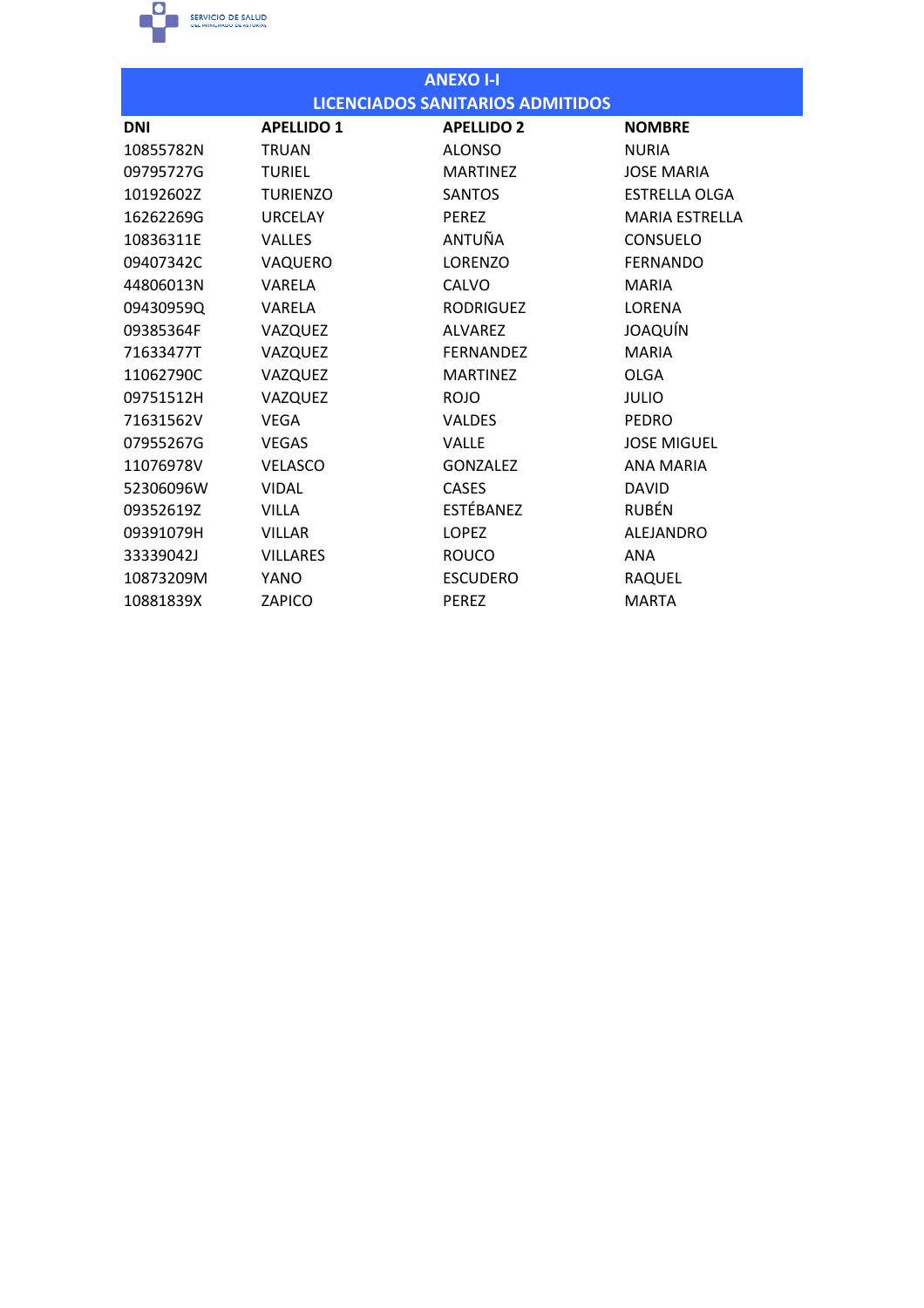

| <b>ANEXO I-I</b> |                   |                                         |                       |
|------------------|-------------------|-----------------------------------------|-----------------------|
|                  |                   | <b>LICENCIADOS SANITARIOS ADMITIDOS</b> |                       |
| <b>DNI</b>       | <b>APELLIDO 1</b> | <b>APELLIDO 2</b>                       | <b>NOMBRE</b>         |
| 10855782N        | <b>TRUAN</b>      | <b>ALONSO</b>                           | <b>NURIA</b>          |
| 09795727G        | <b>TURIEL</b>     | <b>MARTINEZ</b>                         | <b>JOSE MARIA</b>     |
| 10192602Z        | <b>TURIENZO</b>   | <b>SANTOS</b>                           | <b>ESTRELLA OLGA</b>  |
| 16262269G        | <b>URCELAY</b>    | <b>PEREZ</b>                            | <b>MARIA ESTRELLA</b> |
| 10836311E        | <b>VALLES</b>     | ANTUÑA                                  | <b>CONSUELO</b>       |
| 09407342C        | VAQUERO           | <b>LORENZO</b>                          | <b>FERNANDO</b>       |
| 44806013N        | VARELA            | <b>CALVO</b>                            | <b>MARIA</b>          |
| 09430959Q        | VARELA            | <b>RODRIGUEZ</b>                        | LORENA                |
| 09385364F        | VAZQUEZ           | <b>ALVAREZ</b>                          | JOAQUÍN               |
| 71633477T        | VAZQUEZ           | <b>FERNANDEZ</b>                        | <b>MARIA</b>          |
| 11062790C        | VAZQUEZ           | <b>MARTINEZ</b>                         | <b>OLGA</b>           |
| 09751512H        | VAZQUEZ           | <b>ROJO</b>                             | <b>JULIO</b>          |
| 71631562V        | <b>VEGA</b>       | <b>VALDES</b>                           | <b>PEDRO</b>          |
| 07955267G        | <b>VEGAS</b>      | <b>VALLE</b>                            | <b>JOSE MIGUEL</b>    |
| 11076978V        | <b>VELASCO</b>    | <b>GONZALEZ</b>                         | <b>ANA MARIA</b>      |
| 52306096W        | <b>VIDAL</b>      | <b>CASES</b>                            | <b>DAVID</b>          |
| 09352619Z        | <b>VILLA</b>      | ESTÉBANEZ                               | <b>RUBÉN</b>          |
| 09391079H        | <b>VILLAR</b>     | <b>LOPEZ</b>                            | <b>ALEJANDRO</b>      |
| 33339042J        | <b>VILLARES</b>   | <b>ROUCO</b>                            | <b>ANA</b>            |
| 10873209M        | YANO              | <b>ESCUDERO</b>                         | RAQUEL                |
| 10881839X        | ZAPICO            | <b>PEREZ</b>                            | <b>MARTA</b>          |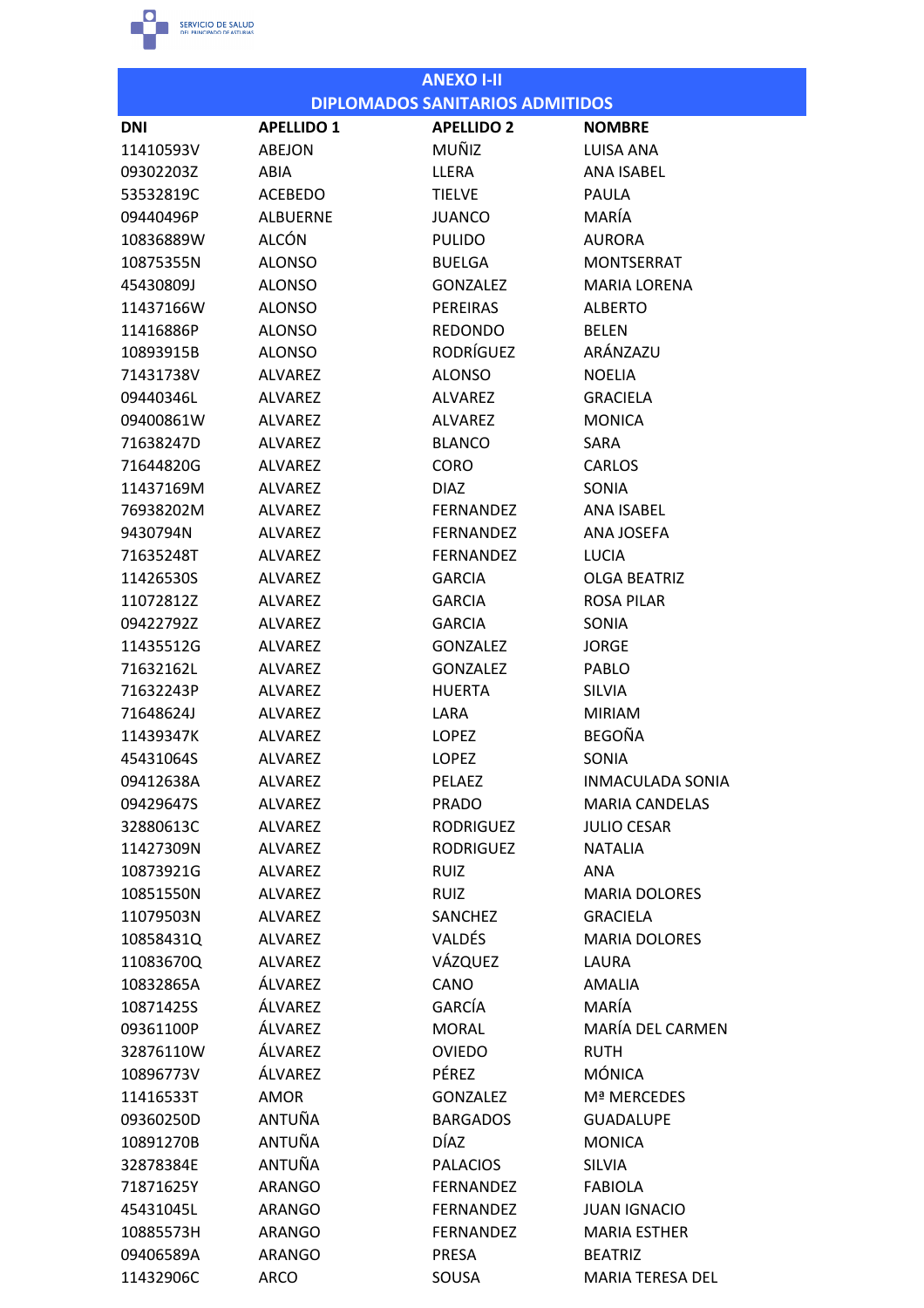

|                        |                         | <b>ANEXO I-II</b>                      |                                 |
|------------------------|-------------------------|----------------------------------------|---------------------------------|
|                        |                         | <b>DIPLOMADOS SANITARIOS ADMITIDOS</b> |                                 |
| <b>DNI</b>             | <b>APELLIDO 1</b>       | <b>APELLIDO 2</b>                      | <b>NOMBRE</b>                   |
| 11410593V              | ABEJON                  | MUÑIZ                                  | LUISA ANA                       |
| 09302203Z              | ABIA                    | LLERA                                  | <b>ANA ISABEL</b>               |
| 53532819C              | <b>ACEBEDO</b>          | <b>TIELVE</b>                          | PAULA                           |
| 09440496P              | <b>ALBUERNE</b>         | <b>JUANCO</b>                          | MARÍA                           |
| 10836889W              | <b>ALCÓN</b>            | <b>PULIDO</b>                          | <b>AURORA</b>                   |
| 10875355N              | <b>ALONSO</b>           | <b>BUELGA</b>                          | <b>MONTSERRAT</b>               |
| 45430809J              | <b>ALONSO</b>           | <b>GONZALEZ</b>                        | <b>MARIA LORENA</b>             |
| 11437166W              | <b>ALONSO</b>           | <b>PEREIRAS</b>                        | <b>ALBERTO</b>                  |
| 11416886P              | <b>ALONSO</b>           | <b>REDONDO</b>                         | <b>BELEN</b>                    |
| 10893915B              | <b>ALONSO</b>           | RODRÍGUEZ                              | ARÁNZAZU                        |
| 71431738V              | <b>ALVAREZ</b>          | <b>ALONSO</b>                          | <b>NOELIA</b>                   |
| 09440346L              | ALVAREZ                 | ALVAREZ                                | <b>GRACIFLA</b>                 |
| 09400861W              | <b>ALVAREZ</b>          | <b>ALVAREZ</b>                         | <b>MONICA</b>                   |
| 71638247D              | <b>ALVAREZ</b>          | <b>BLANCO</b>                          | SARA                            |
| 71644820G              | <b>ALVARFZ</b>          | <b>CORO</b>                            | <b>CARLOS</b>                   |
| 11437169M              | <b>ALVAREZ</b>          | <b>DIAZ</b>                            | <b>SONIA</b>                    |
| 76938202M              | <b>ALVAREZ</b>          | <b>FERNANDEZ</b>                       | <b>ANA ISABEL</b>               |
| 9430794N               | <b>ALVAREZ</b>          | <b>FERNANDEZ</b>                       | <b>ANA JOSEFA</b>               |
| 71635248T              | <b>ALVAREZ</b>          | <b>FERNANDEZ</b>                       | <b>LUCIA</b>                    |
| 11426530S              | <b>ALVAREZ</b>          | <b>GARCIA</b>                          | <b>OLGA BEATRIZ</b>             |
| 11072812Z              | <b>ALVAREZ</b>          | <b>GARCIA</b>                          | <b>ROSA PILAR</b>               |
| 09422792Z              | <b>ALVAREZ</b>          | <b>GARCIA</b>                          | SONIA                           |
| 11435512G              | <b>ALVAREZ</b>          | <b>GONZALEZ</b>                        | <b>JORGE</b>                    |
| 71632162L              | <b>ALVAREZ</b>          | <b>GONZALEZ</b>                        | PABLO                           |
| 71632243P              | <b>ALVAREZ</b>          | <b>HUERTA</b>                          | <b>SILVIA</b>                   |
| 71648624J              | <b>ALVAREZ</b>          | LARA                                   | <b>MIRIAM</b>                   |
| 11439347K              | <b>ALVAREZ</b>          | <b>LOPEZ</b>                           | <b>BEGOÑA</b>                   |
| 45431064S              | <b>ALVAREZ</b>          | LOPEZ                                  | SONIA                           |
| 09412638A              | <b>ALVAREZ</b>          | <b>PELAEZ</b>                          | <b>INMACULADA SONIA</b>         |
| 09429647S              | <b>ALVAREZ</b>          | PRADO                                  | <b>MARIA CANDELAS</b>           |
| 32880613C              | <b>ALVAREZ</b>          | <b>RODRIGUEZ</b>                       | <b>JULIO CESAR</b>              |
| 11427309N              | <b>ALVAREZ</b>          | <b>RODRIGUEZ</b>                       | <b>NATALIA</b>                  |
| 10873921G              | <b>ALVAREZ</b>          | <b>RUIZ</b>                            | ANA                             |
| 10851550N              | <b>ALVAREZ</b>          | <b>RUIZ</b>                            | <b>MARIA DOLORES</b>            |
| 11079503N              | <b>ALVAREZ</b>          | SANCHEZ                                | <b>GRACIELA</b>                 |
| 10858431Q              | <b>ALVAREZ</b>          | VALDÉS                                 | <b>MARIA DOLORES</b>            |
| 11083670Q              | <b>ALVAREZ</b>          | VÁZQUEZ                                | LAURA                           |
| 10832865A              | ÁLVAREZ                 | CANO                                   | <b>AMALIA</b>                   |
| 10871425S              | ÁLVAREZ                 | GARCÍA                                 | MARÍA                           |
| 09361100P              | ÁLVAREZ                 | <b>MORAL</b>                           | MARÍA DEL CARMEN                |
| 32876110W              | ÁLVAREZ                 | <b>OVIEDO</b>                          | <b>RUTH</b>                     |
| 10896773V              | ÁLVAREZ                 | PÉREZ                                  | <b>MÓNICA</b>                   |
| 11416533T              | AMOR                    | <b>GONZALEZ</b>                        | Mª MERCEDES                     |
| 09360250D              | ANTUÑA                  | <b>BARGADOS</b>                        | <b>GUADALUPE</b>                |
| 10891270B              | ANTUÑA                  | DÍAZ                                   | <b>MONICA</b>                   |
|                        |                         |                                        |                                 |
| 32878384E<br>71871625Y | ANTUÑA<br><b>ARANGO</b> | <b>PALACIOS</b><br><b>FERNANDEZ</b>    | <b>SILVIA</b><br><b>FABIOLA</b> |
| 45431045L              |                         |                                        |                                 |
|                        | <b>ARANGO</b>           | <b>FERNANDEZ</b>                       | <b>JUAN IGNACIO</b>             |
| 10885573H              | <b>ARANGO</b>           | <b>FERNANDEZ</b>                       | <b>MARIA ESTHER</b>             |
| 09406589A              | ARANGO                  | <b>PRESA</b>                           | <b>BEATRIZ</b>                  |
| 11432906C              | ARCO                    | SOUSA                                  | MARIA TERESA DEL                |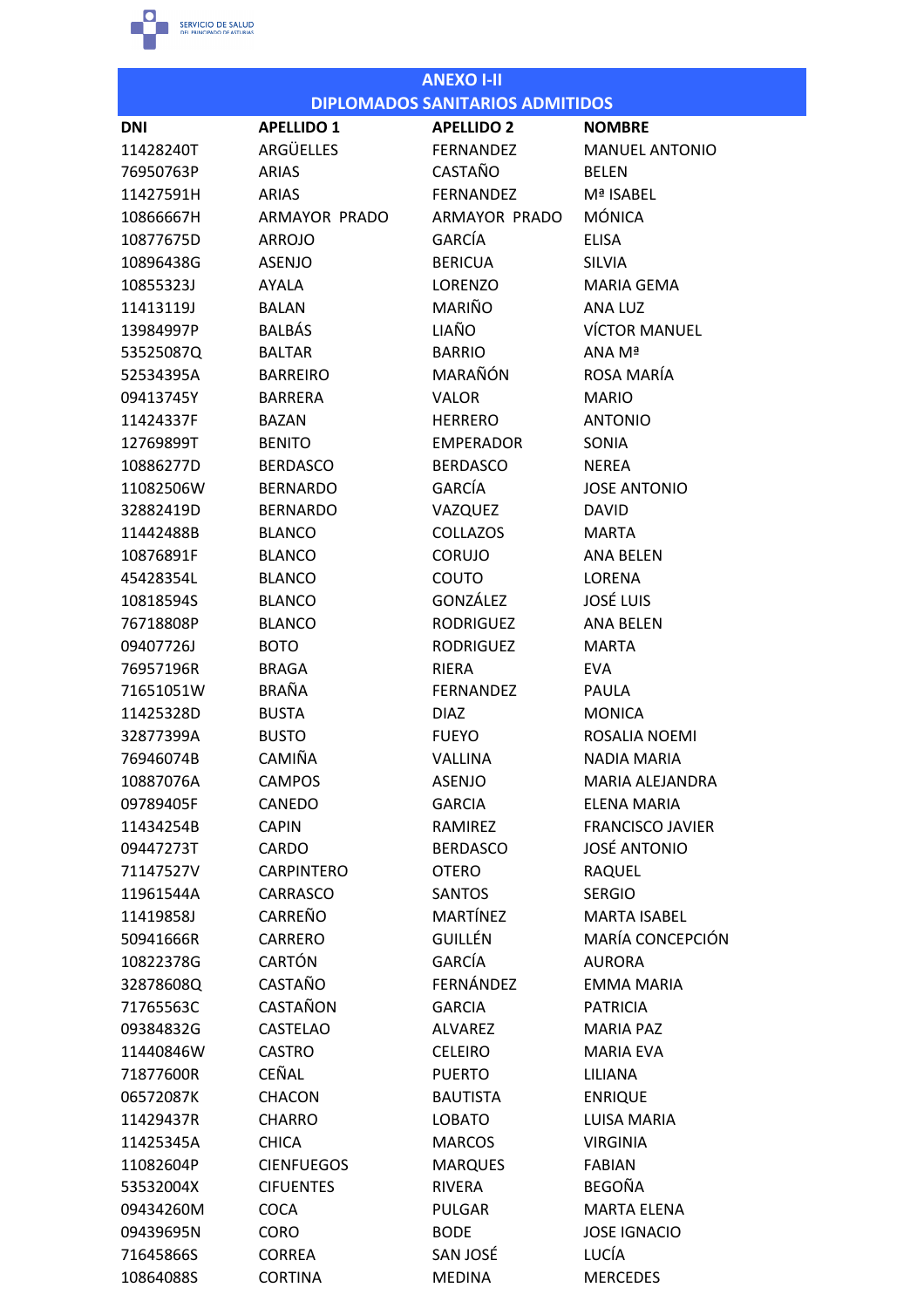

| <b>ANEXO I-II</b> |                      |                                        |                         |
|-------------------|----------------------|----------------------------------------|-------------------------|
|                   |                      | <b>DIPLOMADOS SANITARIOS ADMITIDOS</b> |                         |
| <b>DNI</b>        | <b>APELLIDO 1</b>    | <b>APELLIDO 2</b>                      | <b>NOMBRE</b>           |
| 11428240T         | <b>ARGÜELLES</b>     | <b>FERNANDEZ</b>                       | <b>MANUEL ANTONIO</b>   |
| 76950763P         | <b>ARIAS</b>         | CASTAÑO                                | <b>BFLFN</b>            |
| 11427591H         | <b>ARIAS</b>         | <b>FERNANDEZ</b>                       | Mª ISABEL               |
| 10866667H         | <b>ARMAYOR PRADO</b> | ARMAYOR PRADO                          | <b>MÓNICA</b>           |
| 10877675D         | <b>ARROJO</b>        | GARCÍA                                 | <b>ELISA</b>            |
| 10896438G         | <b>ASENJO</b>        | <b>BERICUA</b>                         | <b>SILVIA</b>           |
| 10855323J         | AYALA                | <b>LORENZO</b>                         | <b>MARIA GEMA</b>       |
| 11413119J         | <b>BALAN</b>         | MARIÑO                                 | ANA LUZ                 |
| 13984997P         | <b>BALBÁS</b>        | LIAÑO                                  | <b>VÍCTOR MANUEL</b>    |
| 53525087Q         | <b>BALTAR</b>        | <b>BARRIO</b>                          | ANA Mª                  |
| 52534395A         | <b>BARREIRO</b>      | MARAÑÓN                                | ROSA MARÍA              |
| 09413745Y         | <b>BARRERA</b>       | <b>VALOR</b>                           | <b>MARIO</b>            |
| 11424337F         | <b>BAZAN</b>         | <b>HERRERO</b>                         | <b>ANTONIO</b>          |
| 12769899T         | <b>BENITO</b>        | <b>EMPERADOR</b>                       | SONIA                   |
| 10886277D         | <b>BERDASCO</b>      | <b>BERDASCO</b>                        | <b>NEREA</b>            |
| 11082506W         | <b>BERNARDO</b>      | GARCÍA                                 | <b>JOSE ANTONIO</b>     |
| 32882419D         | <b>BERNARDO</b>      | VAZQUEZ                                | <b>DAVID</b>            |
| 11442488B         | <b>BLANCO</b>        | <b>COLLAZOS</b>                        | <b>MARTA</b>            |
| 10876891F         | <b>BLANCO</b>        | <b>CORUJO</b>                          | <b>ANA BELEN</b>        |
| 45428354L         | <b>BLANCO</b>        | COUTO                                  | <b>LORENA</b>           |
| 10818594S         | <b>BLANCO</b>        | GONZÁLEZ                               | <b>JOSÉ LUIS</b>        |
| 76718808P         | <b>BLANCO</b>        | <b>RODRIGUEZ</b>                       | <b>ANA BELEN</b>        |
| 09407726J         | <b>BOTO</b>          | <b>RODRIGUEZ</b>                       | <b>MARTA</b>            |
| 76957196R         | <b>BRAGA</b>         | RIERA                                  | <b>EVA</b>              |
| 71651051W         | <b>BRAÑA</b>         | <b>FERNANDEZ</b>                       | PAULA                   |
| 11425328D         | <b>BUSTA</b>         | <b>DIAZ</b>                            | <b>MONICA</b>           |
| 32877399A         | <b>BUSTO</b>         | <b>FUEYO</b>                           | ROSALIA NOEMI           |
| 76946074B         | CAMIÑA               | <b>VALLINA</b>                         | <b>NADIA MARIA</b>      |
| 10887076A         | <b>CAMPOS</b>        | <b>ASENJO</b>                          | MARIA ALEJANDRA         |
| 09789405F         | CANEDO               | <b>GARCIA</b>                          | ELENA MARIA             |
| 11434254B         | <b>CAPIN</b>         | RAMIREZ                                | <b>FRANCISCO JAVIER</b> |
| 09447273T         | CARDO                | <b>BERDASCO</b>                        | <b>JOSÉ ANTONIO</b>     |
| 71147527V         | <b>CARPINTERO</b>    | <b>OTERO</b>                           | <b>RAQUEL</b>           |
| 11961544A         | CARRASCO             | <b>SANTOS</b>                          | <b>SERGIO</b>           |
| 11419858J         | CARREÑO              | <b>MARTÍNEZ</b>                        | <b>MARTA ISABEL</b>     |
| 50941666R         | <b>CARRERO</b>       | <b>GUILLÉN</b>                         | MARÍA CONCEPCIÓN        |
| 10822378G         | <b>CARTÓN</b>        | GARCÍA                                 | <b>AURORA</b>           |
| 32878608Q         | CASTAÑO              | FERNÁNDEZ                              | <b>EMMA MARIA</b>       |
| 71765563C         | CASTAÑON             | <b>GARCIA</b>                          | <b>PATRICIA</b>         |
| 09384832G         | <b>CASTELAO</b>      | ALVAREZ                                | <b>MARIA PAZ</b>        |
| 11440846W         | <b>CASTRO</b>        | <b>CELEIRO</b>                         | <b>MARIA EVA</b>        |
| 71877600R         | CEÑAL                | <b>PUERTO</b>                          | LILIANA                 |
| 06572087K         | <b>CHACON</b>        | <b>BAUTISTA</b>                        | <b>ENRIQUE</b>          |
| 11429437R         | <b>CHARRO</b>        | <b>LOBATO</b>                          | <b>LUISA MARIA</b>      |
| 11425345A         | <b>CHICA</b>         | <b>MARCOS</b>                          | <b>VIRGINIA</b>         |
| 11082604P         | <b>CIENFUEGOS</b>    | <b>MARQUES</b>                         | <b>FABIAN</b>           |
| 53532004X         | <b>CIFUENTES</b>     | <b>RIVERA</b>                          | <b>BEGOÑA</b>           |
| 09434260M         | <b>COCA</b>          | <b>PULGAR</b>                          | <b>MARTA ELENA</b>      |
| 09439695N         | <b>CORO</b>          | <b>BODE</b>                            | <b>JOSE IGNACIO</b>     |
| 71645866S         | <b>CORREA</b>        | SAN JOSÉ                               | LUCÍA                   |
| 10864088S         | <b>CORTINA</b>       | <b>MEDINA</b>                          | <b>MERCEDES</b>         |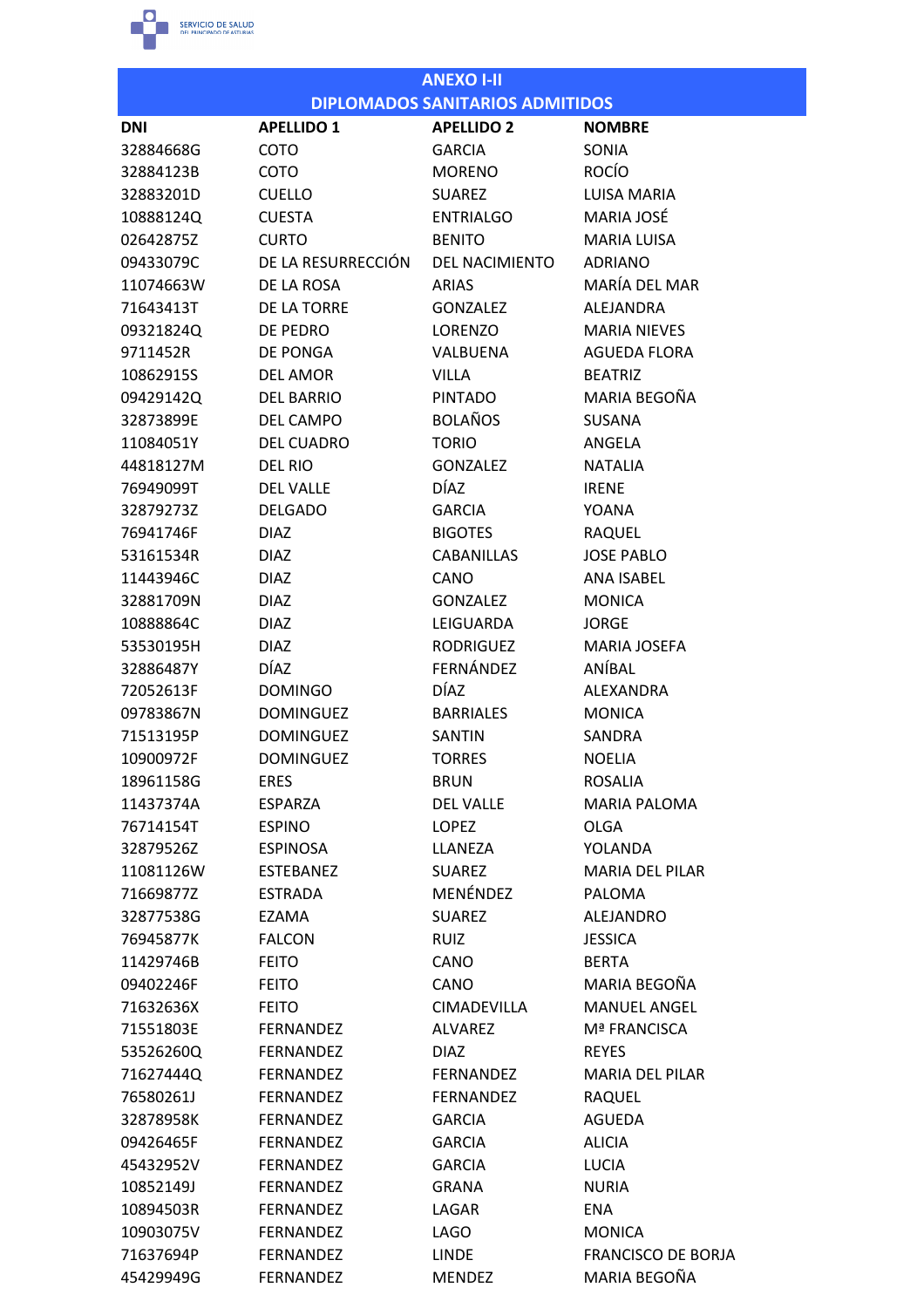

|            |                    | <b>ANEXO I-II</b>                      |                           |
|------------|--------------------|----------------------------------------|---------------------------|
|            |                    | <b>DIPLOMADOS SANITARIOS ADMITIDOS</b> |                           |
| <b>DNI</b> | <b>APELLIDO 1</b>  | <b>APELLIDO 2</b>                      | <b>NOMBRE</b>             |
| 32884668G  | <b>COTO</b>        | <b>GARCIA</b>                          | SONIA                     |
| 32884123B  | COTO               | <b>MORENO</b>                          | <b>ROCÍO</b>              |
| 32883201D  | <b>CUELLO</b>      | <b>SUAREZ</b>                          | <b>LUISA MARIA</b>        |
| 10888124Q  | <b>CUESTA</b>      | <b>ENTRIALGO</b>                       | MARIA JOSÉ                |
| 02642875Z  | <b>CURTO</b>       | <b>BENITO</b>                          | <b>MARIA LUISA</b>        |
| 09433079C  | DE LA RESURRECCIÓN | <b>DEL NACIMIENTO</b>                  | <b>ADRIANO</b>            |
| 11074663W  | DF LA ROSA         | <b>ARIAS</b>                           | MARÍA DEL MAR             |
| 71643413T  | DE LA TORRE        | <b>GONZALEZ</b>                        | <b>ALEJANDRA</b>          |
| 09321824Q  | DE PEDRO           | LORENZO                                | <b>MARIA NIEVES</b>       |
| 9711452R   | <b>DE PONGA</b>    | VALBUENA                               | <b>AGUEDA FLORA</b>       |
| 10862915S  | <b>DEL AMOR</b>    | <b>VILLA</b>                           | <b>BEATRIZ</b>            |
| 09429142Q  | <b>DEL BARRIO</b>  | <b>PINTADO</b>                         | MARIA BEGOÑA              |
| 32873899E  | <b>DEL CAMPO</b>   | <b>BOLAÑOS</b>                         | <b>SUSANA</b>             |
| 11084051Y  | <b>DEL CUADRO</b>  | <b>TORIO</b>                           | ANGELA                    |
| 44818127M  | <b>DEL RIO</b>     | <b>GONZALEZ</b>                        | <b>NATALIA</b>            |
| 76949099T  | <b>DEL VALLE</b>   | <b>DÍAZ</b>                            | <b>IRENE</b>              |
| 32879273Z  | <b>DELGADO</b>     | <b>GARCIA</b>                          | YOANA                     |
| 76941746F  | <b>DIAZ</b>        | <b>BIGOTES</b>                         | <b>RAQUEL</b>             |
| 53161534R  | <b>DIAZ</b>        | <b>CABANILLAS</b>                      | <b>JOSE PABLO</b>         |
| 11443946C  | <b>DIAZ</b>        | CANO                                   | <b>ANA ISABEL</b>         |
| 32881709N  | <b>DIAZ</b>        | <b>GONZALEZ</b>                        | <b>MONICA</b>             |
| 10888864C  | <b>DIAZ</b>        | LEIGUARDA                              | <b>JORGE</b>              |
| 53530195H  | <b>DIAZ</b>        | <b>RODRIGUEZ</b>                       | <b>MARIA JOSEFA</b>       |
| 32886487Y  | <b>DÍAZ</b>        | FERNÁNDEZ                              | ANÍBAL                    |
| 72052613F  | <b>DOMINGO</b>     | <b>DÍAZ</b>                            | ALEXANDRA                 |
| 09783867N  | <b>DOMINGUEZ</b>   | <b>BARRIALES</b>                       | <b>MONICA</b>             |
| 71513195P  | <b>DOMINGUEZ</b>   | <b>SANTIN</b>                          | SANDRA                    |
| 10900972F  | <b>DOMINGUEZ</b>   | <b>TORRES</b>                          | <b>NOELIA</b>             |
| 18961158G  | <b>ERES</b>        | <b>BRUN</b>                            | ROSALIA                   |
| 11437374A  | <b>ESPARZA</b>     | <b>DEL VALLE</b>                       | <b>MARIA PALOMA</b>       |
| 76714154T  | <b>ESPINO</b>      | <b>LOPEZ</b>                           | <b>OLGA</b>               |
| 32879526Z  | <b>ESPINOSA</b>    | LLANEZA                                | YOLANDA                   |
| 11081126W  | <b>ESTEBANEZ</b>   | <b>SUAREZ</b>                          | <b>MARIA DEL PILAR</b>    |
| 71669877Z  | <b>ESTRADA</b>     | MENÉNDEZ                               | <b>PALOMA</b>             |
| 32877538G  | EZAMA              | <b>SUAREZ</b>                          | ALEJANDRO                 |
| 76945877K  | <b>FALCON</b>      | <b>RUIZ</b>                            | <b>JESSICA</b>            |
| 11429746B  | <b>FEITO</b>       | CANO                                   | <b>BERTA</b>              |
| 09402246F  | <b>FEITO</b>       | CANO                                   | MARIA BEGOÑA              |
| 71632636X  | <b>FEITO</b>       | CIMADEVILLA                            | <b>MANUEL ANGEL</b>       |
| 71551803E  | <b>FERNANDEZ</b>   | <b>ALVAREZ</b>                         | Mª FRANCISCA              |
| 53526260Q  | <b>FERNANDEZ</b>   | <b>DIAZ</b>                            | <b>REYES</b>              |
| 71627444Q  | FERNANDEZ          | <b>FERNANDEZ</b>                       | <b>MARIA DEL PILAR</b>    |
| 76580261J  | <b>FERNANDEZ</b>   | <b>FERNANDEZ</b>                       | RAQUEL                    |
| 32878958K  | <b>FERNANDEZ</b>   | <b>GARCIA</b>                          | AGUEDA                    |
| 09426465F  | <b>FERNANDEZ</b>   | <b>GARCIA</b>                          | <b>ALICIA</b>             |
| 45432952V  | <b>FERNANDEZ</b>   | <b>GARCIA</b>                          | <b>LUCIA</b>              |
| 10852149J  | <b>FERNANDEZ</b>   | <b>GRANA</b>                           | <b>NURIA</b>              |
| 10894503R  | FERNANDEZ          | LAGAR                                  | ENA                       |
| 10903075V  | <b>FERNANDEZ</b>   | LAGO                                   | <b>MONICA</b>             |
| 71637694P  | <b>FERNANDEZ</b>   | LINDE                                  | <b>FRANCISCO DE BORJA</b> |
| 45429949G  | FERNANDEZ          | <b>MENDEZ</b>                          | MARIA BEGOÑA              |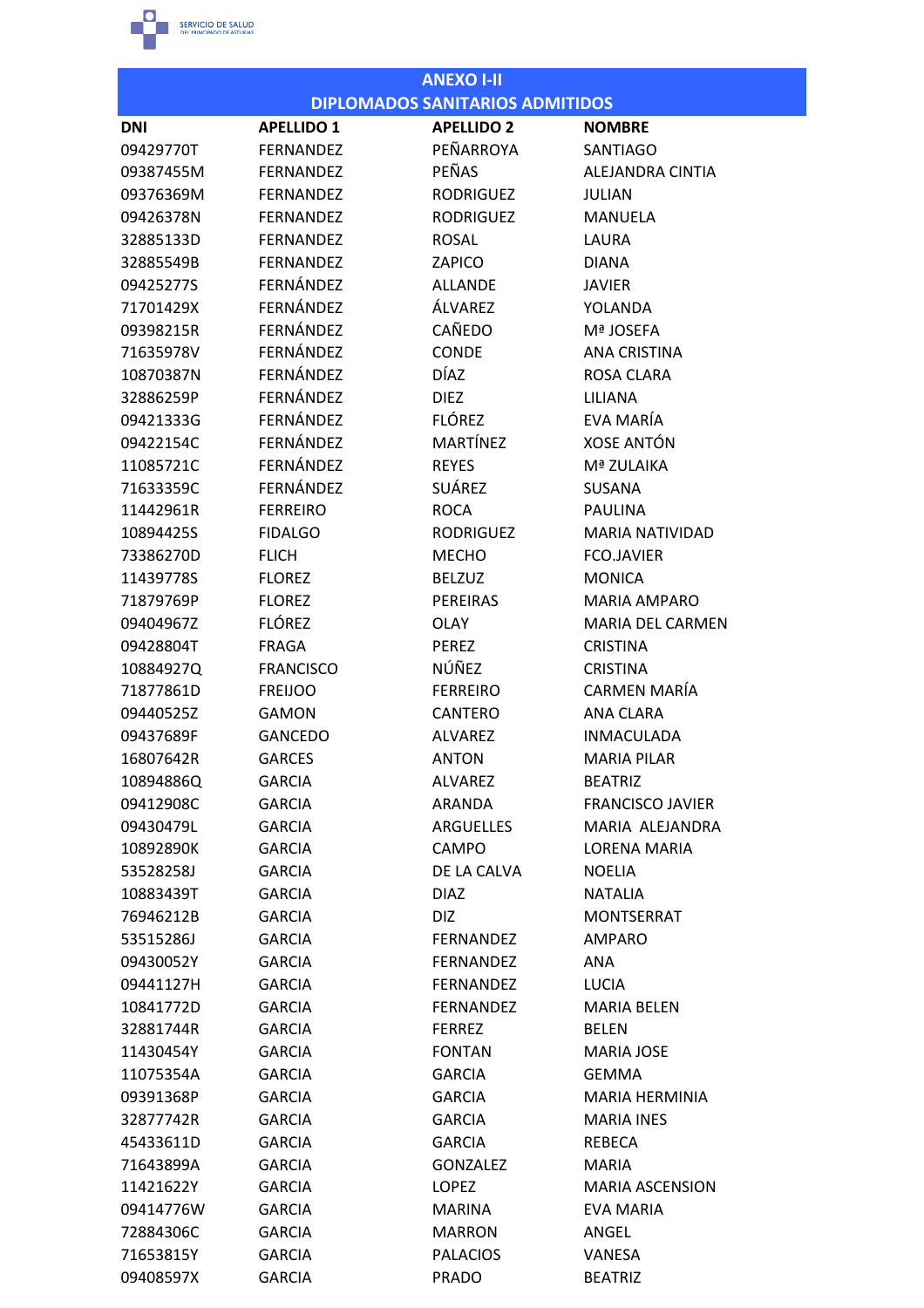

|                        |                   | <b>ANEXO I-II</b>                      |                                |
|------------------------|-------------------|----------------------------------------|--------------------------------|
|                        |                   | <b>DIPLOMADOS SANITARIOS ADMITIDOS</b> |                                |
| <b>DNI</b>             | <b>APELLIDO 1</b> | <b>APELLIDO 2</b>                      | <b>NOMBRE</b>                  |
| 09429770T              | <b>FERNANDEZ</b>  | PEÑARROYA                              | <b>SANTIAGO</b>                |
| 09387455M              | <b>FERNANDEZ</b>  | PEÑAS                                  | ALEJANDRA CINTIA               |
| 09376369M              | <b>FERNANDEZ</b>  | <b>RODRIGUEZ</b>                       | <b>JULIAN</b>                  |
| 09426378N              | <b>FERNANDEZ</b>  | <b>RODRIGUEZ</b>                       | <b>MANUELA</b>                 |
| 32885133D              | <b>FERNANDEZ</b>  | <b>ROSAL</b>                           | LAURA                          |
| 32885549B              | <b>FERNANDEZ</b>  | ZAPICO                                 | <b>DIANA</b>                   |
| 09425277S              | FERNÁNDEZ         | <b>ALLANDE</b>                         | <b>JAVIER</b>                  |
| 71701429X              | FERNÁNDEZ         | ÁLVAREZ                                | YOLANDA                        |
| 09398215R              | FERNÁNDEZ         | CAÑEDO                                 | Mª JOSEFA                      |
| 71635978V              | FERNÁNDEZ         | <b>CONDE</b>                           | <b>ANA CRISTINA</b>            |
| 10870387N              | FERNÁNDEZ         | <b>DÍAZ</b>                            | <b>ROSA CLARA</b>              |
| 32886259P              | FERNÁNDEZ         | <b>DIEZ</b>                            | LILIANA                        |
| 09421333G              | FERNÁNDEZ         | <b>FLÓREZ</b>                          | EVA MARÍA                      |
| 09422154C              | FERNÁNDEZ         | MARTÍNEZ                               | <b>XOSE ANTÓN</b>              |
| 11085721C              | FERNÁNDEZ         | <b>REYES</b>                           | Mª ZULAIKA                     |
| 71633359C              | FERNÁNDEZ         | <b>SUÁREZ</b>                          | <b>SUSANA</b>                  |
| 11442961R              | <b>FERREIRO</b>   | <b>ROCA</b>                            | <b>PAULINA</b>                 |
| 10894425S              | <b>FIDALGO</b>    | <b>RODRIGUEZ</b>                       | <b>MARIA NATIVIDAD</b>         |
| 73386270D              | <b>FLICH</b>      | <b>MECHO</b>                           | <b>FCO.JAVIER</b>              |
| 11439778S              | <b>FLOREZ</b>     | <b>BELZUZ</b>                          | <b>MONICA</b>                  |
| 71879769P              | <b>FLOREZ</b>     | PEREIRAS                               | <b>MARIA AMPARO</b>            |
| 09404967Z              | <b>FLÓREZ</b>     | <b>OLAY</b>                            | <b>MARIA DEL CARMEN</b>        |
| 09428804T              | <b>FRAGA</b>      | <b>PEREZ</b>                           | <b>CRISTINA</b>                |
| 10884927Q              | <b>FRANCISCO</b>  | NÚÑEZ                                  | <b>CRISTINA</b>                |
| 71877861D              | <b>FREIJOO</b>    | <b>FERREIRO</b>                        | CARMEN MARÍA                   |
|                        |                   |                                        |                                |
| 09440525Z<br>09437689F | <b>GAMON</b>      | <b>CANTERO</b><br><b>ALVAREZ</b>       | ANA CLARA<br><b>INMACULADA</b> |
|                        | <b>GANCEDO</b>    | <b>ANTON</b>                           | <b>MARIA PILAR</b>             |
| 16807642R              | <b>GARCES</b>     |                                        |                                |
| 10894886Q<br>09412908C | <b>GARCIA</b>     | ALVAREZ                                | <b>BEATRIZ</b>                 |
|                        | <b>GARCIA</b>     | ARANDA<br><b>ARGUELLES</b>             | <b>FRANCISCO JAVIER</b>        |
| 09430479L              | <b>GARCIA</b>     |                                        | MARIA ALEJANDRA                |
| 10892890K              | <b>GARCIA</b>     | <b>CAMPO</b>                           | LORENA MARIA                   |
| 53528258J              | <b>GARCIA</b>     | DE LA CALVA                            | <b>NOELIA</b>                  |
| 10883439T              | <b>GARCIA</b>     | <b>DIAZ</b>                            | <b>NATALIA</b>                 |
| 76946212B              | <b>GARCIA</b>     | DIZ                                    | <b>MONTSERRAT</b>              |
| 53515286J              | <b>GARCIA</b>     | <b>FERNANDEZ</b>                       | AMPARO                         |
| 09430052Y              | <b>GARCIA</b>     | <b>FERNANDEZ</b>                       | ANA                            |
| 09441127H              | <b>GARCIA</b>     | <b>FERNANDEZ</b>                       | LUCIA                          |
| 10841772D              | <b>GARCIA</b>     | <b>FERNANDEZ</b>                       | <b>MARIA BELEN</b>             |
| 32881744R              | <b>GARCIA</b>     | <b>FERREZ</b>                          | <b>BELEN</b>                   |
| 11430454Y              | <b>GARCIA</b>     | <b>FONTAN</b>                          | <b>MARIA JOSE</b>              |
| 11075354A              | <b>GARCIA</b>     | <b>GARCIA</b>                          | GEMMA                          |
| 09391368P              | <b>GARCIA</b>     | <b>GARCIA</b>                          | MARIA HERMINIA                 |
| 32877742R              | <b>GARCIA</b>     | <b>GARCIA</b>                          | <b>MARIA INES</b>              |
| 45433611D              | <b>GARCIA</b>     | <b>GARCIA</b>                          | REBECA                         |
| 71643899A              | <b>GARCIA</b>     | <b>GONZALEZ</b>                        | <b>MARIA</b>                   |
| 11421622Y              | <b>GARCIA</b>     | LOPEZ                                  | <b>MARIA ASCENSION</b>         |
| 09414776W              | <b>GARCIA</b>     | MARINA                                 | EVA MARIA                      |
| 72884306C              | <b>GARCIA</b>     | <b>MARRON</b>                          | ANGEL                          |
| 71653815Y              | <b>GARCIA</b>     | <b>PALACIOS</b>                        | VANESA                         |
| 09408597X              | <b>GARCIA</b>     | <b>PRADO</b>                           | <b>BEATRIZ</b>                 |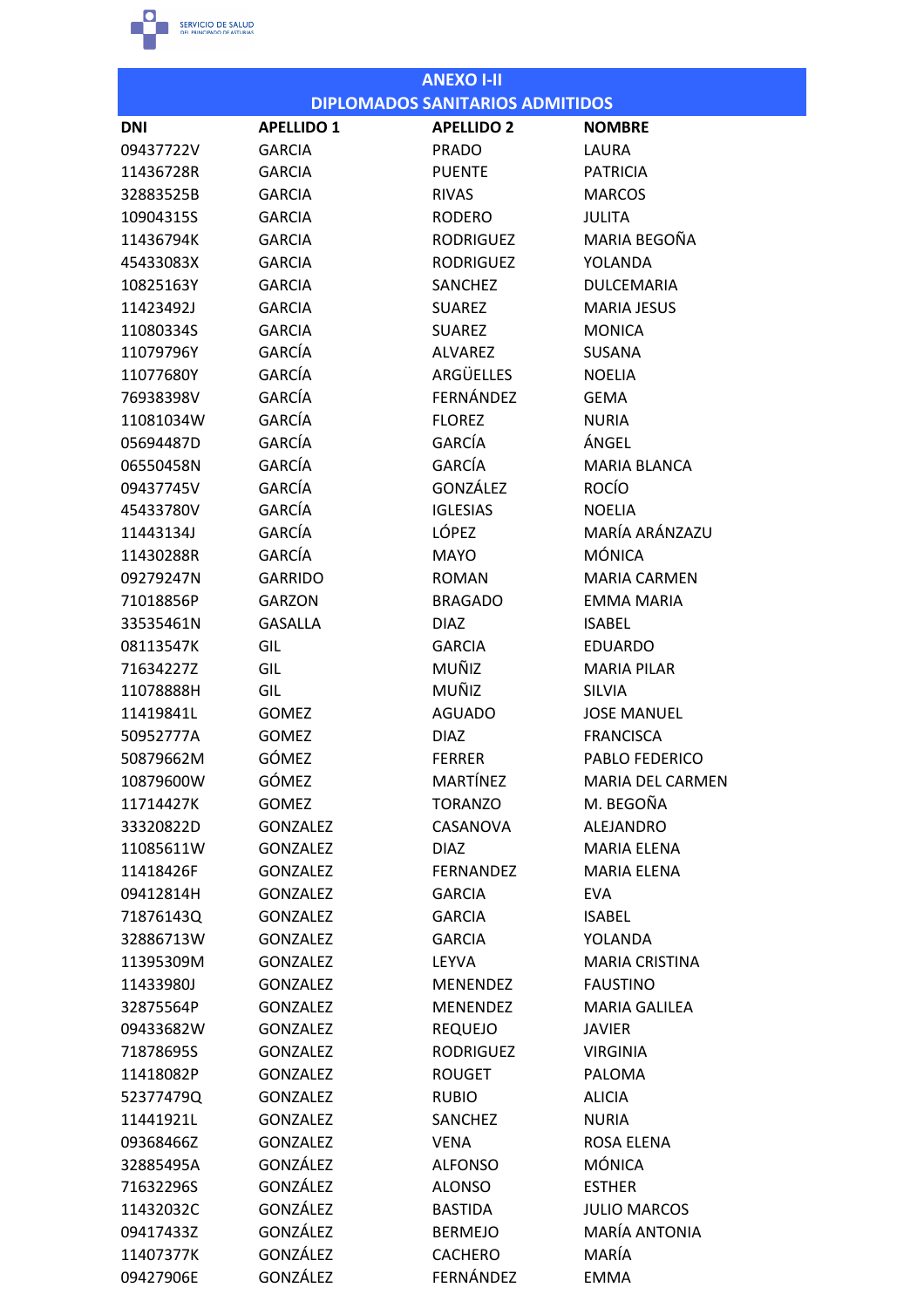

|                        |                                    | <b>ANEXO I-II</b>                      |                             |
|------------------------|------------------------------------|----------------------------------------|-----------------------------|
|                        |                                    | <b>DIPLOMADOS SANITARIOS ADMITIDOS</b> |                             |
| <b>DNI</b>             | <b>APELLIDO 1</b>                  | <b>APELLIDO 2</b>                      | <b>NOMBRE</b>               |
| 09437722V              | <b>GARCIA</b>                      | <b>PRADO</b>                           | LAURA                       |
| 11436728R              | <b>GARCIA</b>                      | <b>PUENTE</b>                          | <b>PATRICIA</b>             |
| 32883525B              | <b>GARCIA</b>                      | <b>RIVAS</b>                           | <b>MARCOS</b>               |
| 10904315S              | <b>GARCIA</b>                      | <b>RODERO</b>                          | <b>JULITA</b>               |
| 11436794K              | <b>GARCIA</b>                      | <b>RODRIGUEZ</b>                       | MARIA BEGOÑA                |
| 45433083X              | <b>GARCIA</b>                      | <b>RODRIGUEZ</b>                       | YOLANDA                     |
| 10825163Y              | <b>GARCIA</b>                      | SANCHEZ                                | <b>DULCEMARIA</b>           |
| 11423492J              | <b>GARCIA</b>                      | <b>SUAREZ</b>                          | <b>MARIA JESUS</b>          |
| 11080334S              | <b>GARCIA</b>                      | <b>SUAREZ</b>                          | <b>MONICA</b>               |
| 11079796Y              | GARCÍA                             | <b>ALVAREZ</b>                         | <b>SUSANA</b>               |
| 11077680Y              | GARCÍA                             | ARGÜELLES                              | <b>NOELIA</b>               |
| 76938398V              | GARCÍA                             | FERNÁNDEZ                              | <b>GEMA</b>                 |
| 11081034W              | GARCÍA                             | <b>FLOREZ</b>                          | <b>NURIA</b>                |
| 05694487D              | GARCÍA                             | <b>GARCÍA</b>                          | ÁNGEL                       |
| 06550458N              | GARCÍA                             | GARCÍA                                 | <b>MARIA BLANCA</b>         |
| 09437745V              | GARCÍA                             | GONZÁLEZ                               | <b>ROCÍO</b>                |
| 45433780V              | GARCÍA                             | <b>IGLESIAS</b>                        | <b>NOELIA</b>               |
| 11443134J              | GARCÍA                             | <b>LÓPEZ</b>                           | MARÍA ARÁNZAZU              |
| 11430288R              | GARCÍA                             | <b>MAYO</b>                            | <b>MÓNICA</b>               |
| 09279247N              | <b>GARRIDO</b>                     | <b>ROMAN</b>                           | <b>MARIA CARMEN</b>         |
| 71018856P              | <b>GARZON</b>                      | <b>BRAGADO</b>                         | <b>EMMA MARIA</b>           |
| 33535461N              | <b>GASALLA</b>                     | <b>DIAZ</b>                            | <b>ISABEL</b>               |
| 08113547K              | GIL                                | <b>GARCIA</b>                          | <b>EDUARDO</b>              |
| 71634227Z              | GIL                                | MUÑIZ                                  | <b>MARIA PILAR</b>          |
| 11078888H              | GIL                                | MUÑIZ                                  | <b>SILVIA</b>               |
| 11419841L              | <b>GOMEZ</b>                       | <b>AGUADO</b>                          | <b>JOSE MANUEL</b>          |
| 50952777A              | <b>GOMEZ</b>                       | <b>DIAZ</b>                            | <b>FRANCISCA</b>            |
| 50879662M              | GÓMEZ                              | <b>FERRER</b>                          | PABLO FEDERICO              |
| 10879600W              | GÓMEZ                              | MARTÍNEZ                               | <b>MARIA DEL CARMEN</b>     |
| 11714427K              | GOMEZ                              | <b>TORANZO</b>                         | M. BEGOÑA                   |
| 33320822D              | <b>GONZALEZ</b>                    | CASANOVA                               | <b>ALEJANDRO</b>            |
| 11085611W              | <b>GONZALEZ</b>                    | <b>DIAZ</b>                            | <b>MARIA ELENA</b>          |
|                        | <b>GONZALEZ</b>                    | <b>FERNANDEZ</b>                       | <b>MARIA ELENA</b>          |
| 11418426F<br>09412814H |                                    |                                        |                             |
|                        | <b>GONZALEZ</b><br><b>GONZALEZ</b> | <b>GARCIA</b><br><b>GARCIA</b>         | <b>EVA</b><br><b>ISABEL</b> |
| 71876143Q              |                                    | <b>GARCIA</b>                          |                             |
| 32886713W              | <b>GONZALEZ</b>                    | LEYVA                                  | YOLANDA                     |
| 11395309M              | <b>GONZALEZ</b>                    |                                        | <b>MARIA CRISTINA</b>       |
| 11433980J              | <b>GONZALEZ</b>                    | MENENDEZ                               | <b>FAUSTINO</b>             |
| 32875564P              | <b>GONZALEZ</b>                    | <b>MENENDEZ</b>                        | <b>MARIA GALILEA</b>        |
| 09433682W              | <b>GONZALEZ</b>                    | <b>REQUEJO</b>                         | <b>JAVIER</b>               |
| 71878695S              | <b>GONZALEZ</b>                    | <b>RODRIGUEZ</b>                       | <b>VIRGINIA</b>             |
| 11418082P              | <b>GONZALEZ</b>                    | <b>ROUGET</b>                          | <b>PALOMA</b>               |
| 52377479Q              | GONZALEZ                           | <b>RUBIO</b>                           | <b>ALICIA</b>               |
| 11441921L              | <b>GONZALEZ</b>                    | SANCHEZ                                | <b>NURIA</b>                |
| 09368466Z              | <b>GONZALEZ</b>                    | <b>VENA</b>                            | ROSA ELENA                  |
| 32885495A              | GONZÁLEZ                           | <b>ALFONSO</b>                         | <b>MÓNICA</b>               |
| 71632296S              | GONZÁLEZ                           | <b>ALONSO</b>                          | <b>ESTHER</b>               |
| 11432032C              | GONZÁLEZ                           | <b>BASTIDA</b>                         | <b>JULIO MARCOS</b>         |
| 09417433Z              | GONZÁLEZ                           | <b>BERMEJO</b>                         | <b>MARÍA ANTONIA</b>        |
| 11407377K              | GONZÁLEZ                           | <b>CACHERO</b>                         | MARÍA                       |
| 09427906E              | GONZÁLEZ                           | FERNÁNDEZ                              | <b>EMMA</b>                 |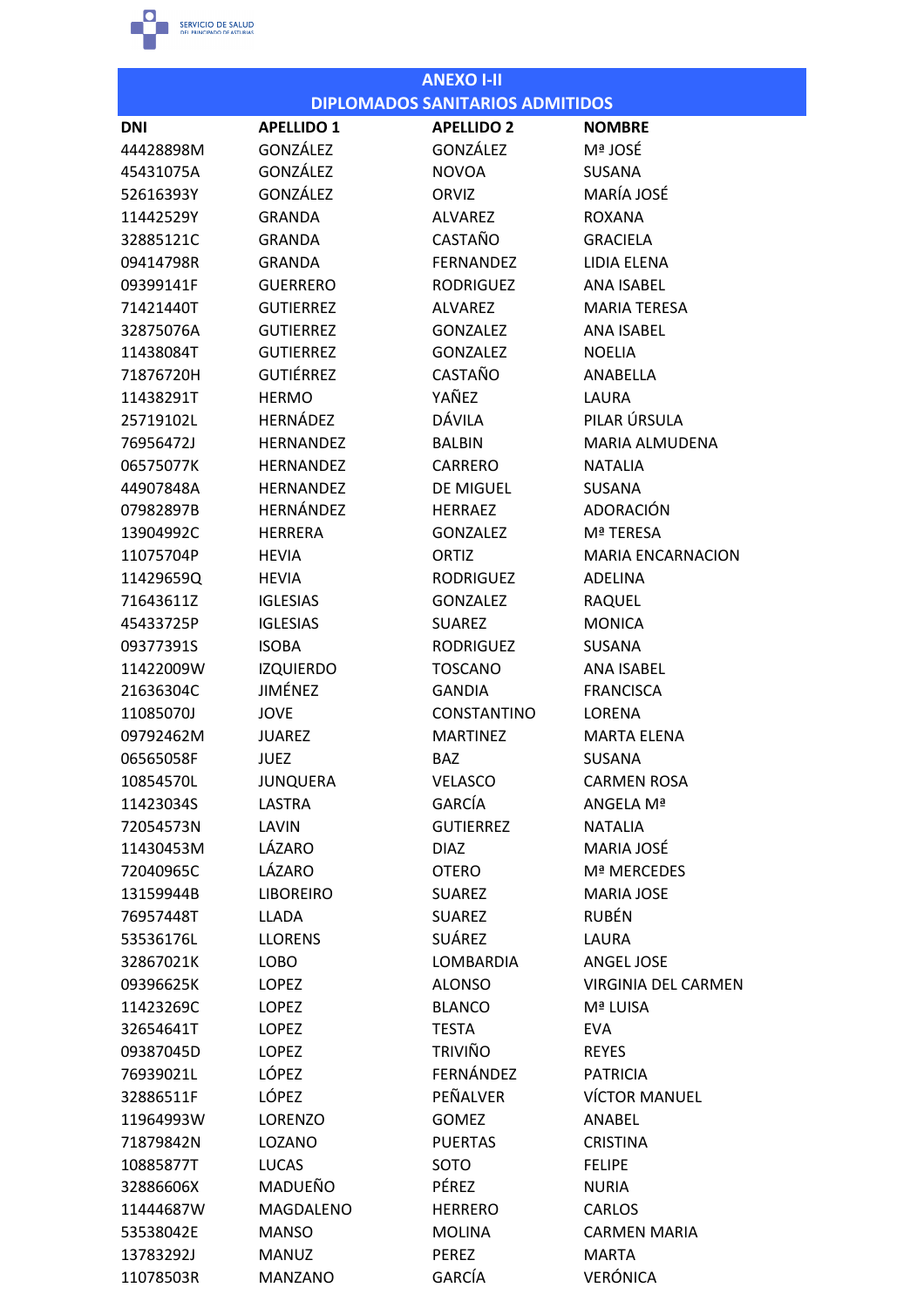

|            |                   | <b>ANEXO I-II</b>                      |                          |
|------------|-------------------|----------------------------------------|--------------------------|
|            |                   | <b>DIPLOMADOS SANITARIOS ADMITIDOS</b> |                          |
| <b>DNI</b> | <b>APELLIDO 1</b> | <b>APELLIDO 2</b>                      | <b>NOMBRE</b>            |
| 44428898M  | <b>GONZÁLEZ</b>   | GONZÁLEZ                               | Mª JOSÉ                  |
| 45431075A  | GONZÁLEZ          | <b>NOVOA</b>                           | <b>SUSANA</b>            |
| 52616393Y  | GONZÁLEZ          | ORVIZ                                  | MARÍA JOSÉ               |
| 11442529Y  | <b>GRANDA</b>     | <b>ALVAREZ</b>                         | <b>ROXANA</b>            |
| 32885121C  | <b>GRANDA</b>     | CASTAÑO                                | <b>GRACIELA</b>          |
| 09414798R  | <b>GRANDA</b>     | <b>FERNANDEZ</b>                       | LIDIA ELENA              |
| 09399141F  | <b>GUERRERO</b>   | <b>RODRIGUEZ</b>                       | <b>ANA ISARFL</b>        |
| 71421440T  | <b>GUTIERREZ</b>  | <b>ALVAREZ</b>                         | <b>MARIA TERESA</b>      |
| 32875076A  | <b>GUTIERREZ</b>  | <b>GONZALEZ</b>                        | <b>ANA ISABEL</b>        |
| 11438084T  | <b>GUTIERREZ</b>  | <b>GONZALEZ</b>                        | <b>NOELIA</b>            |
| 71876720H  | <b>GUTIÉRREZ</b>  | CASTAÑO                                | ANABELLA                 |
| 11438291T  | <b>HERMO</b>      | YAÑEZ                                  | LAURA                    |
| 25719102L  | HERNÁDEZ          | <b>DÁVILA</b>                          | PILAR ÚRSULA             |
| 76956472J  | <b>HERNANDEZ</b>  | <b>BALBIN</b>                          | <b>MARIA ALMUDENA</b>    |
| 06575077K  | <b>HERNANDEZ</b>  | <b>CARRERO</b>                         | <b>NATALIA</b>           |
| 44907848A  | <b>HERNANDEZ</b>  | <b>DE MIGUEL</b>                       | <b>SUSANA</b>            |
| 07982897B  | HERNÁNDEZ         | <b>HERRAEZ</b>                         | ADORACIÓN                |
| 13904992C  | <b>HERRERA</b>    | <b>GONZALEZ</b>                        | Mª TERESA                |
| 11075704P  | <b>HEVIA</b>      | ORTIZ                                  | <b>MARIA ENCARNACION</b> |
| 11429659Q  | <b>HEVIA</b>      | <b>RODRIGUEZ</b>                       | <b>ADELINA</b>           |
| 71643611Z  | <b>IGLESIAS</b>   | <b>GONZALEZ</b>                        | RAQUEL                   |
| 45433725P  | <b>IGLESIAS</b>   | <b>SUAREZ</b>                          | <b>MONICA</b>            |
| 09377391S  | <b>ISOBA</b>      | <b>RODRIGUEZ</b>                       | <b>SUSANA</b>            |
| 11422009W  | <b>IZQUIERDO</b>  | <b>TOSCANO</b>                         | <b>ANA ISABEL</b>        |
| 21636304C  | JIMÉNEZ           | <b>GANDIA</b>                          | <b>FRANCISCA</b>         |
| 11085070J  | <b>JOVE</b>       | <b>CONSTANTINO</b>                     | <b>LORENA</b>            |
| 09792462M  | <b>JUAREZ</b>     | <b>MARTINEZ</b>                        | <b>MARTA ELENA</b>       |
| 06565058F  | <b>JUEZ</b>       | BAZ                                    | SUSANA                   |
| 10854570L  | <b>JUNQUERA</b>   | <b>VELASCO</b>                         | <b>CARMEN ROSA</b>       |
| 11423034S  | LASTRA            | GARCÍA                                 | ANGELA Mª                |
| 72054573N  | LAVIN             | <b>GUTIERREZ</b>                       | <b>NATALIA</b>           |
| 11430453M  | LÁZARO            | <b>DIAZ</b>                            | MARIA JOSÉ               |
| 72040965C  | LÁZARO            | <b>OTERO</b>                           | Mª MERCEDES              |
| 13159944B  | <b>LIBOREIRO</b>  | <b>SUAREZ</b>                          | <b>MARIA JOSE</b>        |
| 76957448T  | <b>LLADA</b>      | <b>SUAREZ</b>                          | <b>RUBÉN</b>             |
| 53536176L  | <b>LLORENS</b>    | SUÁREZ                                 | LAURA                    |
| 32867021K  | LOBO              | LOMBARDIA                              | ANGEL JOSE               |
| 09396625K  | <b>LOPEZ</b>      | <b>ALONSO</b>                          | VIRGINIA DEL CARMEN      |
| 11423269C  | <b>LOPEZ</b>      | <b>BLANCO</b>                          | Mª LUISA                 |
| 32654641T  | <b>LOPEZ</b>      | <b>TESTA</b>                           | <b>EVA</b>               |
| 09387045D  | <b>LOPEZ</b>      | <b>TRIVIÑO</b>                         | <b>REYES</b>             |
| 76939021L  | <b>LÓPEZ</b>      | FERNÁNDEZ                              | <b>PATRICIA</b>          |
| 32886511F  | LÓPEZ             | PEÑALVER                               | <b>VÍCTOR MANUEL</b>     |
| 11964993W  | <b>LORENZO</b>    | <b>GOMEZ</b>                           | ANABEL                   |
| 71879842N  | LOZANO            | <b>PUERTAS</b>                         | <b>CRISTINA</b>          |
| 10885877T  | <b>LUCAS</b>      | SOTO                                   | <b>FELIPE</b>            |
| 32886606X  | MADUEÑO           | PÉREZ                                  | <b>NURIA</b>             |
| 11444687W  | MAGDALENO         | <b>HERRERO</b>                         | <b>CARLOS</b>            |
| 53538042E  | <b>MANSO</b>      | <b>MOLINA</b>                          | <b>CARMEN MARIA</b>      |
| 13783292J  | <b>MANUZ</b>      | PEREZ                                  | <b>MARTA</b>             |
| 11078503R  | <b>MANZANO</b>    | GARCÍA                                 | <b>VERÓNICA</b>          |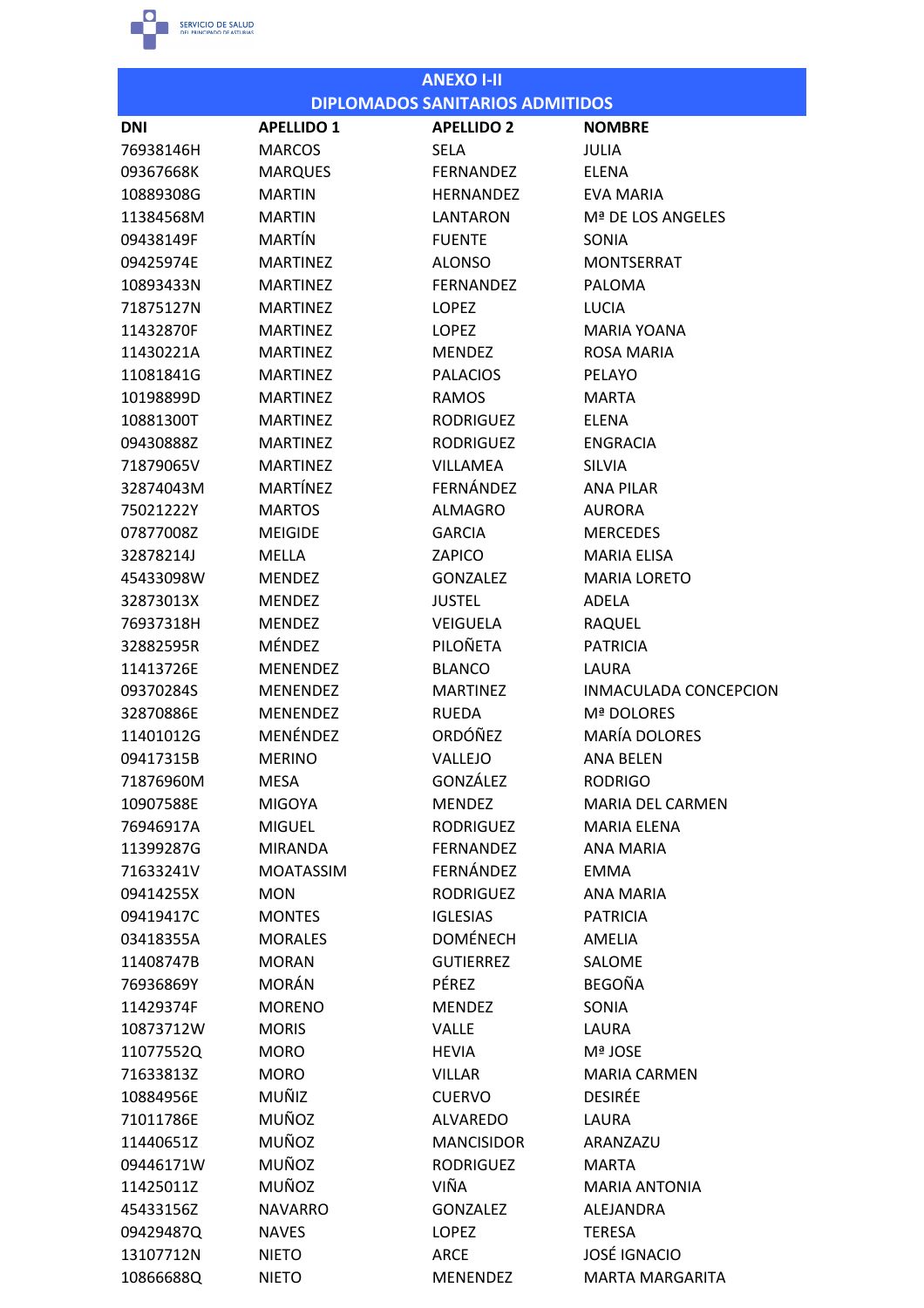

|            |                   | <b>ANEXO I-II</b>                      |                         |
|------------|-------------------|----------------------------------------|-------------------------|
|            |                   | <b>DIPLOMADOS SANITARIOS ADMITIDOS</b> |                         |
| <b>DNI</b> | <b>APELLIDO 1</b> | <b>APELLIDO 2</b>                      | <b>NOMBRE</b>           |
| 76938146H  | <b>MARCOS</b>     | <b>SELA</b>                            | JULIA                   |
| 09367668K  | <b>MARQUES</b>    | <b>FERNANDEZ</b>                       | <b>ELENA</b>            |
| 10889308G  | <b>MARTIN</b>     | <b>HERNANDEZ</b>                       | <b>EVA MARIA</b>        |
| 11384568M  | <b>MARTIN</b>     | LANTARON                               | Mª DE LOS ANGELES       |
| 09438149F  | MARTÍN            | <b>FUENTE</b>                          | SONIA                   |
| 09425974E  | <b>MARTINEZ</b>   | <b>ALONSO</b>                          | <b>MONTSERRAT</b>       |
| 10893433N  | <b>MARTINEZ</b>   | <b>FERNANDEZ</b>                       | <b>PALOMA</b>           |
| 71875127N  | <b>MARTINEZ</b>   | LOPEZ                                  | LUCIA                   |
| 11432870F  | <b>MARTINEZ</b>   | <b>LOPEZ</b>                           | <b>MARIA YOANA</b>      |
| 11430221A  | <b>MARTINEZ</b>   | <b>MENDEZ</b>                          | <b>ROSA MARIA</b>       |
| 11081841G  | <b>MARTINEZ</b>   | <b>PALACIOS</b>                        | PELAYO                  |
| 10198899D  | <b>MARTINEZ</b>   | <b>RAMOS</b>                           | <b>MARTA</b>            |
| 10881300T  | <b>MARTINEZ</b>   | <b>RODRIGUEZ</b>                       | ELENA                   |
| 09430888Z  | <b>MARTINFZ</b>   | <b>RODRIGUEZ</b>                       | <b>ENGRACIA</b>         |
| 71879065V  | <b>MARTINEZ</b>   | <b>VILLAMEA</b>                        | <b>SILVIA</b>           |
| 32874043M  | <b>MARTÍNEZ</b>   | FERNÁNDEZ                              | <b>ANA PILAR</b>        |
| 75021222Y  | <b>MARTOS</b>     | <b>ALMAGRO</b>                         | <b>AURORA</b>           |
| 07877008Z  | <b>MEIGIDE</b>    | <b>GARCIA</b>                          | <b>MERCEDES</b>         |
| 32878214J  | <b>MELLA</b>      | ZAPICO                                 | <b>MARIA ELISA</b>      |
| 45433098W  | <b>MENDEZ</b>     | <b>GONZALEZ</b>                        | <b>MARIA LORETO</b>     |
| 32873013X  | <b>MENDEZ</b>     | <b>JUSTEL</b>                          | ADELA                   |
| 76937318H  | <b>MENDEZ</b>     | <b>VEIGUELA</b>                        | <b>RAQUEL</b>           |
| 32882595R  | MÉNDEZ            | PILOÑETA                               | <b>PATRICIA</b>         |
| 11413726E  | <b>MENENDEZ</b>   | <b>BLANCO</b>                          | LAURA                   |
| 09370284S  | <b>MENENDEZ</b>   | <b>MARTINEZ</b>                        | INMACULADA CONCEPCION   |
| 32870886E  | <b>MENENDEZ</b>   | <b>RUEDA</b>                           | Mª DOLORES              |
| 11401012G  | MENÉNDEZ          | ORDÓÑEZ                                | <b>MARÍA DOLORES</b>    |
| 09417315B  | <b>MERINO</b>     | <b>VALLEJO</b>                         | <b>ANA BELEN</b>        |
| 71876960M  | MESA              | GONZÁLEZ                               | <b>RODRIGO</b>          |
| 10907588E  | <b>MIGOYA</b>     | <b>MENDEZ</b>                          | <b>MARIA DEL CARMEN</b> |
| 76946917A  | <b>MIGUEL</b>     | <b>RODRIGUEZ</b>                       | <b>MARIA ELENA</b>      |
| 11399287G  | <b>MIRANDA</b>    | <b>FERNANDEZ</b>                       | <b>ANA MARIA</b>        |
| 71633241V  | <b>MOATASSIM</b>  | FERNÁNDEZ                              | EMMA                    |
| 09414255X  | <b>MON</b>        | <b>RODRIGUEZ</b>                       | <b>ANA MARIA</b>        |
| 09419417C  | <b>MONTES</b>     | <b>IGLESIAS</b>                        | <b>PATRICIA</b>         |
| 03418355A  | <b>MORALES</b>    | <b>DOMÉNECH</b>                        | AMELIA                  |
| 11408747B  | <b>MORAN</b>      | <b>GUTIERREZ</b>                       | SALOME                  |
| 76936869Y  | <b>MORÁN</b>      | PÉREZ                                  | <b>BEGOÑA</b>           |
| 11429374F  | <b>MORENO</b>     | <b>MENDEZ</b>                          | SONIA                   |
| 10873712W  | <b>MORIS</b>      | <b>VALLE</b>                           | LAURA                   |
| 11077552Q  | <b>MORO</b>       | <b>HEVIA</b>                           | Mª JOSE                 |
| 71633813Z  | <b>MORO</b>       | VILLAR                                 | <b>MARIA CARMEN</b>     |
| 10884956E  | MUÑIZ             | <b>CUERVO</b>                          | <b>DESIRÉE</b>          |
| 71011786E  | MUÑOZ             | ALVAREDO                               | LAURA                   |
| 11440651Z  | MUÑOZ             | <b>MANCISIDOR</b>                      | ARANZAZU                |
| 09446171W  | MUÑOZ             | <b>RODRIGUEZ</b>                       | <b>MARTA</b>            |
| 11425011Z  | MUÑOZ             | VIÑA                                   | <b>MARIA ANTONIA</b>    |
| 45433156Z  | <b>NAVARRO</b>    | GONZALEZ                               | ALEJANDRA               |
| 09429487Q  | <b>NAVES</b>      | <b>LOPEZ</b>                           | <b>TERESA</b>           |
| 13107712N  | <b>NIETO</b>      | ARCE                                   | <b>JOSÉ IGNACIO</b>     |
| 10866688Q  | <b>NIETO</b>      | <b>MENENDEZ</b>                        | MARTA MARGARITA         |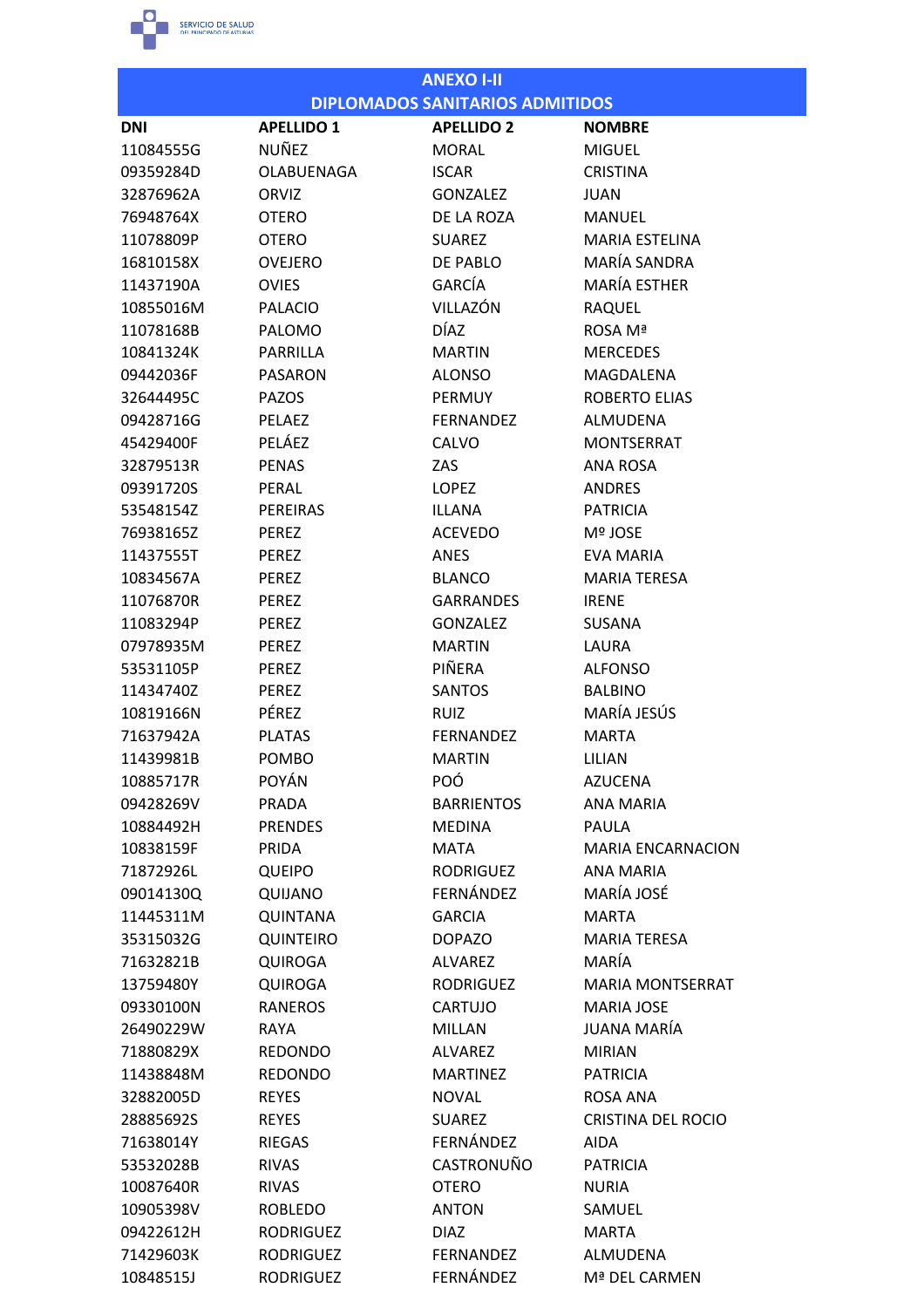

|            |                   | <b>ANEXO I-II</b>                      |                           |
|------------|-------------------|----------------------------------------|---------------------------|
|            |                   | <b>DIPLOMADOS SANITARIOS ADMITIDOS</b> |                           |
| <b>DNI</b> | <b>APELLIDO 1</b> | <b>APELLIDO 2</b>                      | <b>NOMBRE</b>             |
| 11084555G  | <b>NUÑEZ</b>      | <b>MORAL</b>                           | <b>MIGUEL</b>             |
| 09359284D  | <b>OLABUENAGA</b> | <b>ISCAR</b>                           | <b>CRISTINA</b>           |
| 32876962A  | ORVIZ             | <b>GONZALEZ</b>                        | <b>JUAN</b>               |
| 76948764X  | <b>OTERO</b>      | DE LA ROZA                             | <b>MANUEL</b>             |
| 11078809P  | <b>OTERO</b>      | <b>SUAREZ</b>                          | <b>MARIA ESTELINA</b>     |
| 16810158X  | <b>OVEJERO</b>    | DE PABLO                               | MARÍA SANDRA              |
| 11437190A  | <b>OVIES</b>      | GARCÍA                                 | <b>MARÍA ESTHER</b>       |
| 10855016M  | <b>PALACIO</b>    | VILLAZÓN                               | <b>RAQUEL</b>             |
| 11078168B  | <b>PALOMO</b>     | <b>DÍAZ</b>                            | ROSA Mª                   |
| 10841324K  | PARRILLA          | <b>MARTIN</b>                          | <b>MERCEDES</b>           |
| 09442036F  | <b>PASARON</b>    | <b>ALONSO</b>                          | <b>MAGDALENA</b>          |
| 32644495C  | <b>PAZOS</b>      | PERMUY                                 | <b>ROBERTO ELIAS</b>      |
| 09428716G  | PELAEZ            | <b>FERNANDEZ</b>                       | ALMUDENA                  |
| 45429400F  | PELÁEZ            | <b>CALVO</b>                           | <b>MONTSERRAT</b>         |
| 32879513R  | <b>PENAS</b>      | ZAS                                    | ANA ROSA                  |
| 09391720S  | PERAL             | <b>LOPEZ</b>                           | <b>ANDRES</b>             |
| 53548154Z  | <b>PEREIRAS</b>   | <b>ILLANA</b>                          | <b>PATRICIA</b>           |
| 76938165Z  | <b>PEREZ</b>      | <b>ACEVEDO</b>                         | <b>Mº JOSE</b>            |
| 11437555T  | <b>PEREZ</b>      | ANES                                   | EVA MARIA                 |
| 10834567A  | <b>PEREZ</b>      | <b>BLANCO</b>                          | <b>MARIA TERESA</b>       |
| 11076870R  | <b>PEREZ</b>      | <b>GARRANDES</b>                       | <b>IRENE</b>              |
| 11083294P  | <b>PEREZ</b>      | <b>GONZALEZ</b>                        | <b>SUSANA</b>             |
| 07978935M  | <b>PEREZ</b>      | <b>MARTIN</b>                          | LAURA                     |
| 53531105P  | <b>PEREZ</b>      | PIÑERA                                 | <b>ALFONSO</b>            |
| 11434740Z  | <b>PEREZ</b>      | <b>SANTOS</b>                          | <b>BALBINO</b>            |
| 10819166N  | PÉREZ             | <b>RUIZ</b>                            | MARÍA JESÚS               |
| 71637942A  | <b>PLATAS</b>     | <b>FERNANDEZ</b>                       | <b>MARTA</b>              |
| 11439981B  | POMBO             | <b>MARTIN</b>                          | LILIAN                    |
| 10885717R  | <b>POYÁN</b>      | <b>POÓ</b>                             | <b>AZUCENA</b>            |
| 09428269V  | <b>PRADA</b>      | <b>BARRIENTOS</b>                      | <b>ANA MARIA</b>          |
| 10884492H  | <b>PRENDES</b>    | <b>MEDINA</b>                          | <b>PAULA</b>              |
| 10838159F  | PRIDA             | <b>MATA</b>                            | <b>MARIA ENCARNACION</b>  |
| 71872926L  | <b>QUEIPO</b>     | <b>RODRIGUEZ</b>                       | ANA MARIA                 |
| 09014130Q  | QUIJANO           | FERNÁNDEZ                              | MARÍA JOSÉ                |
| 11445311M  | <b>QUINTANA</b>   | <b>GARCIA</b>                          | <b>MARTA</b>              |
| 35315032G  | <b>QUINTEIRO</b>  | <b>DOPAZO</b>                          | <b>MARIA TERESA</b>       |
| 71632821B  | <b>QUIROGA</b>    | <b>ALVAREZ</b>                         | MARÍA                     |
| 13759480Y  | <b>QUIROGA</b>    | <b>RODRIGUEZ</b>                       | <b>MARIA MONTSERRAT</b>   |
| 09330100N  | <b>RANEROS</b>    | CARTUJO                                | <b>MARIA JOSE</b>         |
| 26490229W  | RAYA              | MILLAN                                 | JUANA MARÍA               |
| 71880829X  | <b>REDONDO</b>    | <b>ALVAREZ</b>                         | <b>MIRIAN</b>             |
| 11438848M  | <b>REDONDO</b>    | <b>MARTINEZ</b>                        | <b>PATRICIA</b>           |
| 32882005D  | <b>REYES</b>      | <b>NOVAL</b>                           | ROSA ANA                  |
| 28885692S  | <b>REYES</b>      | <b>SUAREZ</b>                          | <b>CRISTINA DEL ROCIO</b> |
| 71638014Y  | <b>RIEGAS</b>     | FERNÁNDEZ                              | <b>AIDA</b>               |
| 53532028B  | <b>RIVAS</b>      | CASTRONUÑO                             | <b>PATRICIA</b>           |
| 10087640R  | <b>RIVAS</b>      | <b>OTERO</b>                           | <b>NURIA</b>              |
| 10905398V  | <b>ROBLEDO</b>    | <b>ANTON</b>                           | SAMUEL                    |
| 09422612H  | <b>RODRIGUEZ</b>  | <b>DIAZ</b>                            | <b>MARTA</b>              |
| 71429603K  | <b>RODRIGUEZ</b>  | <b>FERNANDEZ</b>                       | <b>ALMUDENA</b>           |
| 10848515J  | <b>RODRIGUEZ</b>  | FERNÁNDEZ                              | Mª DEL CARMEN             |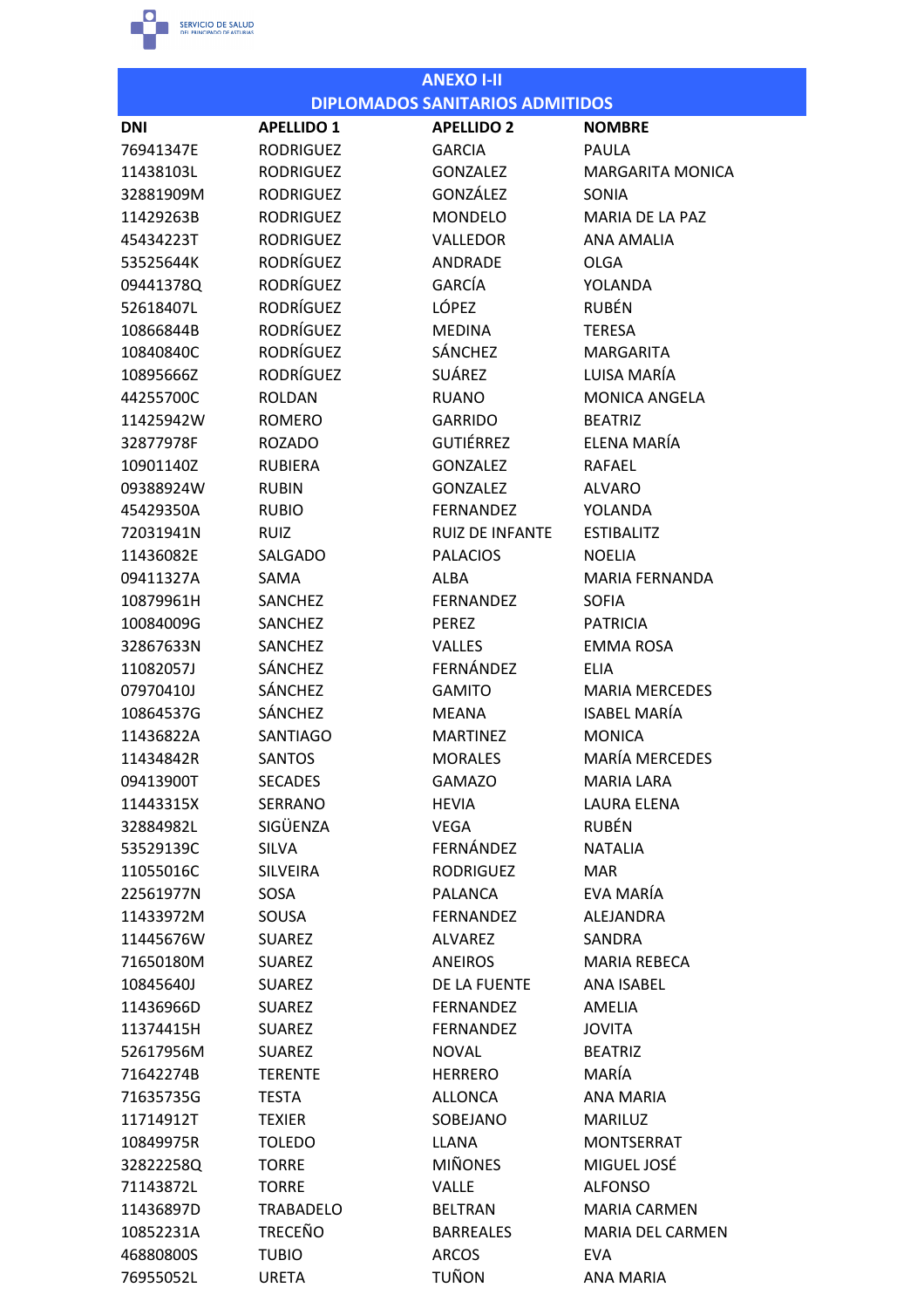

76955052L

**URETA** 

|            | <b>ANEXO I-II</b> |                                        |                         |  |
|------------|-------------------|----------------------------------------|-------------------------|--|
|            |                   | <b>DIPLOMADOS SANITARIOS ADMITIDOS</b> |                         |  |
| <b>DNI</b> | <b>APELLIDO 1</b> | <b>APELLIDO 2</b>                      | <b>NOMBRE</b>           |  |
| 76941347E  | <b>RODRIGUEZ</b>  | <b>GARCIA</b>                          | PAULA                   |  |
| 11438103L  | <b>RODRIGUEZ</b>  | <b>GONZALEZ</b>                        | <b>MARGARITA MONICA</b> |  |
| 32881909M  | <b>RODRIGUEZ</b>  | GONZÁLEZ                               | SONIA                   |  |
| 11429263B  | <b>RODRIGUEZ</b>  | <b>MONDELO</b>                         | MARIA DE LA PAZ         |  |
| 45434223T  | <b>RODRIGUEZ</b>  | VALLEDOR                               | <b>ANA AMALIA</b>       |  |
| 53525644K  | <b>RODRÍGUEZ</b>  | <b>ANDRADE</b>                         | <b>OLGA</b>             |  |
| 09441378Q  | <b>RODRÍGUEZ</b>  | GARCÍA                                 | YOLANDA                 |  |
| 52618407L  | <b>RODRÍGUEZ</b>  | <b>LÓPEZ</b>                           | <b>RUBÉN</b>            |  |
| 10866844B  | <b>RODRÍGUEZ</b>  | <b>MEDINA</b>                          | <b>TERESA</b>           |  |
| 10840840C  | <b>RODRÍGUEZ</b>  | <b>SÁNCHEZ</b>                         | <b>MARGARITA</b>        |  |
| 10895666Z  | <b>RODRÍGUEZ</b>  | SUÁREZ                                 | LUISA MARÍA             |  |
| 44255700C  | <b>ROLDAN</b>     | <b>RUANO</b>                           | <b>MONICA ANGELA</b>    |  |
| 11425942W  | <b>ROMERO</b>     | <b>GARRIDO</b>                         | <b>BEATRIZ</b>          |  |
| 32877978F  | <b>ROZADO</b>     | <b>GUTIÉRREZ</b>                       | ELENA MARÍA             |  |
| 10901140Z  | <b>RUBIERA</b>    | <b>GONZALEZ</b>                        | <b>RAFAEL</b>           |  |
| 09388924W  | <b>RUBIN</b>      | <b>GONZALEZ</b>                        | <b>ALVARO</b>           |  |
| 45429350A  | <b>RUBIO</b>      | <b>FERNANDEZ</b>                       | <b>YOLANDA</b>          |  |
| 72031941N  | <b>RUIZ</b>       | <b>RUIZ DE INFANTE</b>                 | <b>ESTIBALITZ</b>       |  |
| 11436082E  | <b>SALGADO</b>    | <b>PALACIOS</b>                        | <b>NOELIA</b>           |  |
| 09411327A  | SAMA              | <b>ALBA</b>                            | <b>MARIA FERNANDA</b>   |  |
| 10879961H  | <b>SANCHEZ</b>    | <b>FERNANDEZ</b>                       | <b>SOFIA</b>            |  |
| 10084009G  | SANCHEZ           | <b>PEREZ</b>                           | <b>PATRICIA</b>         |  |
| 32867633N  | SANCHEZ           | <b>VALLES</b>                          | <b>EMMA ROSA</b>        |  |
| 11082057J  | SÁNCHEZ           | FERNÁNDEZ                              | <b>ELIA</b>             |  |
| 07970410J  | <b>SÁNCHEZ</b>    | <b>GAMITO</b>                          | <b>MARIA MERCEDES</b>   |  |
| 10864537G  | SÁNCHEZ           | <b>MEANA</b>                           | <b>ISABEL MARÍA</b>     |  |
| 11436822A  | <b>SANTIAGO</b>   | <b>MARTINEZ</b>                        | <b>MONICA</b>           |  |
| 11434842R  | <b>SANTOS</b>     | <b>MORALES</b>                         | <b>MARÍA MERCEDES</b>   |  |
| 09413900T  | <b>SECADES</b>    | <b>GAMAZO</b>                          | MARIA LARA              |  |
| 11443315X  | <b>SERRANO</b>    | <b>HEVIA</b>                           | LAURA ELENA             |  |
| 32884982L  | SIGÜENZA          | <b>VEGA</b>                            | <b>RUBÉN</b>            |  |
| 53529139C  | <b>SILVA</b>      | FERNÁNDEZ                              | <b>NATALIA</b>          |  |
| 11055016C  | <b>SILVEIRA</b>   | <b>RODRIGUEZ</b>                       | <b>MAR</b>              |  |
| 22561977N  | SOSA              | <b>PALANCA</b>                         | EVA MARÍA               |  |
| 11433972M  | SOUSA             | <b>FERNANDEZ</b>                       | ALEJANDRA               |  |
| 11445676W  | <b>SUAREZ</b>     | <b>ALVAREZ</b>                         | SANDRA                  |  |
| 71650180M  | <b>SUAREZ</b>     | <b>ANEIROS</b>                         | <b>MARIA REBECA</b>     |  |
| 10845640J  | <b>SUAREZ</b>     | DE LA FUENTE                           | <b>ANA ISABEL</b>       |  |
| 11436966D  | <b>SUAREZ</b>     | <b>FERNANDEZ</b>                       | AMELIA                  |  |
| 11374415H  | <b>SUAREZ</b>     | <b>FERNANDEZ</b>                       | <b>JOVITA</b>           |  |
| 52617956M  | <b>SUAREZ</b>     | <b>NOVAL</b>                           | <b>BEATRIZ</b>          |  |
| 71642274B  | <b>TERENTE</b>    | <b>HERRERO</b>                         | MARÍA                   |  |
| 71635735G  | <b>TESTA</b>      | ALLONCA                                | <b>ANA MARIA</b>        |  |
| 11714912T  | <b>TEXIER</b>     | SOBEJANO                               | MARILUZ                 |  |
| 10849975R  | <b>TOLEDO</b>     | LLANA                                  | <b>MONTSERRAT</b>       |  |
| 32822258Q  | <b>TORRE</b>      | <b>MIÑONES</b>                         | MIGUEL JOSÉ             |  |
| 71143872L  | <b>TORRE</b>      | <b>VALLE</b>                           | <b>ALFONSO</b>          |  |
| 11436897D  | <b>TRABADELO</b>  | <b>BELTRAN</b>                         | <b>MARIA CARMEN</b>     |  |
| 10852231A  | <b>TRECEÑO</b>    | <b>BARREALES</b>                       | <b>MARIA DEL CARMEN</b> |  |
| 46880800S  | <b>TUBIO</b>      | <b>ARCOS</b>                           | <b>EVA</b>              |  |
|            |                   |                                        |                         |  |

TUÑON

ANA MARIA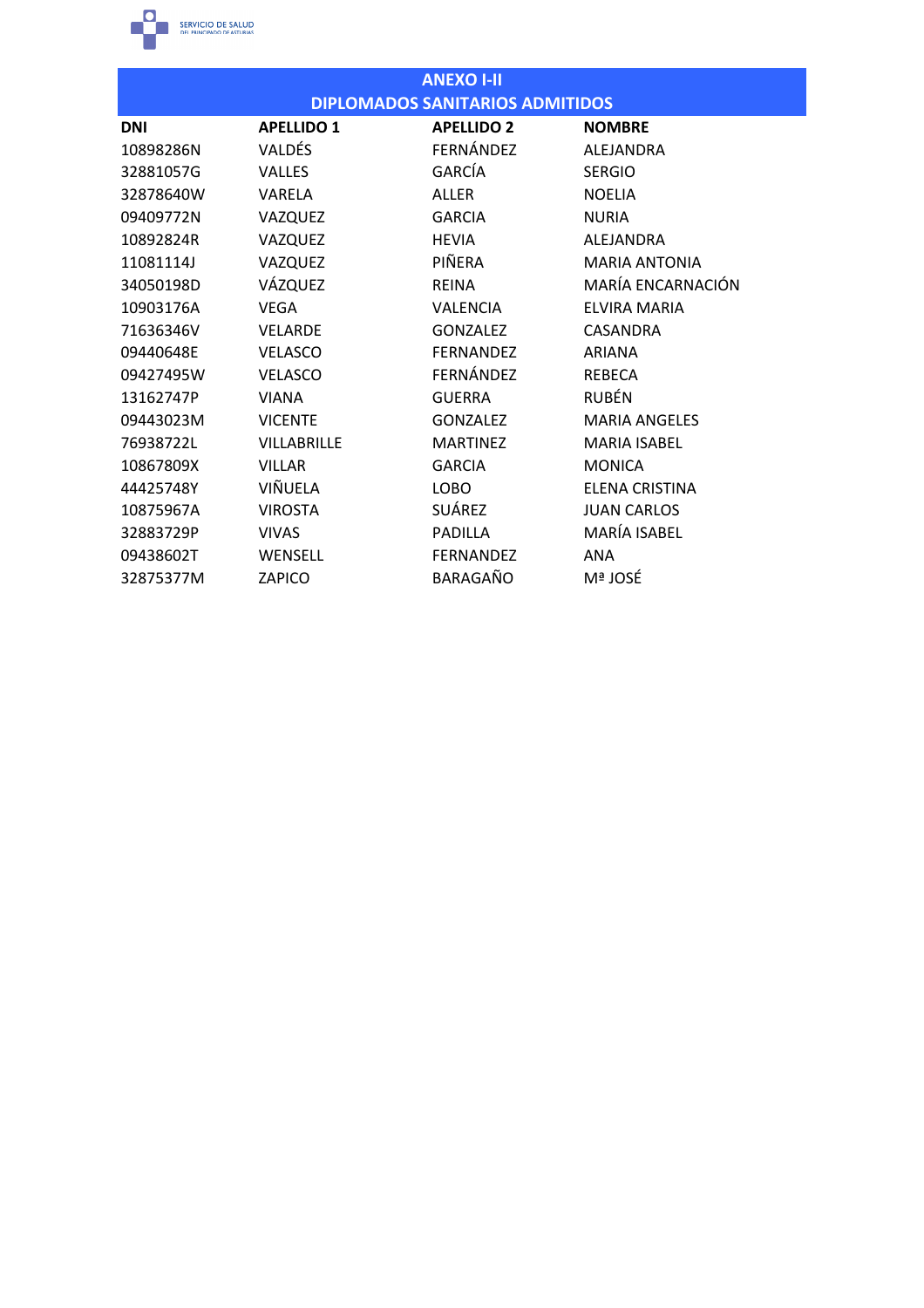

| <b>ANEXO I-II</b> |                                        |                   |                      |  |  |  |
|-------------------|----------------------------------------|-------------------|----------------------|--|--|--|
|                   | <b>DIPLOMADOS SANITARIOS ADMITIDOS</b> |                   |                      |  |  |  |
| <b>DNI</b>        | <b>APELLIDO 1</b>                      | <b>APELLIDO 2</b> | <b>NOMBRE</b>        |  |  |  |
| 10898286N         | <b>VALDÉS</b>                          | FERNÁNDEZ         | ALEJANDRA            |  |  |  |
| 32881057G         | <b>VALLES</b>                          | GARCÍA            | <b>SERGIO</b>        |  |  |  |
| 32878640W         | <b>VARELA</b>                          | <b>ALLER</b>      | <b>NOELIA</b>        |  |  |  |
| 09409772N         | VAZQUEZ                                | <b>GARCIA</b>     | <b>NURIA</b>         |  |  |  |
| 10892824R         | VAZQUEZ                                | <b>HEVIA</b>      | ALEJANDRA            |  |  |  |
| 11081114J         | VAZQUEZ                                | PIÑERA            | <b>MARIA ANTONIA</b> |  |  |  |
| 34050198D         | VÁZQUEZ                                | <b>REINA</b>      | MARÍA ENCARNACIÓN    |  |  |  |
| 10903176A         | <b>VEGA</b>                            | <b>VALENCIA</b>   | <b>ELVIRA MARIA</b>  |  |  |  |
| 71636346V         | <b>VELARDE</b>                         | <b>GONZALEZ</b>   | <b>CASANDRA</b>      |  |  |  |
| 09440648E         | <b>VELASCO</b>                         | <b>FERNANDEZ</b>  | <b>ARIANA</b>        |  |  |  |
| 09427495W         | <b>VELASCO</b>                         | FERNÁNDEZ         | <b>REBECA</b>        |  |  |  |
| 13162747P         | <b>VIANA</b>                           | <b>GUERRA</b>     | <b>RUBÉN</b>         |  |  |  |
| 09443023M         | <b>VICENTE</b>                         | <b>GONZALEZ</b>   | <b>MARIA ANGELES</b> |  |  |  |
| 76938722L         | <b>VILLABRILLE</b>                     | <b>MARTINEZ</b>   | <b>MARIA ISABEL</b>  |  |  |  |
| 10867809X         | <b>VILLAR</b>                          | <b>GARCIA</b>     | <b>MONICA</b>        |  |  |  |
| 44425748Y         | VIÑUELA                                | <b>LOBO</b>       | ELENA CRISTINA       |  |  |  |
| 10875967A         | <b>VIROSTA</b>                         | SUÁREZ            | <b>JUAN CARLOS</b>   |  |  |  |
| 32883729P         | <b>VIVAS</b>                           | <b>PADILLA</b>    | MARÍA ISABEL         |  |  |  |
| 09438602T         | WENSELL                                | <b>FERNANDEZ</b>  | <b>ANA</b>           |  |  |  |
| 32875377M         | <b>ZAPICO</b>                          | BARAGAÑO          | Mª JOSÉ              |  |  |  |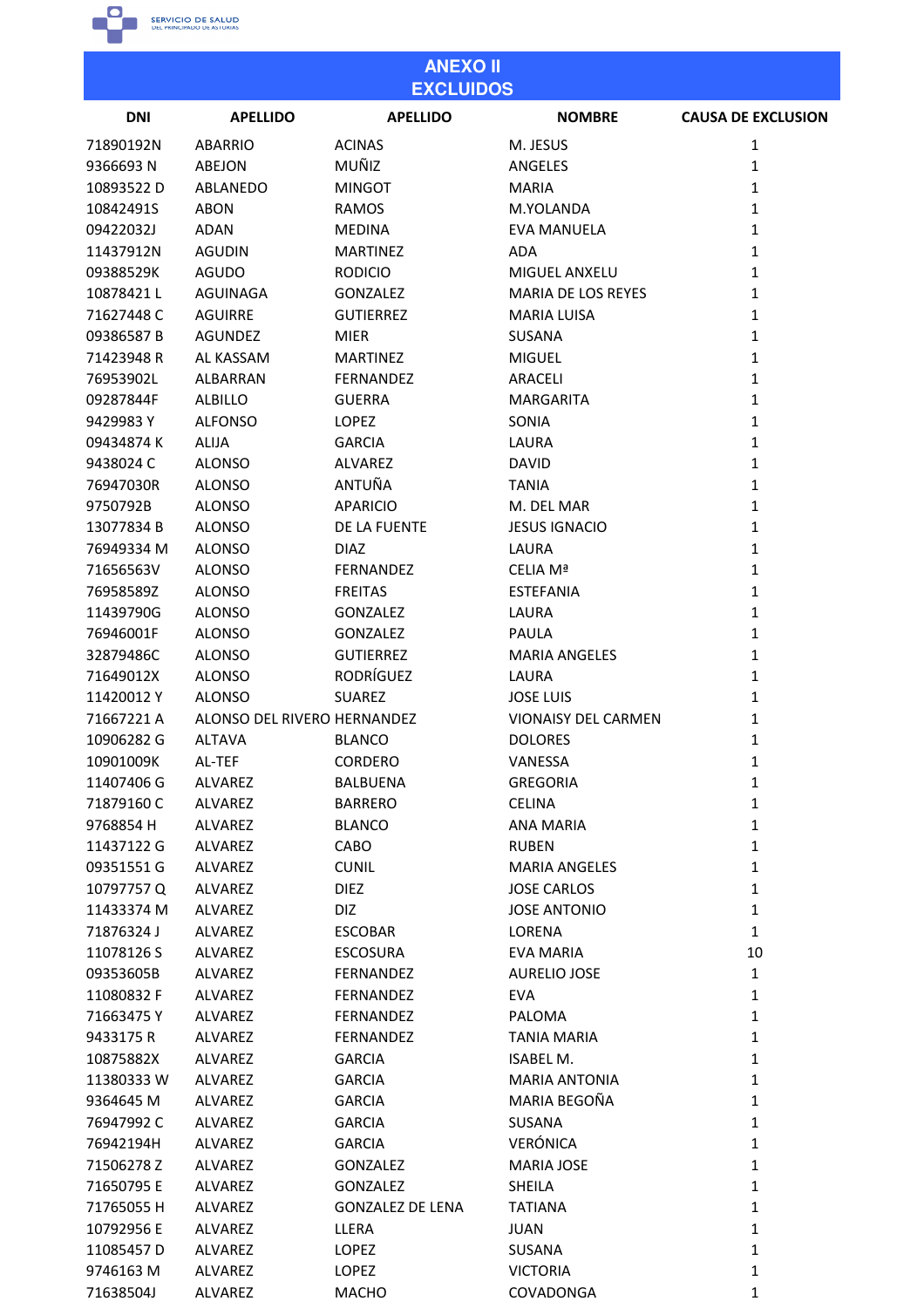SERVICIO DE SALUD

| <b>ANEXO II</b><br><b>EXCLUIDOS</b> |                             |                         |                            |                           |  |
|-------------------------------------|-----------------------------|-------------------------|----------------------------|---------------------------|--|
| <b>DNI</b>                          | <b>APELLIDO</b>             | <b>APELLIDO</b>         | <b>NOMBRE</b>              | <b>CAUSA DE EXCLUSION</b> |  |
| 71890192N                           | <b>ABARRIO</b>              | <b>ACINAS</b>           | M. JESUS                   | 1                         |  |
| 9366693N                            | <b>ABEJON</b>               | MUÑIZ                   | ANGELES                    | $\mathbf{1}$              |  |
| 10893522D                           | ABLANEDO                    | <b>MINGOT</b>           | <b>MARIA</b>               | 1                         |  |
| 10842491S                           | <b>ABON</b>                 | RAMOS                   | M.YOLANDA                  | $\mathbf{1}$              |  |
| 09422032J                           | <b>ADAN</b>                 | <b>MEDINA</b>           | <b>EVA MANUELA</b>         | $\mathbf{1}$              |  |
| 11437912N                           | <b>AGUDIN</b>               | <b>MARTINEZ</b>         | <b>ADA</b>                 | $\mathbf{1}$              |  |
| 09388529K                           | <b>AGUDO</b>                | <b>RODICIO</b>          | <b>MIGUEL ANXELU</b>       | $\mathbf{1}$              |  |
| 10878421L                           | AGUINAGA                    | <b>GONZALEZ</b>         | MARIA DE LOS REYES         | 1                         |  |
| 71627448C                           | <b>AGUIRRE</b>              | <b>GUTIERREZ</b>        | MARIA LUISA                | $\mathbf{1}$              |  |
| 09386587B                           | <b>AGUNDEZ</b>              | <b>MIER</b>             | SUSANA                     | 1                         |  |
| 71423948R                           | AL KASSAM                   | <b>MARTINEZ</b>         | <b>MIGUEL</b>              | 1                         |  |
| 76953902L                           | <b>ALBARRAN</b>             | <b>FERNANDEZ</b>        | <b>ARACELI</b>             | 1                         |  |
| 09287844F                           | <b>ALBILLO</b>              | <b>GUERRA</b>           | MARGARITA                  | $\mathbf{1}$              |  |
| 9429983 Y                           | <b>ALFONSO</b>              | <b>LOPEZ</b>            | SONIA                      | $\mathbf{1}$              |  |
|                                     |                             |                         |                            |                           |  |
| 09434874K                           | <b>ALIJA</b>                | <b>GARCIA</b>           | LAURA                      | 1                         |  |
| 9438024 C                           | <b>ALONSO</b>               | ALVAREZ                 | <b>DAVID</b>               | $\mathbf{1}$              |  |
| 76947030R                           | <b>ALONSO</b>               | ANTUÑA                  | <b>TANIA</b>               | $\mathbf{1}$              |  |
| 9750792B                            | <b>ALONSO</b>               | <b>APARICIO</b>         | M. DEL MAR                 | $\mathbf{1}$              |  |
| 13077834 B                          | <b>ALONSO</b>               | DE LA FUENTE            | <b>JESUS IGNACIO</b>       | 1                         |  |
| 76949334 M                          | <b>ALONSO</b>               | <b>DIAZ</b>             | LAURA                      | $\mathbf{1}$              |  |
| 71656563V                           | <b>ALONSO</b>               | FERNANDEZ               | CELIA Mª                   | $\mathbf{1}$              |  |
| 76958589Z                           | <b>ALONSO</b>               | <b>FREITAS</b>          | <b>ESTEFANIA</b>           | $\mathbf{1}$              |  |
| 11439790G                           | <b>ALONSO</b>               | <b>GONZALEZ</b>         | LAURA                      | $\mathbf{1}$              |  |
| 76946001F                           | <b>ALONSO</b>               | <b>GONZALEZ</b>         | <b>PAULA</b>               | 1                         |  |
| 32879486C                           | <b>ALONSO</b>               | <b>GUTIERREZ</b>        | <b>MARIA ANGELES</b>       | $\mathbf{1}$              |  |
| 71649012X                           | <b>ALONSO</b>               | <b>RODRÍGUEZ</b>        | LAURA                      | 1                         |  |
| 11420012Y                           | <b>ALONSO</b>               | <b>SUAREZ</b>           | <b>JOSE LUIS</b>           | $\mathbf{1}$              |  |
| 71667221 A                          | ALONSO DEL RIVERO HERNANDEZ |                         | <b>VIONAISY DEL CARMEN</b> | 1                         |  |
| 10906282 G                          | <b>ALTAVA</b>               | <b>BLANCO</b>           | <b>DOLORES</b>             | 1                         |  |
| 10901009K                           | AL-TEF                      | <b>CORDERO</b>          | VANESSA                    | $\mathbf 1$               |  |
| 11407406 G                          | ALVAREZ                     | <b>BALBUENA</b>         | <b>GREGORIA</b>            | $\mathbf 1$               |  |
| 71879160 C                          | ALVAREZ                     | <b>BARRERO</b>          | <b>CELINA</b>              | $\mathbf{1}$              |  |
| 9768854 H                           | <b>ALVAREZ</b>              | <b>BLANCO</b>           | <b>ANA MARIA</b>           | $\mathbf{1}$              |  |
| 11437122 G                          | ALVAREZ                     | CABO                    | <b>RUBEN</b>               | $\mathbf{1}$              |  |
| 09351551 G                          | ALVAREZ                     | <b>CUNIL</b>            | <b>MARIA ANGELES</b>       | $\mathbf{1}$              |  |
| 10797757Q                           | ALVAREZ                     | <b>DIEZ</b>             | <b>JOSE CARLOS</b>         | $\mathbf{1}$              |  |
| 11433374 M                          | <b>ALVAREZ</b>              | DIZ                     | <b>JOSE ANTONIO</b>        | $\mathbf{1}$              |  |
| 71876324J                           | ALVAREZ                     |                         | LORENA                     | $\mathbf{1}$              |  |
|                                     |                             | <b>ESCOBAR</b>          |                            |                           |  |
| 11078126S                           | ALVAREZ                     | <b>ESCOSURA</b>         | <b>EVA MARIA</b>           | 10                        |  |
| 09353605B                           | ALVAREZ                     | FERNANDEZ               | <b>AURELIO JOSE</b>        | $\mathbf{1}$              |  |
| 11080832 F                          | ALVAREZ                     | FERNANDEZ               | <b>EVA</b>                 | $\mathbf{1}$              |  |
| 71663475Y                           | ALVAREZ                     | <b>FERNANDEZ</b>        | PALOMA                     | $\mathbf{1}$              |  |
| 9433175R                            | ALVAREZ                     | FERNANDEZ               | <b>TANIA MARIA</b>         | $\mathbf{1}$              |  |
| 10875882X                           | ALVAREZ                     | <b>GARCIA</b>           | ISABEL M.                  | $\mathbf{1}$              |  |
| 11380333W                           | ALVAREZ                     | <b>GARCIA</b>           | <b>MARIA ANTONIA</b>       | $\mathbf{1}$              |  |
| 9364645 M                           | ALVAREZ                     | <b>GARCIA</b>           | MARIA BEGOÑA               | $\mathbf{1}$              |  |
| 76947992 C                          | ALVAREZ                     | <b>GARCIA</b>           | SUSANA                     | $\mathbf{1}$              |  |
| 76942194H                           | ALVAREZ                     | <b>GARCIA</b>           | VERÓNICA                   | $\mathbf{1}$              |  |
| 71506278Z                           | <b>ALVAREZ</b>              | <b>GONZALEZ</b>         | <b>MARIA JOSE</b>          | $\mathbf{1}$              |  |
| 71650795 E                          | ALVAREZ                     | <b>GONZALEZ</b>         | SHEILA                     | $\mathbf{1}$              |  |
| 71765055 H                          | ALVAREZ                     | <b>GONZALEZ DE LENA</b> | <b>TATIANA</b>             | $\mathbf{1}$              |  |
| 10792956 E                          | ALVAREZ                     | LLERA                   | JUAN                       | $\mathbf{1}$              |  |
| 11085457D                           | ALVAREZ                     | LOPEZ                   | <b>SUSANA</b>              | 1                         |  |
| 9746163 M                           | ALVAREZ                     | LOPEZ                   | <b>VICTORIA</b>            | $\mathbf{1}$              |  |
| 71638504J                           | ALVAREZ                     | <b>MACHO</b>            | COVADONGA                  | $\mathbf{1}$              |  |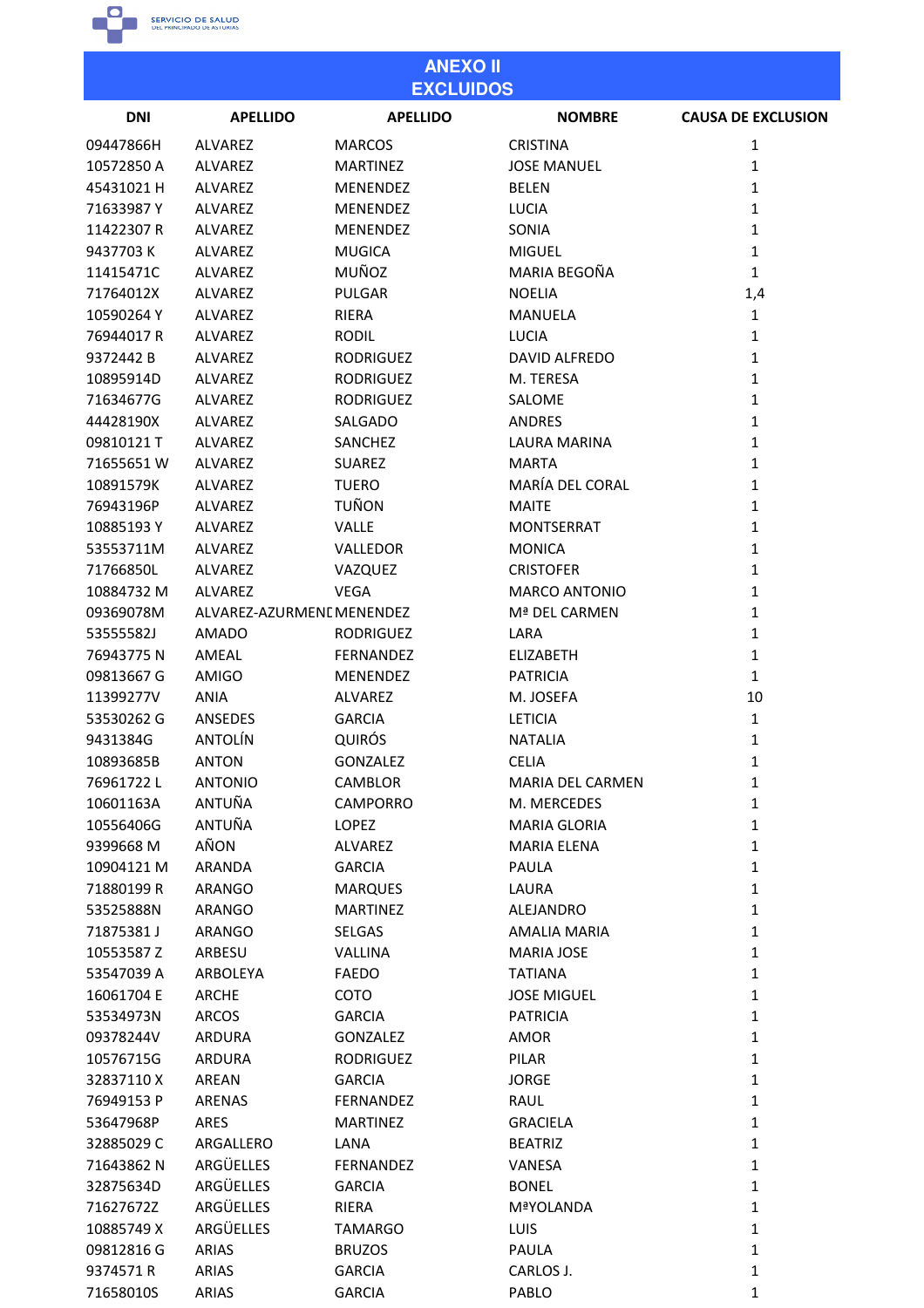

| <b>ANEXO II</b><br><b>EXCLUIDOS</b> |                               |                          |                             |                           |  |
|-------------------------------------|-------------------------------|--------------------------|-----------------------------|---------------------------|--|
| <b>DNI</b>                          | <b>APELLIDO</b>               | <b>APELLIDO</b>          | <b>NOMBRE</b>               | <b>CAUSA DE EXCLUSION</b> |  |
| 09447866H                           | <b>ALVAREZ</b>                | <b>MARCOS</b>            | <b>CRISTINA</b>             | 1                         |  |
| 10572850 A                          | ALVAREZ                       | <b>MARTINEZ</b>          | <b>JOSE MANUEL</b>          | $\mathbf{1}$              |  |
| 45431021 H                          | ALVAREZ                       | MENENDEZ                 | <b>BELEN</b>                | $\mathbf{1}$              |  |
| 71633987Y                           | <b>ALVAREZ</b>                | <b>MENENDEZ</b>          | <b>LUCIA</b>                | $\mathbf{1}$              |  |
| 11422307R                           | <b>ALVAREZ</b>                | <b>MENENDEZ</b>          | SONIA                       | $\mathbf{1}$              |  |
| 9437703K                            | ALVAREZ                       | <b>MUGICA</b>            | <b>MIGUEL</b>               | $\mathbf{1}$              |  |
| 11415471C                           | ALVAREZ                       | MUÑOZ                    | MARIA BEGOÑA                | $\mathbf{1}$              |  |
| 71764012X                           | ALVAREZ                       | PULGAR                   | <b>NOELIA</b>               | 1,4                       |  |
| 10590264Y                           | ALVAREZ                       | RIERA                    | MANUELA                     | $\mathbf{1}$              |  |
| 76944017R                           | ALVAREZ                       | <b>RODIL</b>             | <b>LUCIA</b>                | $\mathbf{1}$              |  |
| 9372442B                            | ALVAREZ                       | <b>RODRIGUEZ</b>         | DAVID ALFREDO               | $\mathbf{1}$              |  |
| 10895914D                           | ALVAREZ                       | <b>RODRIGUEZ</b>         | M. TERESA                   | $\mathbf{1}$              |  |
| 71634677G                           | ALVAREZ                       | <b>RODRIGUEZ</b>         | SALOME                      | $\mathbf{1}$              |  |
| 44428190X                           | ALVAREZ                       | SALGADO                  | ANDRES                      | $\mathbf{1}$              |  |
| 09810121 T                          | ALVAREZ                       | SANCHEZ                  | <b>LAURA MARINA</b>         | $\mathbf{1}$              |  |
| 71655651W                           | ALVAREZ                       | <b>SUAREZ</b>            | <b>MARTA</b>                | $\mathbf{1}$              |  |
| 10891579K                           | ALVAREZ                       | <b>TUERO</b>             | MARÍA DEL CORAL             | $\mathbf{1}$              |  |
| 76943196P                           | ALVAREZ                       | <b>TUÑON</b>             | <b>MAITE</b>                | $\mathbf{1}$              |  |
| 10885193Y                           | ALVAREZ                       | <b>VALLE</b>             | <b>MONTSERRAT</b>           | $\mathbf{1}$              |  |
| 53553711M                           | ALVAREZ                       | VALLEDOR                 | <b>MONICA</b>               | $\mathbf{1}$              |  |
| 71766850L                           | ALVAREZ                       | VAZQUEZ                  | <b>CRISTOFER</b>            | $\mathbf{1}$              |  |
| 10884732 M                          | ALVAREZ                       | <b>VEGA</b>              | <b>MARCO ANTONIO</b>        | $\mathbf{1}$              |  |
| 09369078M                           | ALVAREZ-AZURMENI MENENDEZ     |                          | Mª DEL CARMEN               | $\mathbf{1}$              |  |
| 53555582J                           | <b>AMADO</b>                  | <b>RODRIGUEZ</b>         | LARA                        | $\mathbf{1}$              |  |
| 76943775N                           | AMEAL                         | <b>FERNANDEZ</b>         | <b>ELIZABETH</b>            | $\mathbf{1}$              |  |
| 09813667 G                          | AMIGO                         | MENENDEZ                 | <b>PATRICIA</b>             | $\mathbf{1}$              |  |
|                                     |                               |                          |                             |                           |  |
| 11399277V<br>53530262 G             | <b>ANIA</b><br><b>ANSEDES</b> | ALVAREZ<br><b>GARCIA</b> | M. JOSEFA<br><b>LETICIA</b> | 10<br>$\mathbf 1$         |  |
|                                     | <b>ANTOLÍN</b>                | <b>QUIRÓS</b>            | <b>NATALIA</b>              | $\mathbf{1}$              |  |
| 9431384G                            | <b>ANTON</b>                  |                          |                             |                           |  |
| 10893685B                           |                               | <b>GONZALEZ</b>          | <b>CELIA</b>                | $\mathbf{1}$              |  |
| 76961722L                           | <b>ANTONIO</b>                | CAMBLOR                  | <b>MARIA DEL CARMEN</b>     | $\mathbf{1}$              |  |
| 10601163A                           | ANTUÑA                        | <b>CAMPORRO</b>          | M. MERCEDES                 | $\mathbf{1}$              |  |
| 10556406G                           | ANTUÑA                        | LOPEZ                    | <b>MARIA GLORIA</b>         | $\mathbf{1}$              |  |
| 9399668 M                           | AÑON                          | <b>ALVAREZ</b>           | <b>MARIA ELENA</b>          | $\mathbf{1}$              |  |
| 10904121 M                          | <b>ARANDA</b>                 | <b>GARCIA</b>            | PAULA                       | $\mathbf{1}$              |  |
| 71880199 R                          | ARANGO                        | <b>MARQUES</b>           | LAURA                       | $\mathbf 1$               |  |
| 53525888N                           | ARANGO                        | <b>MARTINEZ</b>          | <b>ALEJANDRO</b>            | $\mathbf{1}$              |  |
| 71875381J                           | ARANGO                        | SELGAS                   | AMALIA MARIA                | $\mathbf{1}$              |  |
| 10553587 Z                          | ARBESU                        | <b>VALLINA</b>           | <b>MARIA JOSE</b>           | $\mathbf{1}$              |  |
| 53547039 A                          | ARBOLEYA                      | <b>FAEDO</b>             | <b>TATIANA</b>              | $\mathbf{1}$              |  |
| 16061704 E                          | <b>ARCHE</b>                  | COTO                     | <b>JOSE MIGUEL</b>          | $\mathbf{1}$              |  |
| 53534973N                           | <b>ARCOS</b>                  | <b>GARCIA</b>            | <b>PATRICIA</b>             | $\mathbf{1}$              |  |
| 09378244V                           | <b>ARDURA</b>                 | <b>GONZALEZ</b>          | AMOR                        | $\mathbf{1}$              |  |
| 10576715G                           | ARDURA                        | <b>RODRIGUEZ</b>         | PILAR                       | $\mathbf{1}$              |  |
| 32837110X                           | AREAN                         | <b>GARCIA</b>            | <b>JORGE</b>                | $\mathbf{1}$              |  |
| 76949153 P                          | ARENAS                        | FERNANDEZ                | RAUL                        | $\mathbf{1}$              |  |
| 53647968P                           | ARES                          | <b>MARTINEZ</b>          | <b>GRACIELA</b>             | $\mathbf{1}$              |  |
| 32885029C                           | ARGALLERO                     | LANA                     | <b>BEATRIZ</b>              | $\mathbf{1}$              |  |
| 71643862N                           | ARGÜELLES                     | FERNANDEZ                | VANESA                      | $\mathbf{1}$              |  |
| 32875634D                           | ARGÜELLES                     | <b>GARCIA</b>            | <b>BONEL</b>                | $\mathbf{1}$              |  |
| 71627672Z                           | ARGÜELLES                     | RIERA                    | <b>MªYOLANDA</b>            | $\mathbf{1}$              |  |
| 10885749 X                          | ARGÜELLES                     | <b>TAMARGO</b>           | LUIS                        | $\mathbf{1}$              |  |
| 09812816G                           | <b>ARIAS</b>                  | <b>BRUZOS</b>            | PAULA                       | $\mathbf{1}$              |  |
| 9374571R                            | <b>ARIAS</b>                  | <b>GARCIA</b>            | CARLOS J.                   | $\mathbf{1}$              |  |
| 71658010S                           | <b>ARIAS</b>                  | <b>GARCIA</b>            | PABLO                       | $\mathbf{1}$              |  |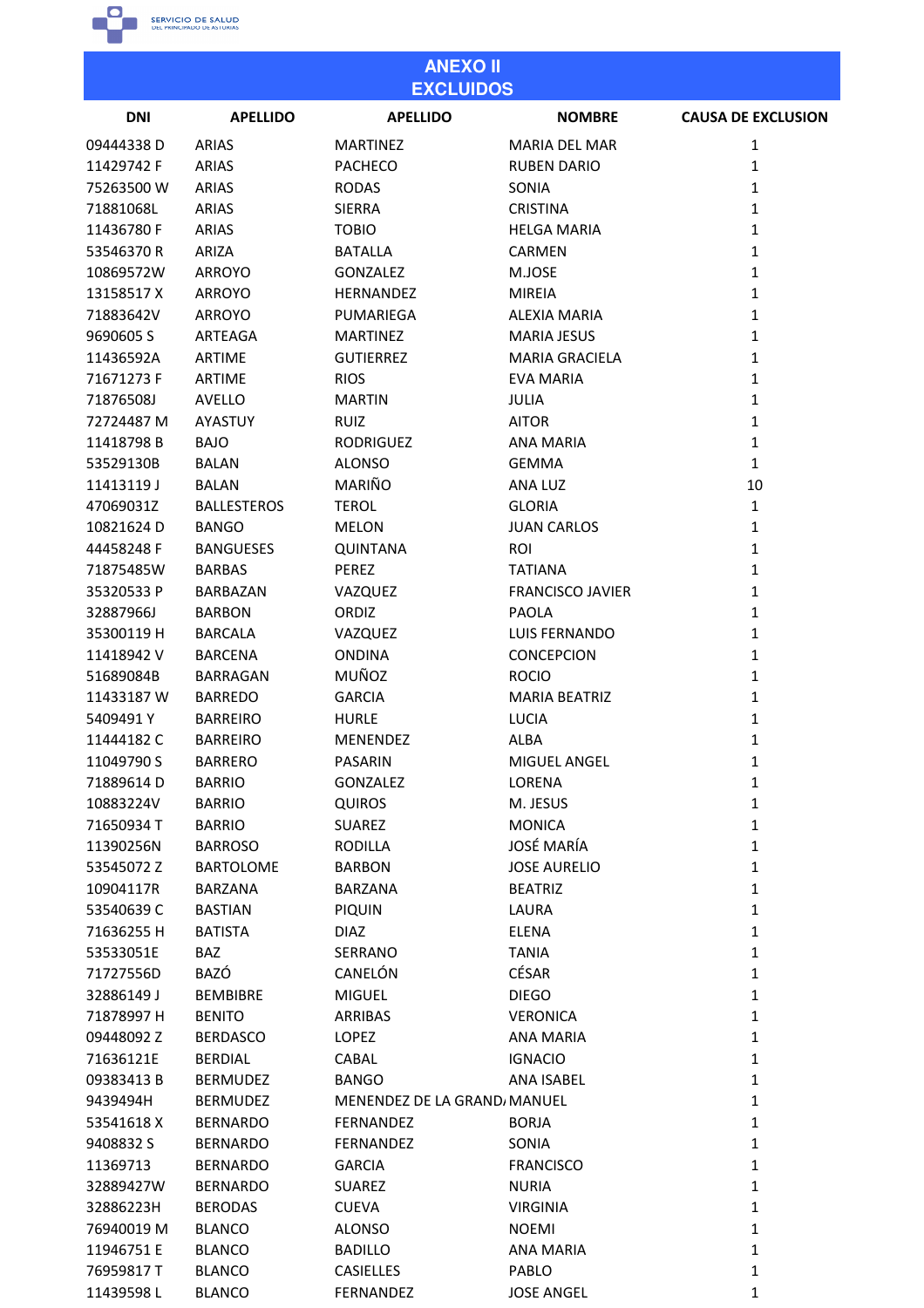

11439598 L BLANCO

**FERNANDEZ** 

**JOSE ANGEL** 

| <b>ANEXO II</b><br><b>EXCLUIDOS</b> |                    |                             |                         |                           |
|-------------------------------------|--------------------|-----------------------------|-------------------------|---------------------------|
| <b>DNI</b>                          | <b>APELLIDO</b>    | <b>APELLIDO</b>             | <b>NOMBRE</b>           | <b>CAUSA DE EXCLUSION</b> |
| 09444338D                           | <b>ARIAS</b>       | <b>MARTINEZ</b>             | <b>MARIA DEL MAR</b>    | 1                         |
| 11429742 F                          | <b>ARIAS</b>       | <b>PACHECO</b>              | <b>RUBEN DARIO</b>      | 1                         |
| 75263500W                           | <b>ARIAS</b>       | <b>RODAS</b>                | SONIA                   | $\mathbf{1}$              |
| 71881068L                           | <b>ARIAS</b>       | <b>SIERRA</b>               | <b>CRISTINA</b>         | $\mathbf 1$               |
| 11436780F                           | <b>ARIAS</b>       | <b>TOBIO</b>                | <b>HELGA MARIA</b>      | $\mathbf{1}$              |
| 53546370R                           | ARIZA              | <b>BATALLA</b>              | <b>CARMEN</b>           | 1                         |
| 10869572W                           | ARROYO             | <b>GONZALEZ</b>             | M.JOSE                  | 1                         |
| 13158517X                           | <b>ARROYO</b>      | HERNANDEZ                   | <b>MIREIA</b>           | $\mathbf{1}$              |
| 71883642V                           | ARROYO             | PUMARIEGA                   | <b>ALEXIA MARIA</b>     | 1                         |
| 9690605 S                           | ARTEAGA            | <b>MARTINEZ</b>             | <b>MARIA JESUS</b>      | $\mathbf{1}$              |
| 11436592A                           | ARTIME             | <b>GUTIERREZ</b>            | <b>MARIA GRACIELA</b>   | $\mathbf 1$               |
| 71671273 F                          | <b>ARTIME</b>      | <b>RIOS</b>                 | <b>EVA MARIA</b>        | $\mathbf 1$               |
| 71876508J                           | <b>AVELLO</b>      | <b>MARTIN</b>               | <b>JULIA</b>            | 1                         |
| 72724487 M                          | AYASTUY            | <b>RUIZ</b>                 | <b>AITOR</b>            | 1                         |
| 11418798B                           | <b>BAJO</b>        | <b>RODRIGUEZ</b>            | <b>ANA MARIA</b>        | $\mathbf 1$               |
| 53529130B                           | <b>BALAN</b>       | <b>ALONSO</b>               | <b>GEMMA</b>            | $\mathbf{1}$              |
| 11413119J                           | <b>BALAN</b>       | MARIÑO                      | ANA LUZ                 | 10                        |
|                                     |                    |                             |                         | $\mathbf{1}$              |
| 47069031Z                           | <b>BALLESTEROS</b> | <b>TEROL</b>                | <b>GLORIA</b>           |                           |
| 10821624D                           | <b>BANGO</b>       | <b>MELON</b>                | <b>JUAN CARLOS</b>      | $\mathbf{1}$              |
| 44458248 F                          | <b>BANGUESES</b>   | <b>QUINTANA</b>             | <b>ROI</b>              | 1                         |
| 71875485W                           | <b>BARBAS</b>      | PEREZ                       | TATIANA                 | $\mathbf{1}$              |
| 35320533 P                          | <b>BARBAZAN</b>    | VAZQUEZ                     | <b>FRANCISCO JAVIER</b> | $\mathbf 1$               |
| 32887966J                           | <b>BARBON</b>      | ORDIZ                       | <b>PAOLA</b>            | 1                         |
| 35300119 H                          | <b>BARCALA</b>     | VAZQUEZ                     | <b>LUIS FERNANDO</b>    | $\mathbf{1}$              |
| 11418942V                           | <b>BARCENA</b>     | <b>ONDINA</b>               | <b>CONCEPCION</b>       | $\mathbf{1}$              |
| 51689084B                           | <b>BARRAGAN</b>    | MUÑOZ                       | <b>ROCIO</b>            | $\mathbf{1}$              |
| 11433187W                           | <b>BARREDO</b>     | <b>GARCIA</b>               | <b>MARIA BEATRIZ</b>    | 1                         |
| 5409491Y                            | <b>BARREIRO</b>    | <b>HURLE</b>                | <b>LUCIA</b>            | 1                         |
| 11444182C                           | <b>BARREIRO</b>    | MENENDEZ                    | <b>ALBA</b>             | 1                         |
| 11049790 S                          | <b>BARRERO</b>     | PASARIN                     | MIGUEL ANGEL            | $\mathbf 1$               |
| 71889614D                           | <b>BARRIO</b>      | <b>GONZALEZ</b>             | LORENA                  | $\mathbf{1}$              |
| 10883224V                           | <b>BARRIO</b>      | <b>QUIROS</b>               | M. JESUS                | $\mathbf 1$               |
| 71650934 T                          | <b>BARRIO</b>      | <b>SUAREZ</b>               | <b>MONICA</b>           | $\mathbf{1}$              |
| 11390256N                           | <b>BARROSO</b>     | <b>RODILLA</b>              | <b>JOSÉ MARÍA</b>       | $\mathbf{1}$              |
| 53545072 Z                          | <b>BARTOLOME</b>   | <b>BARBON</b>               | <b>JOSE AURELIO</b>     | $\mathbf{1}$              |
| 10904117R                           | BARZANA            | <b>BARZANA</b>              | <b>BEATRIZ</b>          | $\mathbf{1}$              |
| 53540639 C                          | <b>BASTIAN</b>     | <b>PIQUIN</b>               | LAURA                   | $\mathbf{1}$              |
| 71636255 H                          | <b>BATISTA</b>     | <b>DIAZ</b>                 | ELENA                   | $\mathbf{1}$              |
| 53533051E                           | <b>BAZ</b>         | SERRANO                     | <b>TANIA</b>            | $\mathbf{1}$              |
| 71727556D                           | BAZÓ               | CANELÓN                     | <b>CÉSAR</b>            | $\mathbf{1}$              |
| 32886149 J                          | <b>BEMBIBRE</b>    | <b>MIGUEL</b>               | <b>DIEGO</b>            | $\mathbf{1}$              |
| 71878997 H                          | <b>BENITO</b>      | ARRIBAS                     | <b>VERONICA</b>         | $\mathbf{1}$              |
| 09448092 Z                          | <b>BERDASCO</b>    | LOPEZ                       | <b>ANA MARIA</b>        | $\mathbf{1}$              |
| 71636121E                           | <b>BERDIAL</b>     | CABAL                       | <b>IGNACIO</b>          | $\mathbf{1}$              |
| 09383413B                           | <b>BERMUDEZ</b>    | <b>BANGO</b>                | ANA ISABEL              | $\mathbf{1}$              |
| 9439494H                            | <b>BERMUDEZ</b>    | MENENDEZ DE LA GRAND/MANUEL |                         | $\mathbf{1}$              |
| 53541618 X                          | <b>BERNARDO</b>    | FERNANDEZ                   | <b>BORJA</b>            | $\mathbf{1}$              |
| 9408832 S                           | <b>BERNARDO</b>    | <b>FERNANDEZ</b>            | SONIA                   | $\mathbf{1}$              |
| 11369713                            | <b>BERNARDO</b>    | <b>GARCIA</b>               | <b>FRANCISCO</b>        | $\mathbf{1}$              |
| 32889427W                           | <b>BERNARDO</b>    | <b>SUAREZ</b>               | <b>NURIA</b>            | $\mathbf{1}$              |
| 32886223H                           | <b>BERODAS</b>     | <b>CUEVA</b>                | <b>VIRGINIA</b>         | $\mathbf 1$               |
| 76940019 M                          | <b>BLANCO</b>      | <b>ALONSO</b>               | <b>NOEMI</b>            | $\mathbf 1$               |
| 11946751 E                          | <b>BLANCO</b>      | <b>BADILLO</b>              | <b>ANA MARIA</b>        | $\mathbf 1$               |
| 76959817T                           | <b>BLANCO</b>      | CASIELLES                   | PABLO                   | 1                         |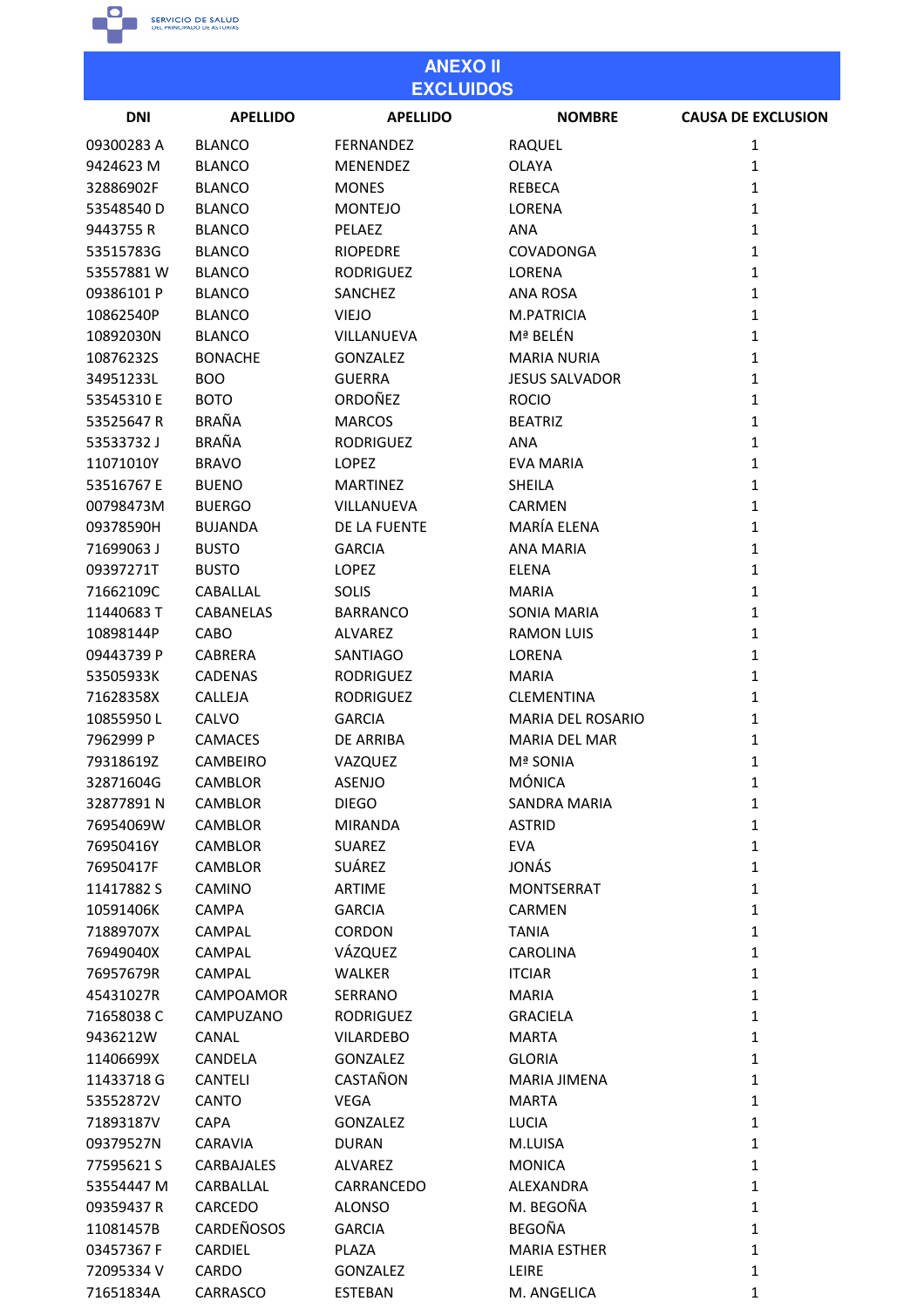

| <b>ANEXO II</b><br><b>EXCLUIDOS</b> |                  |                  |                                        |                           |
|-------------------------------------|------------------|------------------|----------------------------------------|---------------------------|
| <b>DNI</b>                          | <b>APELLIDO</b>  | <b>APELLIDO</b>  | <b>NOMBRE</b>                          | <b>CAUSA DE EXCLUSION</b> |
| 09300283 A                          | <b>BLANCO</b>    | <b>FERNANDEZ</b> | RAQUEL                                 | 1                         |
| 9424623 M                           | <b>BLANCO</b>    | <b>MENENDEZ</b>  | <b>OLAYA</b>                           | 1                         |
| 32886902F                           | <b>BLANCO</b>    | <b>MONES</b>     | <b>REBECA</b>                          | $\mathbf{1}$              |
| 53548540 D                          | <b>BLANCO</b>    | <b>MONTEJO</b>   | LORENA                                 | $\mathbf{1}$              |
| 9443755 R                           | <b>BLANCO</b>    | PELAEZ           | <b>ANA</b>                             | $\mathbf{1}$              |
| 53515783G                           | <b>BLANCO</b>    | <b>RIOPEDRE</b>  | COVADONGA                              | 1                         |
| 53557881W                           | <b>BLANCO</b>    | <b>RODRIGUEZ</b> | LORENA                                 | $\mathbf{1}$              |
| 09386101 P                          | <b>BLANCO</b>    | <b>SANCHEZ</b>   | <b>ANA ROSA</b>                        | 1                         |
| 10862540P                           | <b>BLANCO</b>    | <b>VIEJO</b>     | M.PATRICIA                             | $\mathbf{1}$              |
| 10892030N                           | <b>BLANCO</b>    | VILLANUEVA       | Mª BELÉN                               | 1                         |
| 10876232S                           | <b>BONACHE</b>   | <b>GONZALEZ</b>  | MARIA NURIA                            | $\mathbf{1}$              |
| 34951233L                           | <b>BOO</b>       | <b>GUERRA</b>    | <b>JESUS SALVADOR</b>                  | $\mathbf{1}$              |
| 53545310 E                          | <b>BOTO</b>      | ORDOÑEZ          | <b>ROCIO</b>                           | 1                         |
| 53525647R                           | <b>BRAÑA</b>     | <b>MARCOS</b>    | <b>BEATRIZ</b>                         | $\mathbf{1}$              |
| 53533732J                           | <b>BRAÑA</b>     | <b>RODRIGUEZ</b> | <b>ANA</b>                             | $\mathbf{1}$              |
| 11071010Y                           | <b>BRAVO</b>     | <b>LOPEZ</b>     | <b>EVA MARIA</b>                       | $\mathbf{1}$              |
| 53516767 E                          | <b>BUENO</b>     | <b>MARTINEZ</b>  | <b>SHEILA</b>                          | 1                         |
| 00798473M                           | <b>BUERGO</b>    | VILLANUEVA       | <b>CARMEN</b>                          | $\mathbf{1}$              |
| 09378590H                           | <b>BUJANDA</b>   | DE LA FUENTE     | MARÍA ELENA                            | $\mathbf{1}$              |
| 71699063J                           | <b>BUSTO</b>     | <b>GARCIA</b>    | ANA MARIA                              | $\mathbf{1}$              |
| 09397271T                           | <b>BUSTO</b>     | <b>LOPEZ</b>     | <b>ELENA</b>                           | $\mathbf{1}$              |
| 71662109C                           | CABALLAL         | <b>SOLIS</b>     | <b>MARIA</b>                           | $\mathbf 1$               |
| 11440683T                           | <b>CABANELAS</b> | <b>BARRANCO</b>  | SONIA MARIA                            | $\mathbf{1}$              |
| 10898144P                           | CABO             | ALVAREZ          | <b>RAMON LUIS</b>                      | 1                         |
|                                     |                  | <b>SANTIAGO</b>  |                                        | $\mathbf{1}$              |
| 09443739 P                          | <b>CABRERA</b>   |                  | LORENA                                 | 1                         |
| 53505933K                           | <b>CADENAS</b>   | <b>RODRIGUEZ</b> | <b>MARIA</b>                           |                           |
| 71628358X                           | CALLEJA          | <b>RODRIGUEZ</b> | CLEMENTINA<br><b>MARIA DEL ROSARIO</b> | 1<br>1                    |
| 10855950L                           | CALVO            | <b>GARCIA</b>    |                                        |                           |
| 7962999 P                           | <b>CAMACES</b>   | <b>DE ARRIBA</b> | MARIA DEL MAR                          | 1                         |
| 79318619Z                           | <b>CAMBEIRO</b>  | VAZQUEZ          | <b>Mª SONIA</b>                        | $\mathbf{1}$              |
| 32871604G                           | CAMBLOR          | ASENJO           | <b>MÓNICA</b>                          | $\mathbf{1}$              |
| 32877891N                           | CAMBLOR          | <b>DIEGO</b>     | <b>SANDRA MARIA</b>                    | $\mathbf{1}$              |
| 76954069W                           | CAMBLOR          | <b>MIRANDA</b>   | <b>ASTRID</b>                          | $\mathbf{1}$              |
| 76950416Y                           | <b>CAMBLOR</b>   | <b>SUAREZ</b>    | <b>EVA</b>                             | $\mathbf{1}$              |
| 76950417F                           | <b>CAMBLOR</b>   | SUÁREZ           | JONÁS                                  | $\mathbf{1}$              |
| 11417882 S                          | CAMINO           | <b>ARTIME</b>    | <b>MONTSERRAT</b>                      | $\mathbf{1}$              |
| 10591406K                           | <b>CAMPA</b>     | <b>GARCIA</b>    | <b>CARMEN</b>                          | $\mathbf{1}$              |
| 71889707X                           | <b>CAMPAL</b>    | CORDON           | <b>TANIA</b>                           | $\mathbf{1}$              |
| 76949040X                           | <b>CAMPAL</b>    | VÁZQUEZ          | <b>CAROLINA</b>                        | $\mathbf{1}$              |
| 76957679R                           | CAMPAL           | <b>WALKER</b>    | <b>ITCIAR</b>                          | $\mathbf{1}$              |
| 45431027R                           | CAMPOAMOR        | SERRANO          | <b>MARIA</b>                           | $\mathbf{1}$              |
| 71658038C                           | CAMPUZANO        | <b>RODRIGUEZ</b> | <b>GRACIELA</b>                        | $\mathbf{1}$              |
| 9436212W                            | CANAL            | <b>VILARDEBO</b> | <b>MARTA</b>                           | $\mathbf{1}$              |
| 11406699X                           | CANDELA          | <b>GONZALEZ</b>  | <b>GLORIA</b>                          | $\mathbf{1}$              |
| 11433718 G                          | <b>CANTELI</b>   | CASTAÑON         | <b>MARIA JIMENA</b>                    | $\mathbf{1}$              |
| 53552872V                           | CANTO            | <b>VEGA</b>      | <b>MARTA</b>                           | $\mathbf{1}$              |
| 71893187V                           | <b>CAPA</b>      | <b>GONZALEZ</b>  | <b>LUCIA</b>                           | $\mathbf{1}$              |
| 09379527N                           | <b>CARAVIA</b>   | <b>DURAN</b>     | M.LUISA                                | $\mathbf{1}$              |
| 77595621S                           | CARBAJALES       | ALVAREZ          | <b>MONICA</b>                          | $\mathbf{1}$              |
| 53554447 M                          | CARBALLAL        | CARRANCEDO       | ALEXANDRA                              | $\mathbf{1}$              |
| 09359437 R                          | CARCEDO          | <b>ALONSO</b>    | M. BEGOÑA                              | $\mathbf{1}$              |
| 11081457B                           | CARDEÑOSOS       | <b>GARCIA</b>    | BEGOÑA                                 | $\mathbf{1}$              |
| 03457367 F                          | CARDIEL          | PLAZA            | <b>MARIA ESTHER</b>                    | $\mathbf{1}$              |
| 72095334V                           | CARDO            | GONZALEZ         | LEIRE                                  | $\mathbf{1}$              |
| 71651834A                           | CARRASCO         | <b>ESTEBAN</b>   | M. ANGELICA                            | $\mathbf{1}$              |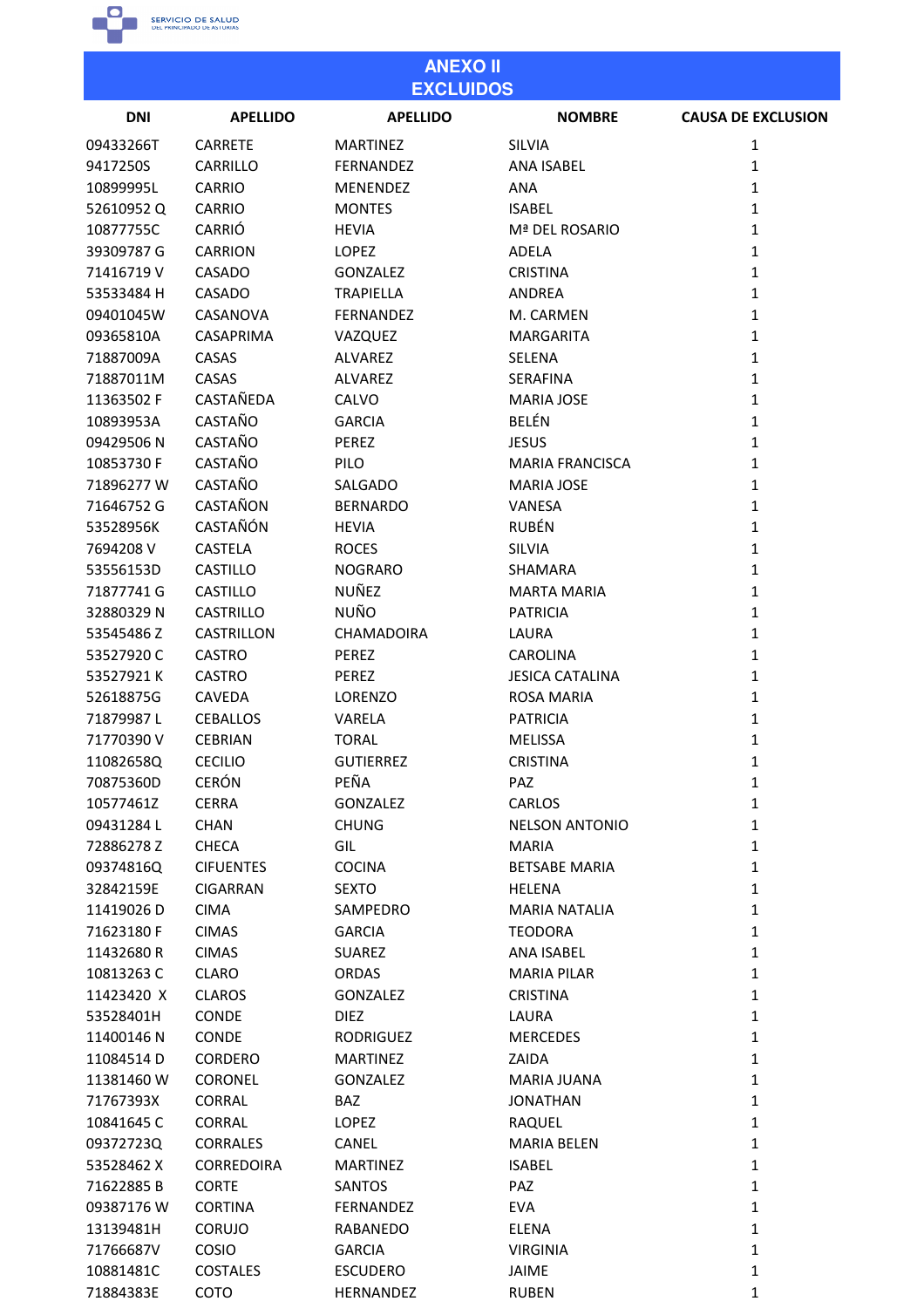

| <b>ANEXO II</b><br><b>EXCLUIDOS</b> |                   |                  |                            |                           |
|-------------------------------------|-------------------|------------------|----------------------------|---------------------------|
| <b>DNI</b>                          | <b>APELLIDO</b>   | <b>APELLIDO</b>  | <b>NOMBRE</b>              | <b>CAUSA DE EXCLUSION</b> |
| 09433266T                           | <b>CARRETE</b>    | <b>MARTINEZ</b>  | <b>SILVIA</b>              | $\mathbf{1}$              |
| 9417250S                            | CARRILLO          | <b>FERNANDEZ</b> | <b>ANA ISABEL</b>          | $\mathbf{1}$              |
| 10899995L                           | <b>CARRIO</b>     | <b>MENENDEZ</b>  | <b>ANA</b>                 | $\mathbf{1}$              |
| 52610952Q                           | <b>CARRIO</b>     | <b>MONTES</b>    | <b>ISABEL</b>              | $\mathbf{1}$              |
| 10877755C                           | CARRIÓ            | <b>HEVIA</b>     | Mª DEL ROSARIO             | $\mathbf{1}$              |
| 39309787 G                          | <b>CARRION</b>    | <b>LOPEZ</b>     | <b>ADELA</b>               | $\mathbf{1}$              |
| 71416719 V                          | CASADO            | <b>GONZALEZ</b>  | <b>CRISTINA</b>            | $\mathbf{1}$              |
| 53533484 H                          | CASADO            | <b>TRAPIELLA</b> | ANDREA                     | $\mathbf{1}$              |
| 09401045W                           | CASANOVA          | <b>FERNANDEZ</b> | M. CARMEN                  | $\mathbf{1}$              |
| 09365810A                           | <b>CASAPRIMA</b>  | VAZQUEZ          | <b>MARGARITA</b>           | $\mathbf{1}$              |
| 71887009A                           | CASAS             | <b>ALVAREZ</b>   | <b>SELENA</b>              | $\mathbf{1}$              |
| 71887011M                           | CASAS             | ALVAREZ          | SERAFINA                   | $\mathbf{1}$              |
| 11363502 F                          | CASTAÑEDA         | CALVO            | <b>MARIA JOSE</b>          | $\mathbf{1}$              |
| 10893953A                           | <b>CASTAÑO</b>    | <b>GARCIA</b>    | <b>BELÉN</b>               | $\mathbf{1}$              |
| 09429506N                           | CASTAÑO           | <b>PEREZ</b>     | <b>JESUS</b>               | $\mathbf{1}$              |
| 10853730 F                          | CASTAÑO           | PILO             | <b>MARIA FRANCISCA</b>     | $\mathbf{1}$              |
| 71896277W                           | <b>CASTAÑO</b>    | SALGADO          | <b>MARIA JOSE</b>          | $\mathbf{1}$              |
| 71646752 G                          | CASTAÑON          | <b>BERNARDO</b>  | VANESA                     | $\mathbf{1}$              |
| 53528956K                           | <b>CASTAÑÓN</b>   | <b>HEVIA</b>     | <b>RUBÉN</b>               | $\mathbf{1}$              |
| 7694208 V                           | <b>CASTELA</b>    | <b>ROCES</b>     | <b>SILVIA</b>              | $\mathbf{1}$              |
| 53556153D                           | <b>CASTILLO</b>   | <b>NOGRARO</b>   | <b>SHAMARA</b>             | $\mathbf{1}$              |
| 71877741 G                          | <b>CASTILLO</b>   | NUÑEZ            | <b>MARTA MARIA</b>         | $\mathbf{1}$              |
| 32880329N                           | <b>CASTRILLO</b>  | NUÑO             | <b>PATRICIA</b>            | $\mathbf{1}$              |
| 53545486Z                           | CASTRILLON        | CHAMADOIRA       | LAURA                      | $\mathbf{1}$              |
| 53527920C                           | <b>CASTRO</b>     | PEREZ            | <b>CAROLINA</b>            | $\mathbf{1}$              |
| 53527921K                           | <b>CASTRO</b>     | <b>PEREZ</b>     | <b>JESICA CATALINA</b>     | $\mathbf{1}$              |
| 52618875G                           | <b>CAVEDA</b>     | <b>LORENZO</b>   | <b>ROSA MARIA</b>          | $\mathbf{1}$              |
| 71879987L                           | <b>CEBALLOS</b>   | VARELA           | <b>PATRICIA</b>            | 1                         |
| 71770390 V                          | <b>CEBRIAN</b>    | <b>TORAL</b>     | <b>MELISSA</b>             | 1                         |
| 11082658Q                           | <b>CECILIO</b>    | <b>GUTIERREZ</b> | <b>CRISTINA</b>            | $\mathbf{1}$              |
| 70875360D                           | <b>CERÓN</b>      | PEÑA             | <b>PAZ</b>                 | $\mathbf{1}$              |
| 10577461Z                           | <b>CERRA</b>      | <b>GONZALEZ</b>  | CARLOS                     | $\mathbf{1}$              |
| 09431284L                           | <b>CHAN</b>       | <b>CHUNG</b>     | <b>NELSON ANTONIO</b>      | $\mathbf{1}$              |
| 72886278 Z                          | <b>CHECA</b>      | GIL              | <b>MARIA</b>               | $\mathbf{1}$              |
| 09374816Q                           | <b>CIFUENTES</b>  | <b>COCINA</b>    | <b>BETSABE MARIA</b>       | $\mathbf{1}$              |
| 32842159E                           | <b>CIGARRAN</b>   | <b>SEXTO</b>     | <b>HELENA</b>              | $\mathbf{1}$              |
| 11419026D                           | <b>CIMA</b>       | SAMPEDRO         | <b>MARIA NATALIA</b>       | $\mathbf{1}$              |
| 71623180 F                          | <b>CIMAS</b>      | <b>GARCIA</b>    | <b>TEODORA</b>             | $\mathbf{1}$              |
| 11432680R                           | <b>CIMAS</b>      | <b>SUAREZ</b>    | <b>ANA ISABEL</b>          | $\mathbf{1}$              |
| 10813263 C                          | CLARO             | ORDAS            | <b>MARIA PILAR</b>         | $\mathbf{1}$              |
| 11423420 X                          | <b>CLAROS</b>     | <b>GONZALEZ</b>  | <b>CRISTINA</b>            | $\mathbf{1}$              |
| 53528401H                           | CONDE             | <b>DIEZ</b>      | LAURA                      | $\mathbf{1}$              |
| 11400146N                           | CONDE             | <b>RODRIGUEZ</b> | <b>MERCEDES</b>            | $\mathbf{1}$              |
| 11084514D                           | <b>CORDERO</b>    | <b>MARTINEZ</b>  | ZAIDA                      | $\mathbf{1}$              |
| 11381460 W                          | <b>CORONEL</b>    | <b>GONZALEZ</b>  | MARIA JUANA                | $\mathbf{1}$              |
| 71767393X                           | <b>CORRAL</b>     | BAZ              | <b>JONATHAN</b>            | $\mathbf{1}$              |
| 10841645C                           | CORRAL            | <b>LOPEZ</b>     | RAQUEL                     | $\mathbf{1}$              |
| 09372723Q                           | <b>CORRALES</b>   | CANEL            | <b>MARIA BELEN</b>         | $\mathbf{1}$              |
| 53528462 X                          | <b>CORREDOIRA</b> | <b>MARTINEZ</b>  | <b>ISABEL</b>              | $\mathbf{1}$              |
| 71622885B                           | <b>CORTE</b>      | <b>SANTOS</b>    | PAZ                        | $\mathbf{1}$              |
| 09387176 W                          | <b>CORTINA</b>    | FERNANDEZ        |                            | $\mathbf{1}$              |
| 13139481H                           | <b>CORUJO</b>     | RABANEDO         | <b>EVA</b><br><b>ELENA</b> | $\mathbf{1}$              |
|                                     |                   |                  |                            |                           |
| 71766687V                           | COSIO             | <b>GARCIA</b>    | <b>VIRGINIA</b>            | $\mathbf{1}$              |
| 10881481C                           | <b>COSTALES</b>   | <b>ESCUDERO</b>  | JAIME                      | $\mathbf{1}$              |
| 71884383E                           | COTO              | HERNANDEZ        | <b>RUBEN</b>               | 1                         |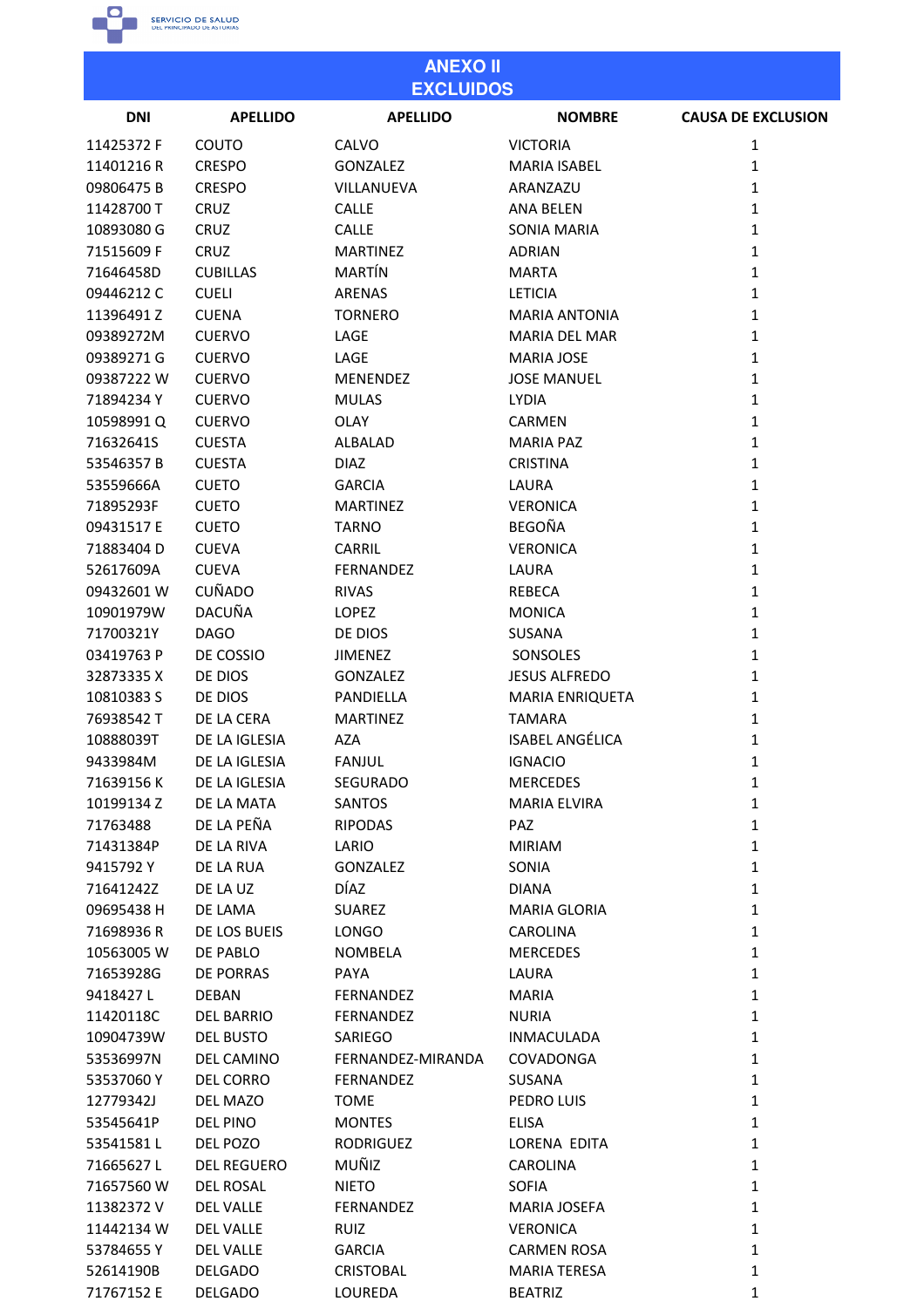

53536997N

53537060Y

12779342J

53545641P

53541581L

71665627L 71657560 W

11382372V

11442134W

53784655Y

52614190B

71767152 E

**DEL CAMINO** 

**DEL CORRO** 

**DEL MAZO** 

**DEL PINO** 

DFL POZO

**DEL ROSAL** 

**DEL VALLE** 

**DEL VALLE** 

**DEL VALLE** 

**DELGADO** 

**DELGADO** 

**DEL REGUERO** 

### **ANEXO II EXCLUIDOS DNI APELLIDO APELLIDO NOMBRE CAUSA DE EXCLUSION** 11425372 F COUTO CALVO **VICTORIA**  $\mathbf{1}$ 11401216 R **CRESPO GONZALEZ MARIA ISABEL**  $\mathbf{1}$ 09806475B **CRESPO** VILLANUEVA ARANZAZU  $\mathbf{1}$ 11428700 T CRUZ **CALLE ANA BELEN**  $\mathbf 1$ 10893080 G CRUZ **CALLE SONIA MARIA**  $\mathbf{1}$ 71515609 F CRUZ **MARTINEZ ADRIAN**  $\mathbf{1}$ MARTÍN 71646458D **CUBILLAS MARTA**  $\mathbf{1}$ 09446212C **CUELI ARENAS LETICIA**  $\mathbf 1$ 11396491Z **CUENA TORNERO MARIA ANTONIA**  $\mathbf{1}$ 09389272M **CUERVO** LAGE **MARIA DEL MAR**  $\mathbf{1}$ 09389271G **CUERVO** LAGE **MARIA JOSE**  $\mathbf{1}$ 09387222 W **CUERVO** MENENDEZ **JOSE MANUEL**  $\mathbf{1}$ 71894234Y **CUERVO MULAS LYDIA**  $\mathbf{1}$ 10598991Q **OLAY CARMEN**  $\mathbf{1}$ **CUERVO** 71632641S **ALBALAD MARIA PAZ**  $\mathbf{1}$ **CUESTA** 53546357B **CUESTA DIAZ CRISTINA**  $\mathbf 1$ 53559666A **GARCIA** LAURA  $\mathbf{1}$ **CUETO** 71895293F **CUETO MARTINEZ VERONICA**  $\mathbf{1}$ 09431517 E **CUETO TARNO BEGOÑA**  $\mathbf{1}$ 71883404D **CUEVA** CARRIL **VERONICA**  $\mathbf 1$ 52617609A **CUEVA** FERNANDEZ LAURA  $\mathbf{1}$ **CUÑADO** 09432601 W **RIVAS REBECA**  $\mathbf{1}$ **DACUÑA LOPEZ** 10901979W **MONICA**  $\mathbf{1}$ 71700321Y **DAGO** DE DIOS SUSANA  $\mathbf 1$ 03419763 P DE COSSIO **JIMENEZ** SONSOLES  $\mathbf{1}$ 32873335 X DE DIOS **GONZALEZ JESUS ALFREDO**  $\mathbf{1}$ 10810383 S DE DIOS PANDIELLA **MARIA ENRIQUETA**  $\mathbf{1}$ 76938542 T DE LA CERA **MARTINEZ TAMARA**  $\mathbf{1}$ 10888039T DE LA IGLESIA **AZA ISABEL ANGÉLICA**  $\overline{1}$ 9433984M DE LA IGLESIA **FANJUL IGNACIO**  $\mathbf{1}$ 71639156K DF LA IGLESIA **SEGURADO MERCEDES**  $\mathbf{1}$ DE LA MATA 10199134 Z SANTOS **MARIA ELVIRA**  $\mathbf 1$ DE LA PEÑA **RIPODAS** PAZ  $\mathbf{1}$ 71763488 71431384P DE LA RIVA LARIO **MIRIAM**  $\mathbf{1}$ 9415792Y **DE LA RUA GONZALEZ** SONIA  $\mathbf{1}$ 71641242Z DE LA UZ **DÍAZ DIANA**  $\mathbf 1$ 09695438 H DE LAMA **SUAREZ MARIA GLORIA**  $\mathbf{1}$ 71698936R DE LOS BUEIS LONGO **CAROLINA**  $\mathbf{1}$ 10563005 W DE PABLO **NOMBELA MERCEDES**  $\mathbf{1}$ 71653928G **DE PORRAS** PAYA LAURA  $\mathbf 1$ 9418427L **DEBAN FERNANDEZ MARIA**  $\mathbf{1}$ 11420118C **DEL BARRIO FERNANDEZ NURIA**  $\mathbf{1}$ 10904739W **DEL BUSTO** SARIFGO  $\mathbf{1}$ **INMACULADA**

FERNANDEZ-MIRANDA

FERNANDEZ

**RODRIGUEZ** 

**FERNANDEZ** 

**TOMF** 

**MONTES** 

MUÑIZ

**NIETO** 

**RUIZ** 

**GARCIA** 

**CRISTOBAL** 

LOUREDA

COVADONGA

PEDRO LUIS

**CAROLINA** 

**VERONICA** 

**BEATRIZ** 

LORENA EDITA

**MARIA JOSEFA** 

**CARMEN ROSA** 

**MARIA TERESA** 

**SUSANA** 

**ELISA** 

**SOFIA** 

 $\mathbf 1$ 

 $\mathbf{1}$ 

 $\mathbf{1}$ 

 $\mathbf{1}$ 

 $\mathbf 1$ 

 $\mathbf{1}$ 

 $\mathbf{1}$ 

 $\mathbf{1}$ 

 $\mathbf 1$ 

 $\mathbf{1}$ 

 $\mathbf{1}$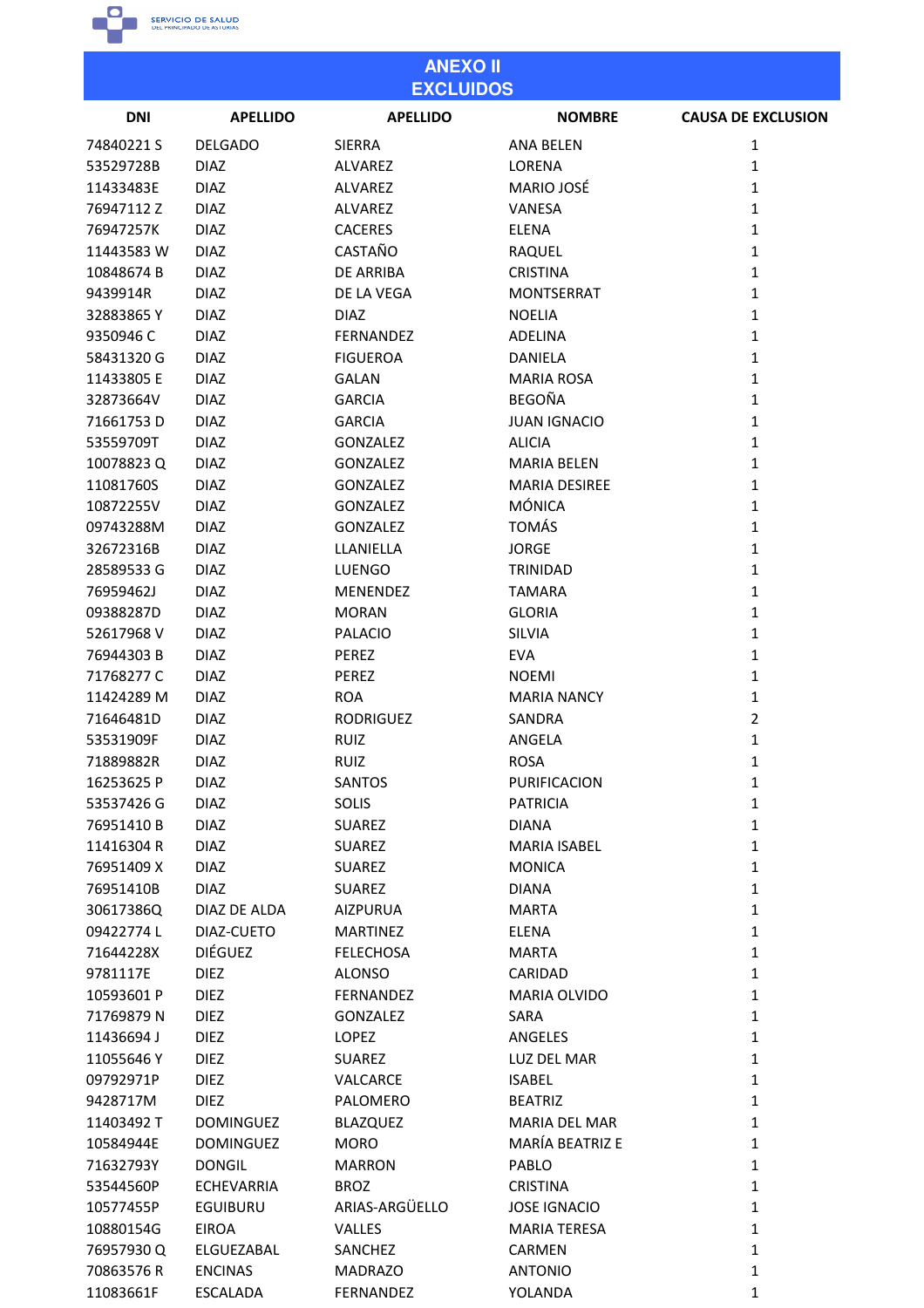

11083661F

**ESCALADA** 

FERNANDEZ

YOLANDA

| <b>ANEXO II</b><br><b>EXCLUIDOS</b> |                   |                  |                      |                           |
|-------------------------------------|-------------------|------------------|----------------------|---------------------------|
| <b>DNI</b>                          | <b>APELLIDO</b>   | <b>APELLIDO</b>  | <b>NOMBRE</b>        | <b>CAUSA DE EXCLUSION</b> |
| 74840221S                           | <b>DELGADO</b>    | <b>SIERRA</b>    | <b>ANA BELEN</b>     | 1                         |
| 53529728B                           | <b>DIAZ</b>       | ALVAREZ          | LORENA               | 1                         |
| 11433483E                           | <b>DIAZ</b>       | <b>ALVAREZ</b>   | <b>MARIO JOSÉ</b>    | 1                         |
| 76947112Z                           | <b>DIAZ</b>       | <b>ALVAREZ</b>   | VANESA               | 1                         |
| 76947257K                           | <b>DIAZ</b>       | <b>CACERES</b>   | <b>ELENA</b>         | $\mathbf{1}$              |
| 11443583 W                          | <b>DIAZ</b>       | CASTAÑO          | RAQUEL               | $\mathbf{1}$              |
| 10848674 B                          | <b>DIAZ</b>       | DE ARRIBA        | <b>CRISTINA</b>      | 1                         |
| 9439914R                            | <b>DIAZ</b>       | DE LA VEGA       | <b>MONTSERRAT</b>    | 1                         |
| 32883865Y                           | <b>DIAZ</b>       | <b>DIAZ</b>      | <b>NOELIA</b>        | 1                         |
| 9350946 C                           | <b>DIAZ</b>       | FERNANDEZ        | ADELINA              | 1                         |
| 58431320 G                          | <b>DIAZ</b>       | <b>FIGUEROA</b>  | <b>DANIELA</b>       | 1                         |
| 11433805 E                          | <b>DIAZ</b>       | <b>GALAN</b>     | <b>MARIA ROSA</b>    | 1                         |
| 32873664V                           | <b>DIAZ</b>       | <b>GARCIA</b>    | <b>BEGOÑA</b>        | $\mathbf{1}$              |
| 71661753D                           | <b>DIAZ</b>       | <b>GARCIA</b>    | <b>JUAN IGNACIO</b>  | 1                         |
| 53559709T                           | <b>DIAZ</b>       | <b>GONZALEZ</b>  | <b>ALICIA</b>        | 1                         |
| 10078823Q                           | <b>DIAZ</b>       | <b>GONZALEZ</b>  | <b>MARIA BELEN</b>   | 1                         |
| 11081760S                           | <b>DIAZ</b>       | <b>GONZALEZ</b>  | <b>MARIA DESIREE</b> | 1                         |
| 10872255V                           | <b>DIAZ</b>       | <b>GONZALEZ</b>  | <b>MÓNICA</b>        | 1                         |
| 09743288M                           | <b>DIAZ</b>       | <b>GONZALEZ</b>  | <b>TOMÁS</b>         | 1                         |
| 32672316B                           | <b>DIAZ</b>       | LLANIELLA        | <b>JORGE</b>         | $\mathbf{1}$              |
| 28589533 G                          | <b>DIAZ</b>       | <b>LUENGO</b>    | TRINIDAD             | 1                         |
| 76959462J                           | <b>DIAZ</b>       | <b>MENENDEZ</b>  | <b>TAMARA</b>        | 1                         |
|                                     |                   |                  |                      |                           |
| 09388287D                           | <b>DIAZ</b>       | <b>MORAN</b>     | <b>GLORIA</b>        | 1                         |
| 52617968V                           | <b>DIAZ</b>       | <b>PALACIO</b>   | SILVIA               | 1                         |
| 76944303B                           | <b>DIAZ</b>       | PEREZ            | <b>EVA</b>           | 1                         |
| 71768277 C                          | <b>DIAZ</b>       | PEREZ            | <b>NOEMI</b>         | 1                         |
| 11424289 M                          | <b>DIAZ</b>       | <b>ROA</b>       | <b>MARIA NANCY</b>   | $\mathbf{1}$              |
| 71646481D                           | <b>DIAZ</b>       | <b>RODRIGUEZ</b> | SANDRA               | 2                         |
| 53531909F                           | <b>DIAZ</b>       | <b>RUIZ</b>      | ANGELA               | 1                         |
| 71889882R                           | <b>DIAZ</b>       | <b>RUIZ</b>      | <b>ROSA</b>          | 1                         |
| 16253625 P                          | <b>DIAZ</b>       | <b>SANTOS</b>    | PURIFICACION         | $\mathbf{1}$              |
| 53537426 G                          | <b>DIAZ</b>       | <b>SOLIS</b>     | <b>PATRICIA</b>      | $\mathbf{1}$              |
| 76951410B                           | <b>DIAZ</b>       | <b>SUAREZ</b>    | <b>DIANA</b>         | $\mathbf{1}$              |
| 11416304 R                          | <b>DIAZ</b>       | <b>SUAREZ</b>    | MARIA ISABEL         | $\mathbf{1}$              |
| 76951409 X                          | <b>DIAZ</b>       | <b>SUAREZ</b>    | <b>MONICA</b>        | $\mathbf{1}$              |
| 76951410B                           | <b>DIAZ</b>       | <b>SUAREZ</b>    | <b>DIANA</b>         | $\mathbf{1}$              |
| 30617386Q                           | DIAZ DE ALDA      | <b>AIZPURUA</b>  | <b>MARTA</b>         | $\mathbf{1}$              |
| 09422774L                           | DIAZ-CUETO        | <b>MARTINEZ</b>  | <b>ELENA</b>         | 1                         |
| 71644228X                           | <b>DIÉGUEZ</b>    | <b>FELECHOSA</b> | <b>MARTA</b>         | $\mathbf{1}$              |
| 9781117E                            | <b>DIEZ</b>       | <b>ALONSO</b>    | CARIDAD              | $\mathbf{1}$              |
| 10593601 P                          | <b>DIEZ</b>       | FERNANDEZ        | MARIA OLVIDO         | $\mathbf{1}$              |
| 71769879N                           | <b>DIEZ</b>       | <b>GONZALEZ</b>  | SARA                 | $\mathbf{1}$              |
| 11436694 J                          | <b>DIEZ</b>       | LOPEZ            | ANGELES              | $\mathbf{1}$              |
| 11055646Y                           | <b>DIEZ</b>       | <b>SUAREZ</b>    | LUZ DEL MAR          | $\mathbf{1}$              |
| 09792971P                           | <b>DIEZ</b>       | VALCARCE         | <b>ISABEL</b>        | $\mathbf{1}$              |
| 9428717M                            | <b>DIEZ</b>       | PALOMERO         | <b>BEATRIZ</b>       | $\mathbf{1}$              |
| 11403492 T                          | <b>DOMINGUEZ</b>  | <b>BLAZQUEZ</b>  | MARIA DEL MAR        | $\mathbf{1}$              |
| 10584944E                           | <b>DOMINGUEZ</b>  | <b>MORO</b>      | MARÍA BEATRIZ E      | $\mathbf{1}$              |
| 71632793Y                           | <b>DONGIL</b>     | <b>MARRON</b>    | PABLO                | $\mathbf{1}$              |
| 53544560P                           | <b>ECHEVARRIA</b> | <b>BROZ</b>      | <b>CRISTINA</b>      | $\mathbf{1}$              |
| 10577455P                           | <b>EGUIBURU</b>   | ARIAS-ARGÜELLO   | <b>JOSE IGNACIO</b>  | $\mathbf{1}$              |
| 10880154G                           | <b>EIROA</b>      | VALLES           | <b>MARIA TERESA</b>  | $\mathbf{1}$              |
| 76957930Q                           | ELGUEZABAL        | SANCHEZ          | <b>CARMEN</b>        | $\mathbf{1}$              |
| 70863576R                           | <b>ENCINAS</b>    | <b>MADRAZO</b>   | <b>ANTONIO</b>       | $\mathbf{1}$              |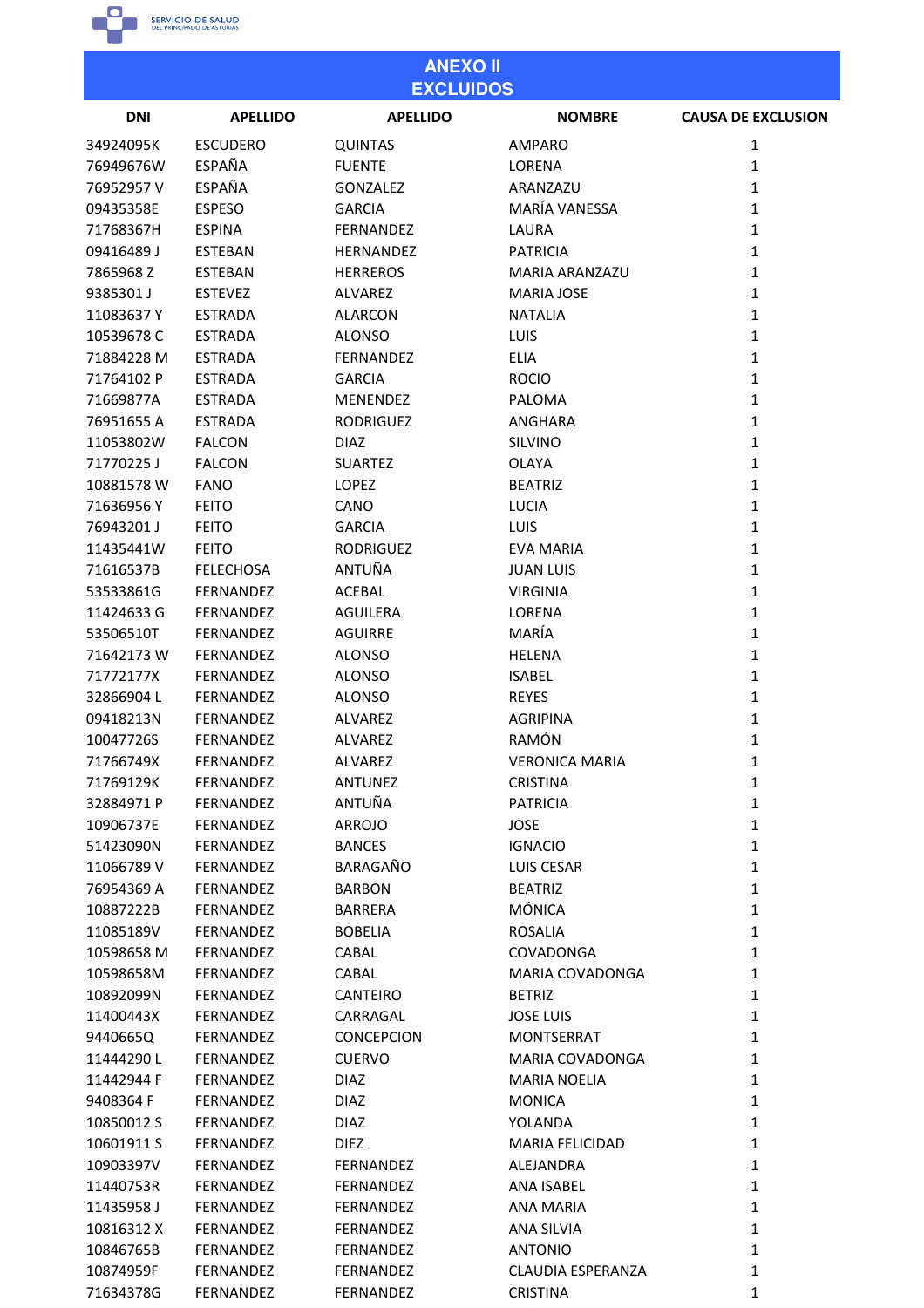

| <b>ANEXO II</b><br><b>EXCLUIDOS</b> |                  |                   |                        |                           |
|-------------------------------------|------------------|-------------------|------------------------|---------------------------|
| <b>DNI</b>                          | <b>APELLIDO</b>  | <b>APELLIDO</b>   | <b>NOMBRE</b>          | <b>CAUSA DE EXCLUSION</b> |
| 34924095K                           | <b>ESCUDERO</b>  | <b>QUINTAS</b>    | AMPARO                 | 1                         |
| 76949676W                           | <b>ESPAÑA</b>    | <b>FUENTE</b>     | LORENA                 | $\mathbf{1}$              |
| 76952957V                           | <b>ESPAÑA</b>    | <b>GONZALEZ</b>   | ARANZAZU               | $\mathbf{1}$              |
| 09435358E                           | <b>ESPESO</b>    | <b>GARCIA</b>     | MARÍA VANESSA          | $\mathbf{1}$              |
| 71768367H                           | <b>ESPINA</b>    | FERNANDEZ         | LAURA                  | $\mathbf{1}$              |
| 09416489 J                          | <b>ESTEBAN</b>   | <b>HERNANDEZ</b>  | <b>PATRICIA</b>        | $\mathbf{1}$              |
| 7865968 Z                           | <b>ESTEBAN</b>   | <b>HERREROS</b>   | <b>MARIA ARANZAZU</b>  | $\mathbf{1}$              |
| 9385301 J                           | <b>ESTEVEZ</b>   | ALVAREZ           | <b>MARIA JOSE</b>      | $\mathbf{1}$              |
| 11083637Y                           | <b>ESTRADA</b>   | <b>ALARCON</b>    | <b>NATALIA</b>         | $\mathbf{1}$              |
| 10539678 C                          | <b>ESTRADA</b>   | <b>ALONSO</b>     | LUIS                   | $\mathbf{1}$              |
| 71884228 M                          | <b>ESTRADA</b>   | <b>FERNANDEZ</b>  | <b>ELIA</b>            | $\mathbf{1}$              |
| 71764102 P                          | <b>ESTRADA</b>   | <b>GARCIA</b>     | <b>ROCIO</b>           | $\mathbf{1}$              |
| 71669877A                           | <b>ESTRADA</b>   | MENENDEZ          | <b>PALOMA</b>          | $\mathbf{1}$              |
| 76951655 A                          | <b>ESTRADA</b>   | <b>RODRIGUEZ</b>  | <b>ANGHARA</b>         | $\mathbf{1}$              |
|                                     |                  |                   |                        |                           |
| 11053802W                           | <b>FALCON</b>    | <b>DIAZ</b>       | <b>SILVINO</b>         | $\mathbf{1}$              |
| 71770225J                           | <b>FALCON</b>    | <b>SUARTEZ</b>    | <b>OLAYA</b>           | $\mathbf{1}$              |
| 10881578 W                          | <b>FANO</b>      | <b>LOPEZ</b>      | <b>BEATRIZ</b>         | $\mathbf{1}$              |
| 71636956Y                           | <b>FEITO</b>     | CANO              | <b>LUCIA</b>           | $\mathbf{1}$              |
| 76943201 J                          | <b>FEITO</b>     | <b>GARCIA</b>     | LUIS                   | $\mathbf{1}$              |
| 11435441W                           | <b>FEITO</b>     | <b>RODRIGUEZ</b>  | <b>EVA MARIA</b>       | $\mathbf{1}$              |
| 71616537B                           | <b>FELECHOSA</b> | ANTUÑA            | <b>JUAN LUIS</b>       | $\mathbf{1}$              |
| 53533861G                           | FERNANDEZ        | ACEBAL            | <b>VIRGINIA</b>        | $\mathbf{1}$              |
| 11424633 G                          | FERNANDEZ        | <b>AGUILERA</b>   | LORENA                 | $\mathbf{1}$              |
| 53506510T                           | FERNANDEZ        | <b>AGUIRRE</b>    | MARÍA                  | $\mathbf{1}$              |
| 71642173W                           | <b>FERNANDEZ</b> | <b>ALONSO</b>     | <b>HELENA</b>          | $\mathbf{1}$              |
| 71772177X                           | FERNANDEZ        | <b>ALONSO</b>     | <b>ISABEL</b>          | $\mathbf{1}$              |
| 32866904L                           | FERNANDEZ        | <b>ALONSO</b>     | <b>REYES</b>           | 1                         |
| 09418213N                           | FERNANDEZ        | ALVAREZ           | <b>AGRIPINA</b>        | $\mathbf{1}$              |
| 10047726S                           | FERNANDEZ        | ALVAREZ           | RAMÓN                  | 1                         |
| 71766749X                           | FERNANDEZ        | <b>ALVAREZ</b>    | <b>VERONICA MARIA</b>  | 1                         |
| 71769129K                           | FERNANDEZ        | <b>ANTUNEZ</b>    | <b>CRISTINA</b>        | $\mathbf{1}$              |
| 32884971 P                          | FERNANDEZ        | ANTUÑA            | <b>PATRICIA</b>        | $\mathbf{1}$              |
| 10906737E                           | <b>FERNANDEZ</b> | <b>ARROJO</b>     | <b>JOSE</b>            | $\mathbf{1}$              |
| 51423090N                           | FERNANDEZ        | <b>BANCES</b>     | <b>IGNACIO</b>         | $\mathbf{1}$              |
| 11066789 V                          | <b>FERNANDEZ</b> | BARAGAÑO          | LUIS CESAR             | $\mathbf{1}$              |
| 76954369 A                          | FERNANDEZ        | <b>BARBON</b>     | <b>BEATRIZ</b>         | $\mathbf{1}$              |
| 10887222B                           | FERNANDEZ        | <b>BARRERA</b>    | <b>MÓNICA</b>          | $\mathbf{1}$              |
| 11085189V                           | <b>FERNANDEZ</b> | <b>BOBELIA</b>    | <b>ROSALIA</b>         | $\mathbf{1}$              |
| 10598658 M                          | FERNANDEZ        | CABAL             | COVADONGA              | $\mathbf{1}$              |
| 10598658M                           | FERNANDEZ        | CABAL             | MARIA COVADONGA        | $\mathbf{1}$              |
| 10892099N                           | FERNANDEZ        | <b>CANTEIRO</b>   | <b>BETRIZ</b>          | $\mathbf{1}$              |
|                                     |                  |                   |                        | $\mathbf{1}$              |
| 11400443X                           | FERNANDEZ        | CARRAGAL          | <b>JOSE LUIS</b>       |                           |
| 9440665Q                            | FERNANDEZ        | <b>CONCEPCION</b> | <b>MONTSERRAT</b>      | $\mathbf{1}$              |
| 11444290L                           | FERNANDEZ        | <b>CUERVO</b>     | MARIA COVADONGA        | $\mathbf{1}$              |
| 11442944 F                          | FERNANDEZ        | <b>DIAZ</b>       | <b>MARIA NOELIA</b>    | $\mathbf{1}$              |
| 9408364 F                           | FERNANDEZ        | <b>DIAZ</b>       | <b>MONICA</b>          | $\mathbf{1}$              |
| 10850012 S                          | FERNANDEZ        | <b>DIAZ</b>       | YOLANDA                | $\mathbf{1}$              |
| 10601911 S                          | FERNANDEZ        | <b>DIEZ</b>       | <b>MARIA FELICIDAD</b> | $\mathbf{1}$              |
| 10903397V                           | FERNANDEZ        | FERNANDEZ         | ALEJANDRA              | $\mathbf{1}$              |
| 11440753R                           | FERNANDEZ        | FERNANDEZ         | ANA ISABEL             | $\mathbf{1}$              |
| 11435958 J                          | FERNANDEZ        | FERNANDEZ         | ANA MARIA              | $\mathbf{1}$              |
| 10816312 X                          | FERNANDEZ        | <b>FERNANDEZ</b>  | <b>ANA SILVIA</b>      | $\mathbf{1}$              |
| 10846765B                           | <b>FERNANDEZ</b> | <b>FERNANDEZ</b>  | <b>ANTONIO</b>         | $\mathbf{1}$              |
| 10874959F                           | FERNANDEZ        | <b>FERNANDEZ</b>  | CLAUDIA ESPERANZA      | $\mathbf{1}$              |
| 71634378G                           | FERNANDEZ        | FERNANDEZ         | <b>CRISTINA</b>        | $\mathbf{1}$              |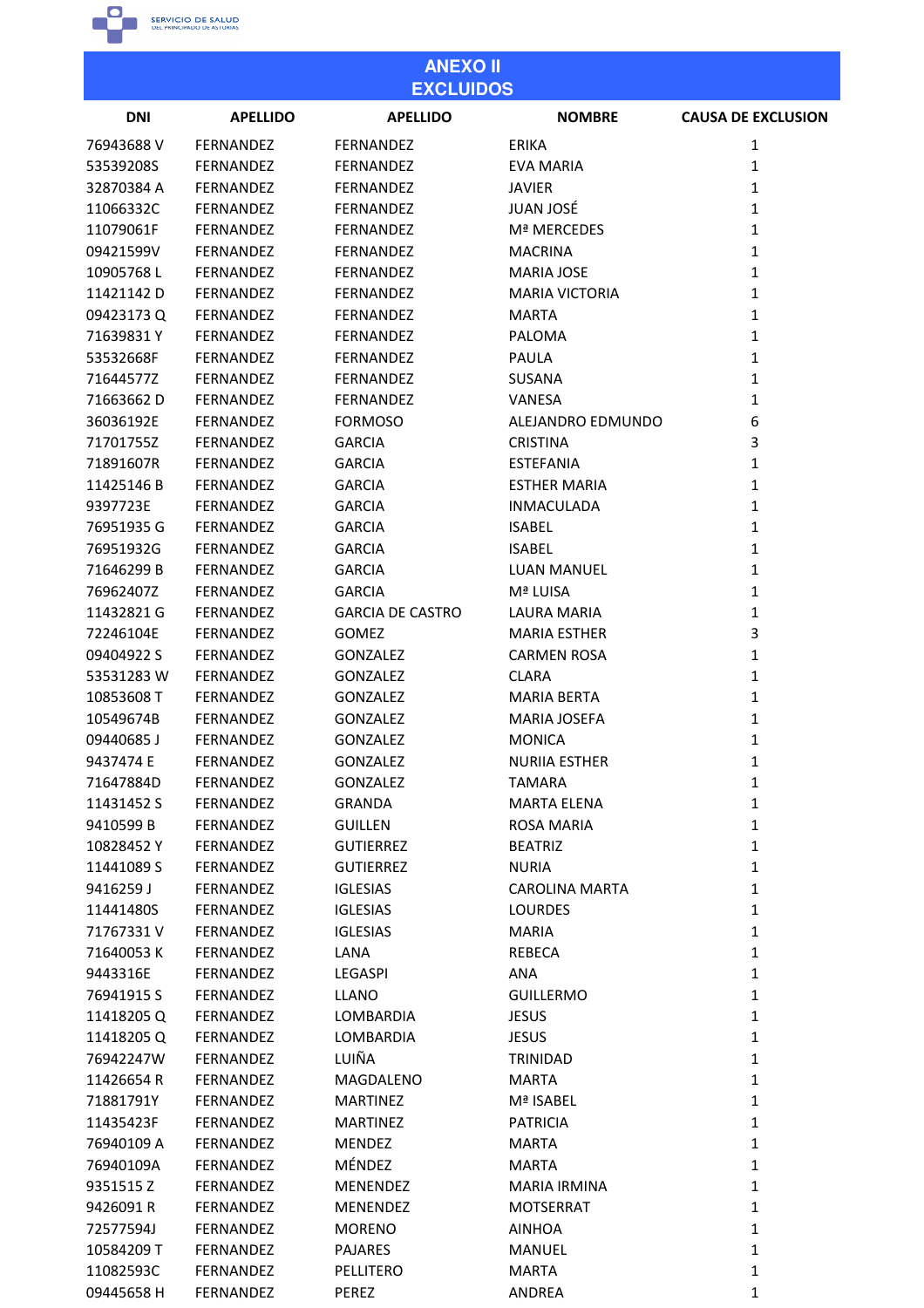

| <b>ANEXO II</b><br><b>EXCLUIDOS</b> |                  |                                    |                       |                           |
|-------------------------------------|------------------|------------------------------------|-----------------------|---------------------------|
| <b>DNI</b>                          | <b>APELLIDO</b>  | <b>APELLIDO</b>                    | <b>NOMBRE</b>         | <b>CAUSA DE EXCLUSION</b> |
| 76943688 V                          | FERNANDEZ        | FERNANDEZ                          | ERIKA                 | 1                         |
| 53539208S                           | <b>FERNANDEZ</b> | <b>FERNANDEZ</b>                   | EVA MARIA             | $\mathbf{1}$              |
| 32870384 A                          | <b>FERNANDEZ</b> | FERNANDEZ                          | JAVIER                | $\mathbf{1}$              |
| 11066332C                           | FERNANDEZ        | <b>FERNANDEZ</b>                   | <b>JUAN JOSÉ</b>      | $\mathbf{1}$              |
| 11079061F                           | FERNANDEZ        | FERNANDEZ                          | Mª MERCEDES           | $\mathbf{1}$              |
| 09421599V                           | FERNANDEZ        | <b>FERNANDEZ</b>                   | <b>MACRINA</b>        | $\mathbf{1}$              |
| 10905768L                           | FERNANDEZ        | <b>FERNANDEZ</b>                   | <b>MARIA JOSE</b>     | $\mathbf{1}$              |
| 11421142 D                          | FERNANDEZ        | FERNANDEZ                          | <b>MARIA VICTORIA</b> | $\mathbf{1}$              |
| 09423173Q                           | <b>FERNANDEZ</b> | FERNANDEZ                          | <b>MARTA</b>          | $\mathbf{1}$              |
| 71639831Y                           | FERNANDEZ        | <b>FERNANDEZ</b>                   | PALOMA                | $\mathbf{1}$              |
| 53532668F                           | FERNANDEZ        | <b>FERNANDEZ</b>                   | PAULA                 | $\mathbf{1}$              |
| 71644577Z                           | FERNANDEZ        | FERNANDEZ                          | <b>SUSANA</b>         | $\mathbf{1}$              |
| 71663662D                           | FERNANDEZ        | <b>FERNANDEZ</b>                   | VANESA                | $\mathbf{1}$              |
| 36036192E                           | FERNANDEZ        | <b>FORMOSO</b>                     | ALEJANDRO EDMUNDO     | 6                         |
| 71701755Z                           | FERNANDEZ        | <b>GARCIA</b>                      | <b>CRISTINA</b>       | 3                         |
| 71891607R                           | <b>FERNANDEZ</b> | <b>GARCIA</b>                      | <b>ESTEFANIA</b>      | $\mathbf{1}$              |
| 11425146B                           | FERNANDEZ        | <b>GARCIA</b>                      | <b>ESTHER MARIA</b>   | $\mathbf{1}$              |
| 9397723E                            | <b>FERNANDEZ</b> | <b>GARCIA</b>                      | <b>INMACULADA</b>     | $\mathbf{1}$              |
| 76951935 G                          | FERNANDEZ        | <b>GARCIA</b>                      | <b>ISABEL</b>         | $\mathbf{1}$              |
| 76951932G                           | <b>FERNANDEZ</b> | <b>GARCIA</b>                      | <b>ISABEL</b>         | $\mathbf{1}$              |
| 71646299 B                          | FERNANDEZ        | <b>GARCIA</b>                      | <b>LUAN MANUEL</b>    | $\mathbf{1}$              |
| 76962407Z                           | <b>FERNANDEZ</b> | <b>GARCIA</b>                      | Mª LUISA              | $\mathbf{1}$              |
| 11432821 G                          | FERNANDEZ        | <b>GARCIA DE CASTRO</b>            | <b>LAURA MARIA</b>    | $\mathbf{1}$              |
| 72246104E                           | <b>FERNANDEZ</b> | <b>GOMEZ</b>                       | <b>MARIA ESTHER</b>   | 3                         |
| 09404922 S                          | <b>FERNANDEZ</b> | GONZALEZ                           | <b>CARMEN ROSA</b>    | $\mathbf{1}$              |
| 53531283W                           | <b>FERNANDEZ</b> | <b>GONZALEZ</b>                    | <b>CLARA</b>          | $\mathbf{1}$              |
| 10853608 T                          | <b>FERNANDEZ</b> | <b>GONZALEZ</b>                    | <b>MARIA BERTA</b>    | $\mathbf{1}$              |
| 10549674B                           | <b>FERNANDEZ</b> | <b>GONZALEZ</b>                    | <b>MARIA JOSEFA</b>   | $\mathbf{1}$              |
| 09440685J                           | <b>FERNANDEZ</b> | <b>GONZALEZ</b>                    | <b>MONICA</b>         | $\mathbf{1}$              |
| 9437474 E                           | <b>FERNANDEZ</b> | <b>GONZALEZ</b>                    | <b>NURIIA ESTHER</b>  | $\mathbf{1}$              |
| 71647884D                           | FERNANDEZ        | <b>GONZALEZ</b>                    | <b>TAMARA</b>         | $\mathbf{1}$              |
| 11431452 S                          | <b>FERNANDEZ</b> | <b>GRANDA</b>                      | <b>MARTA ELENA</b>    | $\mathbf{1}$              |
| 9410599 B                           | FERNANDEZ        | <b>GUILLEN</b>                     | <b>ROSA MARIA</b>     | $\mathbf{1}$              |
| 10828452Y                           | <b>FERNANDEZ</b> | <b>GUTIERREZ</b>                   | <b>BEATRIZ</b>        | $\mathbf{1}$              |
| 11441089 S                          | FERNANDEZ        | <b>GUTIERREZ</b>                   | <b>NURIA</b>          | $\mathbf{1}$              |
| 9416259 J                           | <b>FERNANDEZ</b> | <b>IGLESIAS</b>                    | <b>CAROLINA MARTA</b> | $\mathbf{1}$              |
|                                     | <b>FERNANDEZ</b> |                                    | <b>LOURDES</b>        | $\mathbf{1}$              |
| 11441480S<br>71767331V              | FERNANDEZ        | <b>IGLESIAS</b><br><b>IGLESIAS</b> | <b>MARIA</b>          | $\mathbf{1}$              |
|                                     |                  |                                    |                       | $\mathbf{1}$              |
| 71640053K                           | FERNANDEZ        | LANA                               | REBECA                |                           |
| 9443316E                            | FERNANDEZ        | LEGASPI                            | <b>ANA</b>            | $\mathbf{1}$              |
| 76941915 S                          | FERNANDEZ        | <b>LLANO</b>                       | <b>GUILLERMO</b>      | $\mathbf{1}$              |
| 11418205Q                           | <b>FERNANDEZ</b> | LOMBARDIA                          | <b>JESUS</b>          | $\mathbf{1}$              |
| 11418205Q                           | FERNANDEZ        | LOMBARDIA                          | <b>JESUS</b>          | $\mathbf{1}$              |
| 76942247W                           | FERNANDEZ        | LUIÑA                              | TRINIDAD              | $\mathbf{1}$              |
| 11426654 R                          | FERNANDEZ        | MAGDALENO                          | <b>MARTA</b>          | $\mathbf{1}$              |
| 71881791Y                           | <b>FERNANDEZ</b> | <b>MARTINEZ</b>                    | Mª ISABEL             | $\mathbf{1}$              |
| 11435423F                           | FERNANDEZ        | <b>MARTINEZ</b>                    | <b>PATRICIA</b>       | $\mathbf{1}$              |
| 76940109 A                          | FERNANDEZ        | <b>MENDEZ</b>                      | <b>MARTA</b>          | $\mathbf{1}$              |
| 76940109A                           | <b>FERNANDEZ</b> | MÉNDEZ                             | <b>MARTA</b>          | $\mathbf{1}$              |
| 9351515Z                            | FERNANDEZ        | MENENDEZ                           | <b>MARIA IRMINA</b>   | $\mathbf{1}$              |
| 9426091R                            | FERNANDEZ        | <b>MENENDEZ</b>                    | <b>MOTSERRAT</b>      | $\mathbf{1}$              |
| 72577594J                           | FERNANDEZ        | <b>MORENO</b>                      | <b>AINHOA</b>         | $\mathbf{1}$              |
| 10584209 T                          | <b>FERNANDEZ</b> | <b>PAJARES</b>                     | MANUEL                | $\mathbf{1}$              |
| 11082593C                           | FERNANDEZ        | PELLITERO                          | <b>MARTA</b>          | $\mathbf 1$               |
| 09445658 H                          | FERNANDEZ        | PEREZ                              | ANDREA                | 1                         |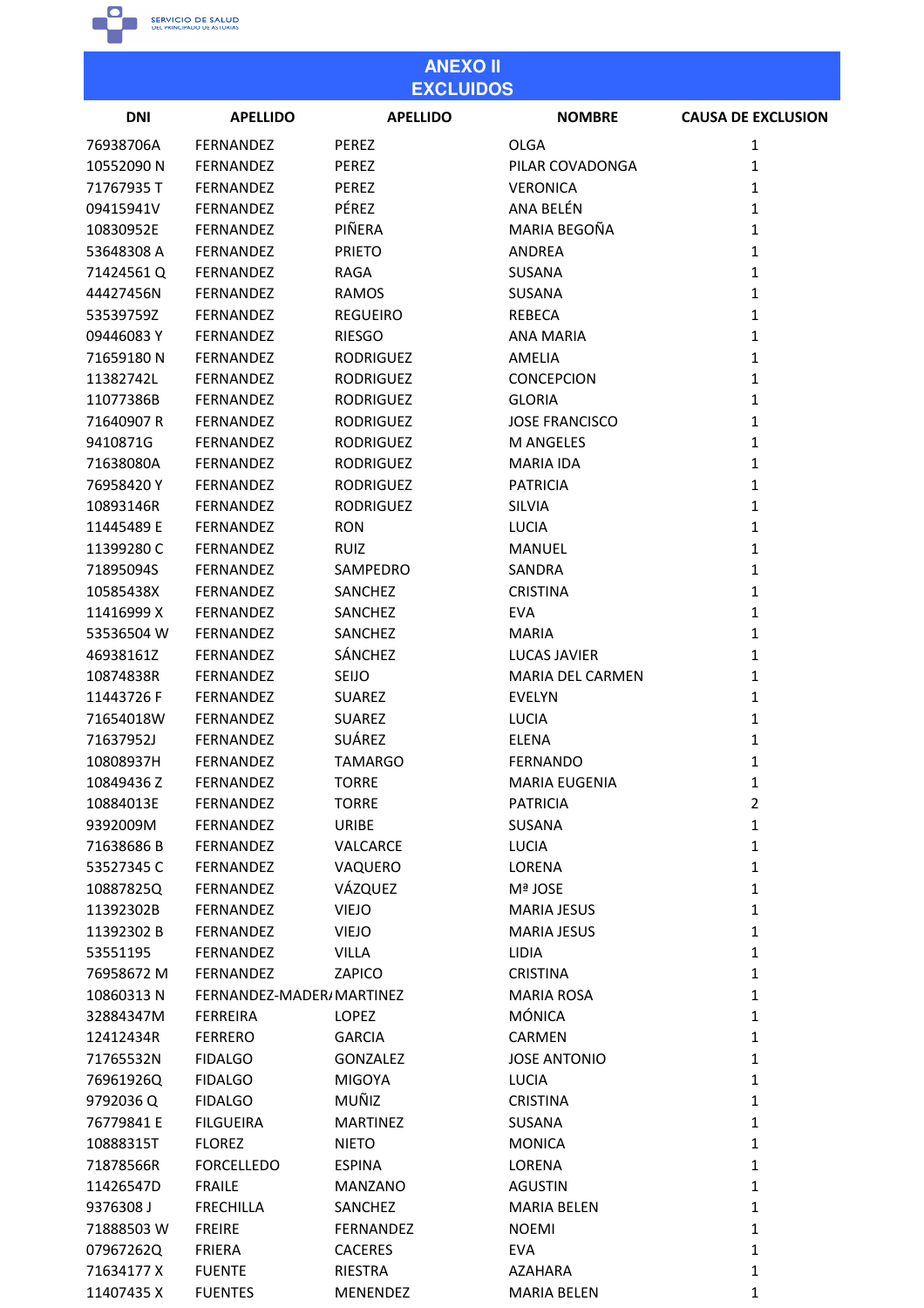

| <b>ANEXO II</b><br><b>EXCLUIDOS</b> |                          |                  |                         |                           |
|-------------------------------------|--------------------------|------------------|-------------------------|---------------------------|
| <b>DNI</b>                          | <b>APELLIDO</b>          | <b>APELLIDO</b>  | <b>NOMBRE</b>           | <b>CAUSA DE EXCLUSION</b> |
| 76938706A                           | FERNANDEZ                | PEREZ            | <b>OLGA</b>             | 1                         |
| 10552090N                           | <b>FERNANDEZ</b>         | PEREZ            | PILAR COVADONGA         | 1                         |
| 71767935T                           | FERNANDEZ                | PEREZ            | <b>VERONICA</b>         | 1                         |
| 09415941V                           | FERNANDEZ                | PÉREZ            | ANA BELÉN               | 1                         |
| 10830952E                           | <b>FERNANDEZ</b>         | PIÑERA           | MARIA BEGOÑA            | 1                         |
| 53648308 A                          | FERNANDEZ                | <b>PRIETO</b>    | <b>ANDREA</b>           | 1                         |
| 71424561Q                           | FERNANDEZ                | <b>RAGA</b>      | SUSANA                  | $\mathbf{1}$              |
| 44427456N                           | FERNANDEZ                | <b>RAMOS</b>     | <b>SUSANA</b>           | 1                         |
| 53539759Z                           | <b>FERNANDEZ</b>         | <b>REGUEIRO</b>  | <b>REBECA</b>           | 1                         |
| 09446083Y                           | FERNANDEZ                | <b>RIESGO</b>    | <b>ANA MARIA</b>        | 1                         |
| 71659180N                           | <b>FERNANDEZ</b>         | <b>RODRIGUEZ</b> | <b>AMELIA</b>           | $\mathbf{1}$              |
| 11382742L                           | FERNANDEZ                | <b>RODRIGUEZ</b> | <b>CONCEPCION</b>       | $\mathbf{1}$              |
| 11077386B                           | <b>FERNANDEZ</b>         | <b>RODRIGUEZ</b> | <b>GLORIA</b>           | 1                         |
| 71640907 R                          |                          |                  |                         |                           |
|                                     | <b>FERNANDEZ</b>         | <b>RODRIGUEZ</b> | <b>JOSE FRANCISCO</b>   | 1                         |
| 9410871G                            | FERNANDEZ                | <b>RODRIGUEZ</b> | <b>M ANGELES</b>        | 1                         |
| 71638080A                           | <b>FERNANDEZ</b>         | <b>RODRIGUEZ</b> | <b>MARIA IDA</b>        | 1                         |
| 76958420Y                           | FERNANDEZ                | <b>RODRIGUEZ</b> | <b>PATRICIA</b>         | 1                         |
| 10893146R                           | FERNANDEZ                | <b>RODRIGUEZ</b> | SILVIA                  | 1                         |
| 11445489 E                          | FERNANDEZ                | <b>RON</b>       | <b>LUCIA</b>            | 1                         |
| 11399280 C                          | FERNANDEZ                | <b>RUIZ</b>      | MANUEL                  | 1                         |
| 71895094S                           | FERNANDEZ                | SAMPEDRO         | <b>SANDRA</b>           | $\mathbf{1}$              |
| 10585438X                           | FERNANDEZ                | <b>SANCHEZ</b>   | <b>CRISTINA</b>         | 1                         |
| 11416999 X                          | <b>FERNANDEZ</b>         | <b>SANCHEZ</b>   | <b>EVA</b>              | $\mathbf{1}$              |
| 53536504 W                          | <b>FERNANDEZ</b>         | SANCHEZ          | <b>MARIA</b>            | 1                         |
| 46938161Z                           | <b>FERNANDEZ</b>         | <b>SÁNCHEZ</b>   | <b>LUCAS JAVIER</b>     | 1                         |
| 10874838R                           | FERNANDEZ                | SEIJO            | <b>MARIA DEL CARMEN</b> | 1                         |
| 11443726 F                          | FERNANDEZ                | <b>SUAREZ</b>    | <b>EVELYN</b>           | 1                         |
| 71654018W                           | FERNANDEZ                | <b>SUAREZ</b>    | <b>LUCIA</b>            | 1                         |
| 71637952J                           | FERNANDEZ                | SUÁREZ           | <b>ELENA</b>            | 1                         |
| 10808937H                           | <b>FERNANDEZ</b>         | <b>TAMARGO</b>   | <b>FERNANDO</b>         | 1                         |
| 10849436 Z                          | FERNANDEZ                | <b>TORRE</b>     | <b>MARIA EUGENIA</b>    | $\mathbf{1}$              |
| 10884013E                           | FERNANDEZ                | <b>TORRE</b>     | <b>PATRICIA</b>         | $\overline{2}$            |
| 9392009M                            | FERNANDEZ                | URIBE            | SUSANA                  | $\mathbf{1}$              |
| 71638686B                           | <b>FERNANDEZ</b>         | VALCARCE         | <b>LUCIA</b>            | $\mathbf{1}$              |
| 53527345 C                          | <b>FERNANDEZ</b>         | VAQUERO          | LORENA                  | $\mathbf{1}$              |
| 10887825Q                           | FERNANDEZ                | VÁZQUEZ          | Mª JOSE                 | $\mathbf{1}$              |
| 11392302B                           | FERNANDEZ                | <b>VIEJO</b>     | <b>MARIA JESUS</b>      | $\mathbf{1}$              |
| 11392302 B                          | <b>FERNANDEZ</b>         | <b>VIEJO</b>     | <b>MARIA JESUS</b>      | $\mathbf{1}$              |
| 53551195                            | FERNANDEZ                | <b>VILLA</b>     | <b>LIDIA</b>            | $\mathbf{1}$              |
| 76958672 M                          | FERNANDEZ                | ZAPICO           | <b>CRISTINA</b>         | $\mathbf{1}$              |
| 10860313N                           | FERNANDEZ-MADER/MARTINEZ |                  | <b>MARIA ROSA</b>       | $\mathbf{1}$              |
| 32884347M                           | <b>FERREIRA</b>          | LOPEZ            | <b>MÓNICA</b>           | 1                         |
| 12412434R                           | <b>FERRERO</b>           | <b>GARCIA</b>    | <b>CARMEN</b>           | $\mathbf 1$               |
| 71765532N                           | <b>FIDALGO</b>           | <b>GONZALEZ</b>  | <b>JOSE ANTONIO</b>     | $\mathbf{1}$              |
| 76961926Q                           | <b>FIDALGO</b>           | <b>MIGOYA</b>    | <b>LUCIA</b>            | $\mathbf{1}$              |
| 9792036 Q                           | <b>FIDALGO</b>           | MUÑIZ            | <b>CRISTINA</b>         | $\mathbf{1}$              |
| 76779841 E                          | <b>FILGUEIRA</b>         | <b>MARTINEZ</b>  | <b>SUSANA</b>           | $\mathbf{1}$              |
| 10888315T                           | <b>FLOREZ</b>            | <b>NIETO</b>     | <b>MONICA</b>           | $\mathbf{1}$              |
| 71878566R                           | <b>FORCELLEDO</b>        | <b>ESPINA</b>    | LORENA                  | $\mathbf{1}$              |
| 11426547D                           | <b>FRAILE</b>            | <b>MANZANO</b>   | <b>AGUSTIN</b>          | $\mathbf{1}$              |
| 9376308 J                           | <b>FRECHILLA</b>         | SANCHEZ          | <b>MARIA BELEN</b>      | $\mathbf{1}$              |
| 71888503W                           | <b>FREIRE</b>            | <b>FERNANDEZ</b> | <b>NOEMI</b>            | $\mathbf{1}$              |
| 07967262Q                           | FRIERA                   | <b>CACERES</b>   | <b>EVA</b>              | $\mathbf{1}$              |
| 71634177 X                          | <b>FUENTE</b>            | <b>RIESTRA</b>   | <b>AZAHARA</b>          | 1                         |

MENENDEZ

**MARIA BELEN** 

 $\mathbf{1}$ 

11407435 X

**FUENTES**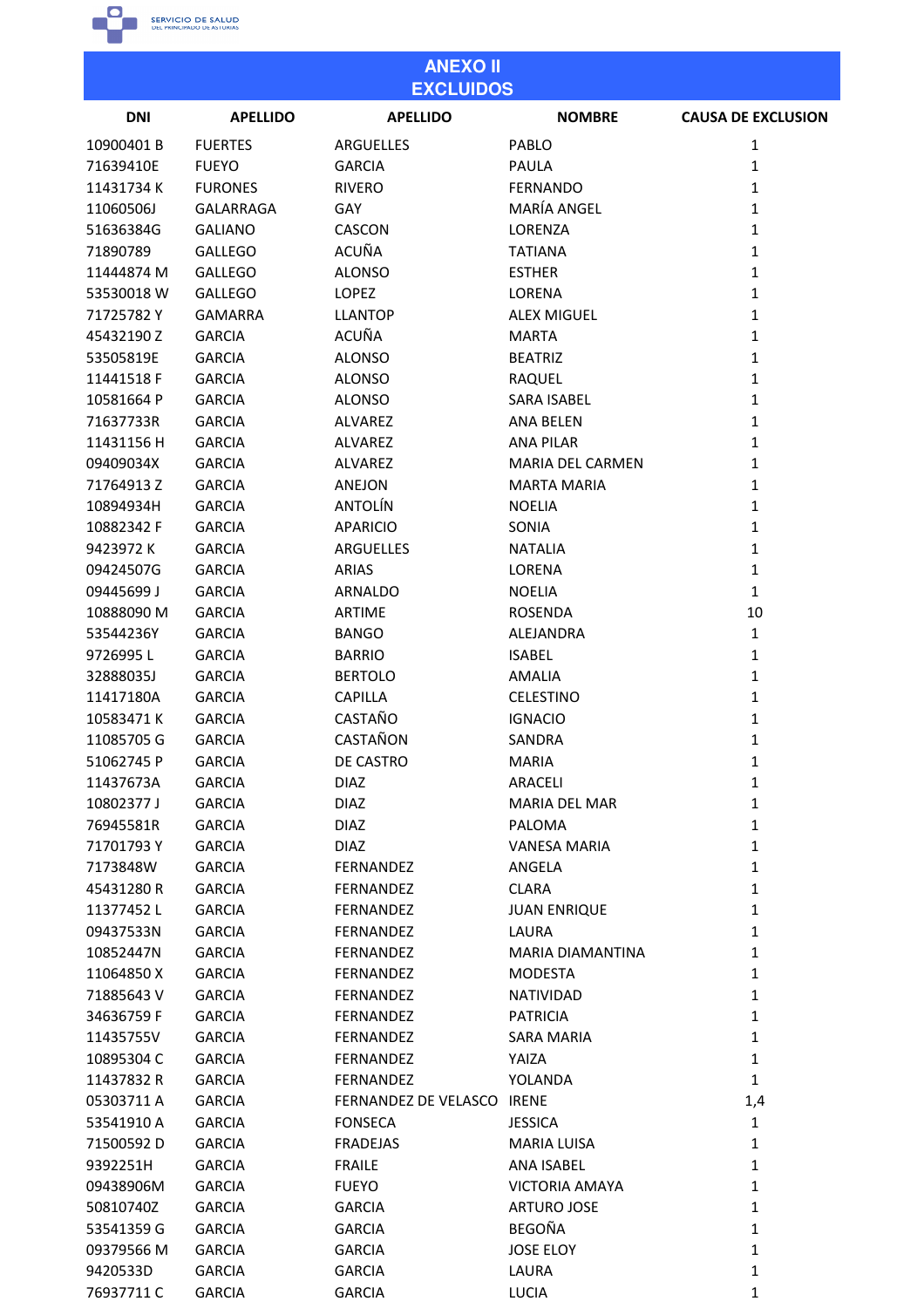

76937711C

**GARCIA** 

**GARCIA** 

**LUCIA** 

 $\mathbf{1}$ 

#### **ANEXO II EXCLUIDOS DNI APELLIDO APELLIDO NOMBRE CAUSA DE EXCLUSION** 10900401B **FUERTES ARGUELLES** PABLO  $\mathbf{1}$ 71639410E **FUEYO GARCIA PAULA**  $\mathbf{1}$ 11431734K **FURONES RIVERO FERNANDO**  $\mathbf{1}$ 11060506J **GALARRAGA** GAY MARÍA ANGEL  $\mathbf 1$ 51636384G **GALIANO** CASCON LORENZA  $\mathbf{1}$ **ACUÑA** 71890789 **GALLEGO TATIANA**  $\mathbf{1}$ 11444874 M **GALLEGO ALONSO FSTHFR**  $\mathbf{1}$ 53530018 W **GALLEGO LOPFZ** LORENA  $\mathbf 1$ 71725782Y **GAMARRA LLANTOP ALEX MIGUEL**  $\mathbf{1}$ 45432190Z **GARCIA** ACUÑA **MARTA**  $\mathbf{1}$ 53505819E **GARCIA ALONSO BEATRIZ**  $\mathbf{1}$ 11441518 F **GARCIA ALONSO RAQUEL**  $\mathbf 1$ 10581664 P **GARCIA ALONSO SARA ISABEL**  $\mathbf{1}$ **GARCIA ANA BELEN**  $\mathbf{1}$ 71637733R **ALVARFZ** 11431156 H **GARCIA ALVARFZ ANA PILAR**  $\mathbf{1}$ 09409034X **GARCIA ALVAREZ** MARIA DEL CARMEN  $\mathbf 1$ **MARTA MARIA**  $\mathbf{1}$ 71764913Z **GARCIA ANEJON** 10894934H **GARCIA** ANTOLÍN **NOELIA**  $\mathbf{1}$ 10882342 F **GARCIA APARICIO** SONIA  $\mathbf{1}$ 9423972K **GARCIA** ARGUELLES **NATALIA**  $\mathbf 1$ 09424507G **GARCIA ARIAS** LORENA  $\mathbf{1}$ 09445699 J **GARCIA ARNALDO NOELIA**  $\mathbf{1}$ 10888090 M **GARCIA ARTIME ROSENDA** 10 53544236Y **GARCIA BANGO** ALEJANDRA  $\mathbf 1$ **BARRIO**  $\mathbf{1}$ 9726995L **GARCIA ISARFI** 32888035J **GARCIA BERTOLO AMALIA**  $\mathbf{1}$ 11417180A **GARCIA CAPILLA CELESTINO**  $\mathbf{1}$ 10583471K **GARCIA** CASTAÑO **IGNACIO**  $\mathbf 1$ 11085705 G **GARCIA** CASTAÑON SANDRA  $\mathbf{1}$ 51062745 P **GARCIA** DE CASTRO **MARIA**  $\mathbf{1}$ **DIAZ** 11437673A **GARCIA ARACFLI**  $\mathbf{1}$ 10802377J **GARCIA DIAZ** MARIA DEL MAR  $\mathbf 1$ 76945581R **GARCIA DIAZ PALOMA**  $\mathbf{1}$ 71701793Y **GARCIA DIAZ VANESA MARIA**  $\mathbf{1}$ 7173848W **FERNANDEZ ANGELA**  $\mathbf{1}$ **GARCIA** 45431280R **GARCIA** FERNANDEZ **CLARA**  $\mathbf 1$ 11377452L **GARCIA** FERNANDEZ **JUAN ENRIQUE**  $\mathbf{1}$ **FERNANDEZ** LAURA  $\mathbf{1}$ 09437533N **GARCIA**  $\mathbf{1}$ 10852447N **GARCIA FERNANDEZ MARIA DIAMANTINA** 11064850X **GARCIA** FERNANDEZ **MODESTA**  $\mathbf 1$ 71885643V **GARCIA** FERNANDEZ **NATIVIDAD**  $\mathbf{1}$ 34636759F **GARCIA FERNANDEZ PATRICIA**  $\mathbf{1}$ 11435755V **GARCIA FERNANDEZ SARA MARIA**  $\mathbf{1}$ 10895304 C **GARCIA** FERNANDEZ YAIZA  $\mathbf 1$ 11437832 R **GARCIA** FERNANDEZ YOLANDA  $\mathbf{1}$ FERNANDEZ DE VELASCO IRENE  $1,4$ 05303711 A **GARCIA** 53541910 A **GARCIA FONSECA JESSICA**  $\mathbf{1}$ 71500592D **GARCIA FRADEJAS MARIA LUISA**  $\mathbf 1$ 9392251H **FRAILE ANA ISABEL**  $\mathbf{1}$ **GARCIA** 09438906M **GARCIA FUEYO VICTORIA AMAYA**  $\mathbf{1}$ 50810740Z **GARCIA GARCIA ARTURO JOSE**  $\mathbf{1}$ 53541359 G **GARCIA GARCIA BEGOÑA**  $\mathbf 1$ 09379566 M **GARCIA GARCIA JOSE ELOY**  $\mathbf{1}$ LAURA  $\mathbf{1}$ 9420533D **GARCIA GARCIA**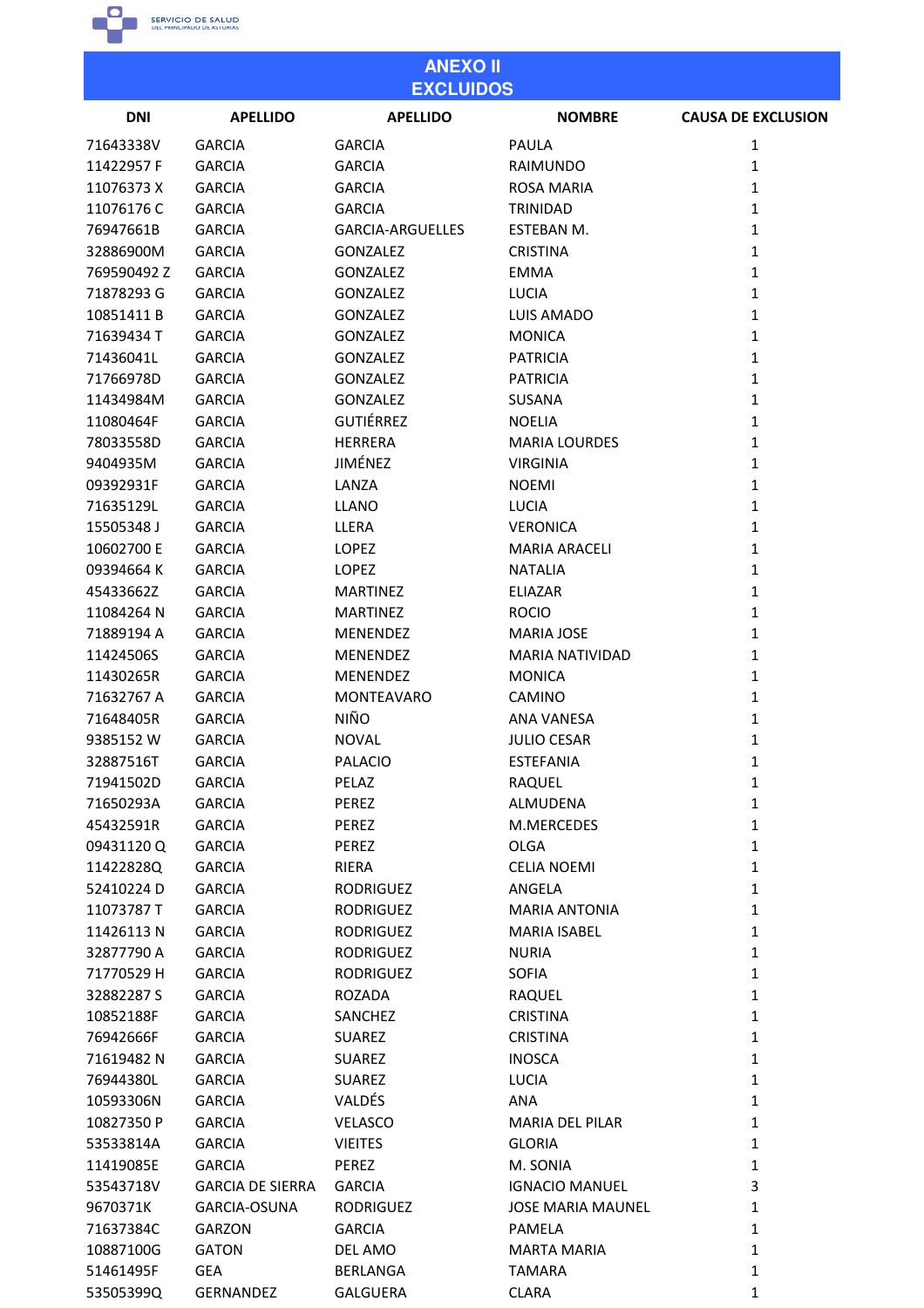

# **ANEXO II EXCLUIDOS**

| <b>DNI</b>  | <b>APELLIDO</b>         | <b>APELLIDO</b>         | <b>NOMBRE</b>            | <b>CAUSA DE EXCLUSION</b> |
|-------------|-------------------------|-------------------------|--------------------------|---------------------------|
| 71643338V   | <b>GARCIA</b>           | <b>GARCIA</b>           | <b>PAULA</b>             | 1                         |
| 11422957 F  | <b>GARCIA</b>           | <b>GARCIA</b>           | <b>RAIMUNDO</b>          | 1                         |
| 11076373 X  | <b>GARCIA</b>           | <b>GARCIA</b>           | <b>ROSA MARIA</b>        | 1                         |
| 11076176 C  | <b>GARCIA</b>           | <b>GARCIA</b>           | <b>TRINIDAD</b>          | $\mathbf{1}$              |
| 76947661B   | <b>GARCIA</b>           | <b>GARCIA-ARGUELLES</b> | ESTEBAN M.               | 1                         |
| 32886900M   | <b>GARCIA</b>           | <b>GONZALEZ</b>         | <b>CRISTINA</b>          | 1                         |
| 769590492 Z | <b>GARCIA</b>           | GONZALEZ                | <b>EMMA</b>              | 1                         |
| 71878293 G  | <b>GARCIA</b>           | GONZALEZ                | <b>LUCIA</b>             | 1                         |
| 10851411B   | <b>GARCIA</b>           | <b>GONZALEZ</b>         | <b>LUIS AMADO</b>        | 1                         |
| 71639434 T  | <b>GARCIA</b>           | GONZALEZ                | <b>MONICA</b>            | 1                         |
| 71436041L   | <b>GARCIA</b>           | GONZALEZ                | <b>PATRICIA</b>          | 1                         |
| 71766978D   | <b>GARCIA</b>           | GONZALEZ                | <b>PATRICIA</b>          | 1                         |
| 11434984M   | <b>GARCIA</b>           | GONZALEZ                | <b>SUSANA</b>            | $\mathbf 1$               |
| 11080464F   | <b>GARCIA</b>           | <b>GUTIÉRREZ</b>        | <b>NOELIA</b>            | 1                         |
| 78033558D   | <b>GARCIA</b>           | <b>HERRERA</b>          | <b>MARIA LOURDES</b>     | 1                         |
| 9404935M    | <b>GARCIA</b>           | JIMÉNEZ                 | <b>VIRGINIA</b>          | 1                         |
| 09392931F   | <b>GARCIA</b>           | LANZA                   | <b>NOEMI</b>             | 1                         |
| 71635129L   | <b>GARCIA</b>           | <b>LLANO</b>            | <b>LUCIA</b>             | $\mathbf{1}$              |
| 15505348 J  | <b>GARCIA</b>           | LLERA                   | <b>VERONICA</b>          | 1                         |
| 10602700 E  | <b>GARCIA</b>           | <b>LOPEZ</b>            | <b>MARIA ARACELI</b>     | 1                         |
| 09394664K   | <b>GARCIA</b>           | <b>LOPEZ</b>            | <b>NATALIA</b>           | 1                         |
| 45433662Z   | <b>GARCIA</b>           | <b>MARTINEZ</b>         | <b>ELIAZAR</b>           | 1                         |
| 11084264 N  | <b>GARCIA</b>           | <b>MARTINEZ</b>         | <b>ROCIO</b>             | 1                         |
| 71889194 A  | <b>GARCIA</b>           | MENENDEZ                | <b>MARIA JOSE</b>        | $\mathbf{1}$              |
| 11424506S   | <b>GARCIA</b>           | MENENDEZ                | <b>MARIA NATIVIDAD</b>   | 1                         |
| 11430265R   | <b>GARCIA</b>           | <b>MENENDEZ</b>         | <b>MONICA</b>            | 1                         |
| 71632767 A  | <b>GARCIA</b>           | <b>MONTEAVARO</b>       | CAMINO                   | 1                         |
| 71648405R   | <b>GARCIA</b>           | <b>NIÑO</b>             | ANA VANESA               | 1                         |
| 9385152W    | <b>GARCIA</b>           | <b>NOVAL</b>            | <b>JULIO CESAR</b>       | 1                         |
| 32887516T   | <b>GARCIA</b>           | <b>PALACIO</b>          | <b>ESTEFANIA</b>         | 1                         |
| 71941502D   | <b>GARCIA</b>           | PELAZ                   | <b>RAQUEL</b>            | 1                         |
| 71650293A   | <b>GARCIA</b>           | PEREZ                   | ALMUDENA                 | 1                         |
| 45432591R   | <b>GARCIA</b>           | PEREZ                   | M.MERCEDES               | $\mathbf{1}$              |
| 09431120Q   | <b>GARCIA</b>           | PEREZ                   | <b>OLGA</b>              | 1                         |
| 11422828Q   | <b>GARCIA</b>           | RIERA                   | <b>CELIA NOEMI</b>       | $\mathbf 1$               |
| 52410224D   | <b>GARCIA</b>           | <b>RODRIGUEZ</b>        | ANGELA                   | $\mathbf 1$               |
| 11073787 T  | <b>GARCIA</b>           | <b>RODRIGUEZ</b>        | <b>MARIA ANTONIA</b>     | 1                         |
| 11426113N   | <b>GARCIA</b>           | <b>RODRIGUEZ</b>        | <b>MARIA ISABEL</b>      | $\mathbf 1$               |
| 32877790 A  | <b>GARCIA</b>           | <b>RODRIGUEZ</b>        | <b>NURIA</b>             | $\mathbf 1$               |
| 71770529 H  | <b>GARCIA</b>           | <b>RODRIGUEZ</b>        | <b>SOFIA</b>             | 1                         |
| 32882287 S  | <b>GARCIA</b>           | ROZADA                  | RAQUEL                   | 1                         |
| 10852188F   | <b>GARCIA</b>           | SANCHEZ                 | <b>CRISTINA</b>          | $\mathbf 1$               |
| 76942666F   | <b>GARCIA</b>           | <b>SUAREZ</b>           | <b>CRISTINA</b>          | $\mathbf 1$               |
| 71619482 N  | <b>GARCIA</b>           | <b>SUAREZ</b>           | <b>INOSCA</b>            | 1                         |
| 76944380L   | <b>GARCIA</b>           | <b>SUAREZ</b>           | <b>LUCIA</b>             | $\mathbf 1$               |
| 10593306N   | <b>GARCIA</b>           | VALDÉS                  | <b>ANA</b>               | 1                         |
| 10827350 P  | <b>GARCIA</b>           | VELASCO                 | <b>MARIA DEL PILAR</b>   | $\mathbf{1}$              |
| 53533814A   | <b>GARCIA</b>           | <b>VIEITES</b>          | <b>GLORIA</b>            | 1                         |
| 11419085E   | <b>GARCIA</b>           | PEREZ                   | M. SONIA                 | 1                         |
| 53543718V   | <b>GARCIA DE SIERRA</b> | <b>GARCIA</b>           | <b>IGNACIO MANUEL</b>    | 3                         |
| 9670371K    | GARCIA-OSUNA            | <b>RODRIGUEZ</b>        | <b>JOSE MARIA MAUNEL</b> | 1                         |
| 71637384C   | <b>GARZON</b>           | <b>GARCIA</b>           | PAMELA                   | 1                         |
| 10887100G   | <b>GATON</b>            | DEL AMO                 | <b>MARTA MARIA</b>       | $\mathbf{1}$              |
| 51461495F   | <b>GEA</b>              | BERLANGA                | <b>TAMARA</b>            | $\mathbf{1}$              |
| 53505399Q   | GERNANDEZ               | <b>GALGUERA</b>         | <b>CLARA</b>             | 1                         |
|             |                         |                         |                          |                           |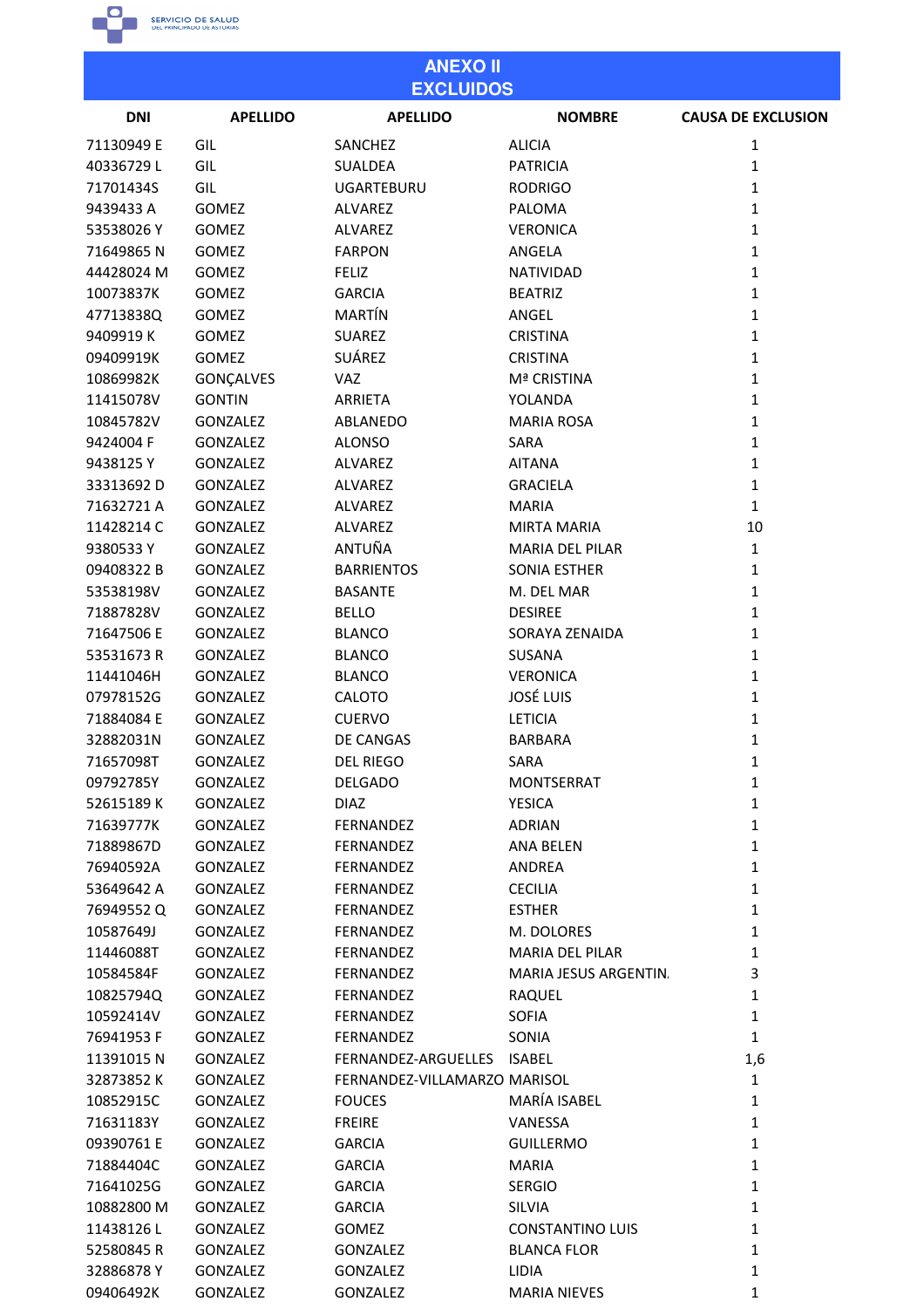

09406492K GONZALEZ GONZALEZ

| <b>ANEXO II</b><br><b>EXCLUIDOS</b> |                      |                              |                             |                              |
|-------------------------------------|----------------------|------------------------------|-----------------------------|------------------------------|
| <b>DNI</b>                          | <b>APELLIDO</b>      | <b>APELLIDO</b>              | <b>NOMBRE</b>               | <b>CAUSA DE EXCLUSION</b>    |
| 71130949 E                          | GIL                  | <b>SANCHEZ</b>               | <b>ALICIA</b>               | 1                            |
| 40336729L                           | GIL                  | <b>SUALDEA</b>               | <b>PATRICIA</b>             | $\mathbf{1}$                 |
| 71701434S                           | GIL                  | <b>UGARTEBURU</b>            | <b>RODRIGO</b>              | $\mathbf{1}$                 |
| 9439433 A                           | GOMEZ                | ALVAREZ                      | PALOMA                      | $\mathbf{1}$                 |
| 53538026Y                           | GOMEZ                | ALVAREZ                      | <b>VERONICA</b>             | $\mathbf{1}$                 |
| 71649865N                           | GOMEZ                | <b>FARPON</b>                | ANGELA                      | $\mathbf{1}$                 |
| 44428024 M                          | <b>GOMEZ</b>         | <b>FELIZ</b>                 | NATIVIDAD                   | $\mathbf{1}$                 |
| 10073837K                           | <b>GOMEZ</b>         | <b>GARCIA</b>                | <b>BEATRIZ</b>              | $\mathbf{1}$                 |
| 47713838Q                           | <b>GOMEZ</b>         | MARTÍN                       | ANGEL                       | $\mathbf{1}$                 |
| 9409919K                            | <b>GOMEZ</b>         | <b>SUAREZ</b>                | <b>CRISTINA</b>             | $\mathbf{1}$                 |
| 09409919K                           | <b>GOMEZ</b>         | SUÁREZ                       | <b>CRISTINA</b>             | $\mathbf{1}$                 |
| 10869982K                           | GONÇALVES            | VAZ                          | Mª CRISTINA                 | $\mathbf{1}$                 |
| 11415078V                           | <b>GONTIN</b>        | ARRIETA                      | YOLANDA                     | $\mathbf{1}$                 |
| 10845782V                           | <b>GONZALEZ</b>      | ABLANEDO                     | <b>MARIA ROSA</b>           | $\mathbf{1}$                 |
| 9424004 F                           | <b>GONZALEZ</b>      | <b>ALONSO</b>                | SARA                        | $\mathbf{1}$                 |
| 9438125Y                            | <b>GONZALEZ</b>      | <b>ALVAREZ</b>               | <b>AITANA</b>               | $\mathbf{1}$                 |
| 33313692D                           | <b>GONZALEZ</b>      | <b>ALVAREZ</b>               | <b>GRACIELA</b>             | $\mathbf{1}$                 |
| 71632721 A                          | <b>GONZALEZ</b>      | ALVAREZ                      | <b>MARIA</b>                | $\mathbf{1}$                 |
| 11428214 C                          | <b>GONZALEZ</b>      | <b>ALVAREZ</b>               | <b>MIRTA MARIA</b>          | 10                           |
| 9380533Y                            | <b>GONZALEZ</b>      | ANTUÑA                       | <b>MARIA DEL PILAR</b>      | $\mathbf{1}$                 |
| 09408322 B                          | <b>GONZALEZ</b>      | <b>BARRIENTOS</b>            | SONIA ESTHER                | $\mathbf{1}$                 |
| 53538198V                           | <b>GONZALEZ</b>      | <b>BASANTE</b>               | M. DEL MAR                  | $\mathbf{1}$                 |
| 71887828V                           | <b>GONZALEZ</b>      | <b>BELLO</b>                 | <b>DESIREE</b>              | $\mathbf{1}$                 |
| 71647506 E                          | <b>GONZALEZ</b>      | <b>BLANCO</b>                | SORAYA ZENAIDA              | $\mathbf{1}$                 |
| 53531673 R                          | <b>GONZALEZ</b>      | <b>BLANCO</b>                | SUSANA                      | $\mathbf{1}$                 |
| 11441046H                           | <b>GONZALEZ</b>      | <b>BLANCO</b>                | <b>VERONICA</b>             | $\mathbf{1}$                 |
| 07978152G                           | <b>GONZALEZ</b>      | CALOTO                       | <b>JOSÉ LUIS</b>            | $\mathbf{1}$                 |
| 71884084 E                          | <b>GONZALEZ</b>      | <b>CUERVO</b>                | <b>LETICIA</b>              | 1                            |
| 32882031N                           | <b>GONZALEZ</b>      | <b>DE CANGAS</b>             | <b>BARBARA</b>              | 1                            |
| 71657098T                           | <b>GONZALEZ</b>      | DEL RIEGO                    | SARA                        | 1                            |
| 09792785Y                           | <b>GONZALEZ</b>      | <b>DELGADO</b>               | <b>MONTSERRAT</b>           | $\mathbf{1}$                 |
| 52615189K                           | GONZALEZ             | <b>DIAZ</b>                  | <b>YESICA</b>               | $\mathbf{1}$                 |
| 71639777K                           | <b>GONZALEZ</b>      | FERNANDEZ                    | <b>ADRIAN</b>               | $\mathbf{1}$                 |
| 71889867D                           | <b>GONZALEZ</b>      | <b>FERNANDEZ</b>             | ANA BELEN                   | $\mathbf{1}$                 |
| 76940592A                           | <b>GONZALEZ</b>      | FERNANDEZ                    | ANDREA                      | $\mathbf{1}$                 |
| 53649642 A                          | GONZALEZ             | FERNANDEZ                    | <b>CECILIA</b>              | $\mathbf{1}$                 |
| 76949552Q                           | <b>GONZALEZ</b>      | FERNANDEZ                    | <b>ESTHER</b>               | $\mathbf{1}$                 |
| 10587649J                           | GONZALEZ             | FERNANDEZ                    | M. DOLORES                  | $\mathbf{1}$                 |
| 11446088T                           | <b>GONZALEZ</b>      | FERNANDEZ                    | MARIA DEL PILAR             | $\mathbf{1}$                 |
| 10584584F                           | GONZALEZ             | FERNANDEZ                    | MARIA JESUS ARGENTIN.       | 3                            |
| 10825794Q                           | <b>GONZALEZ</b>      | FERNANDEZ                    | RAQUEL                      | $\mathbf{1}$                 |
| 10592414V                           | GONZALEZ             | FERNANDEZ                    | <b>SOFIA</b>                | $\mathbf{1}$                 |
| 76941953 F                          | <b>GONZALEZ</b>      | FERNANDEZ                    | SONIA                       | $\mathbf{1}$                 |
| 11391015N                           | GONZALEZ             | FERNANDEZ-ARGUELLES          | <b>ISABEL</b>               | 1,6                          |
| 32873852K                           |                      | FERNANDEZ-VILLAMARZO MARISOL |                             | $\mathbf{1}$                 |
| 10852915C                           | GONZALEZ<br>GONZALEZ | <b>FOUCES</b>                | MARÍA ISABEL                | $\mathbf{1}$                 |
| 71631183Y                           | <b>GONZALEZ</b>      | <b>FREIRE</b>                | VANESSA                     | $\mathbf{1}$                 |
| 09390761 E                          | <b>GONZALEZ</b>      | <b>GARCIA</b>                | <b>GUILLERMO</b>            | $\mathbf{1}$                 |
|                                     |                      |                              |                             |                              |
| 71884404C                           | <b>GONZALEZ</b>      | <b>GARCIA</b>                | <b>MARIA</b>                | $\mathbf{1}$                 |
| 71641025G                           | GONZALEZ             | <b>GARCIA</b>                | <b>SERGIO</b>               | $\mathbf{1}$                 |
| 10882800 M                          | GONZALEZ             | <b>GARCIA</b>                | <b>SILVIA</b>               | $\mathbf{1}$<br>$\mathbf{1}$ |
| 11438126L                           | GONZALEZ             | GOMEZ                        | <b>CONSTANTINO LUIS</b>     |                              |
| 52580845R<br>32886878Y              | GONZALEZ<br>GONZALEZ | GONZALEZ<br>GONZALEZ         | <b>BLANCA FLOR</b><br>LIDIA | $\mathbf{1}$<br>1            |
|                                     |                      |                              |                             |                              |

**MARIA NIEVES** 

 $\mathbf 1$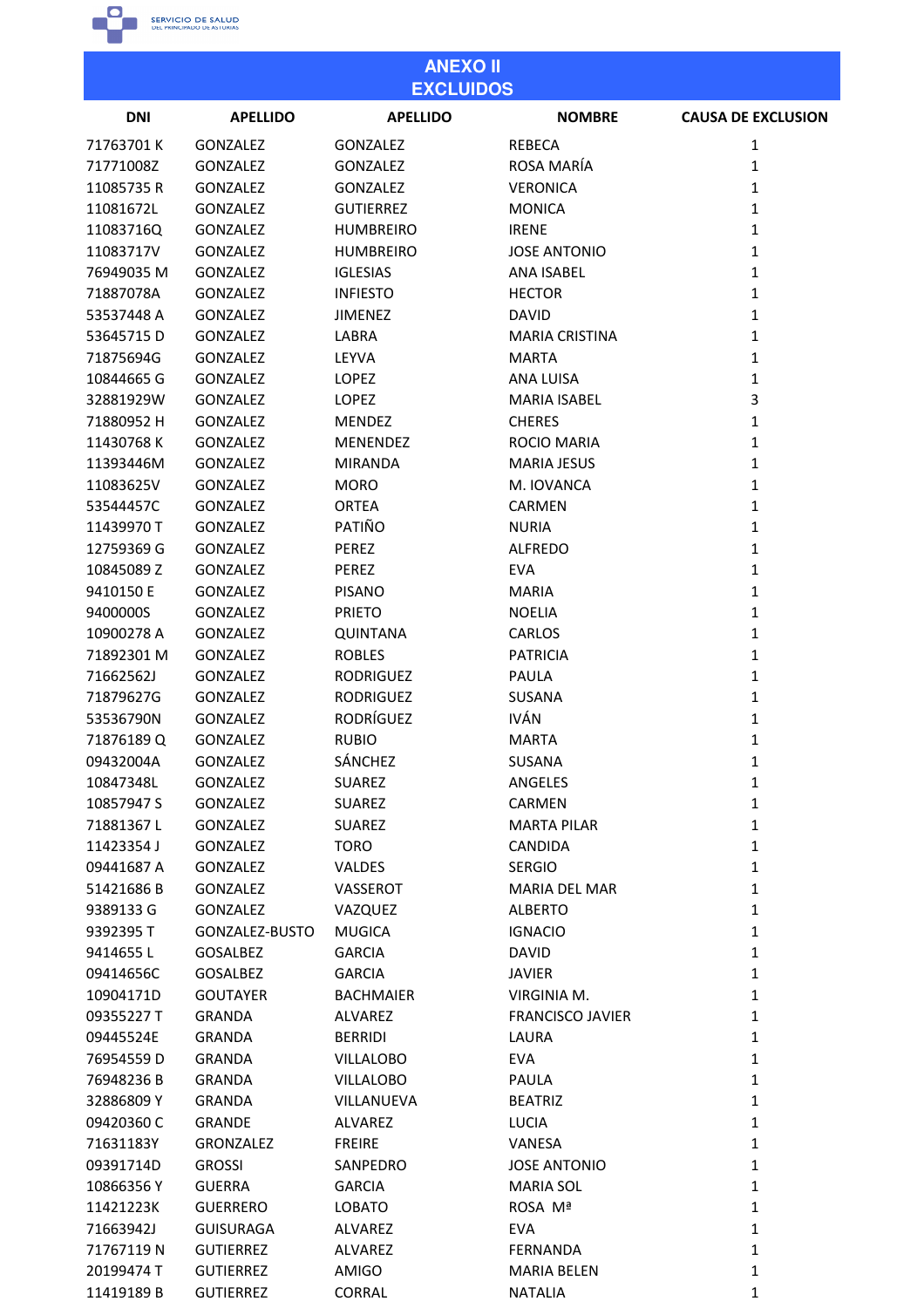

| <b>ANEXO II</b><br><b>EXCLUIDOS</b> |                             |                                |                          |                            |
|-------------------------------------|-----------------------------|--------------------------------|--------------------------|----------------------------|
| <b>DNI</b>                          | <b>APELLIDO</b>             | <b>APELLIDO</b>                | <b>NOMBRE</b>            | <b>CAUSA DE EXCLUSION</b>  |
| 71763701K                           | GONZALEZ                    | <b>GONZALEZ</b>                | <b>REBECA</b>            | 1                          |
| 71771008Z                           | GONZALEZ                    | <b>GONZALEZ</b>                | ROSA MARÍA               | 1                          |
| 11085735R                           | GONZALEZ                    | <b>GONZALEZ</b>                | <b>VERONICA</b>          | $\mathbf{1}$               |
| 11081672L                           | GONZALEZ                    | <b>GUTIERREZ</b>               | <b>MONICA</b>            | $\mathbf{1}$               |
| 11083716Q                           | GONZALEZ                    | <b>HUMBREIRO</b>               | <b>IRENE</b>             | $\mathbf{1}$               |
| 11083717V                           | GONZALEZ                    | <b>HUMBREIRO</b>               | <b>JOSE ANTONIO</b>      | 1                          |
| 76949035 M                          | GONZALEZ                    | <b>IGLESIAS</b>                | <b>ANA ISABEL</b>        | $\mathbf{1}$               |
| 71887078A                           | <b>GONZALEZ</b>             | <b>INFIESTO</b>                | <b>HECTOR</b>            | 1                          |
| 53537448 A                          | <b>GONZALEZ</b>             | <b>JIMENEZ</b>                 | <b>DAVID</b>             | $\mathbf{1}$               |
| 53645715D                           | GONZALEZ                    | LABRA                          | <b>MARIA CRISTINA</b>    | $\mathbf{1}$               |
| 71875694G                           | GONZALEZ                    | LEYVA                          | <b>MARTA</b>             | 1                          |
| 10844665 G                          | <b>GONZALEZ</b>             | <b>LOPEZ</b>                   | <b>ANA LUISA</b>         | $\mathbf{1}$               |
| 32881929W                           | GONZALEZ                    | <b>LOPEZ</b>                   | <b>MARIA ISABEL</b>      | 3                          |
| 71880952 H                          | GONZALEZ                    | <b>MENDEZ</b>                  | <b>CHERES</b>            | $\mathbf{1}$               |
| 11430768K                           | <b>GONZALEZ</b>             | <b>MENENDEZ</b>                | <b>ROCIO MARIA</b>       | 1                          |
| 11393446M                           | GONZALEZ                    | <b>MIRANDA</b>                 | <b>MARIA JESUS</b>       | $\mathbf{1}$               |
| 11083625V                           | GONZALEZ                    | <b>MORO</b>                    | M. IOVANCA               | $\mathbf{1}$               |
| 53544457C                           | GONZALEZ                    | <b>ORTEA</b>                   | <b>CARMEN</b>            | $\mathbf{1}$               |
| 11439970 T                          | <b>GONZALEZ</b>             | PATIÑO                         | <b>NURIA</b>             | $\mathbf{1}$               |
| 12759369 G                          | GONZALEZ                    | PEREZ                          | <b>ALFREDO</b>           | 1                          |
| 10845089 Z                          | GONZALEZ                    | PEREZ                          | <b>EVA</b>               | $\mathbf{1}$               |
| 9410150 E                           | <b>GONZALEZ</b>             | <b>PISANO</b>                  | <b>MARIA</b>             | 1                          |
| 9400000S                            | GONZALEZ                    | <b>PRIETO</b>                  | <b>NOELIA</b>            | 1                          |
| 10900278 A                          | GONZALEZ                    | <b>QUINTANA</b>                | <b>CARLOS</b>            | 1                          |
| 71892301 M                          | GONZALEZ                    | <b>ROBLES</b>                  | <b>PATRICIA</b>          | $\mathbf{1}$               |
| 71662562J                           | <b>GONZALEZ</b>             | <b>RODRIGUEZ</b>               | PAULA                    | $\mathbf{1}$               |
| 71879627G                           | GONZALEZ                    | <b>RODRIGUEZ</b>               | <b>SUSANA</b>            | 1                          |
| 53536790N                           | GONZALEZ                    | <b>RODRÍGUEZ</b>               | <b>IVÁN</b>              | 1                          |
|                                     |                             |                                |                          | 1                          |
| 71876189Q                           | GONZALEZ<br><b>GONZALEZ</b> | <b>RUBIO</b><br>SÁNCHEZ        | <b>MARTA</b>             |                            |
| 09432004A<br>10847348L              |                             |                                | SUSANA                   | 1                          |
| 10857947 S                          | <b>GONZALEZ</b>             | <b>SUAREZ</b><br><b>SUAREZ</b> | ANGELES<br><b>CARMEN</b> | $\mathbf 1$<br>$\mathbf 1$ |
| 71881367L                           | GONZALEZ<br>GONZALEZ        |                                | <b>MARTA PILAR</b>       |                            |
|                                     |                             | <b>SUAREZ</b>                  |                          | $\mathbf{1}$               |
| 11423354 J                          | <b>GONZALEZ</b>             | <b>TORO</b>                    | <b>CANDIDA</b>           | $\mathbf{1}$               |
| 09441687 A                          | <b>GONZALEZ</b>             | <b>VALDES</b>                  | <b>SERGIO</b>            | $\mathbf{1}$               |
| 51421686B                           | GONZALEZ                    | VASSEROT                       | <b>MARIA DEL MAR</b>     | $\mathbf{1}$               |
| 9389133 G                           | <b>GONZALEZ</b>             | VAZQUEZ                        | <b>ALBERTO</b>           | $\mathbf{1}$               |
| 9392395 T                           | GONZALEZ-BUSTO              | <b>MUGICA</b>                  | <b>IGNACIO</b>           | $\mathbf{1}$               |
| 9414655L                            | <b>GOSALBEZ</b>             | <b>GARCIA</b>                  | <b>DAVID</b>             | $\mathbf{1}$               |
| 09414656C                           | <b>GOSALBEZ</b>             | <b>GARCIA</b>                  | <b>JAVIER</b>            | $\mathbf{1}$               |
| 10904171D                           | <b>GOUTAYER</b>             | <b>BACHMAIER</b>               | VIRGINIA M.              | $\mathbf{1}$               |
| 09355227 T                          | <b>GRANDA</b>               | ALVAREZ                        | <b>FRANCISCO JAVIER</b>  | $\mathbf{1}$               |
| 09445524E                           | <b>GRANDA</b>               | <b>BERRIDI</b>                 | LAURA                    | $\mathbf{1}$               |
| 76954559D                           | <b>GRANDA</b>               | <b>VILLALOBO</b>               | <b>EVA</b>               | $\mathbf{1}$               |
| 76948236B                           | <b>GRANDA</b>               | <b>VILLALOBO</b>               | PAULA                    | $\mathbf{1}$               |
| 32886809Y                           | <b>GRANDA</b>               | VILLANUEVA                     | <b>BEATRIZ</b>           | $\mathbf{1}$               |
| 09420360 C                          | <b>GRANDE</b>               | ALVAREZ                        | <b>LUCIA</b>             | $\mathbf 1$                |
| 71631183Y                           | <b>GRONZALEZ</b>            | <b>FREIRE</b>                  | VANESA                   | $\mathbf{1}$               |
| 09391714D                           | <b>GROSSI</b>               | SANPEDRO                       | <b>JOSE ANTONIO</b>      | $\mathbf{1}$               |
| 10866356 Y                          | <b>GUERRA</b>               | <b>GARCIA</b>                  | <b>MARIA SOL</b>         | $\mathbf{1}$               |
| 11421223K                           | <b>GUERRERO</b>             | <b>LOBATO</b>                  | ROSA Mª                  | $\mathbf{1}$               |
| 71663942J                           | <b>GUISURAGA</b>            | ALVAREZ                        | <b>EVA</b>               | $\mathbf{1}$               |
| 71767119 N                          | <b>GUTIERREZ</b>            | ALVAREZ                        | <b>FERNANDA</b>          | $\mathbf{1}$               |
| 20199474 T                          | <b>GUTIERREZ</b>            | AMIGO                          | <b>MARIA BELEN</b>       | 1                          |
| 11419189B                           | <b>GUTIERREZ</b>            | <b>CORRAL</b>                  | <b>NATALIA</b>           | 1                          |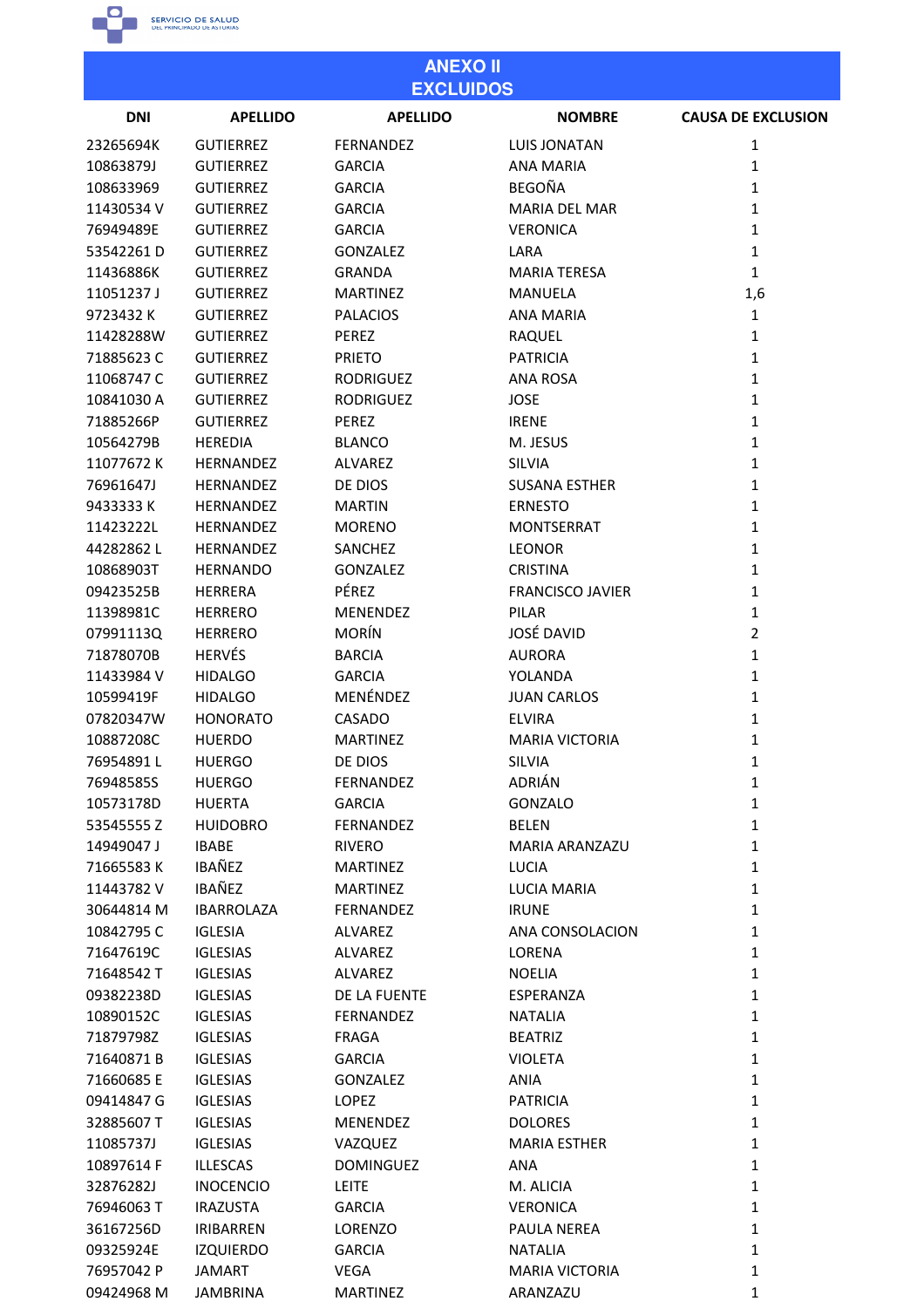

| <b>ANEXO II</b><br><b>EXCLUIDOS</b> |                   |                  |                         |                           |
|-------------------------------------|-------------------|------------------|-------------------------|---------------------------|
| <b>DNI</b>                          | <b>APELLIDO</b>   | <b>APELLIDO</b>  | <b>NOMBRE</b>           | <b>CAUSA DE EXCLUSION</b> |
| 23265694K                           | <b>GUTIERREZ</b>  | <b>FERNANDEZ</b> | <b>LUIS JONATAN</b>     | 1                         |
| 10863879J                           | <b>GUTIERREZ</b>  | <b>GARCIA</b>    | <b>ANA MARIA</b>        | 1                         |
| 108633969                           | <b>GUTIERREZ</b>  | <b>GARCIA</b>    | <b>BEGOÑA</b>           | 1                         |
| 11430534 V                          | <b>GUTIERREZ</b>  | <b>GARCIA</b>    | <b>MARIA DEL MAR</b>    | $\mathbf{1}$              |
| 76949489E                           | <b>GUTIERREZ</b>  | <b>GARCIA</b>    | <b>VERONICA</b>         | 1                         |
| 53542261D                           | <b>GUTIERREZ</b>  | <b>GONZALEZ</b>  | LARA                    | $\mathbf{1}$              |
| 11436886K                           | <b>GUTIERREZ</b>  | <b>GRANDA</b>    | <b>MARIA TERESA</b>     | 1                         |
| 11051237J                           | <b>GUTIERREZ</b>  | <b>MARTINEZ</b>  | <b>MANUELA</b>          | 1,6                       |
| 9723432K                            | <b>GUTIERREZ</b>  | <b>PALACIOS</b>  | <b>ANA MARIA</b>        | $\mathbf{1}$              |
| 11428288W                           | <b>GUTIERREZ</b>  | PEREZ            | RAQUEL                  | 1                         |
| 71885623C                           | <b>GUTIERREZ</b>  | <b>PRIETO</b>    | <b>PATRICIA</b>         | $\mathbf{1}$              |
| 11068747 C                          | <b>GUTIERREZ</b>  | <b>RODRIGUEZ</b> | <b>ANA ROSA</b>         | 1                         |
| 10841030 A                          | <b>GUTIERREZ</b>  | <b>RODRIGUEZ</b> | <b>JOSE</b>             | 1                         |
| 71885266P                           | <b>GUTIERREZ</b>  | <b>PEREZ</b>     | <b>IRENE</b>            | 1                         |
| 10564279B                           | <b>HEREDIA</b>    | <b>BLANCO</b>    | M. JESUS                | 1                         |
| 11077672K                           | <b>HERNANDEZ</b>  | <b>ALVAREZ</b>   | <b>SILVIA</b>           | 1                         |
| 76961647J                           | <b>HERNANDEZ</b>  | DE DIOS          | <b>SUSANA ESTHER</b>    | 1                         |
| 9433333 K                           | <b>HERNANDEZ</b>  | <b>MARTIN</b>    | <b>ERNESTO</b>          | $\mathbf{1}$              |
| 11423222L                           | <b>HERNANDEZ</b>  | <b>MORENO</b>    | <b>MONTSERRAT</b>       | 1                         |
| 44282862L                           | <b>HERNANDEZ</b>  | SANCHEZ          | <b>LEONOR</b>           | 1                         |
| 10868903T                           | <b>HERNANDO</b>   | <b>GONZALEZ</b>  | <b>CRISTINA</b>         | 1                         |
| 09423525B                           | <b>HERRERA</b>    | PÉREZ            | <b>FRANCISCO JAVIER</b> | 1                         |
| 11398981C                           | <b>HERRERO</b>    | <b>MENENDEZ</b>  | <b>PILAR</b>            | 1                         |
| 07991113Q                           | <b>HERRERO</b>    | <b>MORÍN</b>     | <b>JOSÉ DAVID</b>       | $\overline{2}$            |
| 71878070B                           | <b>HERVÉS</b>     | <b>BARCIA</b>    | <b>AURORA</b>           | $\mathbf{1}$              |
| 11433984 V                          | <b>HIDALGO</b>    | <b>GARCIA</b>    | YOLANDA                 | 1                         |
| 10599419F                           | <b>HIDALGO</b>    | MENÉNDEZ         | <b>JUAN CARLOS</b>      | 1                         |
| 07820347W                           | <b>HONORATO</b>   | CASADO           | <b>ELVIRA</b>           | 1                         |
| 10887208C                           | <b>HUERDO</b>     | <b>MARTINEZ</b>  | MARIA VICTORIA          | 1                         |
| 76954891L                           | <b>HUERGO</b>     | DE DIOS          | <b>SILVIA</b>           | 1                         |
| 76948585S                           | <b>HUERGO</b>     | FERNANDEZ        | ADRIÁN                  | $\mathbf 1$               |
| 10573178D                           | <b>HUERTA</b>     | <b>GARCIA</b>    | GONZALO                 | $\mathbf{1}$              |
| 53545555Z                           | <b>HUIDOBRO</b>   | FERNANDEZ        | <b>BELEN</b>            | $\mathbf{1}$              |
| 14949047 J                          | <b>IBABE</b>      | <b>RIVERO</b>    | MARIA ARANZAZU          | $\mathbf{1}$              |
| 71665583K                           | IBAÑEZ            | <b>MARTINEZ</b>  | <b>LUCIA</b>            | $\mathbf{1}$              |
| 11443782V                           | IBAÑEZ            | <b>MARTINEZ</b>  | <b>LUCIA MARIA</b>      | $\mathbf{1}$              |
| 30644814 M                          | <b>IBARROLAZA</b> | FERNANDEZ        | <b>IRUNE</b>            | $\mathbf{1}$              |
| 10842795 C                          | <b>IGLESIA</b>    | ALVAREZ          | ANA CONSOLACION         | $\mathbf{1}$              |
| 71647619C                           | <b>IGLESIAS</b>   | ALVAREZ          | LORENA                  | $\mathbf{1}$              |
| 71648542 T                          | <b>IGLESIAS</b>   | ALVAREZ          | <b>NOELIA</b>           | $\mathbf{1}$              |
| 09382238D                           | <b>IGLESIAS</b>   | DE LA FUENTE     | ESPERANZA               | $\mathbf{1}$              |
| 10890152C                           | <b>IGLESIAS</b>   | FERNANDEZ        | <b>NATALIA</b>          | $\mathbf{1}$              |
| 71879798Z                           | <b>IGLESIAS</b>   | <b>FRAGA</b>     | <b>BEATRIZ</b>          | $\mathbf{1}$              |
| 71640871B                           | <b>IGLESIAS</b>   | <b>GARCIA</b>    | <b>VIOLETA</b>          | $\mathbf 1$               |
| 71660685 E                          | <b>IGLESIAS</b>   | <b>GONZALEZ</b>  | <b>ANIA</b>             | $\mathbf{1}$              |
| 09414847 G                          | <b>IGLESIAS</b>   | LOPEZ            | <b>PATRICIA</b>         | $\mathbf{1}$              |
| 32885607 T                          | <b>IGLESIAS</b>   | <b>MENENDEZ</b>  | <b>DOLORES</b>          | $\mathbf{1}$              |
| 11085737J                           | <b>IGLESIAS</b>   | VAZQUEZ          | <b>MARIA ESTHER</b>     | $\mathbf{1}$              |
| 10897614 F                          | <b>ILLESCAS</b>   | <b>DOMINGUEZ</b> | <b>ANA</b>              | $\mathbf{1}$              |
| 32876282J                           | <b>INOCENCIO</b>  | <b>LEITE</b>     | M. ALICIA               | $\mathbf{1}$              |
| 76946063 T                          | <b>IRAZUSTA</b>   | <b>GARCIA</b>    | <b>VERONICA</b>         | $\mathbf 1$               |
| 36167256D                           | <b>IRIBARREN</b>  | <b>LORENZO</b>   | PAULA NEREA             | $\mathbf{1}$              |
| 09325924E                           | <b>IZQUIERDO</b>  | <b>GARCIA</b>    | <b>NATALIA</b>          | $\mathbf{1}$              |
| 76957042 P                          | <b>JAMART</b>     | VEGA             | <b>MARIA VICTORIA</b>   | $\mathbf{1}$              |
| 09424968 M                          | <b>JAMBRINA</b>   | <b>MARTINEZ</b>  | ARANZAZU                | 1                         |
|                                     |                   |                  |                         |                           |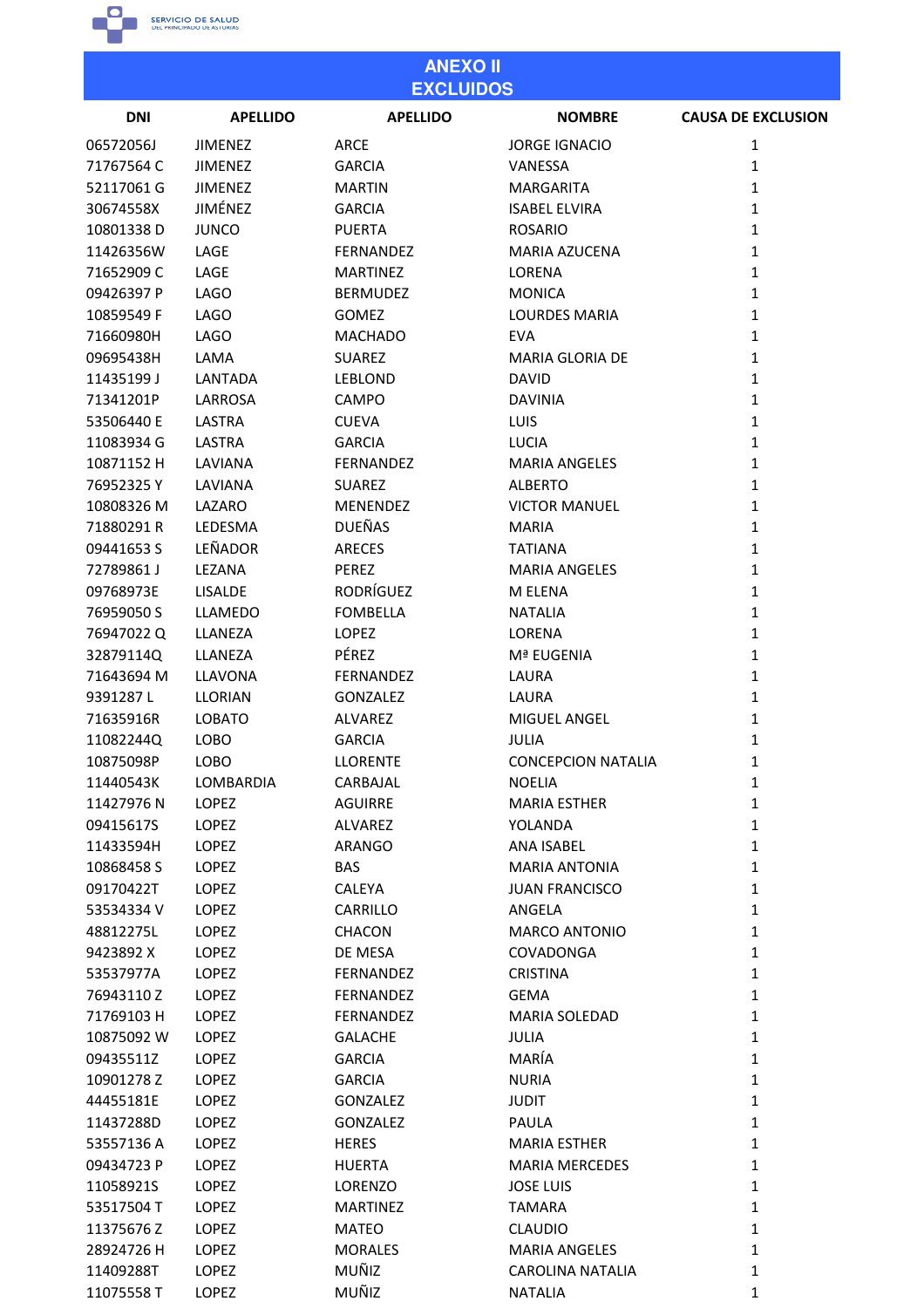

| <b>ANEXO II</b><br><b>EXCLUIDOS</b> |                 |                  |                           |                           |
|-------------------------------------|-----------------|------------------|---------------------------|---------------------------|
| <b>DNI</b>                          | <b>APELLIDO</b> | <b>APELLIDO</b>  | <b>NOMBRE</b>             | <b>CAUSA DE EXCLUSION</b> |
| 06572056J                           | <b>JIMENEZ</b>  | ARCE             | <b>JORGE IGNACIO</b>      | 1                         |
| 71767564 C                          | <b>JIMENEZ</b>  | <b>GARCIA</b>    | VANESSA                   | $\mathbf{1}$              |
| 52117061 G                          | <b>JIMENEZ</b>  | <b>MARTIN</b>    | <b>MARGARITA</b>          | $\mathbf{1}$              |
| 30674558X                           | JIMÉNEZ         | <b>GARCIA</b>    | <b>ISABEL ELVIRA</b>      | $\mathbf{1}$              |
| 10801338D                           | <b>JUNCO</b>    | <b>PUERTA</b>    | <b>ROSARIO</b>            | $\mathbf{1}$              |
| 11426356W                           | LAGE            | FERNANDEZ        | <b>MARIA AZUCENA</b>      | 1                         |
| 71652909 C                          | LAGE            | <b>MARTINEZ</b>  | LORENA                    | $\mathbf{1}$              |
| 09426397 P                          | <b>LAGO</b>     | <b>BERMUDEZ</b>  | <b>MONICA</b>             | $\mathbf{1}$              |
| 10859549 F                          | <b>LAGO</b>     | <b>GOMEZ</b>     | <b>LOURDES MARIA</b>      | 1                         |
| 71660980H                           | <b>LAGO</b>     | <b>MACHADO</b>   | <b>EVA</b>                | $\mathbf{1}$              |
| 09695438H                           | LAMA            | <b>SUAREZ</b>    | <b>MARIA GLORIA DE</b>    | $\mathbf{1}$              |
| 11435199 J                          | LANTADA         | <b>LEBLOND</b>   | <b>DAVID</b>              | $\mathbf{1}$              |
| 71341201P                           |                 |                  | <b>DAVINIA</b>            |                           |
|                                     | LARROSA         | CAMPO            |                           | 1                         |
| 53506440 E                          | <b>LASTRA</b>   | <b>CUEVA</b>     | LUIS                      | $\mathbf{1}$              |
| 11083934 G                          | LASTRA          | <b>GARCIA</b>    | <b>LUCIA</b>              | $\mathbf{1}$              |
| 10871152 H                          | LAVIANA         | FERNANDEZ        | <b>MARIA ANGELES</b>      | $\mathbf{1}$              |
| 76952325Y                           | LAVIANA         | SUAREZ           | <b>ALBERTO</b>            | $\mathbf{1}$              |
| 10808326 M                          | LAZARO          | <b>MENENDEZ</b>  | <b>VICTOR MANUEL</b>      | $\mathbf{1}$              |
| 71880291R                           | LEDESMA         | <b>DUEÑAS</b>    | <b>MARIA</b>              | $\mathbf{1}$              |
| 09441653 S                          | LEÑADOR         | <b>ARECES</b>    | <b>TATIANA</b>            | $\mathbf{1}$              |
| 72789861J                           | LEZANA          | <b>PEREZ</b>     | <b>MARIA ANGELES</b>      | $\mathbf{1}$              |
| 09768973E                           | <b>LISALDE</b>  | <b>RODRÍGUEZ</b> | M ELENA                   | 1                         |
| 76959050 S                          | <b>LLAMEDO</b>  | <b>FOMBELLA</b>  | <b>NATALIA</b>            | $\mathbf{1}$              |
| 76947022Q                           | LLANEZA         | <b>LOPEZ</b>     | LORENA                    | 1                         |
| 32879114Q                           | LLANEZA         | PÉREZ            | Mª EUGENIA                | $\mathbf{1}$              |
| 71643694 M                          | <b>LLAVONA</b>  | FERNANDEZ        | LAURA                     | $\mathbf{1}$              |
| 9391287L                            | <b>LLORIAN</b>  | <b>GONZALEZ</b>  | LAURA                     | 1                         |
| 71635916R                           | <b>LOBATO</b>   | <b>ALVAREZ</b>   | <b>MIGUEL ANGEL</b>       | 1                         |
| 11082244Q                           | LOBO            | <b>GARCIA</b>    | <b>JULIA</b>              | 1                         |
| 10875098P                           | LOBO            | <b>LLORENTE</b>  | <b>CONCEPCION NATALIA</b> | 1                         |
| 11440543K                           | LOMBARDIA       | CARBAJAL         | <b>NOELIA</b>             | $\mathbf{1}$              |
| 11427976 N                          | LOPEZ           | <b>AGUIRRE</b>   | <b>MARIA ESTHER</b>       | $\mathbf{1}$              |
| 09415617S                           | <b>LOPEZ</b>    | <b>ALVAREZ</b>   | YOLANDA                   | $\mathbf{1}$              |
| 11433594H                           | LOPEZ           | ARANGO           | <b>ANA ISABEL</b>         | $\mathbf{1}$              |
| 10868458 S                          | <b>LOPEZ</b>    | <b>BAS</b>       | <b>MARIA ANTONIA</b>      | $\mathbf{1}$              |
| 09170422T                           | LOPEZ           | <b>CALEYA</b>    | <b>JUAN FRANCISCO</b>     | $\mathbf{1}$              |
| 53534334 V                          | <b>LOPEZ</b>    | <b>CARRILLO</b>  | ANGELA                    | $\mathbf{1}$              |
| 48812275L                           | <b>LOPEZ</b>    | <b>CHACON</b>    | <b>MARCO ANTONIO</b>      | $\mathbf{1}$              |
| 9423892 X                           | <b>LOPEZ</b>    | DE MESA          | COVADONGA                 | $\mathbf{1}$              |
| 53537977A                           | LOPEZ           | FERNANDEZ        | <b>CRISTINA</b>           | $\mathbf{1}$              |
| 76943110Z                           | <b>LOPEZ</b>    | FERNANDEZ        | <b>GEMA</b>               | $\mathbf{1}$              |
| 71769103 H                          | <b>LOPEZ</b>    | FERNANDEZ        | <b>MARIA SOLEDAD</b>      | $\mathbf{1}$              |
| 10875092 W                          | LOPEZ           | <b>GALACHE</b>   | <b>JULIA</b>              | $\mathbf{1}$              |
| 09435511Z                           | <b>LOPEZ</b>    | <b>GARCIA</b>    | MARÍA                     | $\mathbf{1}$              |
| 10901278 Z                          | LOPEZ           | <b>GARCIA</b>    | <b>NURIA</b>              | $\mathbf{1}$              |
| 44455181E                           | LOPEZ           | <b>GONZALEZ</b>  | <b>JUDIT</b>              | $\mathbf{1}$              |
| 11437288D                           | <b>LOPEZ</b>    | <b>GONZALEZ</b>  | PAULA                     | $\mathbf{1}$              |
| 53557136 A                          | <b>LOPEZ</b>    | <b>HERES</b>     | <b>MARIA ESTHER</b>       | $\mathbf{1}$              |
|                                     |                 |                  |                           |                           |
| 09434723 P                          | <b>LOPEZ</b>    | <b>HUERTA</b>    | <b>MARIA MERCEDES</b>     | $\mathbf{1}$              |
| 11058921S                           | LOPEZ           | <b>LORENZO</b>   | <b>JOSE LUIS</b>          | $\mathbf{1}$              |
| 53517504 T                          | <b>LOPEZ</b>    | <b>MARTINEZ</b>  | TAMARA                    | $\mathbf{1}$              |
| 11375676 Z                          | LOPEZ           | <b>MATEO</b>     | <b>CLAUDIO</b>            | $\mathbf{1}$              |
| 28924726 H                          | LOPEZ           | <b>MORALES</b>   | <b>MARIA ANGELES</b>      | $\mathbf{1}$              |
| 11409288T                           | <b>LOPEZ</b>    | MUÑIZ            | <b>CAROLINA NATALIA</b>   | 1                         |

MUÑIZ

**NATALIA** 

 $\mathbf 1$ 

11075558T

LOPEZ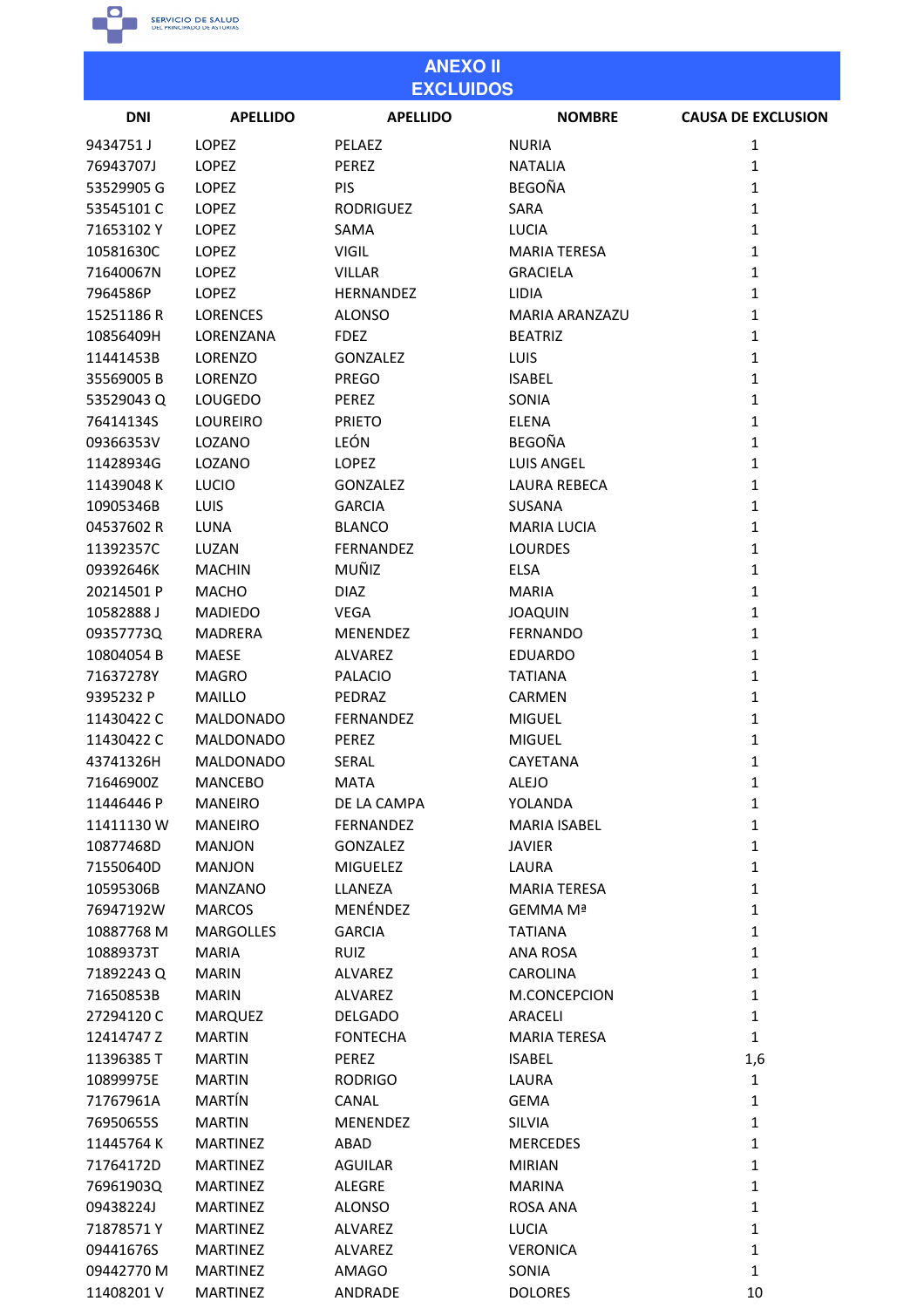

### **ANEXO II EXCLUIDOS DNI APELLIDO APELLIDO NOMBRE CAUSA DE EXCLUSION** 9434751 J LOPEZ PELAEZ **NURIA**  $\mathbf 1$ LOPEZ 76943707J PEREZ **NATALIA**  $\mathbf{1}$ 53529905 G LOPEZ PIS **BEGOÑA**  $\mathbf{1}$ 53545101C LOPEZ RODRIGUEZ SARA  $\mathbf 1$ LUCIA  $\mathbf{1}$ 71653102 Y LOPEZ SAMA LOPEZ VIGIL **MARIA TERESA**  $\mathbf{1}$ 10581630C

| 71640067N  | LOPEZ            | <b>VILLAR</b>    | <b>GRACIELA</b>     | $\mathbf{1}$ |
|------------|------------------|------------------|---------------------|--------------|
| 7964586P   | <b>LOPEZ</b>     | <b>HERNANDEZ</b> | <b>LIDIA</b>        | $\mathbf{1}$ |
| 15251186 R | <b>LORENCES</b>  | <b>ALONSO</b>    | MARIA ARANZAZU      | $\mathbf{1}$ |
| 10856409H  | LORENZANA        | <b>FDEZ</b>      | <b>BEATRIZ</b>      | $\mathbf{1}$ |
| 11441453B  | LORENZO          | <b>GONZALEZ</b>  | <b>LUIS</b>         | $\mathbf{1}$ |
| 35569005B  | LORENZO          | <b>PREGO</b>     | <b>ISABEL</b>       | $\mathbf{1}$ |
| 53529043Q  | LOUGEDO          | PEREZ            | SONIA               | $\mathbf{1}$ |
| 76414134S  | <b>LOUREIRO</b>  | <b>PRIETO</b>    | <b>ELENA</b>        | $\mathbf{1}$ |
| 09366353V  | LOZANO           | LEÓN             | <b>BEGOÑA</b>       | $\mathbf{1}$ |
| 11428934G  | LOZANO           | <b>LOPEZ</b>     | <b>LUIS ANGEL</b>   | $\mathbf{1}$ |
| 11439048 K | <b>LUCIO</b>     | <b>GONZALEZ</b>  | LAURA REBECA        | $\mathbf{1}$ |
| 10905346B  | LUIS             | <b>GARCIA</b>    | SUSANA              | $\mathbf{1}$ |
| 04537602 R | LUNA             | <b>BLANCO</b>    | <b>MARIA LUCIA</b>  | $\mathbf{1}$ |
| 11392357C  | LUZAN            | <b>FERNANDEZ</b> | <b>LOURDES</b>      | $\mathbf{1}$ |
| 09392646K  | <b>MACHIN</b>    | MUÑIZ            | ELSA                | $\mathbf{1}$ |
| 20214501 P | <b>MACHO</b>     | <b>DIAZ</b>      | <b>MARIA</b>        | $\mathbf{1}$ |
| 10582888J  | <b>MADIEDO</b>   | <b>VEGA</b>      | <b>JOAQUIN</b>      | $\mathbf{1}$ |
| 09357773Q  | <b>MADRERA</b>   | MENENDEZ         | <b>FERNANDO</b>     | $\mathbf{1}$ |
| 10804054 B | <b>MAESE</b>     | <b>ALVAREZ</b>   | <b>EDUARDO</b>      | $\mathbf{1}$ |
| 71637278Y  | <b>MAGRO</b>     | <b>PALACIO</b>   | <b>TATIANA</b>      | $\mathbf{1}$ |
| 9395232 P  | <b>MAILLO</b>    | PEDRAZ           | <b>CARMEN</b>       | $\mathbf{1}$ |
| 11430422 C | <b>MALDONADO</b> | FERNANDEZ        | <b>MIGUEL</b>       | $\mathbf{1}$ |
| 11430422 C | <b>MALDONADO</b> | PEREZ            | <b>MIGUEL</b>       | $\mathbf{1}$ |
| 43741326H  | <b>MALDONADO</b> | <b>SERAL</b>     | CAYETANA            | $\mathbf{1}$ |
| 71646900Z  | <b>MANCEBO</b>   | <b>MATA</b>      | <b>ALEJO</b>        | $\mathbf{1}$ |
| 11446446 P | <b>MANEIRO</b>   | DE LA CAMPA      | YOLANDA             | $\mathbf{1}$ |
| 11411130W  | <b>MANEIRO</b>   | FERNANDEZ        | MARIA ISABEL        | $\mathbf{1}$ |
| 10877468D  | <b>MANJON</b>    | <b>GONZALEZ</b>  | <b>JAVIER</b>       | $\mathbf{1}$ |
| 71550640D  | <b>MANJON</b>    | <b>MIGUELEZ</b>  | LAURA               | $\mathbf{1}$ |
| 10595306B  | <b>MANZANO</b>   | LLANEZA          | <b>MARIA TERESA</b> | $\mathbf{1}$ |
| 76947192W  | <b>MARCOS</b>    | MENÉNDEZ         | GEMMA Mª            | 1            |
| 10887768 M | <b>MARGOLLES</b> | <b>GARCIA</b>    | <b>TATIANA</b>      | 1            |
| 10889373T  | <b>MARIA</b>     | <b>RUIZ</b>      | <b>ANA ROSA</b>     | $\mathbf 1$  |
| 71892243 Q | <b>MARIN</b>     | ALVAREZ          | <b>CAROLINA</b>     | 1            |
| 71650853B  | <b>MARIN</b>     | <b>ALVAREZ</b>   | M.CONCEPCION        | 1            |
| 27294120C  | MARQUEZ          | DELGADO          | <b>ARACELI</b>      | 1            |
| 12414747Z  | <b>MARTIN</b>    | <b>FONTECHA</b>  | <b>MARIA TERESA</b> | $\mathbf{1}$ |
| 11396385T  | <b>MARTIN</b>    | PEREZ            | <b>ISABEL</b>       | 1,6          |
| 10899975E  | <b>MARTIN</b>    | <b>RODRIGO</b>   | LAURA               | 1            |
| 71767961A  | MARTÍN           | CANAL            | <b>GEMA</b>         | 1            |
| 76950655S  | <b>MARTIN</b>    | <b>MENENDEZ</b>  | <b>SILVIA</b>       | 1            |
| 11445764 K | <b>MARTINEZ</b>  | ABAD             | <b>MERCEDES</b>     | 1            |
| 71764172D  | <b>MARTINEZ</b>  | <b>AGUILAR</b>   | <b>MIRIAN</b>       | 1            |
| 76961903Q  | <b>MARTINEZ</b>  | ALEGRE           | <b>MARINA</b>       | 1            |
| 09438224J  | <b>MARTINEZ</b>  | <b>ALONSO</b>    | ROSA ANA            | $\mathbf{1}$ |
| 71878571Y  | <b>MARTINEZ</b>  | ALVAREZ          | LUCIA               | 1            |
| 09441676S  | <b>MARTINEZ</b>  | ALVAREZ          | <b>VERONICA</b>     | 1            |
| 09442770 M | <b>MARTINEZ</b>  | AMAGO            | SONIA               | 1            |
| 11408201 V | MARTINEZ         | ANDRADE          | <b>DOLORES</b>      | 10           |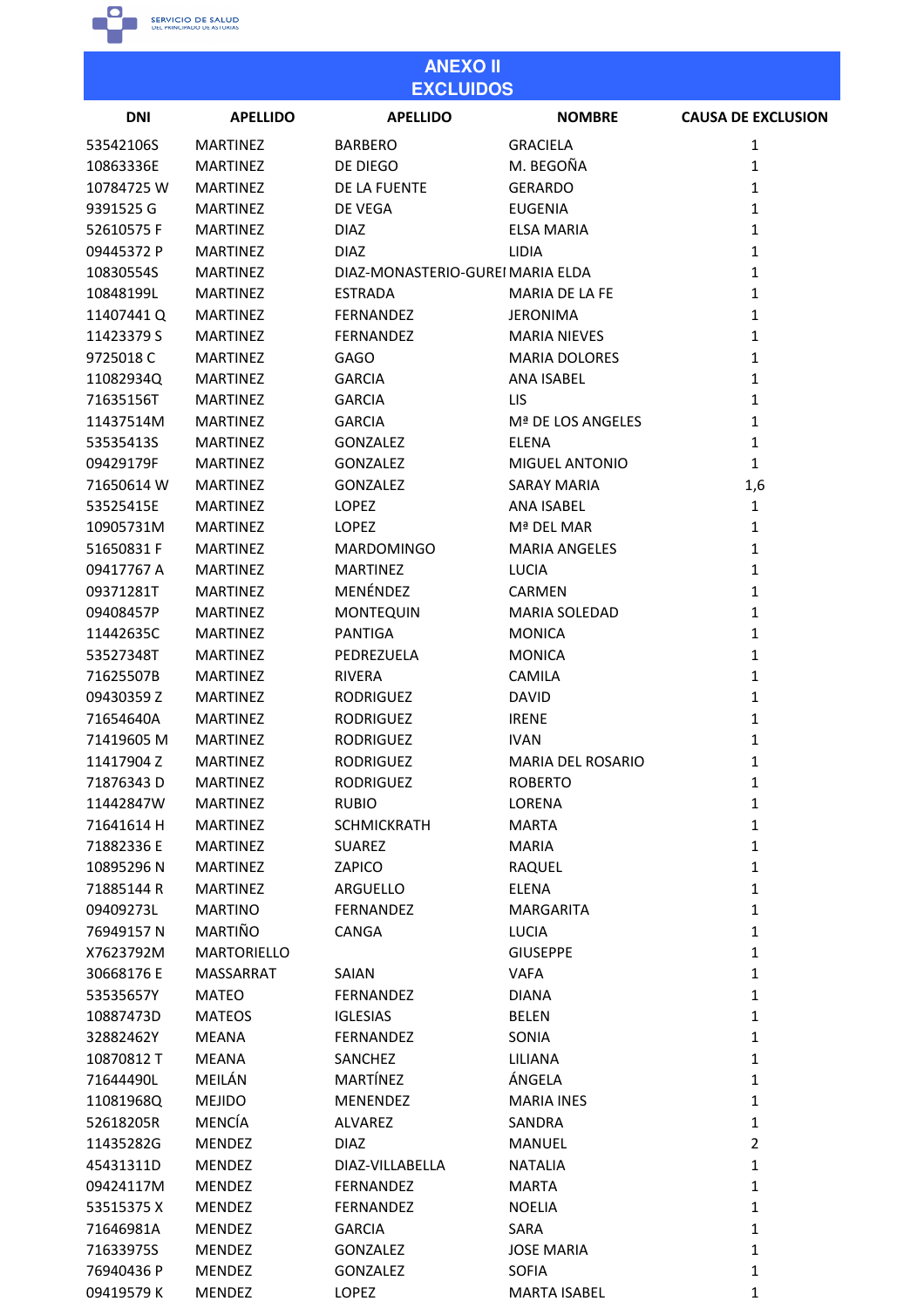

### **ANEXO II EXCLUIDOS**

| <b>DNI</b> | <b>APELLIDO</b>    | -------<br><b>APELLIDO</b>       | <b>NOMBRE</b>            | <b>CAUSA DE EXCLUSION</b> |
|------------|--------------------|----------------------------------|--------------------------|---------------------------|
| 53542106S  | <b>MARTINEZ</b>    | <b>BARBERO</b>                   | <b>GRACIELA</b>          | 1                         |
| 10863336E  | <b>MARTINEZ</b>    | DE DIEGO                         | M. BEGOÑA                | 1                         |
| 10784725W  | <b>MARTINEZ</b>    | DE LA FUENTE                     | <b>GERARDO</b>           | 1                         |
| 9391525 G  | <b>MARTINEZ</b>    | DE VEGA                          | <b>EUGENIA</b>           | 1                         |
| 52610575F  | <b>MARTINEZ</b>    | <b>DIAZ</b>                      | <b>ELSA MARIA</b>        | 1                         |
| 09445372 P | <b>MARTINEZ</b>    | <b>DIAZ</b>                      | <b>LIDIA</b>             | $\mathbf{1}$              |
| 10830554S  | <b>MARTINEZ</b>    | DIAZ-MONASTERIO-GUREI MARIA ELDA |                          | $\mathbf{1}$              |
| 10848199L  | <b>MARTINEZ</b>    | <b>ESTRADA</b>                   | MARIA DE LA FE           | 1                         |
| 11407441 Q | <b>MARTINEZ</b>    | <b>FERNANDEZ</b>                 | <b>JERONIMA</b>          | $\mathbf{1}$              |
| 11423379 S | <b>MARTINEZ</b>    | <b>FERNANDEZ</b>                 | <b>MARIA NIEVES</b>      | 1                         |
| 9725018 C  | <b>MARTINEZ</b>    | <b>GAGO</b>                      | <b>MARIA DOLORES</b>     | 1                         |
| 11082934Q  | <b>MARTINEZ</b>    | <b>GARCIA</b>                    | <b>ANA ISABEL</b>        | 1                         |
| 71635156T  | <b>MARTINEZ</b>    | <b>GARCIA</b>                    | <b>LIS</b>               | $\mathbf{1}$              |
| 11437514M  | <b>MARTINEZ</b>    | <b>GARCIA</b>                    | Mª DE LOS ANGELES        | 1                         |
| 53535413S  | <b>MARTINEZ</b>    | <b>GONZALEZ</b>                  | <b>ELENA</b>             | 1                         |
| 09429179F  | <b>MARTINEZ</b>    | <b>GONZALEZ</b>                  | MIGUEL ANTONIO           | $\mathbf{1}$              |
| 71650614 W | <b>MARTINEZ</b>    | <b>GONZALEZ</b>                  | SARAY MARIA              | 1,6                       |
| 53525415E  | <b>MARTINEZ</b>    | <b>LOPEZ</b>                     | <b>ANA ISABEL</b>        | $\mathbf{1}$              |
| 10905731M  | <b>MARTINEZ</b>    | <b>LOPEZ</b>                     | Mª DEL MAR               | 1                         |
| 51650831F  | <b>MARTINEZ</b>    | <b>MARDOMINGO</b>                | <b>MARIA ANGELES</b>     | $\mathbf{1}$              |
| 09417767 A | <b>MARTINEZ</b>    | <b>MARTINEZ</b>                  | <b>LUCIA</b>             | 1                         |
| 09371281T  | <b>MARTINEZ</b>    | MENÉNDEZ                         | <b>CARMEN</b>            | 1                         |
| 09408457P  | <b>MARTINEZ</b>    | <b>MONTEQUIN</b>                 | <b>MARIA SOLEDAD</b>     | 1                         |
| 11442635C  | <b>MARTINEZ</b>    | <b>PANTIGA</b>                   | <b>MONICA</b>            | 1                         |
| 53527348T  | <b>MARTINEZ</b>    | PEDREZUELA                       | <b>MONICA</b>            | 1                         |
| 71625507B  | <b>MARTINEZ</b>    | <b>RIVERA</b>                    | <b>CAMILA</b>            | 1                         |
| 09430359 Z | <b>MARTINEZ</b>    | <b>RODRIGUEZ</b>                 | <b>DAVID</b>             | $\mathbf{1}$              |
| 71654640A  | <b>MARTINEZ</b>    | <b>RODRIGUEZ</b>                 | <b>IRENE</b>             | 1                         |
| 71419605 M | <b>MARTINEZ</b>    | <b>RODRIGUEZ</b>                 | <b>IVAN</b>              | 1                         |
| 11417904 Z | <b>MARTINEZ</b>    | <b>RODRIGUEZ</b>                 | <b>MARIA DEL ROSARIO</b> | 1                         |
| 71876343 D | <b>MARTINEZ</b>    | <b>RODRIGUEZ</b>                 | <b>ROBERTO</b>           | 1                         |
| 11442847W  | <b>MARTINEZ</b>    | <b>RUBIO</b>                     | LORENA                   | 1                         |
| 71641614 H | <b>MARTINEZ</b>    | <b>SCHMICKRATH</b>               | <b>MARTA</b>             | $\mathbf{1}$              |
| 71882336 E | <b>MARTINEZ</b>    | <b>SUAREZ</b>                    | MARIA                    | $\mathbf{1}$              |
| 10895296N  | <b>MARTINEZ</b>    | ZAPICO                           | <b>RAQUEL</b>            | $\mathbf{1}$              |
| 71885144 R | <b>MARTINEZ</b>    | ARGUELLO                         | ELENA                    | $\mathbf{1}$              |
| 09409273L  | <b>MARTINO</b>     | FERNANDEZ                        | <b>MARGARITA</b>         | $\mathbf{1}$              |
| 76949157N  | MARTIÑO            | <b>CANGA</b>                     | <b>LUCIA</b>             | $\mathbf{1}$              |
| X7623792M  | <b>MARTORIELLO</b> |                                  | <b>GIUSEPPE</b>          | $\mathbf{1}$              |
| 30668176 E | <b>MASSARRAT</b>   | SAIAN                            | <b>VAFA</b>              | $\mathbf{1}$              |
| 53535657Y  | <b>MATEO</b>       | FERNANDEZ                        | <b>DIANA</b>             | $\mathbf{1}$              |
| 10887473D  | <b>MATEOS</b>      | <b>IGLESIAS</b>                  | BELEN                    | $\mathbf{1}$              |
| 32882462Y  | <b>MEANA</b>       | FERNANDEZ                        | SONIA                    | $\mathbf{1}$              |
| 10870812 T | MEANA              | SANCHEZ                          | LILIANA                  | $\mathbf{1}$              |
| 71644490L  | MEILÁN             | MARTÍNEZ                         | ÁNGELA                   | $\mathbf{1}$              |
| 11081968Q  | <b>MEJIDO</b>      | <b>MENENDEZ</b>                  | <b>MARIA INES</b>        | $\mathbf{1}$              |
| 52618205R  | <b>MENCÍA</b>      | ALVAREZ                          | SANDRA                   | $\mathbf{1}$              |
| 11435282G  | <b>MENDEZ</b>      | <b>DIAZ</b>                      | <b>MANUEL</b>            | $\overline{2}$            |
| 45431311D  | <b>MENDEZ</b>      | DIAZ-VILLABELLA                  | <b>NATALIA</b>           | $\mathbf{1}$              |
| 09424117M  | <b>MENDEZ</b>      | FERNANDEZ                        | <b>MARTA</b>             | $\mathbf{1}$              |
| 53515375 X | <b>MENDEZ</b>      | FERNANDEZ                        | <b>NOELIA</b>            | $\mathbf 1$               |
| 71646981A  | <b>MENDEZ</b>      | <b>GARCIA</b>                    | SARA                     | $\mathbf{1}$              |
| 71633975S  | <b>MENDEZ</b>      | GONZALEZ                         | <b>JOSE MARIA</b>        | $\mathbf 1$               |
| 76940436 P | <b>MENDEZ</b>      | <b>GONZALEZ</b>                  | <b>SOFIA</b>             | $\mathbf{1}$              |
| 09419579K  | <b>MENDEZ</b>      | LOPEZ                            | <b>MARTA ISABEL</b>      | 1                         |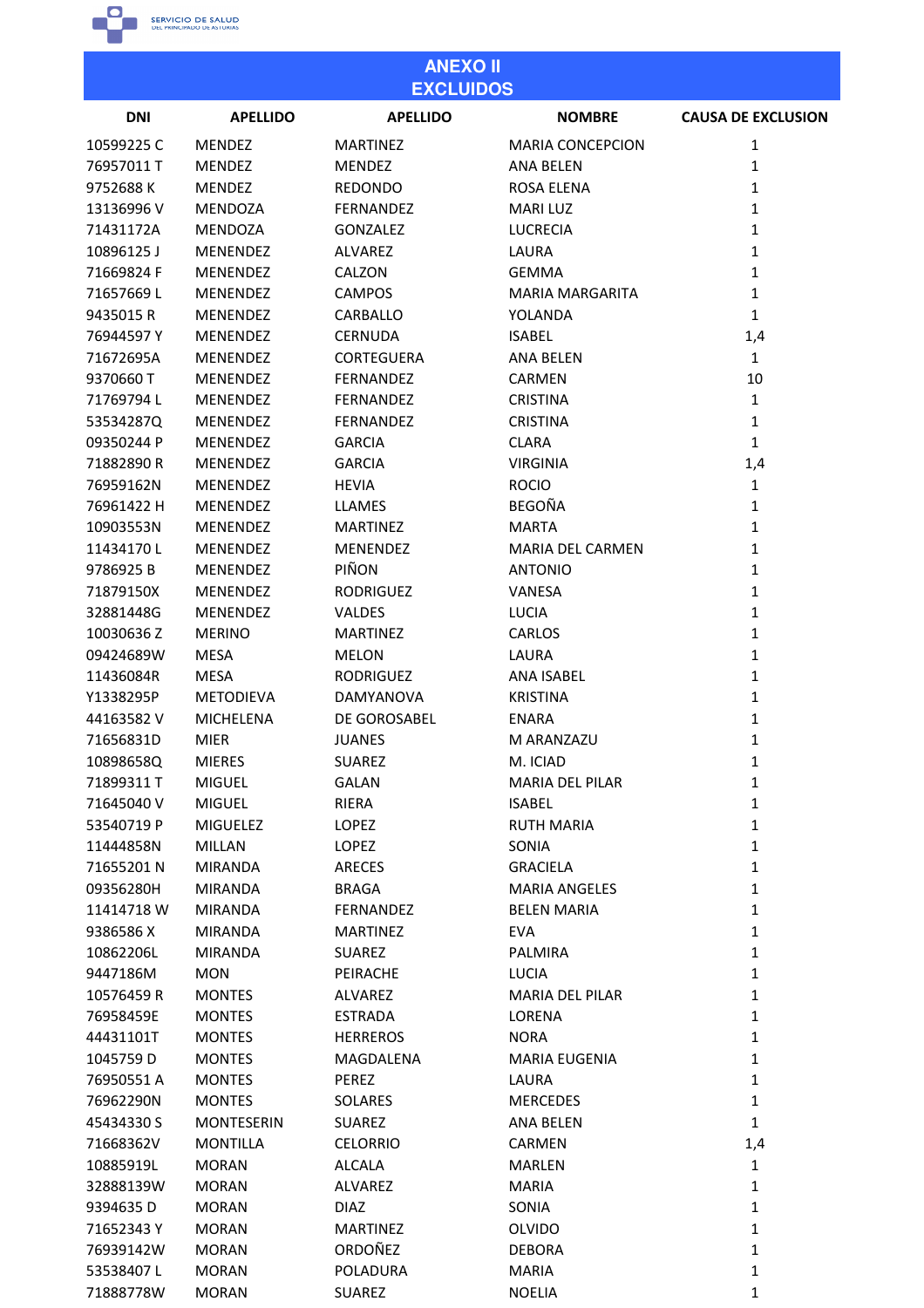

| <b>ANEXO II</b><br><b>EXCLUIDOS</b> |                              |                   |                         |                           |
|-------------------------------------|------------------------------|-------------------|-------------------------|---------------------------|
| <b>DNI</b>                          | <b>APELLIDO</b>              | <b>APELLIDO</b>   | <b>NOMBRE</b>           | <b>CAUSA DE EXCLUSION</b> |
| 10599225C                           | <b>MENDEZ</b>                | <b>MARTINEZ</b>   | <b>MARIA CONCEPCION</b> | 1                         |
| 76957011 T                          | <b>MENDEZ</b>                | <b>MENDEZ</b>     | <b>ANA BELEN</b>        | 1                         |
| 9752688K                            | <b>MENDEZ</b>                | <b>REDONDO</b>    | <b>ROSA ELENA</b>       | 1                         |
| 13136996 V                          | <b>MENDOZA</b>               | FERNANDEZ         | <b>MARILUZ</b>          | 1                         |
| 71431172A                           | <b>MENDOZA</b>               | <b>GONZALEZ</b>   | <b>LUCRECIA</b>         | $\mathbf{1}$              |
| 10896125J                           | <b>MENENDEZ</b>              | <b>ALVAREZ</b>    | <b>LAURA</b>            | 1                         |
| 71669824 F                          | <b>MENENDEZ</b>              | CALZON            | <b>GEMMA</b>            | $\mathbf{1}$              |
| 71657669L                           | <b>MENENDEZ</b>              | <b>CAMPOS</b>     | MARIA MARGARITA         | $\mathbf{1}$              |
| 9435015R                            | MENENDEZ                     | CARBALLO          | YOLANDA                 | $\mathbf{1}$              |
| 76944597Y                           | MENENDEZ                     | <b>CERNUDA</b>    | <b>ISABEL</b>           | 1,4                       |
| 71672695A                           | MENENDEZ                     | <b>CORTEGUERA</b> | ANA BELEN               | $\mathbf{1}$              |
| 9370660 T                           | <b>MENENDEZ</b>              | FERNANDEZ         | <b>CARMEN</b>           | 10                        |
| 71769794L                           | <b>MENENDEZ</b>              | FERNANDEZ         | <b>CRISTINA</b>         | $\mathbf{1}$              |
| 53534287Q                           | <b>MENENDEZ</b>              | FERNANDEZ         | <b>CRISTINA</b>         | $\mathbf{1}$              |
| 09350244 P                          | MENENDEZ                     | <b>GARCIA</b>     | <b>CLARA</b>            | $\mathbf{1}$              |
| 71882890R                           | MENENDEZ                     | <b>GARCIA</b>     | <b>VIRGINIA</b>         | 1,4                       |
| 76959162N                           | MENENDEZ                     | <b>HEVIA</b>      | <b>ROCIO</b>            | $\mathbf{1}$              |
| 76961422 H                          | MENENDEZ                     | <b>LLAMES</b>     | <b>BEGOÑA</b>           | $\mathbf{1}$              |
| 10903553N                           | MENENDEZ                     | <b>MARTINEZ</b>   | <b>MARTA</b>            | $\mathbf{1}$              |
| 11434170L                           | MENENDEZ                     | <b>MENENDEZ</b>   | MARIA DEL CARMEN        | 1                         |
| 9786925B                            | MENENDEZ                     | PIÑON             | <b>ANTONIO</b>          | 1                         |
| 71879150X                           | <b>MENENDEZ</b>              | <b>RODRIGUEZ</b>  | VANESA                  | 1                         |
| 32881448G                           | <b>MENENDEZ</b>              | VALDES            | <b>LUCIA</b>            | 1                         |
| 10030636 Z                          | <b>MERINO</b>                | <b>MARTINEZ</b>   | <b>CARLOS</b>           | 1                         |
| 09424689W                           | <b>MESA</b>                  | <b>MELON</b>      | LAURA                   | 1                         |
| 11436084R                           | <b>MESA</b>                  | <b>RODRIGUEZ</b>  | ANA ISABEL              | 1                         |
| Y1338295P                           | <b>METODIEVA</b>             | DAMYANOVA         | <b>KRISTINA</b>         | 1                         |
| 44163582V                           | <b>MICHELENA</b>             | DE GOROSABEL      | <b>ENARA</b>            | 1                         |
| 71656831D                           | <b>MIER</b>                  | <b>JUANES</b>     | M ARANZAZU              | 1                         |
| 10898658Q                           | <b>MIERES</b>                | <b>SUAREZ</b>     | M. ICIAD                | 1                         |
| 71899311 T                          | <b>MIGUEL</b>                | <b>GALAN</b>      | <b>MARIA DEL PILAR</b>  | 1                         |
| 71645040 V                          | <b>MIGUEL</b>                | RIERA             | <b>ISABEL</b>           | $\mathbf{1}$              |
| 53540719 P                          | <b>MIGUELEZ</b>              | LOPEZ             | <b>RUTH MARIA</b>       | $\mathbf{1}$              |
| 11444858N                           | MILLAN                       | LOPEZ             | SONIA                   | 1                         |
| 71655201 N                          | <b>MIRANDA</b>               | <b>ARECES</b>     | <b>GRACIELA</b>         | $\mathbf{1}$              |
| 09356280H                           | MIRANDA                      | <b>BRAGA</b>      | <b>MARIA ANGELES</b>    | $\mathbf 1$               |
| 11414718 W                          | <b>MIRANDA</b>               | FERNANDEZ         | <b>BELEN MARIA</b>      | $\mathbf{1}$              |
| 9386586X                            | <b>MIRANDA</b>               | <b>MARTINEZ</b>   | <b>EVA</b>              | 1                         |
| 10862206L                           | <b>MIRANDA</b>               | <b>SUAREZ</b>     | <b>PALMIRA</b>          | $\mathbf{1}$              |
| 9447186M                            | MON                          | PEIRACHE          | LUCIA                   | $\mathbf{1}$              |
| 10576459 R                          | <b>MONTES</b>                | ALVAREZ           | <b>MARIA DEL PILAR</b>  | 1                         |
| 76958459E                           | <b>MONTES</b>                | <b>ESTRADA</b>    | LORENA                  | 1                         |
| 44431101T                           | <b>MONTES</b>                | <b>HERREROS</b>   | <b>NORA</b>             | 1                         |
| 1045759 D                           | <b>MONTES</b>                | MAGDALENA         | <b>MARIA EUGENIA</b>    | $\mathbf{1}$              |
| 76950551A                           | <b>MONTES</b>                | PEREZ             | LAURA                   | 1                         |
| 76962290N                           | <b>MONTES</b>                | SOLARES           | <b>MERCEDES</b>         | $\mathbf{1}$              |
| 45434330 S                          | <b>MONTESERIN</b>            | <b>SUAREZ</b>     | <b>ANA BELEN</b>        | $\mathbf{1}$              |
| 71668362V                           | <b>MONTILLA</b>              | <b>CELORRIO</b>   | <b>CARMEN</b>           | 1,4                       |
| 10885919L                           | <b>MORAN</b>                 | <b>ALCALA</b>     | <b>MARLEN</b>           | $\mathbf{1}$              |
| 32888139W                           | <b>MORAN</b>                 | ALVAREZ           | <b>MARIA</b>            | $\mathbf 1$               |
| 9394635D                            | <b>MORAN</b>                 | <b>DIAZ</b>       | SONIA                   | $\mathbf{1}$              |
| 71652343 Y                          | <b>MORAN</b>                 | <b>MARTINEZ</b>   | <b>OLVIDO</b>           | 1                         |
|                                     |                              | ORDOÑEZ           |                         | $\mathbf{1}$              |
| 76939142W<br>53538407L              | <b>MORAN</b><br><b>MORAN</b> | POLADURA          | <b>DEBORA</b><br>MARIA  | $\mathbf{1}$              |
| 71888778W                           | <b>MORAN</b>                 | SUAREZ            | <b>NOELIA</b>           | 1                         |
|                                     |                              |                   |                         |                           |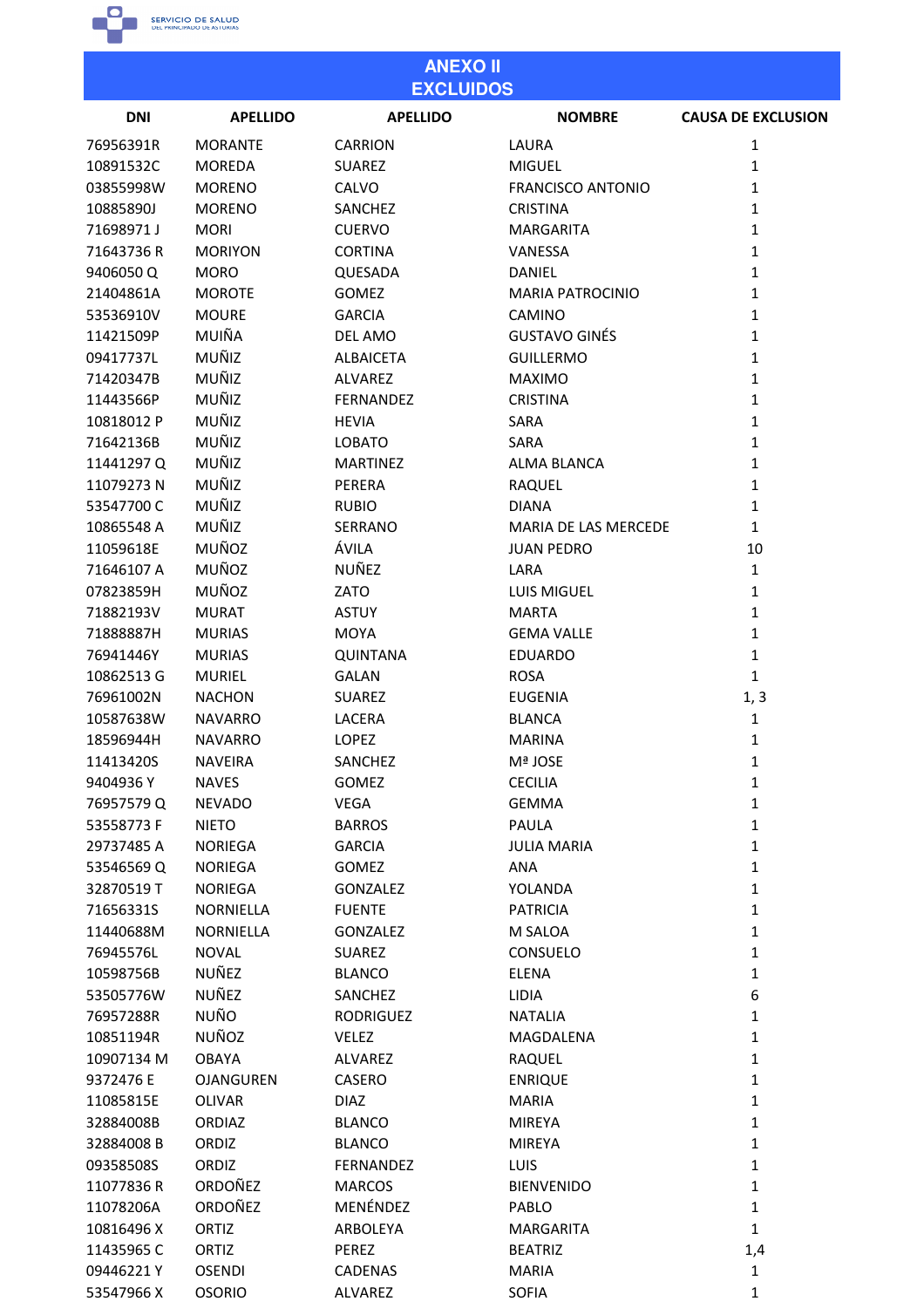

#### **ANEXO II EXCLUIDOS DNI APELLIDO APELLIDO NOMBRE CAUSA DE EXCLUSION** 76956391R **MORANTE CARRION** LAURA  $\mathbf{1}$ 10891532C **MOREDA SUAREZ MIGUEL**  $\mathbf{1}$ 03855998W **MORENO** CALVO **FRANCISCO ANTONIO**  $\mathbf{1}$ 10885890J **MORENO** SANCHEZ **CRISTINA**  $\mathbf 1$ 71698971J **MORI CUERVO MARGARITA**  $\mathbf{1}$ 71643736R **MORIYON CORTINA** VANESSA  $\mathbf{1}$ 94060500 **MORO OUFSADA DANIFL**  $\mathbf{1}$ 21404861A **MOROTE GOMFZ MARIA PATROCINIO**  $\mathbf 1$ 53536910V **MOURE GARCIA** CAMINO  $\mathbf{1}$ MUIÑA **GUSTAVO GINÉS** 11421509P **DEL AMO**  $\mathbf{1}$ 09417737L MUÑIZ **ALBAICETA GUILLERMO**  $\mathbf{1}$ 71420347B MUÑIZ **ALVAREZ MAXIMO**  $\mathbf 1$ MUÑIZ 11443566P FERNANDEZ **CRISTINA**  $\mathbf{1}$ MUÑIZ 10818012 P **HEVIA SARA**  $\mathbf{1}$ 71642136B MUÑIZ **LOBATO SARA**  $\mathbf{1}$ MUÑIZ 11441297 Q **MARTINEZ ALMA BLANCA**  $\mathbf 1$ 11079273N MUÑIZ PERERA **RAQUEL**  $\mathbf{1}$ 53547700 C MUÑIZ **RUBIO DIANA**  $\mathbf{1}$ 10865548 A MUÑIZ SFRRANO **MARIA DE LAS MERCEDE**  $\mathbf{1}$ 11059618E MUÑOZ ÁVILA **JUAN PEDRO** 10 71646107 A MUÑOZ NUÑEZ LARA  $\mathbf{1}$ MUÑOZ 07823859H ZATO LUIS MIGUEL  $\mathbf{1}$ **MURAT** 71882193V **ASTUY MARTA**  $\mathbf{1}$ 71888887H **MURIAS MOYA GEMA VALLE**  $\mathbf 1$ 76941446Y **MURIAS OUINTANA EDUARDO**  $\mathbf{1}$ **ROSA** 10862513 G **MURIEL GALAN**  $\mathbf{1}$ 76961002N **NACHON SUAREZ EUGENIA**  $1.3$ 10587638W **NAVARRO LACERA BLANCA**  $\mathbf{1}$ 18596944H **NAVARRO LOPEZ MARINA**  $\mathbf{1}$  $\mathbf{1}$ 11413420S **NAVEIRA SANCHEZ** Mª JOSE 9404936Y **NAVES GOMFZ** CECILIA  $\mathbf{1}$ 76957579Q **NEVADO VEGA GEMMA**  $\mathbf 1$ 53558773F **NIETO BARROS PAULA**  $\mathbf{1}$ 29737485 A **NORIEGA GARCIA JULIA MARIA**  $\mathbf{1}$ 53546569Q **NORIEGA GOMEZ ANA**  $\mathbf{1}$ 32870519T **NORIEGA GONZALEZ** YOLANDA  $\mathbf 1$ 71656331S NORNIELLA **FUENTE PATRICIA**  $\mathbf{1}$ NORNIELLA **GONZALEZ** M SALOA  $\mathbf 1$ 11440688M 76945576L **NOVAL SUAREZ** CONSUELO  $\mathbf{1}$ **NUÑEZ** 10598756B **BLANCO ELENA**  $\mathbf 1$ 53505776W **NUÑEZ SANCHEZ IIDIA** 6 **NUÑO** 76957288R **RODRIGUEZ NATALIA**  $\mathbf{1}$ 10851194R **NUÑOZ VELEZ MAGDALENA**  $\mathbf{1}$ 10907134 M **OBAYA ALVAREZ RAQUEL**  $\mathbf 1$ 9372476 E **OJANGUREN CASERO ENRIQUE**  $\mathbf{1}$ 11085815E **OLIVAR DIAZ**  $\mathbf{1}$ **MARIA** 32884008B **ORDIAZ BLANCO MIREYA**  $\mathbf{1}$ 32884008B ORDIZ **BLANCO MIREYA**  $\mathbf 1$ 09358508S ORDIZ **FERNANDEZ**  $\overline{1}$ TUIS ORDOÑEZ 11077836 R **MARCOS BIENVENIDO**  $\mathbf{1}$ 11078206A ORDOÑEZ MENÉNDEZ PABLO  $\mathbf{1}$ 10816496 X ORTIZ ARBOLEYA MARGARITA  $\mathbf 1$ 11435965 C ORTIZ PEREZ **BEATRIZ**  $1,4$

CADENAS

ALVAREZ

**MARIA** 

**SOFIA** 

 $\mathbf{1}$ 

 $\mathbf{1}$ 

09446221Y

53547966 X

**OSENDI** 

**OSORIO**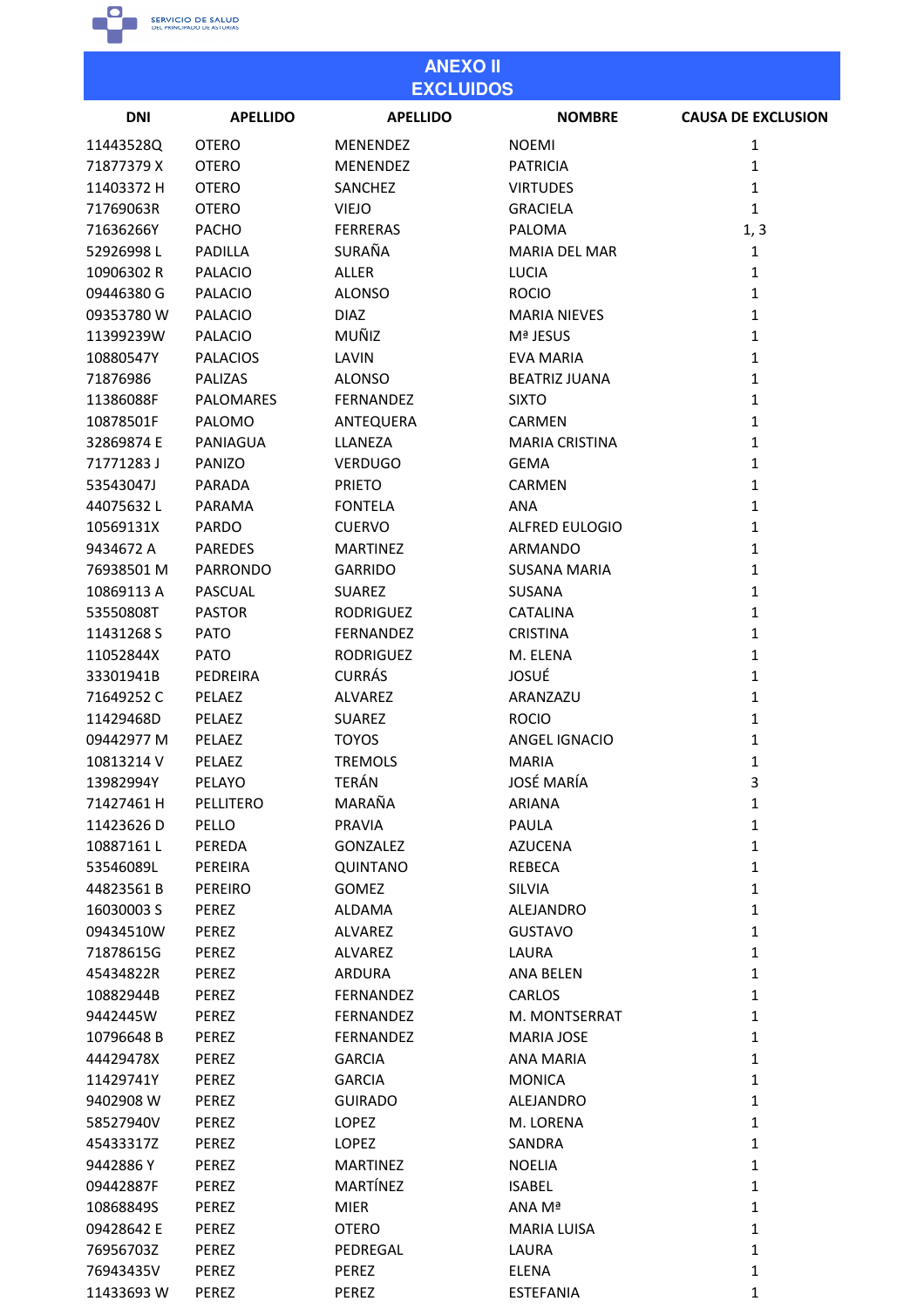

| <b>ANEXO II</b><br><b>EXCLUIDOS</b> |                 |                  |                       |                           |
|-------------------------------------|-----------------|------------------|-----------------------|---------------------------|
| <b>DNI</b>                          | <b>APELLIDO</b> | <b>APELLIDO</b>  | <b>NOMBRE</b>         | <b>CAUSA DE EXCLUSION</b> |
| 11443528Q                           | <b>OTERO</b>    | <b>MENENDEZ</b>  | <b>NOEMI</b>          | 1                         |
| 71877379 X                          | <b>OTERO</b>    | MENENDEZ         | <b>PATRICIA</b>       | $\mathbf 1$               |
| 11403372 H                          | <b>OTERO</b>    | <b>SANCHEZ</b>   | <b>VIRTUDES</b>       | 1                         |
| 71769063R                           | <b>OTERO</b>    | <b>VIEJO</b>     | <b>GRACIELA</b>       | $\mathbf{1}$              |
| 71636266Y                           | PACHO           | <b>FERRERAS</b>  | <b>PALOMA</b>         | 1, 3                      |
| 52926998L                           | PADILLA         | SURAÑA           | <b>MARIA DEL MAR</b>  | 1                         |
| 10906302 R                          | <b>PALACIO</b>  | <b>ALLER</b>     | <b>LUCIA</b>          | 1                         |
| 09446380 G                          | <b>PALACIO</b>  | <b>ALONSO</b>    | <b>ROCIO</b>          | $\mathbf{1}$              |
| 09353780 W                          | <b>PALACIO</b>  | <b>DIAZ</b>      | <b>MARIA NIEVES</b>   | $\mathbf 1$               |
| 11399239W                           | <b>PALACIO</b>  | MUÑIZ            | <b>Mª JESUS</b>       | 1                         |
| 10880547Y                           | <b>PALACIOS</b> | LAVIN            | <b>EVA MARIA</b>      | $\mathbf{1}$              |
| 71876986                            | <b>PALIZAS</b>  | <b>ALONSO</b>    | <b>BEATRIZ JUANA</b>  | $\mathbf{1}$              |
| 11386088F                           | PALOMARES       | FERNANDEZ        | <b>SIXTO</b>          | $\mathbf{1}$              |
| 10878501F                           | PALOMO          | ANTEQUERA        | CARMEN                | 1                         |
| 32869874 E                          | PANIAGUA        | LLANEZA          | <b>MARIA CRISTINA</b> | 1                         |
| 71771283J                           | PANIZO          | <b>VERDUGO</b>   | <b>GEMA</b>           | $\mathbf{1}$              |
| 53543047J                           | PARADA          | <b>PRIETO</b>    | <b>CARMEN</b>         | 1                         |
| 44075632L                           | PARAMA          | <b>FONTELA</b>   | <b>ANA</b>            | $\mathbf{1}$              |
| 10569131X                           | PARDO           | <b>CUERVO</b>    | <b>ALFRED EULOGIO</b> | $\mathbf{1}$              |
| 9434672 A                           | <b>PAREDES</b>  | <b>MARTINEZ</b>  | ARMANDO               | $\mathbf{1}$              |
| 76938501 M                          | <b>PARRONDO</b> | <b>GARRIDO</b>   | <b>SUSANA MARIA</b>   | 1                         |
| 10869113 A                          | <b>PASCUAL</b>  | <b>SUAREZ</b>    | SUSANA                | $\mathbf{1}$              |
| 53550808T                           | <b>PASTOR</b>   | <b>RODRIGUEZ</b> | <b>CATALINA</b>       | $\mathbf 1$               |
| 11431268 S                          | <b>PATO</b>     | FERNANDEZ        | <b>CRISTINA</b>       | 1                         |
| 11052844X                           | <b>PATO</b>     | <b>RODRIGUEZ</b> | M. ELENA              | 1                         |
| 33301941B                           | PEDREIRA        | <b>CURRÁS</b>    | JOSUÉ                 | 1                         |
| 71649252 C                          | PELAEZ          | ALVAREZ          | ARANZAZU              | $\mathbf{1}$              |
| 11429468D                           | PELAEZ          | <b>SUAREZ</b>    | <b>ROCIO</b>          | 1                         |
| 09442977 M                          | <b>PELAEZ</b>   | <b>TOYOS</b>     | ANGEL IGNACIO         | 1                         |
| 10813214 V                          | PELAEZ          | <b>TREMOLS</b>   | <b>MARIA</b>          | $\mathbf 1$               |
| 13982994Y                           | PELAYO          | TERÁN            | <b>JOSÉ MARÍA</b>     | 3                         |
| 71427461 H                          | PELLITERO       | MARAÑA           | <b>ARIANA</b>         | $\mathbf{1}$              |
| 11423626D                           | PELLO           | <b>PRAVIA</b>    | PAULA                 | $\mathbf{1}$              |
| 10887161L                           | PEREDA          | <b>GONZALEZ</b>  | <b>AZUCENA</b>        | $\mathbf{1}$              |
| 53546089L                           | PEREIRA         | <b>QUINTANO</b>  | <b>REBECA</b>         | $\mathbf{1}$              |
| 44823561B                           | PEREIRO         | <b>GOMEZ</b>     | <b>SILVIA</b>         | $\mathbf{1}$              |
| 16030003 S                          | PEREZ           | <b>ALDAMA</b>    | ALEJANDRO             | $\mathbf{1}$              |
| 09434510W                           | PEREZ           | ALVAREZ          | <b>GUSTAVO</b>        | $\mathbf{1}$              |
| 71878615G                           | PEREZ           | <b>ALVAREZ</b>   | LAURA                 | $\mathbf{1}$              |
| 45434822R                           | PEREZ           | ARDURA           | <b>ANA BELEN</b>      | $\mathbf{1}$              |
| 10882944B                           | PEREZ           | <b>FERNANDEZ</b> | CARLOS                | $\mathbf{1}$              |
| 9442445W                            | PEREZ           | FERNANDEZ        | M. MONTSERRAT         | $\mathbf{1}$              |
| 10796648B                           | PEREZ           | FERNANDEZ        | <b>MARIA JOSE</b>     | $\mathbf{1}$              |
| 44429478X                           | PEREZ           | <b>GARCIA</b>    | <b>ANA MARIA</b>      | $\mathbf{1}$              |
| 11429741Y                           | PEREZ           | <b>GARCIA</b>    | <b>MONICA</b>         | $\mathbf{1}$              |
| 9402908 W                           | PEREZ           | <b>GUIRADO</b>   | ALEJANDRO             | $\mathbf{1}$              |
| 58527940V                           | PEREZ           | <b>LOPEZ</b>     | M. LORENA             | $\mathbf{1}$              |
| 45433317Z                           | PEREZ           | LOPEZ            | SANDRA                | $\mathbf{1}$              |
| 9442886Y                            | PEREZ           | <b>MARTINEZ</b>  | <b>NOELIA</b>         | $\mathbf{1}$              |
| 09442887F                           | PEREZ           | MARTÍNEZ         | <b>ISABEL</b>         | $\mathbf{1}$              |
| 10868849S                           | PEREZ           | <b>MIER</b>      | ANA Mª                | $\mathbf 1$               |
| 09428642 E                          | PEREZ           | <b>OTERO</b>     | <b>MARIA LUISA</b>    | $\mathbf{1}$              |
| 76956703Z                           | PEREZ           | PEDREGAL         | LAURA                 | $\mathbf{1}$              |
| 76943435V                           | PEREZ           | PEREZ            | <b>ELENA</b>          | $\mathbf 1$               |
| 11433693W                           | PEREZ           | PEREZ            | <b>ESTEFANIA</b>      | 1                         |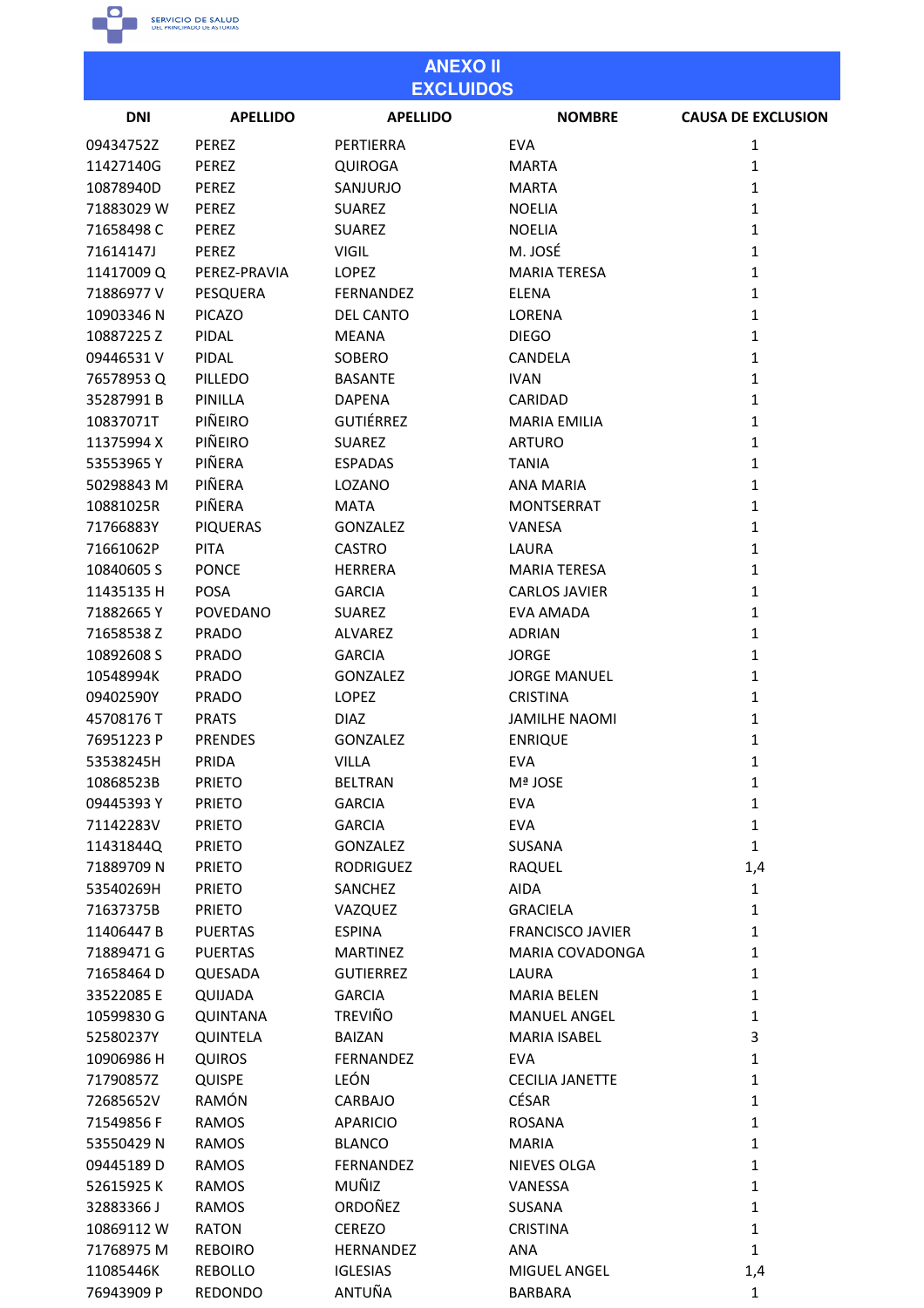

| <b>ANEXO II</b><br><b>EXCLUIDOS</b> |                 |                  |                         |                           |
|-------------------------------------|-----------------|------------------|-------------------------|---------------------------|
| <b>DNI</b>                          | <b>APELLIDO</b> | <b>APELLIDO</b>  | <b>NOMBRE</b>           | <b>CAUSA DE EXCLUSION</b> |
| 09434752Z                           | PEREZ           | PERTIERRA        | <b>EVA</b>              | 1                         |
| 11427140G                           | PEREZ           | <b>QUIROGA</b>   | <b>MARTA</b>            | 1                         |
| 10878940D                           | PEREZ           | SANJURJO         | <b>MARTA</b>            | $\mathbf{1}$              |
| 71883029W                           | PEREZ           | <b>SUAREZ</b>    | <b>NOELIA</b>           | $\mathbf{1}$              |
| 71658498C                           | PEREZ           | <b>SUAREZ</b>    | <b>NOELIA</b>           | $\mathbf{1}$              |
| 71614147J                           | PEREZ           | <b>VIGIL</b>     | M. JOSÉ                 | $\mathbf{1}$              |
| 11417009 Q                          | PEREZ-PRAVIA    | <b>LOPEZ</b>     | <b>MARIA TERESA</b>     | $\mathbf{1}$              |
| 71886977V                           | PESQUERA        | FERNANDEZ        | <b>ELENA</b>            | $\mathbf{1}$              |
| 10903346 N                          | <b>PICAZO</b>   | DEL CANTO        | LORENA                  | $\mathbf{1}$              |
| 10887225Z                           | PIDAL           | <b>MEANA</b>     | <b>DIEGO</b>            | $\mathbf{1}$              |
| 09446531V                           | PIDAL           | SOBERO           | <b>CANDELA</b>          | $\mathbf{1}$              |
| 76578953Q                           | PILLEDO         | <b>BASANTE</b>   | <b>IVAN</b>             | $\mathbf{1}$              |
| 35287991B                           | PINILLA         | <b>DAPENA</b>    | <b>CARIDAD</b>          | $\mathbf{1}$              |
| 10837071T                           | PIÑEIRO         | <b>GUTIÉRREZ</b> | <b>MARIA EMILIA</b>     | $\mathbf{1}$              |
| 11375994 X                          | PIÑEIRO         | <b>SUAREZ</b>    | <b>ARTURO</b>           | $\mathbf{1}$              |
| 53553965Y                           | PIÑERA          | <b>ESPADAS</b>   | <b>TANIA</b>            | $\mathbf{1}$              |
| 50298843 M                          | PIÑERA          | LOZANO           | <b>ANA MARIA</b>        | $\mathbf{1}$              |
| 10881025R                           | PIÑERA          | <b>MATA</b>      | <b>MONTSERRAT</b>       | $\mathbf{1}$              |
| 71766883Y                           | <b>PIQUERAS</b> | <b>GONZALEZ</b>  | VANESA                  | $\mathbf{1}$              |
| 71661062P                           | <b>PITA</b>     | <b>CASTRO</b>    | LAURA                   | $\mathbf{1}$              |
| 10840605 S                          | <b>PONCE</b>    | HERRERA          | <b>MARIA TERESA</b>     | $\mathbf{1}$              |
| 11435135 H                          | <b>POSA</b>     | <b>GARCIA</b>    | <b>CARLOS JAVIER</b>    | $\mathbf{1}$              |
| 71882665Y                           | <b>POVEDANO</b> | <b>SUAREZ</b>    | <b>EVA AMADA</b>        | $\mathbf{1}$              |
| 71658538Z                           | <b>PRADO</b>    | ALVAREZ          | <b>ADRIAN</b>           | $\mathbf{1}$              |
| 10892608 S                          | <b>PRADO</b>    | <b>GARCIA</b>    | <b>JORGE</b>            | $\mathbf{1}$              |
| 10548994K                           | <b>PRADO</b>    | <b>GONZALEZ</b>  | <b>JORGE MANUEL</b>     | $\mathbf{1}$              |
| 09402590Y                           | <b>PRADO</b>    | <b>LOPEZ</b>     | <b>CRISTINA</b>         | $\mathbf{1}$              |
| 45708176 T                          | <b>PRATS</b>    | <b>DIAZ</b>      | <b>JAMILHE NAOMI</b>    | $\mathbf{1}$              |
| 76951223 P                          | <b>PRENDES</b>  | GONZALEZ         | <b>ENRIQUE</b>          | 1                         |
| 53538245H                           | PRIDA           | <b>VILLA</b>     | <b>EVA</b>              | $\mathbf{1}$              |
| 10868523B                           | <b>PRIETO</b>   | <b>BELTRAN</b>   | Mª JOSE                 | $\mathbf{1}$              |
| 09445393Y                           | <b>PRIETO</b>   | <b>GARCIA</b>    | <b>EVA</b>              | $\mathbf{1}$              |
| 71142283V                           | <b>PRIETO</b>   | <b>GARCIA</b>    | <b>EVA</b>              | $\mathbf{1}$              |
| 11431844Q                           | <b>PRIETO</b>   | <b>GONZALEZ</b>  | SUSANA                  | $\mathbf{1}$              |
|                                     |                 |                  |                         |                           |
| 71889709N                           | <b>PRIETO</b>   | <b>RODRIGUEZ</b> | RAQUEL                  | 1,4                       |
| 53540269H                           | <b>PRIETO</b>   | SANCHEZ          | <b>AIDA</b>             | $\mathbf{1}$              |
| 71637375B                           | <b>PRIETO</b>   | VAZQUEZ          | <b>GRACIELA</b>         | $\mathbf{1}$              |
| 11406447B                           | <b>PUERTAS</b>  | <b>ESPINA</b>    | <b>FRANCISCO JAVIER</b> | $\mathbf{1}$              |
| 71889471 G                          | <b>PUERTAS</b>  | <b>MARTINEZ</b>  | MARIA COVADONGA         | $\mathbf{1}$              |
| 71658464D                           | QUESADA         | <b>GUTIERREZ</b> | LAURA                   | $\mathbf{1}$              |
| 33522085 E                          | QUIJADA         | <b>GARCIA</b>    | <b>MARIA BELEN</b>      | $\mathbf{1}$              |
| 10599830 G                          | <b>QUINTANA</b> | <b>TREVIÑO</b>   | <b>MANUEL ANGEL</b>     | $\mathbf{1}$              |
| 52580237Y                           | <b>QUINTELA</b> | <b>BAIZAN</b>    | <b>MARIA ISABEL</b>     | 3                         |
| 10906986 H                          | <b>QUIROS</b>   | FERNANDEZ        | <b>EVA</b>              | $\mathbf{1}$              |
| 71790857Z                           | <b>QUISPE</b>   | LEÓN             | <b>CECILIA JANETTE</b>  | $\mathbf{1}$              |
| 72685652V                           | RAMÓN           | CARBAJO          | CÉSAR                   | $\mathbf{1}$              |
| 71549856F                           | <b>RAMOS</b>    | <b>APARICIO</b>  | <b>ROSANA</b>           | $\mathbf{1}$              |
| 53550429 N                          | <b>RAMOS</b>    | <b>BLANCO</b>    | <b>MARIA</b>            | $\mathbf{1}$              |
| 09445189D                           | <b>RAMOS</b>    | FERNANDEZ        | NIEVES OLGA             | $\mathbf{1}$              |
| 52615925K                           | RAMOS           | MUÑIZ            | VANESSA                 | $\mathbf{1}$              |
| 32883366J                           | <b>RAMOS</b>    | ORDOÑEZ          | SUSANA                  | $\mathbf{1}$              |
| 10869112W                           | <b>RATON</b>    | <b>CEREZO</b>    | <b>CRISTINA</b>         | $\mathbf{1}$              |
| 71768975 M                          | <b>REBOIRO</b>  | <b>HERNANDEZ</b> | ANA                     | $\mathbf{1}$              |
| 11085446K                           | <b>REBOLLO</b>  | <b>IGLESIAS</b>  | MIGUEL ANGEL            | 1,4                       |
| 76943909 P                          | REDONDO         | ANTUÑA           | <b>BARBARA</b>          | $\mathbf{1}$              |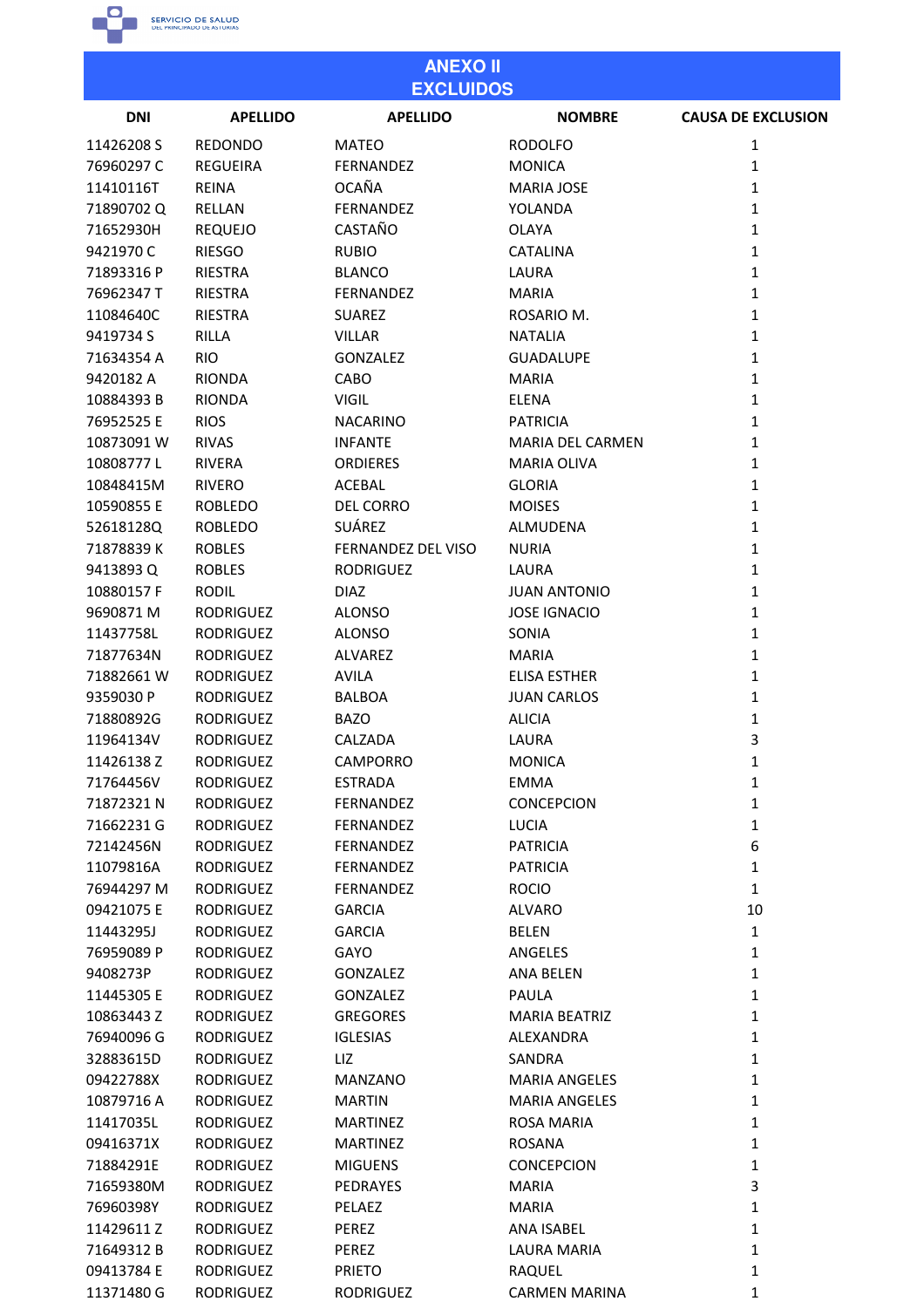

76960398Y

11429611Z

71649312B

09413784 E

11371480 G

**RODRIGUEZ** 

RODRIGUEZ

**RODRIGUEZ** 

**RODRIGUEZ** 

**RODRIGUEZ** 

PELAEZ

PEREZ

PEREZ

**PRIETO** 

**RODRIGUEZ** 

**MARIA** 

RAQUEL

ANA ISABEL

**LAURA MARIA** 

**CARMEN MARINA** 

 $\mathbf 1$ 

 $\mathbf 1$ 

 $\mathbf{1}$ 

 $\mathbf 1$ 

|            | <b>ANEXO II</b>  |                    |                         |                           |  |
|------------|------------------|--------------------|-------------------------|---------------------------|--|
|            |                  | <b>EXCLUIDOS</b>   |                         |                           |  |
| <b>DNI</b> | <b>APELLIDO</b>  | <b>APELLIDO</b>    | <b>NOMBRE</b>           | <b>CAUSA DE EXCLUSION</b> |  |
| 11426208 S | <b>REDONDO</b>   | <b>MATEO</b>       | <b>RODOLFO</b>          | $\mathbf{1}$              |  |
| 76960297 C | <b>REGUEIRA</b>  | <b>FERNANDEZ</b>   | <b>MONICA</b>           | $\mathbf{1}$              |  |
| 11410116T  | <b>REINA</b>     | <b>OCAÑA</b>       | <b>MARIA JOSE</b>       | $\mathbf{1}$              |  |
| 71890702Q  | RELLAN           | <b>FERNANDEZ</b>   | YOLANDA                 | $\mathbf{1}$              |  |
| 71652930H  | <b>REQUEJO</b>   | <b>CASTAÑO</b>     | <b>OLAYA</b>            | $\mathbf{1}$              |  |
| 9421970 C  | <b>RIESGO</b>    | <b>RUBIO</b>       | <b>CATALINA</b>         | $\mathbf{1}$              |  |
| 71893316 P | <b>RIESTRA</b>   | <b>BLANCO</b>      | LAURA                   | $\mathbf{1}$              |  |
| 76962347 T | <b>RIESTRA</b>   | <b>FERNANDEZ</b>   | <b>MARIA</b>            | $\mathbf{1}$              |  |
| 11084640C  | <b>RIESTRA</b>   | <b>SUAREZ</b>      | ROSARIO M.              | $\mathbf{1}$              |  |
| 9419734 S  | <b>RILLA</b>     | <b>VILLAR</b>      | <b>NATALIA</b>          | $\mathbf{1}$              |  |
| 71634354 A | <b>RIO</b>       | <b>GONZALEZ</b>    | <b>GUADALUPE</b>        | $\mathbf{1}$              |  |
| 9420182 A  | <b>RIONDA</b>    | CABO               | <b>MARIA</b>            | $\mathbf{1}$              |  |
| 10884393B  | <b>RIONDA</b>    | <b>VIGIL</b>       | <b>ELENA</b>            | $\mathbf{1}$              |  |
| 76952525 E | <b>RIOS</b>      | <b>NACARINO</b>    | <b>PATRICIA</b>         | $\mathbf{1}$              |  |
| 10873091W  | <b>RIVAS</b>     | <b>INFANTE</b>     | <b>MARIA DEL CARMEN</b> | $\mathbf{1}$              |  |
| 10808777L  | RIVERA           | <b>ORDIERES</b>    | <b>MARIA OLIVA</b>      | $\mathbf{1}$              |  |
| 10848415M  | <b>RIVERO</b>    | <b>ACEBAL</b>      | <b>GLORIA</b>           | $\mathbf{1}$              |  |
| 10590855 E | <b>ROBLEDO</b>   | <b>DEL CORRO</b>   | <b>MOISES</b>           | $\mathbf{1}$              |  |
| 52618128Q  | <b>ROBLEDO</b>   | SUÁREZ             | ALMUDENA                | $\mathbf{1}$              |  |
| 71878839K  | <b>ROBLES</b>    | FERNANDEZ DEL VISO | <b>NURIA</b>            | $\mathbf{1}$              |  |
| 9413893 Q  | <b>ROBLES</b>    | <b>RODRIGUEZ</b>   | LAURA                   | $\mathbf{1}$              |  |
| 10880157 F | <b>RODIL</b>     | <b>DIAZ</b>        | <b>JUAN ANTONIO</b>     | $\mathbf{1}$              |  |
|            |                  |                    |                         |                           |  |
| 9690871 M  | <b>RODRIGUEZ</b> | <b>ALONSO</b>      | <b>JOSE IGNACIO</b>     | $\mathbf{1}$              |  |
| 11437758L  | <b>RODRIGUEZ</b> | <b>ALONSO</b>      | SONIA                   | $\mathbf{1}$              |  |
| 71877634N  | <b>RODRIGUEZ</b> | ALVAREZ            | <b>MARIA</b>            | $\mathbf{1}$              |  |
| 71882661W  | <b>RODRIGUEZ</b> | <b>AVILA</b>       | <b>ELISA ESTHER</b>     | $\mathbf{1}$              |  |
| 9359030 P  | <b>RODRIGUEZ</b> | <b>BALBOA</b>      | <b>JUAN CARLOS</b>      | $\mathbf{1}$              |  |
| 71880892G  | <b>RODRIGUEZ</b> | <b>BAZO</b>        | <b>ALICIA</b>           | $\mathbf{1}$              |  |
| 11964134V  | <b>RODRIGUEZ</b> | CALZADA            | LAURA                   | 3                         |  |
| 11426138 Z | RODRIGUEZ        | <b>CAMPORRO</b>    | <b>MONICA</b>           | 1                         |  |
| 71764456V  | <b>RODRIGUEZ</b> | <b>ESTRADA</b>     | <b>EMMA</b>             | 1                         |  |
| 71872321 N | <b>RODRIGUEZ</b> | <b>FERNANDEZ</b>   | <b>CONCEPCION</b>       | $\mathbf{1}$              |  |
| 71662231 G | <b>RODRIGUEZ</b> | <b>FERNANDEZ</b>   | <b>LUCIA</b>            | $\mathbf{1}$              |  |
| 72142456N  | <b>RODRIGUEZ</b> | <b>FERNANDEZ</b>   | <b>PATRICIA</b>         | 6                         |  |
| 11079816A  | <b>RODRIGUEZ</b> | FERNANDEZ          | <b>PATRICIA</b>         | $\mathbf{1}$              |  |
| 76944297 M | <b>RODRIGUEZ</b> | <b>FERNANDEZ</b>   | <b>ROCIO</b>            | $\mathbf{1}$              |  |
| 09421075 E | <b>RODRIGUEZ</b> | <b>GARCIA</b>      | <b>ALVARO</b>           | 10                        |  |
| 11443295J  | <b>RODRIGUEZ</b> | <b>GARCIA</b>      | <b>BELEN</b>            | $\mathbf{1}$              |  |
| 76959089 P | <b>RODRIGUEZ</b> | GAYO               | ANGELES                 | $\mathbf{1}$              |  |
| 9408273P   | <b>RODRIGUEZ</b> | <b>GONZALEZ</b>    | ANA BELEN               | $\mathbf{1}$              |  |
| 11445305 E | <b>RODRIGUEZ</b> | <b>GONZALEZ</b>    | PAULA                   | $\mathbf{1}$              |  |
| 10863443 Z | <b>RODRIGUEZ</b> | <b>GREGORES</b>    | <b>MARIA BEATRIZ</b>    | $\mathbf{1}$              |  |
| 76940096 G | <b>RODRIGUEZ</b> | <b>IGLESIAS</b>    | ALEXANDRA               | $\mathbf{1}$              |  |
| 32883615D  | <b>RODRIGUEZ</b> | LIZ                | <b>SANDRA</b>           | $\mathbf{1}$              |  |
| 09422788X  | <b>RODRIGUEZ</b> | MANZANO            | <b>MARIA ANGELES</b>    | $\mathbf{1}$              |  |
| 10879716 A | <b>RODRIGUEZ</b> | <b>MARTIN</b>      | <b>MARIA ANGELES</b>    | $\mathbf{1}$              |  |
| 11417035L  | <b>RODRIGUEZ</b> | <b>MARTINEZ</b>    | <b>ROSA MARIA</b>       | $\mathbf{1}$              |  |
| 09416371X  | <b>RODRIGUEZ</b> | <b>MARTINEZ</b>    | ROSANA                  | $\mathbf{1}$              |  |
| 71884291E  | <b>RODRIGUEZ</b> | <b>MIGUENS</b>     | <b>CONCEPCION</b>       | $\mathbf{1}$              |  |
| 71659380M  | RODRIGUEZ        | PEDRAYES           | <b>MARIA</b>            | 3                         |  |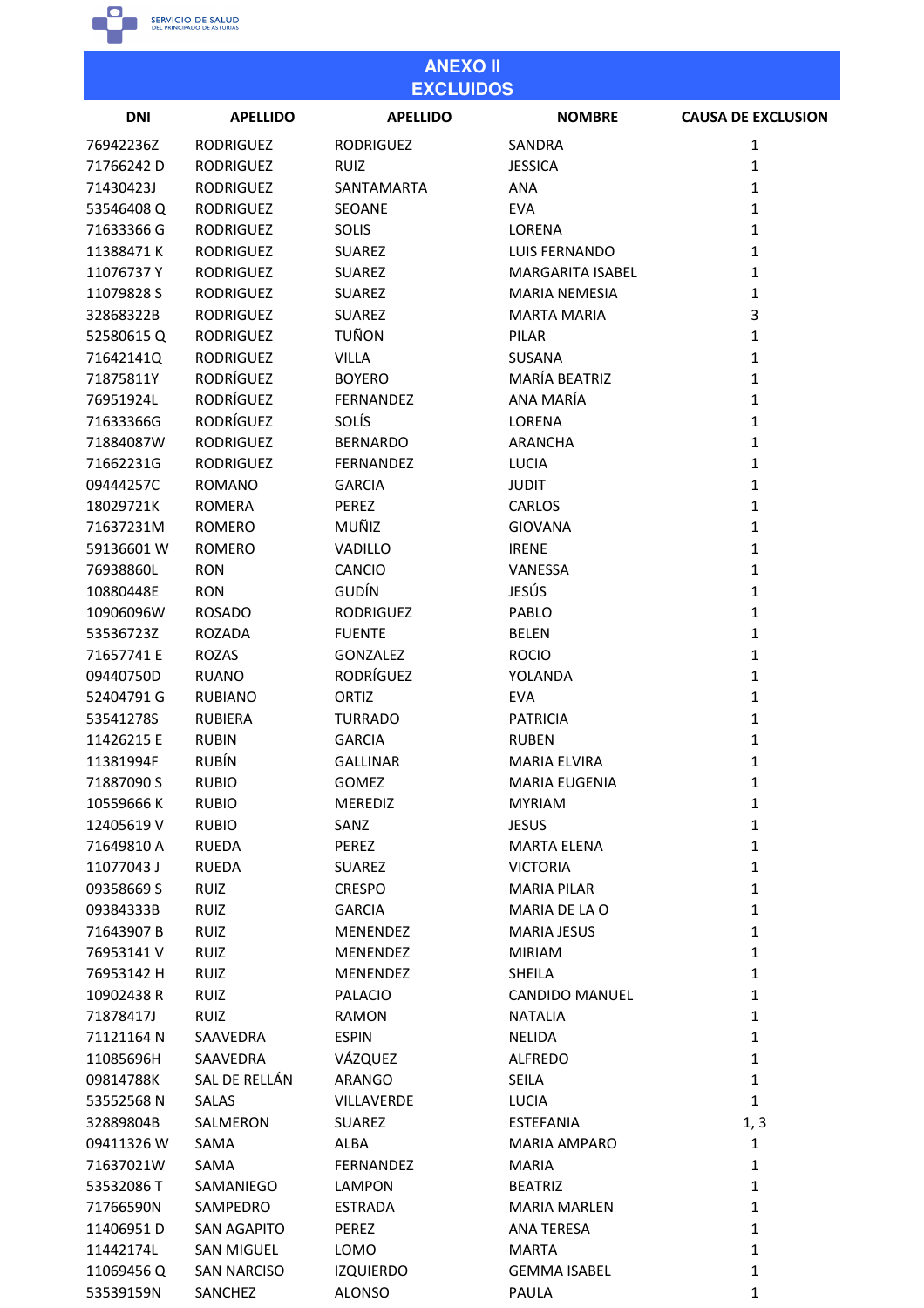

53539159N SANCHEZ

**ALONSO** 

| <b>ANEXO II</b><br><b>EXCLUIDOS</b> |                    |                   |                         |                           |
|-------------------------------------|--------------------|-------------------|-------------------------|---------------------------|
| <b>DNI</b>                          | <b>APELLIDO</b>    | <b>APELLIDO</b>   | <b>NOMBRE</b>           | <b>CAUSA DE EXCLUSION</b> |
| 76942236Z                           | <b>RODRIGUEZ</b>   | <b>RODRIGUEZ</b>  | SANDRA                  | 1                         |
| 71766242D                           | <b>RODRIGUEZ</b>   | <b>RUIZ</b>       | <b>JESSICA</b>          | 1                         |
| 71430423J                           | <b>RODRIGUEZ</b>   | SANTAMARTA        | <b>ANA</b>              | 1                         |
| 53546408Q                           | <b>RODRIGUEZ</b>   | <b>SEOANE</b>     | <b>EVA</b>              | $\mathbf{1}$              |
| 71633366 G                          | <b>RODRIGUEZ</b>   | <b>SOLIS</b>      | LORENA                  | $\mathbf{1}$              |
| 11388471K                           | <b>RODRIGUEZ</b>   | <b>SUAREZ</b>     | LUIS FERNANDO           | 1                         |
| 11076737Y                           | <b>RODRIGUEZ</b>   | <b>SUAREZ</b>     | <b>MARGARITA ISABEL</b> | 1                         |
| 11079828 S                          | <b>RODRIGUEZ</b>   | <b>SUAREZ</b>     | <b>MARIA NEMESIA</b>    | 1                         |
| 32868322B                           | <b>RODRIGUEZ</b>   | <b>SUAREZ</b>     | <b>MARTA MARIA</b>      | 3                         |
| 52580615Q                           | <b>RODRIGUEZ</b>   | TUÑON             | <b>PILAR</b>            | 1                         |
| 71642141Q                           | <b>RODRIGUEZ</b>   | <b>VILLA</b>      | <b>SUSANA</b>           | $\mathbf{1}$              |
| 71875811Y                           | RODRÍGUEZ          | <b>BOYERO</b>     | MARÍA BEATRIZ           | 1                         |
| 76951924L                           | <b>RODRÍGUEZ</b>   | <b>FERNANDEZ</b>  | ANA MARÍA               | 1                         |
| 71633366G                           | RODRÍGUEZ          | SOLÍS             | LORENA                  | 1                         |
| 71884087W                           | <b>RODRIGUEZ</b>   | <b>BERNARDO</b>   | <b>ARANCHA</b>          | 1                         |
| 71662231G                           | <b>RODRIGUEZ</b>   | FERNANDEZ         | <b>LUCIA</b>            | 1                         |
|                                     |                    |                   |                         |                           |
| 09444257C                           | <b>ROMANO</b>      | <b>GARCIA</b>     | <b>JUDIT</b>            | 1                         |
| 18029721K                           | <b>ROMERA</b>      | <b>PEREZ</b>      | CARLOS                  | $\mathbf{1}$              |
| 71637231M                           | <b>ROMERO</b>      | MUÑIZ             | <b>GIOVANA</b>          | 1                         |
| 59136601W                           | <b>ROMERO</b>      | VADILLO           | <b>IRENE</b>            | 1                         |
| 76938860L                           | <b>RON</b>         | CANCIO            | <b>VANESSA</b>          | 1                         |
| 10880448E                           | <b>RON</b>         | GUDÍN             | JESÚS                   | $\mathbf{1}$              |
| 10906096W                           | <b>ROSADO</b>      | <b>RODRIGUEZ</b>  | PABLO                   | 1                         |
| 53536723Z                           | <b>ROZADA</b>      | <b>FUENTE</b>     | <b>BELEN</b>            | 1                         |
| 71657741 E                          | <b>ROZAS</b>       | <b>GONZALEZ</b>   | <b>ROCIO</b>            | $\mathbf{1}$              |
| 09440750D                           | <b>RUANO</b>       | <b>RODRÍGUEZ</b>  | YOLANDA                 | 1                         |
| 52404791 G                          | <b>RUBIANO</b>     | ORTIZ             | <b>EVA</b>              | 1                         |
| 53541278S                           | <b>RUBIERA</b>     | <b>TURRADO</b>    | <b>PATRICIA</b>         | 1                         |
| 11426215 E                          | <b>RUBIN</b>       | <b>GARCIA</b>     | <b>RUBEN</b>            | 1                         |
| 11381994F                           | <b>RUBÍN</b>       | <b>GALLINAR</b>   | <b>MARIA ELVIRA</b>     | $\mathbf{1}$              |
| 71887090 S                          | <b>RUBIO</b>       | <b>GOMEZ</b>      | MARIA EUGENIA           | $\mathbf{1}$              |
| 10559666K                           | <b>RUBIO</b>       | <b>MEREDIZ</b>    | <b>MYRIAM</b>           | $\mathbf{1}$              |
| 12405619V                           | <b>RUBIO</b>       | SANZ              | <b>JESUS</b>            | $\mathbf{1}$              |
| 71649810 A                          | <b>RUEDA</b>       | PEREZ             | <b>MARTA ELENA</b>      | $\mathbf{1}$              |
| 11077043J                           | <b>RUEDA</b>       | SUAREZ            | <b>VICTORIA</b>         | $\mathbf{1}$              |
| 09358669 S                          | RUIZ               | <b>CRESPO</b>     | <b>MARIA PILAR</b>      | $\mathbf{1}$              |
| 09384333B                           | <b>RUIZ</b>        | <b>GARCIA</b>     | MARIA DE LA O           | $\mathbf{1}$              |
| 71643907 B                          | <b>RUIZ</b>        | <b>MENENDEZ</b>   | <b>MARIA JESUS</b>      | $\mathbf{1}$              |
| 76953141 V                          | <b>RUIZ</b>        | <b>MENENDEZ</b>   | <b>MIRIAM</b>           | $\mathbf{1}$              |
| 76953142 H                          | <b>RUIZ</b>        | <b>MENENDEZ</b>   | <b>SHEILA</b>           | $\mathbf{1}$              |
| 10902438 R                          | <b>RUIZ</b>        | <b>PALACIO</b>    | <b>CANDIDO MANUEL</b>   | $\mathbf{1}$              |
| 71878417J                           | <b>RUIZ</b>        | <b>RAMON</b>      | <b>NATALIA</b>          | $\mathbf{1}$              |
| 71121164 N                          | SAAVEDRA           | <b>ESPIN</b>      | NELIDA                  | $\mathbf{1}$              |
| 11085696H                           | SAAVEDRA           | VÁZQUEZ           | ALFREDO                 | $\mathbf{1}$              |
| 09814788K                           | SAL DE RELLÁN      | ARANGO            | SEILA                   | $\mathbf{1}$              |
| 53552568N                           | SALAS              | <b>VILLAVERDE</b> | LUCIA                   | $\mathbf{1}$              |
| 32889804B                           | SALMERON           | <b>SUAREZ</b>     | <b>ESTEFANIA</b>        | 1, 3                      |
| 09411326 W                          | SAMA               | ALBA              | <b>MARIA AMPARO</b>     | $\mathbf{1}$              |
| 71637021W                           | SAMA               | FERNANDEZ         | <b>MARIA</b>            | $\mathbf{1}$              |
| 53532086 T                          | SAMANIEGO          | <b>LAMPON</b>     | <b>BEATRIZ</b>          | $\mathbf{1}$              |
|                                     |                    |                   |                         |                           |
| 71766590N                           | SAMPEDRO           | <b>ESTRADA</b>    | <b>MARIA MARLEN</b>     | $\mathbf{1}$              |
| 11406951D                           | SAN AGAPITO        | PEREZ             | ANA TERESA              | $\mathbf{1}$              |
| 11442174L                           | <b>SAN MIGUEL</b>  | LOMO              | <b>MARTA</b>            | $\mathbf{1}$              |
| 11069456Q                           | <b>SAN NARCISO</b> | <b>IZQUIERDO</b>  | <b>GEMMA ISABEL</b>     | 1                         |

PAULA

 $\mathbf 1$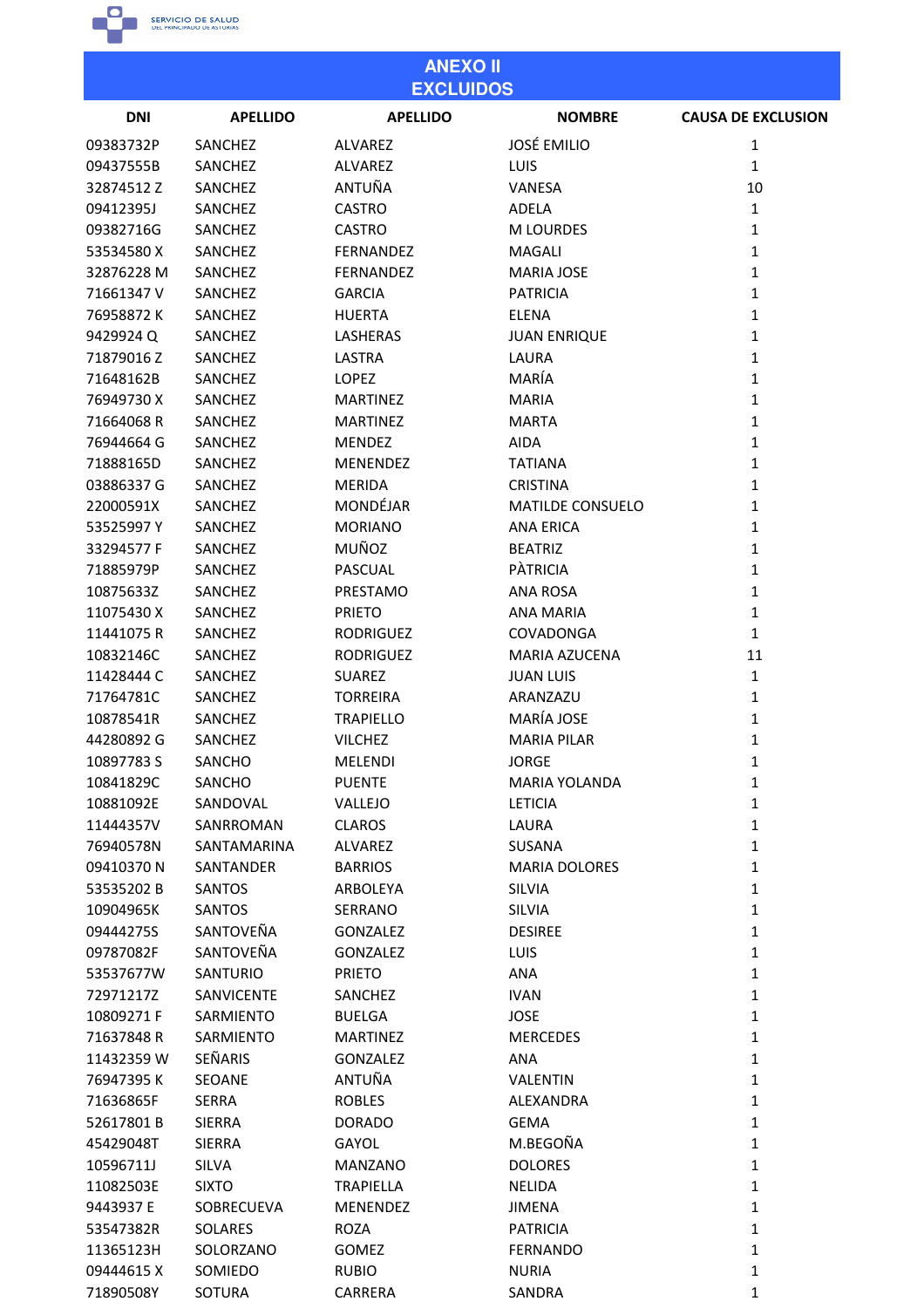

| <b>ANEXO II</b><br><b>EXCLUIDOS</b> |                  |                  |                         |                           |
|-------------------------------------|------------------|------------------|-------------------------|---------------------------|
| <b>DNI</b>                          | <b>APELLIDO</b>  | <b>APELLIDO</b>  | <b>NOMBRE</b>           | <b>CAUSA DE EXCLUSION</b> |
| 09383732P                           | SANCHEZ          | ALVAREZ          | <b>JOSÉ EMILIO</b>      | $\mathbf{1}$              |
| 09437555B                           | SANCHEZ          | <b>ALVAREZ</b>   | LUIS                    | $\mathbf{1}$              |
| 32874512Z                           | SANCHEZ          | ANTUÑA           | VANESA                  | 10                        |
| 09412395J                           | <b>SANCHEZ</b>   | <b>CASTRO</b>    | ADELA                   | $\mathbf{1}$              |
| 09382716G                           | SANCHEZ          | <b>CASTRO</b>    | <b>M LOURDES</b>        | $\mathbf{1}$              |
| 53534580X                           | SANCHEZ          | FERNANDEZ        | <b>MAGALI</b>           | $\mathbf{1}$              |
| 32876228 M                          | <b>SANCHEZ</b>   | FERNANDEZ        | <b>MARIA JOSE</b>       | $\mathbf{1}$              |
| 71661347 V                          | SANCHEZ          | <b>GARCIA</b>    | <b>PATRICIA</b>         | $\mathbf{1}$              |
| 76958872K                           | SANCHEZ          | <b>HUERTA</b>    | <b>ELENA</b>            | $\mathbf{1}$              |
| 9429924Q                            | SANCHEZ          | LASHERAS         | <b>JUAN ENRIQUE</b>     | $\mathbf{1}$              |
| 71879016Z                           | SANCHEZ          | LASTRA           | LAURA                   | $\mathbf{1}$              |
| 71648162B                           | SANCHEZ          | <b>LOPEZ</b>     | MARÍA                   | $\mathbf{1}$              |
| 76949730 X                          | SANCHEZ          | <b>MARTINEZ</b>  | <b>MARIA</b>            | $\mathbf{1}$              |
| 71664068R                           | <b>SANCHEZ</b>   | <b>MARTINEZ</b>  | <b>MARTA</b>            | $\mathbf{1}$              |
| 76944664 G                          | SANCHEZ          | <b>MENDEZ</b>    | <b>AIDA</b>             | $\mathbf{1}$              |
| 71888165D                           | SANCHEZ          | MENENDEZ         | <b>TATIANA</b>          | $\mathbf{1}$              |
| 03886337 G                          | SANCHEZ          | <b>MERIDA</b>    | <b>CRISTINA</b>         | $\mathbf{1}$              |
| 22000591X                           | <b>SANCHEZ</b>   | MONDÉJAR         | <b>MATILDE CONSUELO</b> | $\mathbf{1}$              |
| 53525997Y                           | SANCHEZ          | <b>MORIANO</b>   | <b>ANA ERICA</b>        | $\mathbf{1}$              |
| 33294577 F                          | SANCHEZ          | MUÑOZ            | <b>BEATRIZ</b>          | $\mathbf{1}$              |
| 71885979P                           | SANCHEZ          | PASCUAL          | <b>PATRICIA</b>         | $\mathbf{1}$              |
| 10875633Z                           | SANCHEZ          | PRESTAMO         | <b>ANA ROSA</b>         | $\mathbf{1}$              |
|                                     |                  |                  |                         | $\mathbf{1}$              |
| 11075430X                           | SANCHEZ          | <b>PRIETO</b>    | <b>ANA MARIA</b>        | $\mathbf{1}$              |
| 11441075 R                          | SANCHEZ          | <b>RODRIGUEZ</b> | COVADONGA               |                           |
| 10832146C                           | <b>SANCHEZ</b>   | <b>RODRIGUEZ</b> | MARIA AZUCENA           | 11<br>$\mathbf{1}$        |
| 11428444 C                          | SANCHEZ          | <b>SUAREZ</b>    | <b>JUAN LUIS</b>        |                           |
| 71764781C                           | SANCHEZ          | <b>TORREIRA</b>  | ARANZAZU<br>MARÍA JOSE  | $\mathbf{1}$              |
| 10878541R                           | SANCHEZ          | <b>TRAPIELLO</b> |                         | $\mathbf{1}$              |
| 44280892 G                          | SANCHEZ          | <b>VILCHEZ</b>   | <b>MARIA PILAR</b>      | 1                         |
| 10897783 S                          | SANCHO           | MELENDI          | <b>JORGE</b>            | $\mathbf{1}$              |
| 10841829C                           | SANCHO           | <b>PUENTE</b>    | <b>MARIA YOLANDA</b>    | $\mathbf{1}$              |
| 10881092E                           | SANDOVAL         | VALLEJO          | <b>LETICIA</b>          | $\mathbf{1}$              |
| 11444357V                           | SANRROMAN        | <b>CLAROS</b>    | LAURA                   | $\mathbf{1}$              |
| 76940578N                           | SANTAMARINA      | ALVAREZ          | SUSANA                  | $\mathbf{1}$              |
| 09410370N                           | <b>SANTANDER</b> | <b>BARRIOS</b>   | <b>MARIA DOLORES</b>    | $\mathbf{1}$              |
| 53535202 B                          | <b>SANTOS</b>    | ARBOLEYA         | SILVIA                  | $\mathbf{1}$              |
| 10904965K                           | <b>SANTOS</b>    | SERRANO          | <b>SILVIA</b>           | $\mathbf{1}$              |
| 09444275S                           | SANTOVEÑA        | <b>GONZALEZ</b>  | <b>DESIREE</b>          | $\mathbf{1}$              |
| 09787082F                           | SANTOVEÑA        | <b>GONZALEZ</b>  | LUIS                    | $\mathbf{1}$              |
| 53537677W                           | SANTURIO         | <b>PRIETO</b>    | ANA                     | $\mathbf 1$               |
| 72971217Z                           | SANVICENTE       | SANCHEZ          | <b>IVAN</b>             | $\mathbf 1$               |
| 10809271F                           | SARMIENTO        | <b>BUELGA</b>    | <b>JOSE</b>             | $\mathbf 1$               |
| 71637848R                           | SARMIENTO        | <b>MARTINEZ</b>  | <b>MERCEDES</b>         | $\mathbf{1}$              |
| 11432359 W                          | SEÑARIS          | <b>GONZALEZ</b>  | ANA                     | $\mathbf{1}$              |
| 76947395K                           | <b>SEOANE</b>    | ANTUÑA           | VALENTIN                | $\mathbf{1}$              |
| 71636865F                           | <b>SERRA</b>     | <b>ROBLES</b>    | ALEXANDRA               | $\mathbf{1}$              |
| 52617801B                           | <b>SIERRA</b>    | <b>DORADO</b>    | <b>GEMA</b>             | $\mathbf{1}$              |
| 45429048T                           | <b>SIERRA</b>    | GAYOL            | M.BEGOÑA                | $\mathbf{1}$              |
| 10596711J                           | <b>SILVA</b>     | <b>MANZANO</b>   | <b>DOLORES</b>          | $\mathbf 1$               |
| 11082503E                           | <b>SIXTO</b>     | <b>TRAPIELLA</b> | <b>NELIDA</b>           | $\mathbf{1}$              |
| 9443937 E                           | SOBRECUEVA       | MENENDEZ         | <b>JIMENA</b>           | $\mathbf{1}$              |
| 53547382R                           | SOLARES          | <b>ROZA</b>      | <b>PATRICIA</b>         | $\mathbf{1}$              |
| 11365123H                           | SOLORZANO        | <b>GOMEZ</b>     | <b>FERNANDO</b>         | $\mathbf{1}$              |
| 09444615X                           | SOMIEDO          | <b>RUBIO</b>     | <b>NURIA</b>            | $\mathbf{1}$              |
| 71890508Y                           | SOTURA           | CARRERA          | SANDRA                  | $\mathbf{1}$              |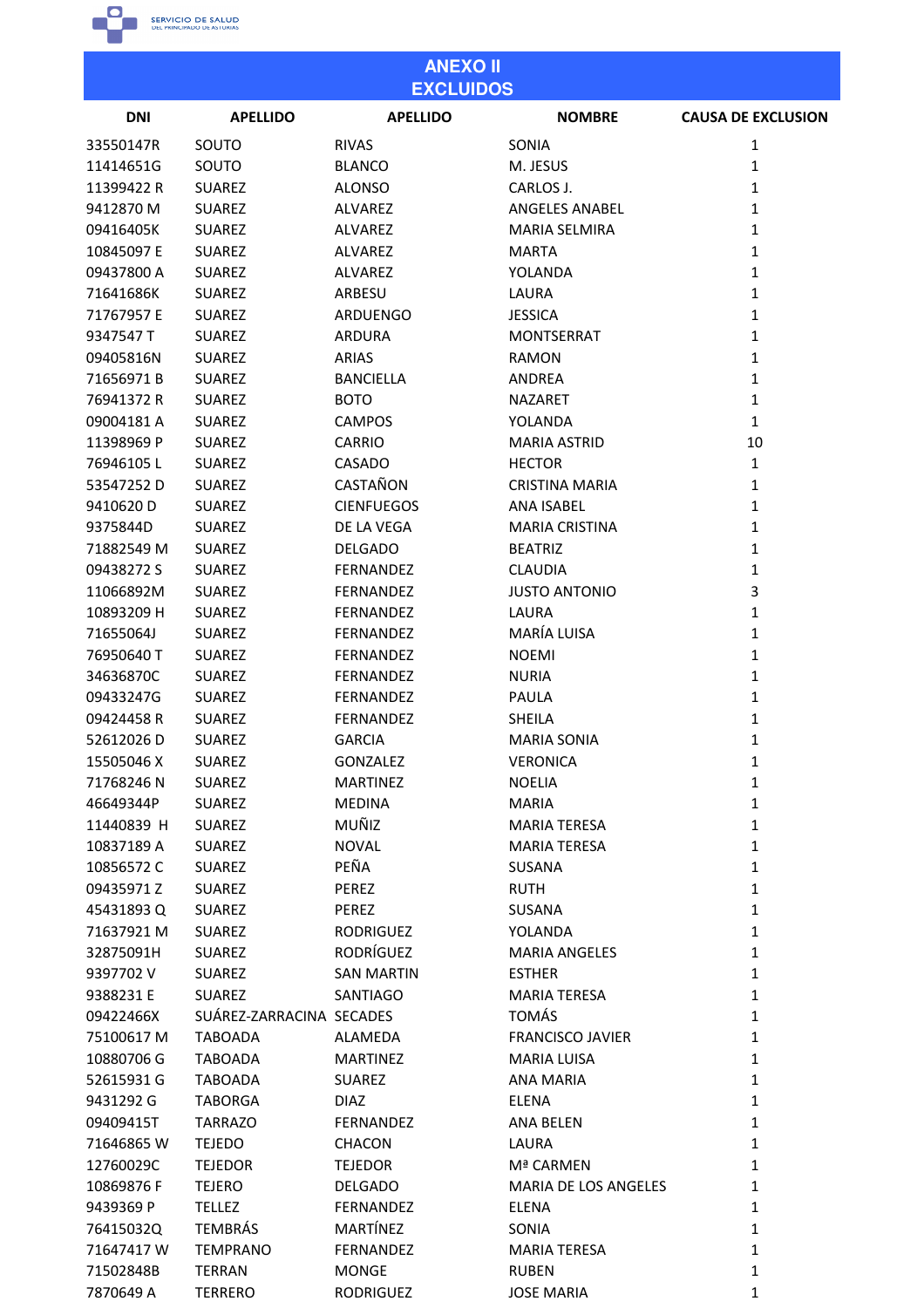

7870649 A

**TERRERO** 

**RODRIGUEZ** 

**JOSE MARIA** 

 $\mathbf 1$ 

| <b>ANEXO II</b><br><b>EXCLUIDOS</b> |                          |                   |                         |                           |
|-------------------------------------|--------------------------|-------------------|-------------------------|---------------------------|
| <b>DNI</b>                          | <b>APELLIDO</b>          | <b>APELLIDO</b>   | <b>NOMBRE</b>           | <b>CAUSA DE EXCLUSION</b> |
| 33550147R                           | SOUTO                    | <b>RIVAS</b>      | SONIA                   | 1                         |
| 11414651G                           | SOUTO                    | <b>BLANCO</b>     | M. JESUS                | $\mathbf{1}$              |
| 11399422 R                          | <b>SUAREZ</b>            | <b>ALONSO</b>     | CARLOS J.               | $\mathbf{1}$              |
| 9412870 M                           | <b>SUAREZ</b>            | <b>ALVAREZ</b>    | <b>ANGELES ANABEL</b>   | $\mathbf{1}$              |
| 09416405K                           | <b>SUAREZ</b>            | ALVAREZ           | <b>MARIA SELMIRA</b>    | $\mathbf{1}$              |
| 10845097 E                          | <b>SUAREZ</b>            | ALVAREZ           | <b>MARTA</b>            | $\mathbf{1}$              |
| 09437800 A                          | <b>SUAREZ</b>            | <b>ALVAREZ</b>    | YOLANDA                 | $\mathbf{1}$              |
| 71641686K                           | <b>SUAREZ</b>            | ARBESU            | LAURA                   | $\mathbf{1}$              |
| 71767957 E                          | <b>SUAREZ</b>            | <b>ARDUENGO</b>   | <b>JESSICA</b>          | $\mathbf{1}$              |
| 9347547 T                           | <b>SUAREZ</b>            | <b>ARDURA</b>     | <b>MONTSERRAT</b>       | $\mathbf{1}$              |
| 09405816N                           | <b>SUAREZ</b>            | <b>ARIAS</b>      | <b>RAMON</b>            | $\mathbf{1}$              |
| 71656971B                           | <b>SUAREZ</b>            | <b>BANCIELLA</b>  | ANDREA                  | $\mathbf{1}$              |
| 76941372 R                          | <b>SUAREZ</b>            | <b>BOTO</b>       | <b>NAZARET</b>          | $\mathbf{1}$              |
| 09004181 A                          | <b>SUAREZ</b>            | <b>CAMPOS</b>     | YOLANDA                 | $\mathbf{1}$              |
| 11398969 P                          | <b>SUAREZ</b>            | <b>CARRIO</b>     | <b>MARIA ASTRID</b>     | 10                        |
| 76946105L                           | <b>SUAREZ</b>            | <b>CASADO</b>     | <b>HECTOR</b>           | $\mathbf{1}$              |
| 53547252D                           | <b>SUAREZ</b>            | CASTAÑON          | <b>CRISTINA MARIA</b>   | $\mathbf{1}$              |
| 9410620 D                           | <b>SUAREZ</b>            | <b>CIENFUEGOS</b> | <b>ANA ISABEL</b>       | $\mathbf{1}$              |
| 9375844D                            | <b>SUAREZ</b>            | DE LA VEGA        | <b>MARIA CRISTINA</b>   | $\mathbf{1}$              |
| 71882549 M                          | <b>SUAREZ</b>            | <b>DELGADO</b>    | <b>BEATRIZ</b>          | $\mathbf{1}$              |
|                                     |                          |                   |                         |                           |
| 09438272 S                          | <b>SUAREZ</b>            | FERNANDEZ         | <b>CLAUDIA</b>          | $\mathbf{1}$              |
| 11066892M                           | <b>SUAREZ</b>            | FERNANDEZ         | <b>JUSTO ANTONIO</b>    | 3                         |
| 10893209 H                          | <b>SUAREZ</b>            | FERNANDEZ         | LAURA                   | $\mathbf{1}$              |
| 71655064J                           | <b>SUAREZ</b>            | FERNANDEZ         | MARÍA LUISA             | $\mathbf{1}$              |
| 76950640 T                          | <b>SUAREZ</b>            | FERNANDEZ         | <b>NOEMI</b>            | $\mathbf{1}$              |
| 34636870C                           | <b>SUAREZ</b>            | <b>FERNANDEZ</b>  | <b>NURIA</b>            | $\mathbf{1}$              |
| 09433247G                           | <b>SUAREZ</b>            | FERNANDEZ         | <b>PAULA</b>            | $\mathbf{1}$              |
| 09424458 R                          | <b>SUAREZ</b>            | <b>FERNANDEZ</b>  | <b>SHEILA</b>           | $\mathbf{1}$              |
| 52612026D                           | <b>SUAREZ</b>            | <b>GARCIA</b>     | <b>MARIA SONIA</b>      | 1                         |
| 15505046 X                          | <b>SUAREZ</b>            | GONZALEZ          | <b>VERONICA</b>         | $\mathbf{1}$              |
| 71768246N                           | <b>SUAREZ</b>            | <b>MARTINEZ</b>   | <b>NOELIA</b>           | $\mathbf 1$               |
| 46649344P                           | <b>SUAREZ</b>            | <b>MEDINA</b>     | <b>MARIA</b>            | $\mathbf{1}$              |
| 11440839 H                          | <b>SUAREZ</b>            | MUÑIZ             | <b>MARIA TERESA</b>     | $\mathbf{1}$              |
| 10837189 A                          | <b>SUAREZ</b>            | <b>NOVAL</b>      | <b>MARIA TERESA</b>     | $\mathbf{1}$              |
| 10856572C                           | <b>SUAREZ</b>            | PEÑA              | SUSANA                  | $\mathbf{1}$              |
| 09435971Z                           | <b>SUAREZ</b>            | PEREZ             | <b>RUTH</b>             | $\mathbf{1}$              |
| 45431893Q                           | <b>SUAREZ</b>            | PEREZ             | SUSANA                  | $\mathbf{1}$              |
| 71637921 M                          | <b>SUAREZ</b>            | RODRIGUEZ         | YOLANDA                 | $\mathbf{1}$              |
| 32875091H                           | <b>SUAREZ</b>            | RODRÍGUEZ         | <b>MARIA ANGELES</b>    | $\mathbf{1}$              |
| 9397702 V                           | <b>SUAREZ</b>            | <b>SAN MARTIN</b> | <b>ESTHER</b>           | $\mathbf{1}$              |
| 9388231 E                           | <b>SUAREZ</b>            | <b>SANTIAGO</b>   | <b>MARIA TERESA</b>     | $\mathbf{1}$              |
| 09422466X                           | SUÁREZ-ZARRACINA SECADES |                   | <b>TOMÁS</b>            | $\mathbf{1}$              |
| 75100617 M                          | <b>TABOADA</b>           | ALAMEDA           | <b>FRANCISCO JAVIER</b> | $\mathbf{1}$              |
| 10880706 G                          | <b>TABOADA</b>           | <b>MARTINEZ</b>   | <b>MARIA LUISA</b>      | $\mathbf{1}$              |
| 52615931 G                          | <b>TABOADA</b>           | <b>SUAREZ</b>     | <b>ANA MARIA</b>        | $\mathbf{1}$              |
| 9431292 G                           | <b>TABORGA</b>           | <b>DIAZ</b>       | ELENA                   | $\mathbf{1}$              |
| 09409415T                           | <b>TARRAZO</b>           | <b>FERNANDEZ</b>  | <b>ANA BELEN</b>        | $\mathbf{1}$              |
| 71646865W                           | <b>TEJEDO</b>            | <b>CHACON</b>     | LAURA                   | $\mathbf{1}$              |
| 12760029C                           | <b>TEJEDOR</b>           | <b>TEJEDOR</b>    | Mª CARMEN               | $\mathbf{1}$              |
| 10869876F                           | <b>TEJERO</b>            | <b>DELGADO</b>    | MARIA DE LOS ANGELES    | $\mathbf{1}$              |
| 9439369 P                           | <b>TELLEZ</b>            | FERNANDEZ         | <b>ELENA</b>            | $\mathbf{1}$              |
| 76415032Q                           | <b>TEMBRÁS</b>           | MARTÍNEZ          | SONIA                   | $\mathbf{1}$              |
| 71647417W                           | <b>TEMPRANO</b>          | FERNANDEZ         | <b>MARIA TERESA</b>     | $\mathbf{1}$              |
| 71502848B                           | <b>TERRAN</b>            | <b>MONGE</b>      | <b>RUBEN</b>            | $\mathbf{1}$              |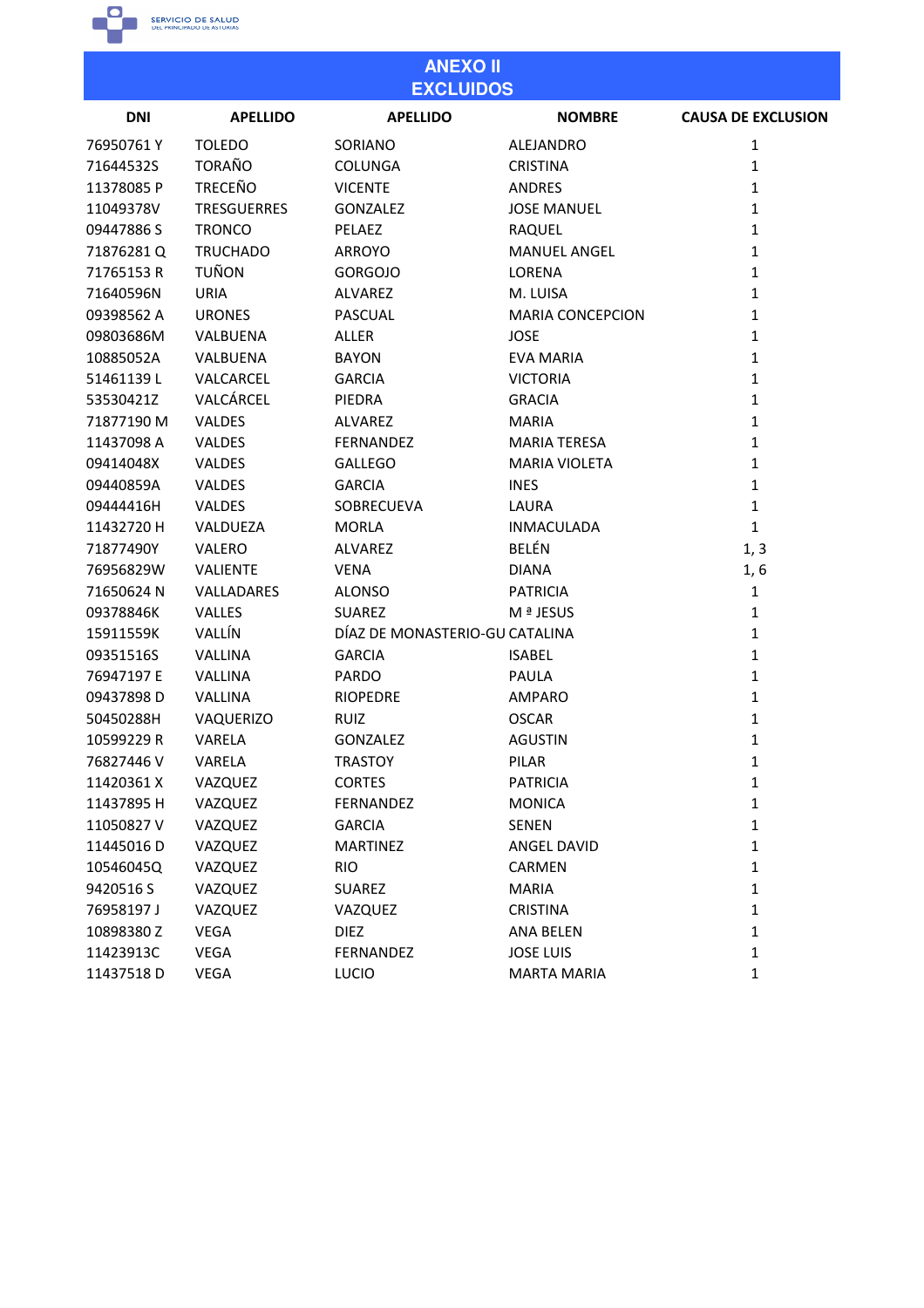

| <b>ANEXO II</b><br><b>EXCLUIDOS</b> |                    |                                |                         |                           |  |
|-------------------------------------|--------------------|--------------------------------|-------------------------|---------------------------|--|
| <b>DNI</b>                          | <b>APELLIDO</b>    | <b>APELLIDO</b>                | <b>NOMBRE</b>           | <b>CAUSA DE EXCLUSION</b> |  |
| 76950761Y                           | <b>TOLEDO</b>      | SORIANO                        | <b>ALEJANDRO</b>        | 1                         |  |
| 71644532S                           | <b>TORAÑO</b>      | <b>COLUNGA</b>                 | <b>CRISTINA</b>         | 1                         |  |
| 11378085 P                          | <b>TRECEÑO</b>     | <b>VICENTE</b>                 | <b>ANDRES</b>           | 1                         |  |
| 11049378V                           | <b>TRESGUERRES</b> | GONZALEZ                       | <b>JOSE MANUEL</b>      | 1                         |  |
| 09447886 S                          | <b>TRONCO</b>      | PELAEZ                         | RAQUEL                  | 1                         |  |
| 71876281Q                           | <b>TRUCHADO</b>    | <b>ARROYO</b>                  | <b>MANUEL ANGEL</b>     | $\mathbf{1}$              |  |
| 71765153R                           | <b>TUÑON</b>       | <b>GORGOJO</b>                 | LORENA                  | 1                         |  |
| 71640596N                           | <b>URIA</b>        | ALVAREZ                        | M. LUISA                | $\mathbf{1}$              |  |
| 09398562 A                          | <b>URONES</b>      | <b>PASCUAL</b>                 | <b>MARIA CONCEPCION</b> | 1                         |  |
| 09803686M                           | VALBUENA           | <b>ALLER</b>                   | <b>JOSE</b>             | 1                         |  |
| 10885052A                           | VALBUENA           | <b>BAYON</b>                   | <b>EVA MARIA</b>        | 1                         |  |
| 51461139L                           | VALCARCEL          | <b>GARCIA</b>                  | <b>VICTORIA</b>         | 1                         |  |
| 53530421Z                           | VALCÁRCEL          | PIEDRA                         | <b>GRACIA</b>           | $\mathbf{1}$              |  |
| 71877190 M                          | <b>VALDES</b>      | ALVAREZ                        | <b>MARIA</b>            | $\mathbf{1}$              |  |
| 11437098 A                          | <b>VALDES</b>      | <b>FERNANDEZ</b>               | <b>MARIA TERESA</b>     | $\mathbf{1}$              |  |
| 09414048X                           | <b>VALDES</b>      | <b>GALLEGO</b>                 | <b>MARIA VIOLETA</b>    | 1                         |  |
| 09440859A                           | <b>VALDES</b>      | <b>GARCIA</b>                  | <b>INES</b>             | $\mathbf{1}$              |  |
| 09444416H                           | <b>VALDES</b>      | SOBRECUEVA                     | LAURA                   | 1                         |  |
| 11432720 H                          | VALDUEZA           | <b>MORLA</b>                   | <b>INMACULADA</b>       | $\mathbf{1}$              |  |
| 71877490Y                           | VALERO             | ALVAREZ                        | <b>BELÉN</b>            | 1, 3                      |  |
| 76956829W                           | <b>VALIENTE</b>    | <b>VENA</b>                    | <b>DIANA</b>            | 1, 6                      |  |
| 71650624 N                          | VALLADARES         | <b>ALONSO</b>                  | <b>PATRICIA</b>         | $\mathbf{1}$              |  |
| 09378846K                           | <b>VALLES</b>      | <b>SUAREZ</b>                  | M ª JESUS               | $\mathbf{1}$              |  |
| 15911559K                           | VALLÍN             | DÍAZ DE MONASTERIO-GU CATALINA |                         | $\mathbf{1}$              |  |
| 09351516S                           | VALLINA            | <b>GARCIA</b>                  | <b>ISABEL</b>           | 1                         |  |
| 76947197 E                          | VALLINA            | <b>PARDO</b>                   | PAULA                   | 1                         |  |
| 09437898D                           | VALLINA            | <b>RIOPEDRE</b>                | <b>AMPARO</b>           | $\mathbf{1}$              |  |
| 50450288H                           | VAQUERIZO          | <b>RUIZ</b>                    | <b>OSCAR</b>            | 1                         |  |
| 10599229 R                          | VARELA             | <b>GONZALEZ</b>                | <b>AGUSTIN</b>          | 1                         |  |
| 76827446 V                          | VARELA             | <b>TRASTOY</b>                 | PILAR                   | $\mathbf{1}$              |  |
| 11420361 X                          | VAZQUEZ            | <b>CORTES</b>                  | <b>PATRICIA</b>         | 1                         |  |
| 11437895 H                          | VAZQUEZ            | FERNANDEZ                      | <b>MONICA</b>           | 1                         |  |
| 11050827V                           | VAZQUEZ            | <b>GARCIA</b>                  | <b>SENEN</b>            | $\mathbf{1}$              |  |
| 11445016D                           | VAZQUEZ            | <b>MARTINEZ</b>                | ANGEL DAVID             | 1                         |  |
| 10546045Q                           | VAZQUEZ            | <b>RIO</b>                     | CARMEN                  | 1                         |  |
| 9420516 S                           | VAZQUEZ            | <b>SUAREZ</b>                  | <b>MARIA</b>            | 1                         |  |
| 76958197 J                          | VAZQUEZ            | VAZQUEZ                        | <b>CRISTINA</b>         | 1                         |  |
| 10898380Z                           | VEGA               | <b>DIEZ</b>                    | ANA BELEN               | 1                         |  |
| 11423913C                           | VEGA               | FERNANDEZ                      | <b>JOSE LUIS</b>        | 1                         |  |
| 11437518D                           | VEGA               | LUCIO                          | <b>MARTA MARIA</b>      | 1                         |  |